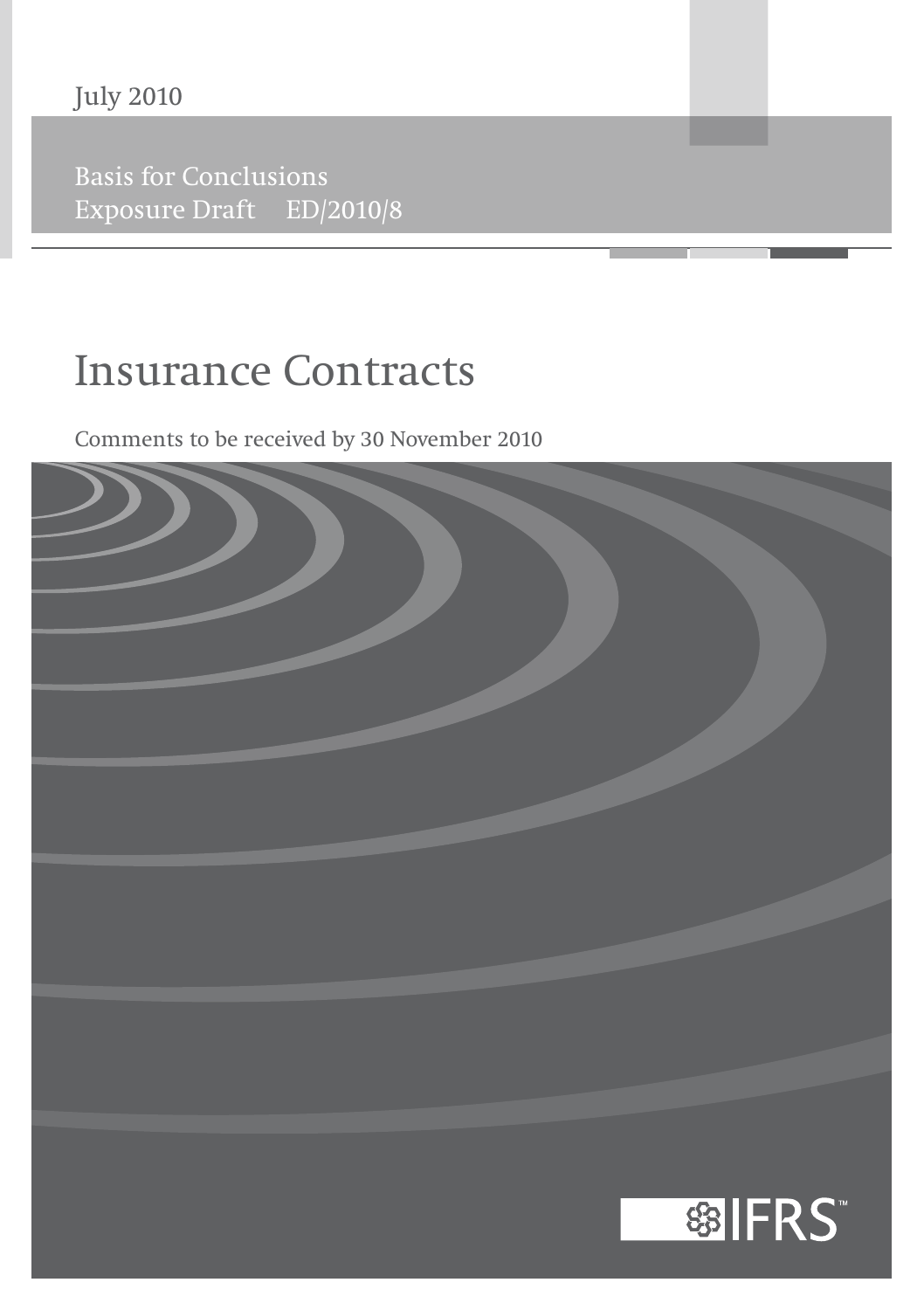July 2010

**Basis for Conclusions** Exposure Draft ED/2010/8

## **Insurance Contracts**

Comments to be received by 30 November 2010

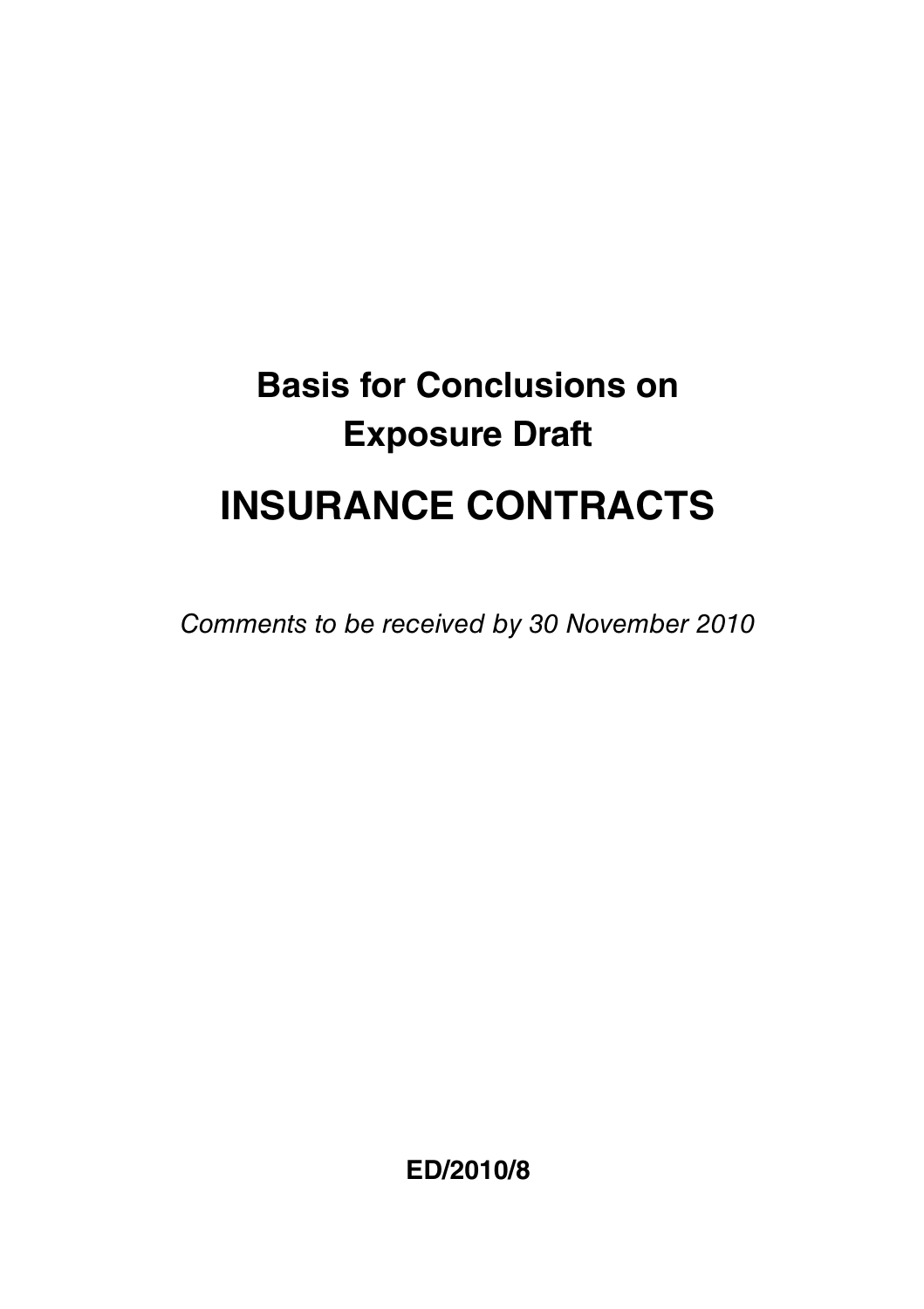# **Basis for Conclusions on Exposure Draft INSURANCE CONTRACTS**

Comments to be received by 30 November 2010

**ED/2010/8**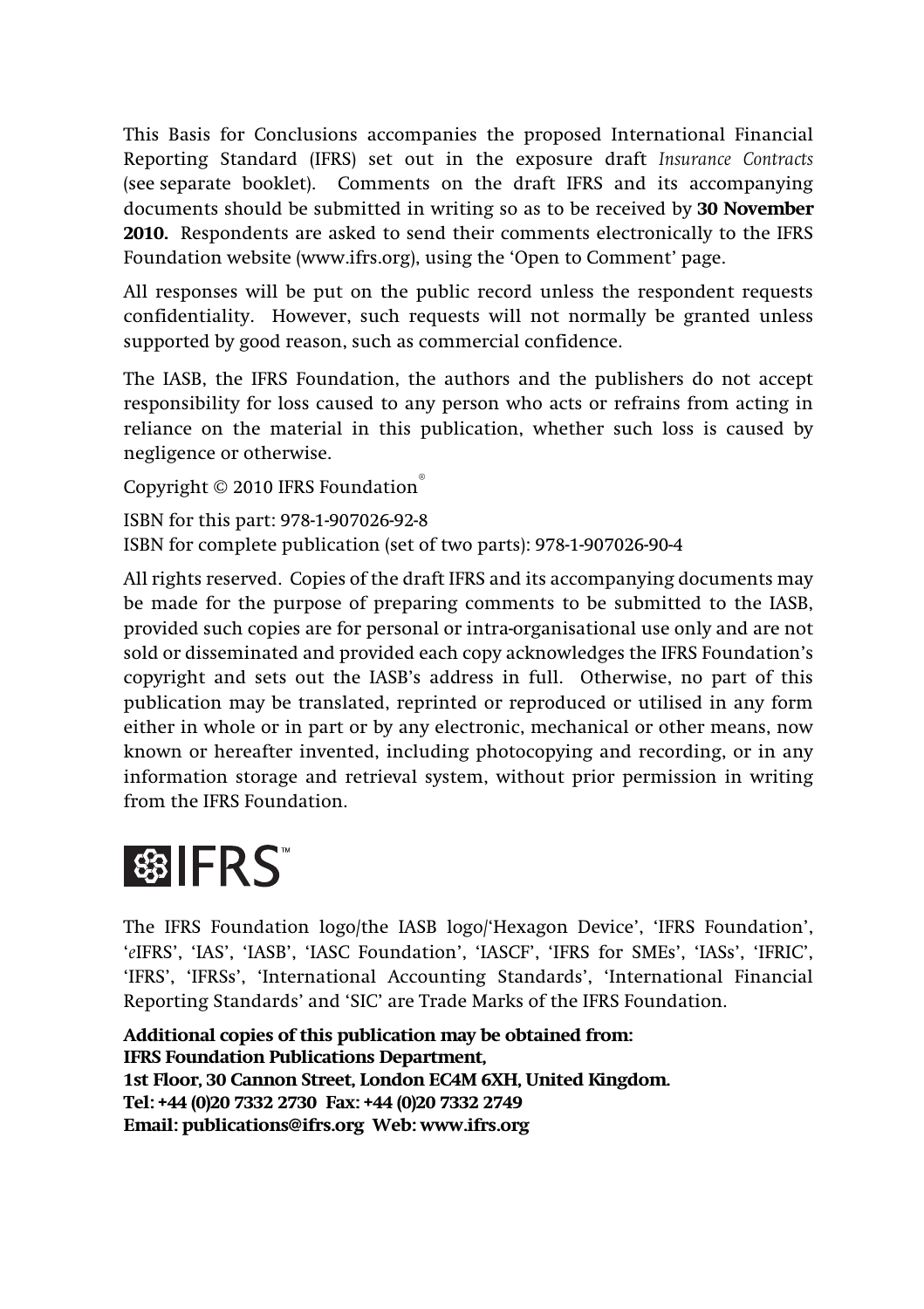This Basis for Conclusions accompanies the proposed International Financial Reporting Standard (IFRS) set out in the exposure draft *Insurance Contracts* (see separate booklet). Comments on the draft IFRS and its accompanying documents should be submitted in writing so as to be received by **30 November 2010.** Respondents are asked to send their comments electronically to the IFRS Foundation website (www.ifrs.org), using the 'Open to Comment' page.

All responses will be put on the public record unless the respondent requests confidentiality. However, such requests will not normally be granted unless supported by good reason, such as commercial confidence.

The IASB, the IFRS Foundation, the authors and the publishers do not accept responsibility for loss caused to any person who acts or refrains from acting in reliance on the material in this publication, whether such loss is caused by negligence or otherwise.

```
Copyright © 2010 IFRS Foundation®
```

```
ISBN for this part: 978-1-907026-92-8
ISBN for complete publication (set of two parts): 978-1-907026-90-4
```
All rights reserved. Copies of the draft IFRS and its accompanying documents may be made for the purpose of preparing comments to be submitted to the IASB, provided such copies are for personal or intra-organisational use only and are not sold or disseminated and provided each copy acknowledges the IFRS Foundation's copyright and sets out the IASB's address in full. Otherwise, no part of this publication may be translated, reprinted or reproduced or utilised in any form either in whole or in part or by any electronic, mechanical or other means, now known or hereafter invented, including photocopying and recording, or in any information storage and retrieval system, without prior permission in writing from the IFRS Foundation.

# 图 IFRS

The IFRS Foundation logo/the IASB logo/'Hexagon Device', 'IFRS Foundation', '*e*IFRS', 'IAS', 'IASB', 'IASC Foundation', 'IASCF', 'IFRS for SMEs', 'IASs', 'IFRIC', 'IFRS', 'IFRSs', 'International Accounting Standards', 'International Financial Reporting Standards' and 'SIC' are Trade Marks of the IFRS Foundation.

**Additional copies of this publication may be obtained from: IFRS Foundation Publications Department, 1st Floor, 30 Cannon Street, London EC4M 6XH, United Kingdom. Tel: +44 (0)20 7332 2730 Fax: +44 (0)20 7332 2749 Email: publications@ifrs.org Web: www.ifrs.org**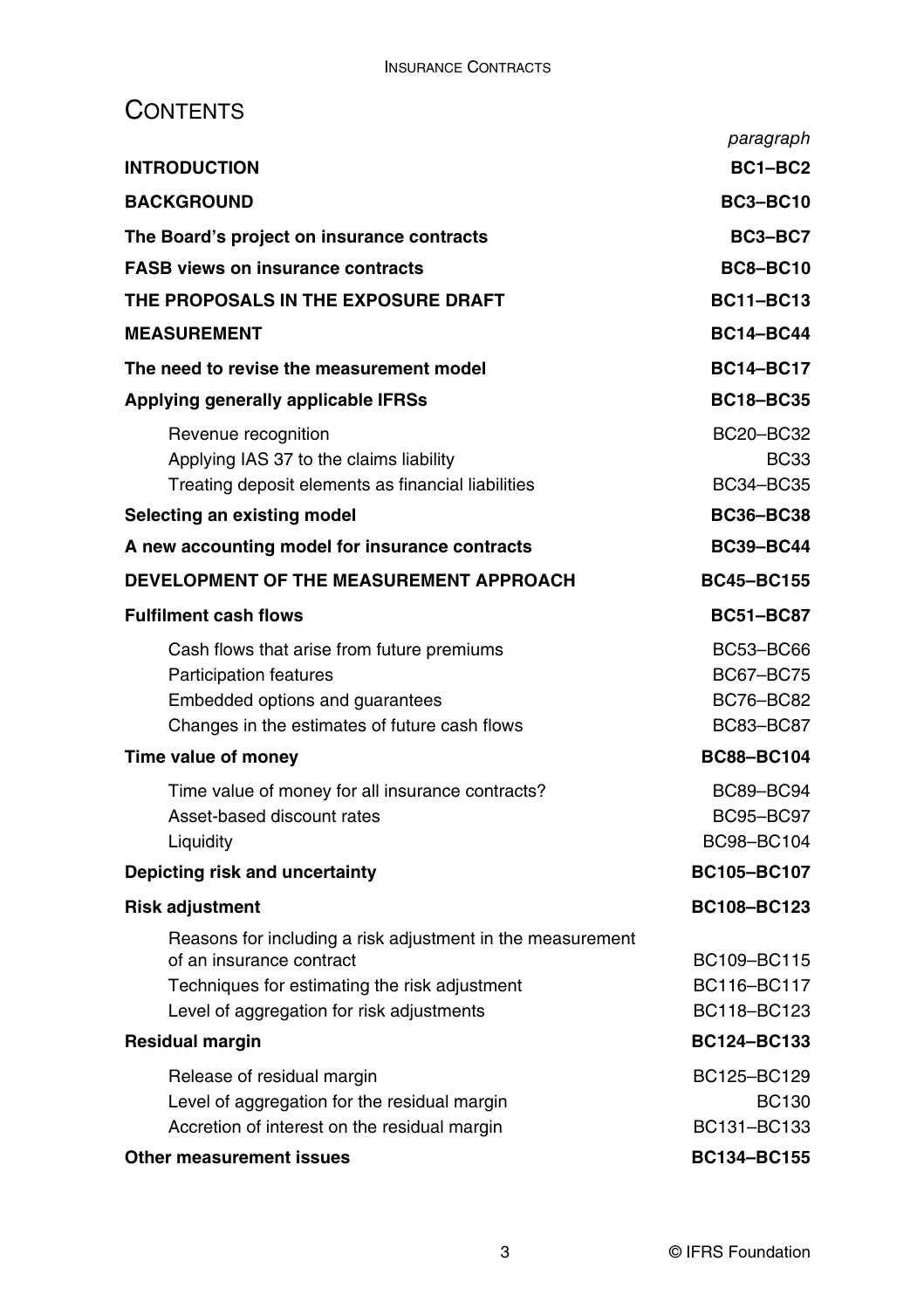## **CONTENTS**

|                                                                                                                                                                                      | paragraph                                                             |
|--------------------------------------------------------------------------------------------------------------------------------------------------------------------------------------|-----------------------------------------------------------------------|
| <b>INTRODUCTION</b>                                                                                                                                                                  | BC1-BC2                                                               |
| <b>BACKGROUND</b>                                                                                                                                                                    | <b>BC3-BC10</b>                                                       |
| The Board's project on insurance contracts                                                                                                                                           | BC3-BC7                                                               |
| <b>FASB views on insurance contracts</b>                                                                                                                                             | <b>BC8-BC10</b>                                                       |
| THE PROPOSALS IN THE EXPOSURE DRAFT                                                                                                                                                  | <b>BC11-BC13</b>                                                      |
| <b>MEASUREMENT</b>                                                                                                                                                                   | <b>BC14-BC44</b>                                                      |
| The need to revise the measurement model                                                                                                                                             | <b>BC14-BC17</b>                                                      |
| Applying generally applicable IFRSs                                                                                                                                                  | <b>BC18-BC35</b>                                                      |
| Revenue recognition<br>Applying IAS 37 to the claims liability<br>Treating deposit elements as financial liabilities                                                                 | BC20-BC32<br><b>BC33</b><br>BC34-BC35                                 |
| Selecting an existing model                                                                                                                                                          | <b>BC36-BC38</b>                                                      |
| A new accounting model for insurance contracts                                                                                                                                       | <b>BC39-BC44</b>                                                      |
| DEVELOPMENT OF THE MEASUREMENT APPROACH                                                                                                                                              | <b>BC45-BC155</b>                                                     |
| <b>Fulfilment cash flows</b>                                                                                                                                                         | <b>BC51-BC87</b>                                                      |
| Cash flows that arise from future premiums<br><b>Participation features</b><br>Embedded options and guarantees<br>Changes in the estimates of future cash flows                      | BC53-BC66<br><b>BC67-BC75</b><br><b>BC76-BC82</b><br><b>BC83-BC87</b> |
| Time value of money                                                                                                                                                                  | <b>BC88-BC104</b>                                                     |
| Time value of money for all insurance contracts?<br>Asset-based discount rates<br>Liquidity                                                                                          | BC89-BC94<br>BC95-BC97<br>BC98-BC104                                  |
| Depicting risk and uncertainty                                                                                                                                                       | BC105-BC107                                                           |
| <b>Risk adjustment</b>                                                                                                                                                               | BC108-BC123                                                           |
| Reasons for including a risk adjustment in the measurement<br>of an insurance contract<br>Techniques for estimating the risk adjustment<br>Level of aggregation for risk adjustments | BC109-BC115<br>BC116-BC117<br>BC118-BC123                             |
| <b>Residual margin</b>                                                                                                                                                               | BC124-BC133                                                           |
| Release of residual margin<br>Level of aggregation for the residual margin<br>Accretion of interest on the residual margin                                                           | BC125-BC129<br><b>BC130</b><br>BC131-BC133                            |
| Other measurement issues                                                                                                                                                             | <b>BC134-BC155</b>                                                    |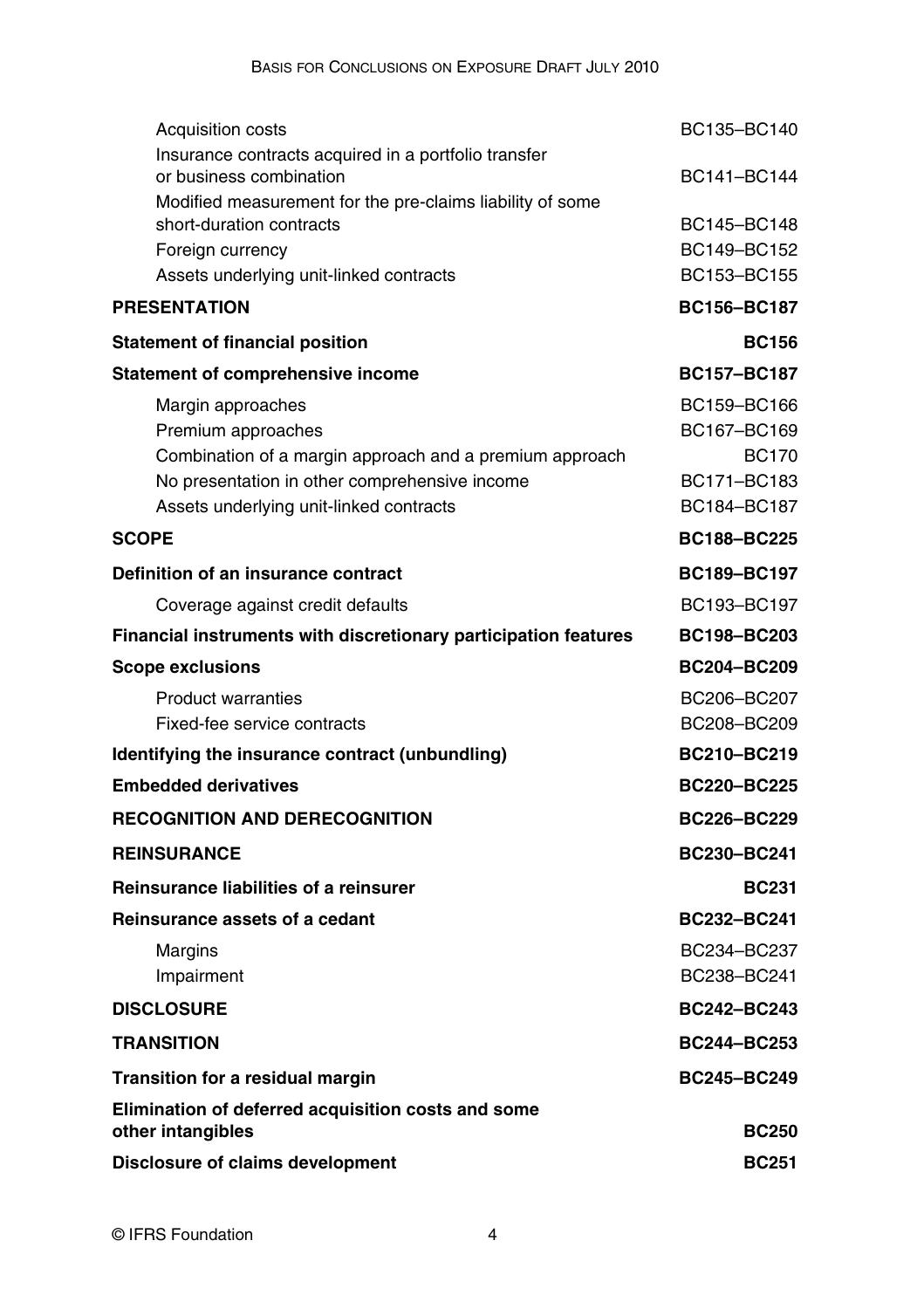| <b>Acquisition costs</b>                                                                                                                            | BC135-BC140                                               |
|-----------------------------------------------------------------------------------------------------------------------------------------------------|-----------------------------------------------------------|
| Insurance contracts acquired in a portfolio transfer<br>or business combination                                                                     | BC141-BC144                                               |
| Modified measurement for the pre-claims liability of some<br>short-duration contracts                                                               | BC145-BC148                                               |
| Foreign currency                                                                                                                                    | BC149-BC152                                               |
| Assets underlying unit-linked contracts                                                                                                             | BC153-BC155                                               |
| <b>PRESENTATION</b>                                                                                                                                 | <b>BC156-BC187</b>                                        |
| <b>Statement of financial position</b>                                                                                                              | <b>BC156</b>                                              |
| <b>Statement of comprehensive income</b>                                                                                                            | <b>BC157-BC187</b>                                        |
| Margin approaches<br>Premium approaches<br>Combination of a margin approach and a premium approach<br>No presentation in other comprehensive income | BC159-BC166<br>BC167-BC169<br><b>BC170</b><br>BC171-BC183 |
| Assets underlying unit-linked contracts                                                                                                             | BC184-BC187                                               |
| <b>SCOPE</b>                                                                                                                                        | <b>BC188-BC225</b>                                        |
| Definition of an insurance contract                                                                                                                 | <b>BC189-BC197</b>                                        |
| Coverage against credit defaults                                                                                                                    | BC193-BC197                                               |
| Financial instruments with discretionary participation features                                                                                     | <b>BC198-BC203</b>                                        |
| <b>Scope exclusions</b>                                                                                                                             | <b>BC204-BC209</b>                                        |
| <b>Product warranties</b>                                                                                                                           | BC206-BC207                                               |
| Fixed-fee service contracts                                                                                                                         | BC208-BC209                                               |
| Identifying the insurance contract (unbundling)                                                                                                     | <b>BC210-BC219</b>                                        |
| <b>Embedded derivatives</b>                                                                                                                         | <b>BC220-BC225</b>                                        |
| <b>RECOGNITION AND DERECOGNITION</b>                                                                                                                | <b>BC226-BC229</b>                                        |
| <b>REINSURANCE</b>                                                                                                                                  | BC230-BC241                                               |
| Reinsurance liabilities of a reinsurer                                                                                                              | <b>BC231</b>                                              |
| Reinsurance assets of a cedant                                                                                                                      | BC232-BC241                                               |
| Margins                                                                                                                                             | BC234-BC237                                               |
| Impairment                                                                                                                                          | BC238-BC241                                               |
| <b>DISCLOSURE</b>                                                                                                                                   | <b>BC242-BC243</b>                                        |
| <b>TRANSITION</b>                                                                                                                                   | BC244-BC253                                               |
| <b>Transition for a residual margin</b>                                                                                                             | <b>BC245-BC249</b>                                        |
| Elimination of deferred acquisition costs and some                                                                                                  |                                                           |
| other intangibles                                                                                                                                   | <b>BC250</b>                                              |
| Disclosure of claims development                                                                                                                    | <b>BC251</b>                                              |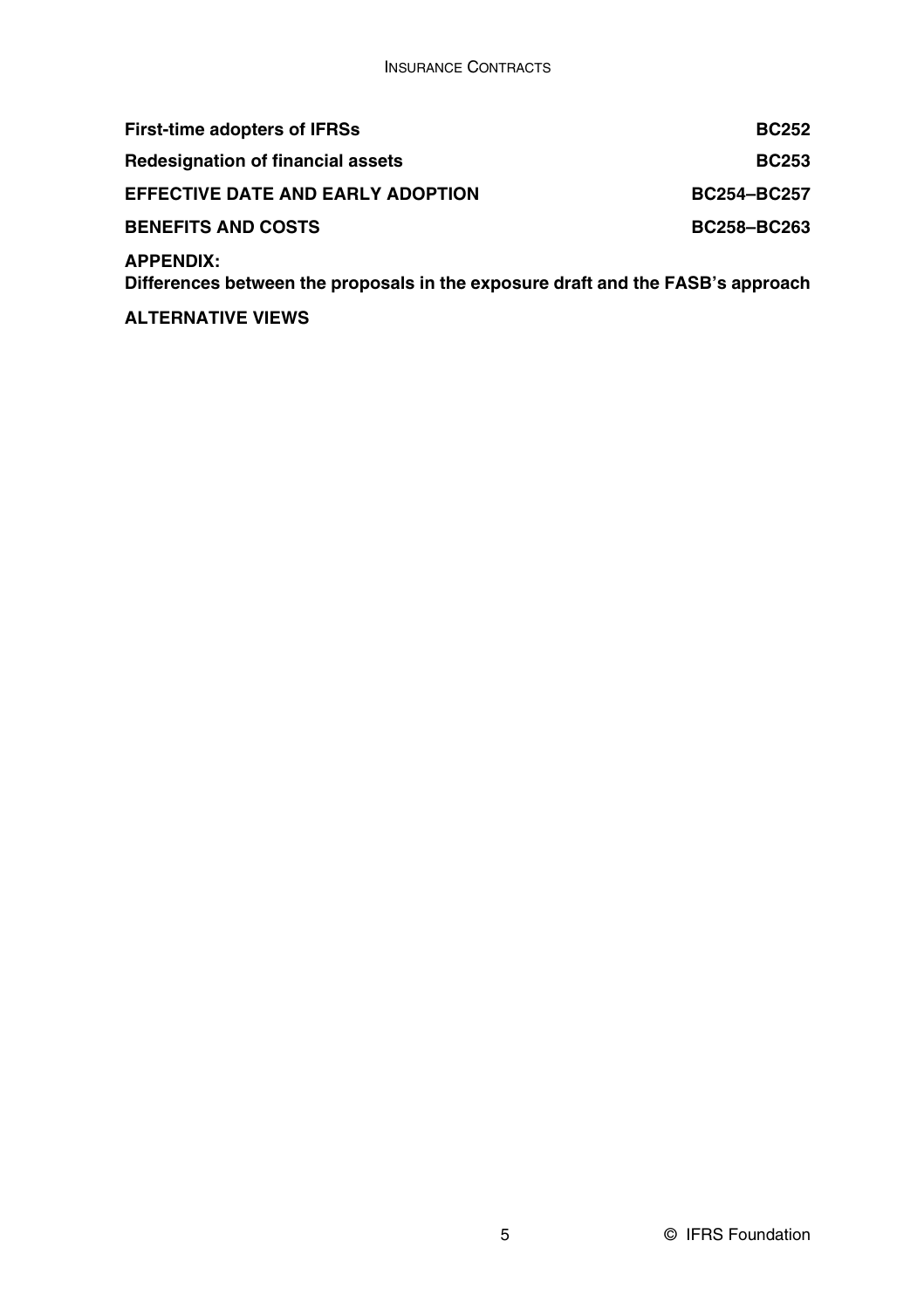| <b>First-time adopters of IFRSs</b>      | <b>BC252</b>       |
|------------------------------------------|--------------------|
| <b>Redesignation of financial assets</b> | <b>BC253</b>       |
| <b>EFFECTIVE DATE AND EARLY ADOPTION</b> | <b>BC254-BC257</b> |
| <b>BENEFITS AND COSTS</b>                | <b>BC258-BC263</b> |
| <b>APPENDIX:</b>                         |                    |

**Differences between the proposals in the exposure draft and the FASB's approach**

**ALTERNATIVE VIEWS**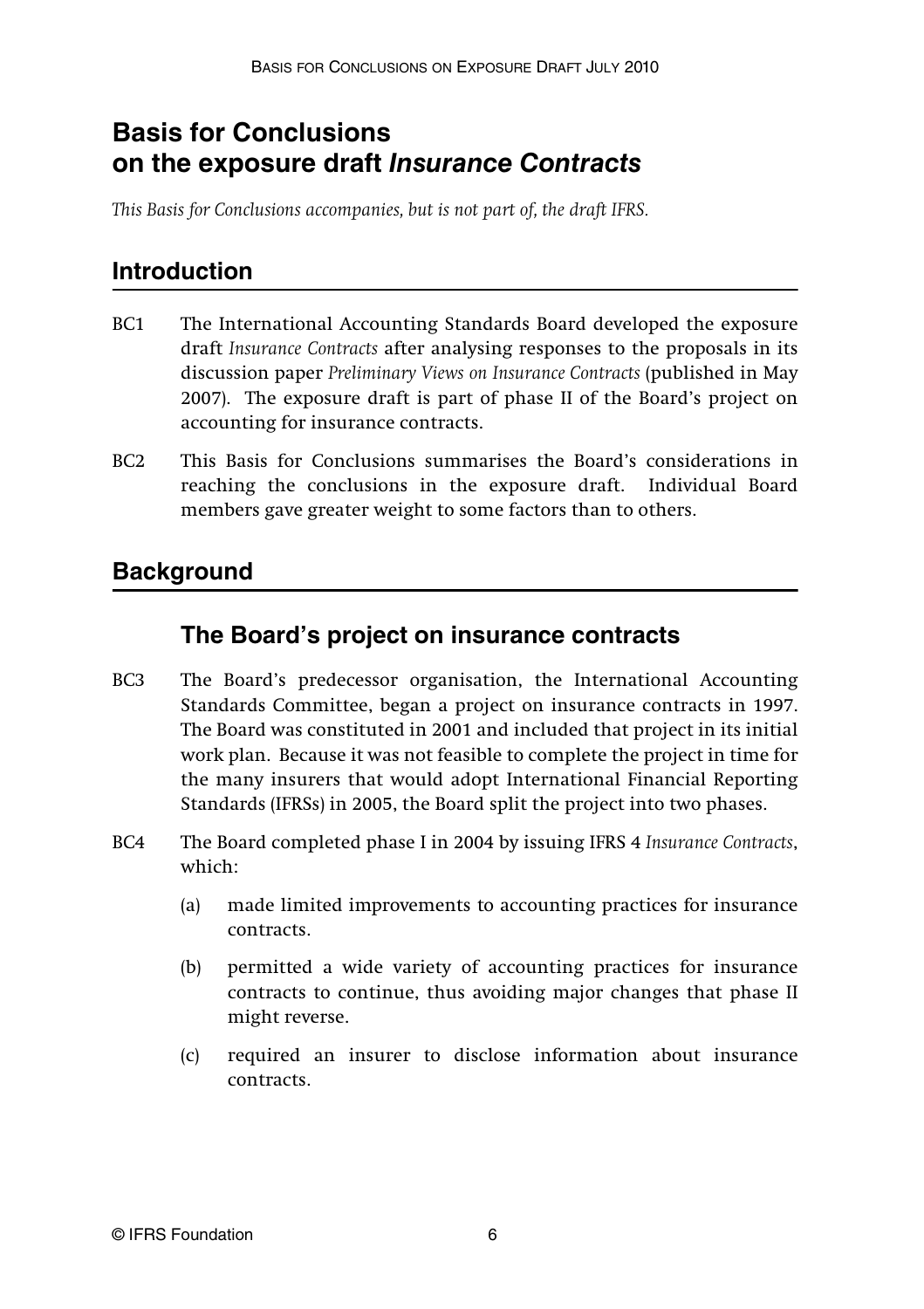## **Basis for Conclusions on the exposure draft** *Insurance Contracts*

*This Basis for Conclusions accompanies, but is not part of, the draft IFRS.*

## **Introduction**

- BC1 The International Accounting Standards Board developed the exposure draft *Insurance Contracts* after analysing responses to the proposals in its discussion paper *Preliminary Views on Insurance Contracts* (published in May 2007). The exposure draft is part of phase II of the Board's project on accounting for insurance contracts.
- BC2 This Basis for Conclusions summarises the Board's considerations in reaching the conclusions in the exposure draft. Individual Board members gave greater weight to some factors than to others.

## **Background**

## **The Board's project on insurance contracts**

- BC3 The Board's predecessor organisation, the International Accounting Standards Committee, began a project on insurance contracts in 1997. The Board was constituted in 2001 and included that project in its initial work plan. Because it was not feasible to complete the project in time for the many insurers that would adopt International Financial Reporting Standards (IFRSs) in 2005, the Board split the project into two phases.
- BC4 The Board completed phase I in 2004 by issuing IFRS 4 *Insurance Contracts*, which:
	- (a) made limited improvements to accounting practices for insurance contracts.
	- (b) permitted a wide variety of accounting practices for insurance contracts to continue, thus avoiding major changes that phase II might reverse.
	- (c) required an insurer to disclose information about insurance contracts.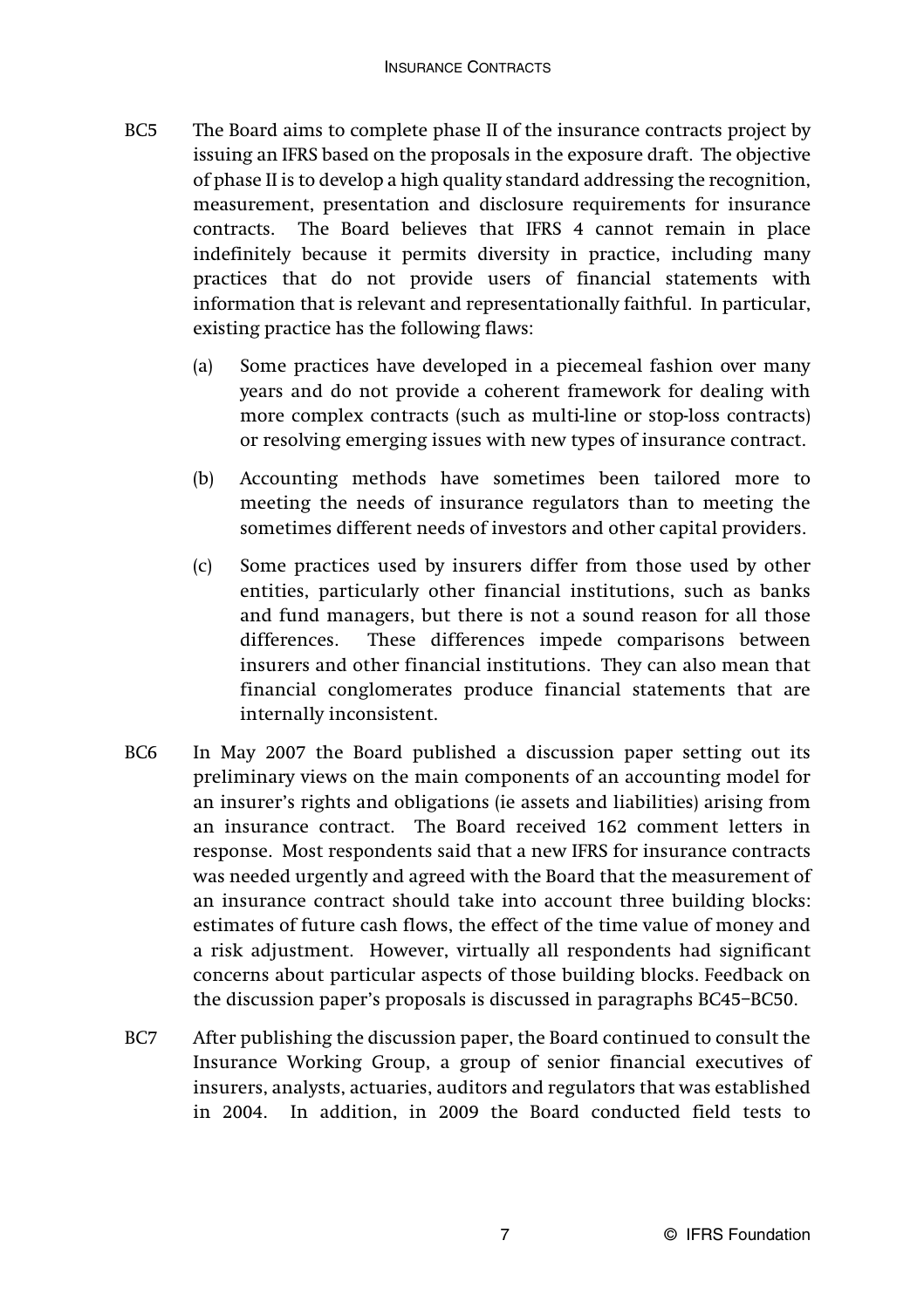- BC5 The Board aims to complete phase II of the insurance contracts project by issuing an IFRS based on the proposals in the exposure draft. The objective of phase II is to develop a high quality standard addressing the recognition, measurement, presentation and disclosure requirements for insurance contracts. The Board believes that IFRS 4 cannot remain in place indefinitely because it permits diversity in practice, including many practices that do not provide users of financial statements with information that is relevant and representationally faithful. In particular, existing practice has the following flaws:
	- (a) Some practices have developed in a piecemeal fashion over many years and do not provide a coherent framework for dealing with more complex contracts (such as multi-line or stop-loss contracts) or resolving emerging issues with new types of insurance contract.
	- (b) Accounting methods have sometimes been tailored more to meeting the needs of insurance regulators than to meeting the sometimes different needs of investors and other capital providers.
	- (c) Some practices used by insurers differ from those used by other entities, particularly other financial institutions, such as banks and fund managers, but there is not a sound reason for all those differences. These differences impede comparisons between insurers and other financial institutions. They can also mean that financial conglomerates produce financial statements that are internally inconsistent.
- BC6 In May 2007 the Board published a discussion paper setting out its preliminary views on the main components of an accounting model for an insurer's rights and obligations (ie assets and liabilities) arising from an insurance contract. The Board received 162 comment letters in response. Most respondents said that a new IFRS for insurance contracts was needed urgently and agreed with the Board that the measurement of an insurance contract should take into account three building blocks: estimates of future cash flows, the effect of the time value of money and a risk adjustment. However, virtually all respondents had significant concerns about particular aspects of those building blocks. Feedback on the discussion paper's proposals is discussed in paragraphs BC45–BC50.
- BC7 After publishing the discussion paper, the Board continued to consult the Insurance Working Group, a group of senior financial executives of insurers, analysts, actuaries, auditors and regulators that was established in 2004. In addition, in 2009 the Board conducted field tests to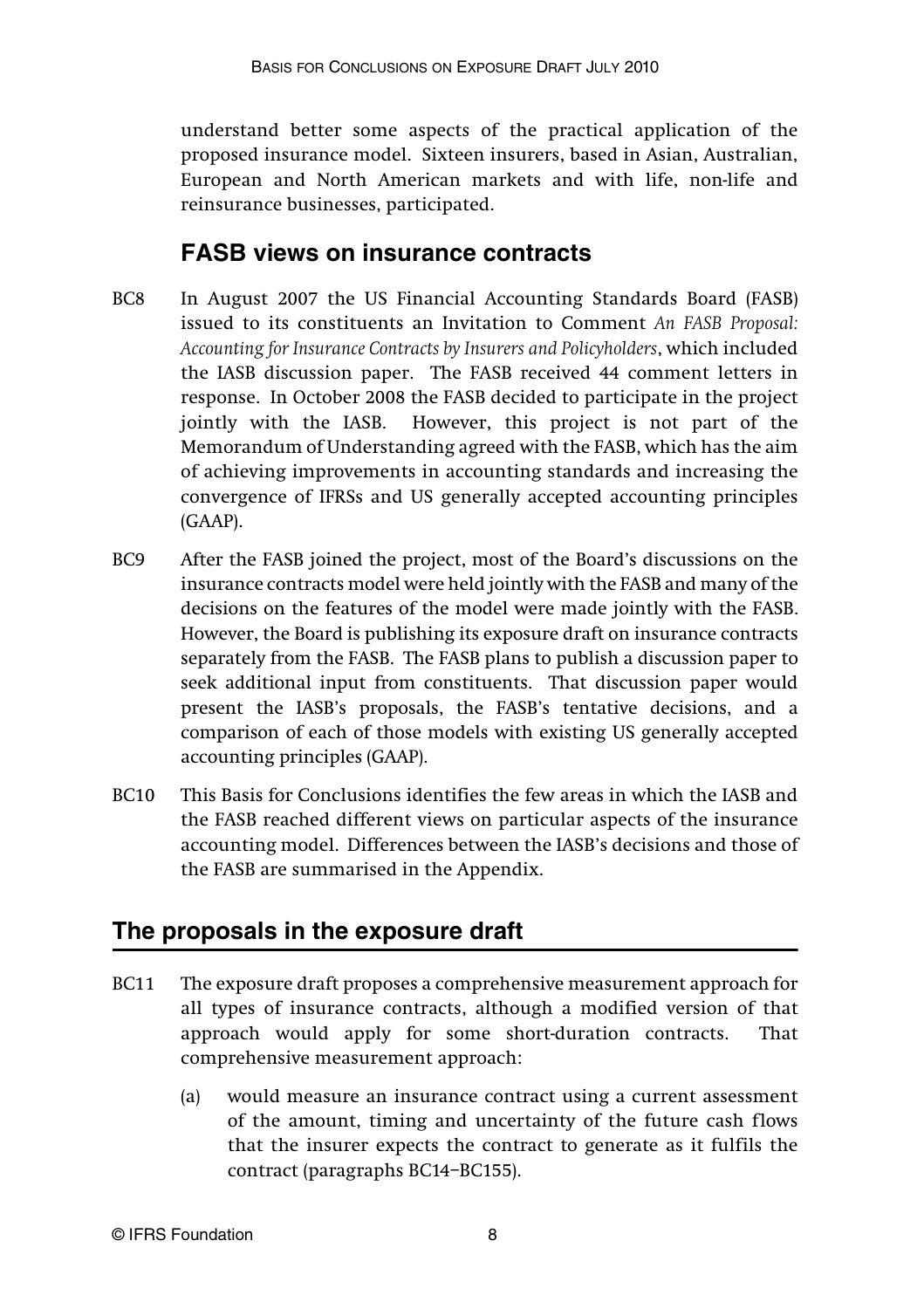understand better some aspects of the practical application of the proposed insurance model. Sixteen insurers, based in Asian, Australian, European and North American markets and with life, non-life and reinsurance businesses, participated.

## **FASB views on insurance contracts**

- BC8 In August 2007 the US Financial Accounting Standards Board (FASB) issued to its constituents an Invitation to Comment *An FASB Proposal: Accounting for Insurance Contracts by Insurers and Policyholders*, which included the IASB discussion paper. The FASB received 44 comment letters in response. In October 2008 the FASB decided to participate in the project jointly with the IASB. However, this project is not part of the Memorandum of Understanding agreed with the FASB, which has the aim of achieving improvements in accounting standards and increasing the convergence of IFRSs and US generally accepted accounting principles (GAAP).
- BC9 After the FASB joined the project, most of the Board's discussions on the insurance contracts model were held jointly with the FASB and many of the decisions on the features of the model were made jointly with the FASB. However, the Board is publishing its exposure draft on insurance contracts separately from the FASB. The FASB plans to publish a discussion paper to seek additional input from constituents. That discussion paper would present the IASB's proposals, the FASB's tentative decisions, and a comparison of each of those models with existing US generally accepted accounting principles (GAAP).
- BC10 This Basis for Conclusions identifies the few areas in which the IASB and the FASB reached different views on particular aspects of the insurance accounting model. Differences between the IASB's decisions and those of the FASB are summarised in the Appendix.

## **The proposals in the exposure draft**

- BC11 The exposure draft proposes a comprehensive measurement approach for all types of insurance contracts, although a modified version of that approach would apply for some short-duration contracts. That comprehensive measurement approach:
	- (a) would measure an insurance contract using a current assessment of the amount, timing and uncertainty of the future cash flows that the insurer expects the contract to generate as it fulfils the contract (paragraphs BC14–BC155).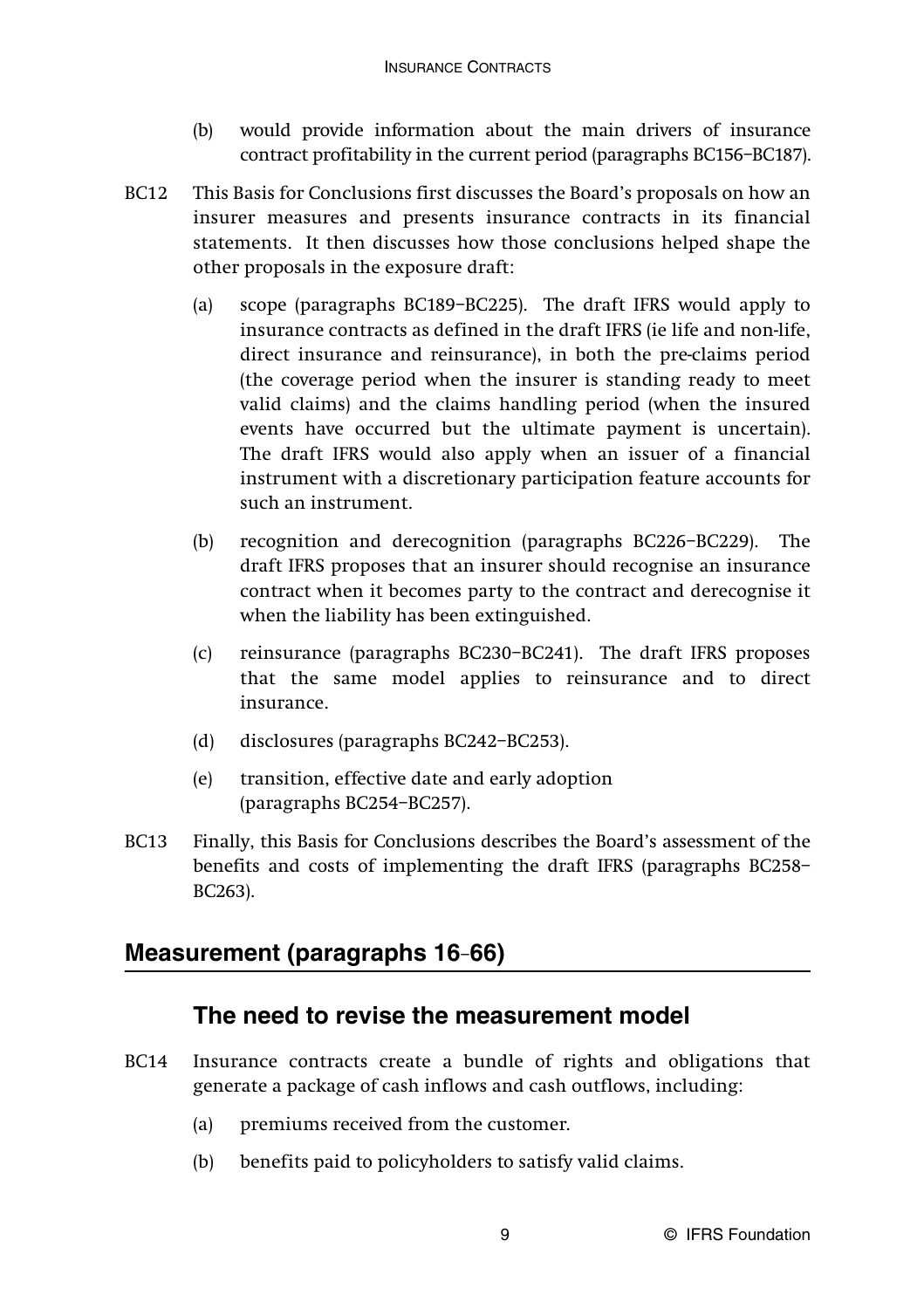- (b) would provide information about the main drivers of insurance contract profitability in the current period (paragraphs BC156–BC187).
- BC12 This Basis for Conclusions first discusses the Board's proposals on how an insurer measures and presents insurance contracts in its financial statements. It then discusses how those conclusions helped shape the other proposals in the exposure draft:
	- (a) scope (paragraphs BC189–BC225). The draft IFRS would apply to insurance contracts as defined in the draft IFRS (ie life and non-life, direct insurance and reinsurance), in both the pre-claims period (the coverage period when the insurer is standing ready to meet valid claims) and the claims handling period (when the insured events have occurred but the ultimate payment is uncertain). The draft IFRS would also apply when an issuer of a financial instrument with a discretionary participation feature accounts for such an instrument.
	- (b) recognition and derecognition (paragraphs BC226–BC229). The draft IFRS proposes that an insurer should recognise an insurance contract when it becomes party to the contract and derecognise it when the liability has been extinguished.
	- (c) reinsurance (paragraphs BC230–BC241). The draft IFRS proposes that the same model applies to reinsurance and to direct insurance.
	- (d) disclosures (paragraphs BC242–BC253).
	- (e) transition, effective date and early adoption (paragraphs BC254–BC257).
- BC13 Finally, this Basis for Conclusions describes the Board's assessment of the benefits and costs of implementing the draft IFRS (paragraphs BC258– BC263).

## **Measurement (paragraphs 16**–**66)**

## **The need to revise the measurement model**

- BC14 Insurance contracts create a bundle of rights and obligations that generate a package of cash inflows and cash outflows, including:
	- (a) premiums received from the customer.
	- (b) benefits paid to policyholders to satisfy valid claims.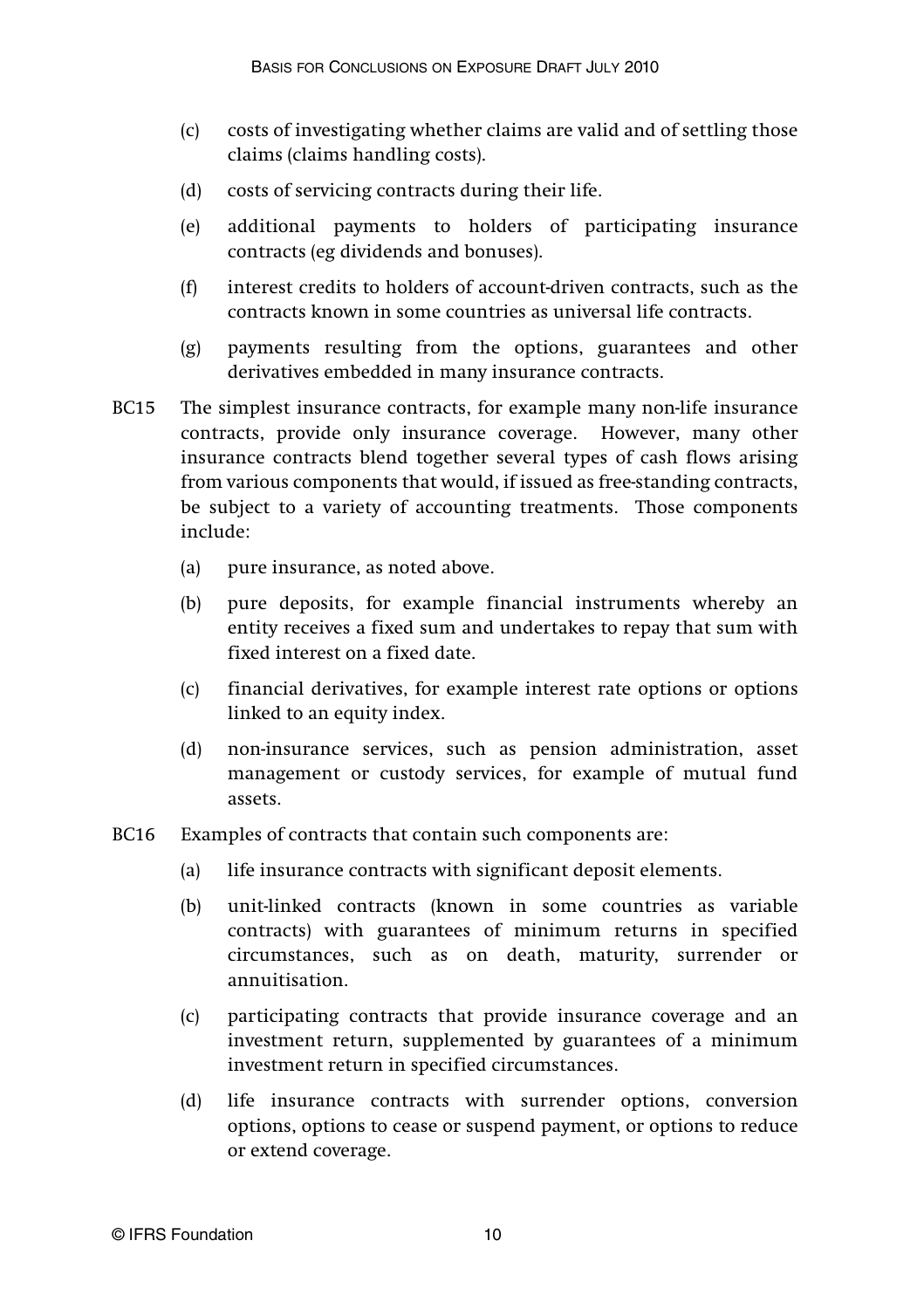- (c) costs of investigating whether claims are valid and of settling those claims (claims handling costs).
- (d) costs of servicing contracts during their life.
- (e) additional payments to holders of participating insurance contracts (eg dividends and bonuses).
- (f) interest credits to holders of account-driven contracts, such as the contracts known in some countries as universal life contracts.
- (g) payments resulting from the options, guarantees and other derivatives embedded in many insurance contracts.
- BC15 The simplest insurance contracts, for example many non-life insurance contracts, provide only insurance coverage. However, many other insurance contracts blend together several types of cash flows arising from various components that would, if issued as free-standing contracts, be subject to a variety of accounting treatments. Those components include:
	- (a) pure insurance, as noted above.
	- (b) pure deposits, for example financial instruments whereby an entity receives a fixed sum and undertakes to repay that sum with fixed interest on a fixed date.
	- (c) financial derivatives, for example interest rate options or options linked to an equity index.
	- (d) non-insurance services, such as pension administration, asset management or custody services, for example of mutual fund assets.
- BC16 Examples of contracts that contain such components are:
	- (a) life insurance contracts with significant deposit elements.
	- (b) unit-linked contracts (known in some countries as variable contracts) with guarantees of minimum returns in specified circumstances, such as on death, maturity, surrender or annuitisation.
	- (c) participating contracts that provide insurance coverage and an investment return, supplemented by guarantees of a minimum investment return in specified circumstances.
	- (d) life insurance contracts with surrender options, conversion options, options to cease or suspend payment, or options to reduce or extend coverage.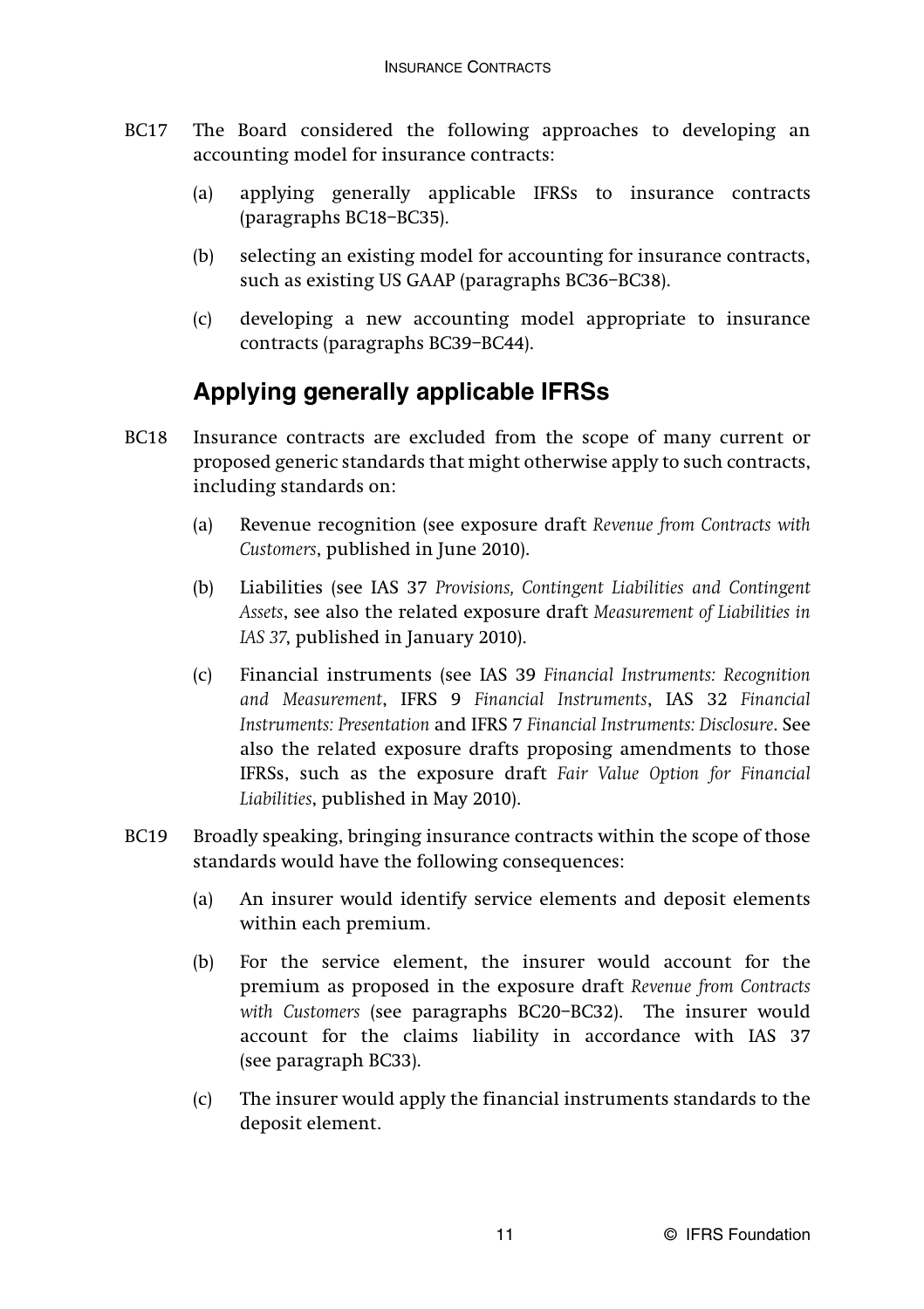- BC17 The Board considered the following approaches to developing an accounting model for insurance contracts:
	- (a) applying generally applicable IFRSs to insurance contracts (paragraphs BC18–BC35).
	- (b) selecting an existing model for accounting for insurance contracts, such as existing US GAAP (paragraphs BC36–BC38).
	- (c) developing a new accounting model appropriate to insurance contracts (paragraphs BC39–BC44).

## **Applying generally applicable IFRSs**

- BC18 Insurance contracts are excluded from the scope of many current or proposed generic standards that might otherwise apply to such contracts, including standards on:
	- (a) Revenue recognition (see exposure draft *Revenue from Contracts with Customers*, published in June 2010).
	- (b) Liabilities (see IAS 37 *Provisions, Contingent Liabilities and Contingent Assets*, see also the related exposure draft *Measurement of Liabilities in IAS 37*, published in January 2010).
	- (c) Financial instruments (see IAS 39 *Financial Instruments: Recognition and Measurement*, IFRS 9 *Financial Instruments*, IAS 32 *Financial Instruments: Presentation* and IFRS 7 *Financial Instruments: Disclosure*. See also the related exposure drafts proposing amendments to those IFRSs, such as the exposure draft *Fair Value Option for Financial Liabilities*, published in May 2010).
- BC19 Broadly speaking, bringing insurance contracts within the scope of those standards would have the following consequences:
	- (a) An insurer would identify service elements and deposit elements within each premium.
	- (b) For the service element, the insurer would account for the premium as proposed in the exposure draft *Revenue from Contracts with Customers* (see paragraphs BC20–BC32). The insurer would account for the claims liability in accordance with IAS 37 (see paragraph BC33).
	- (c) The insurer would apply the financial instruments standards to the deposit element.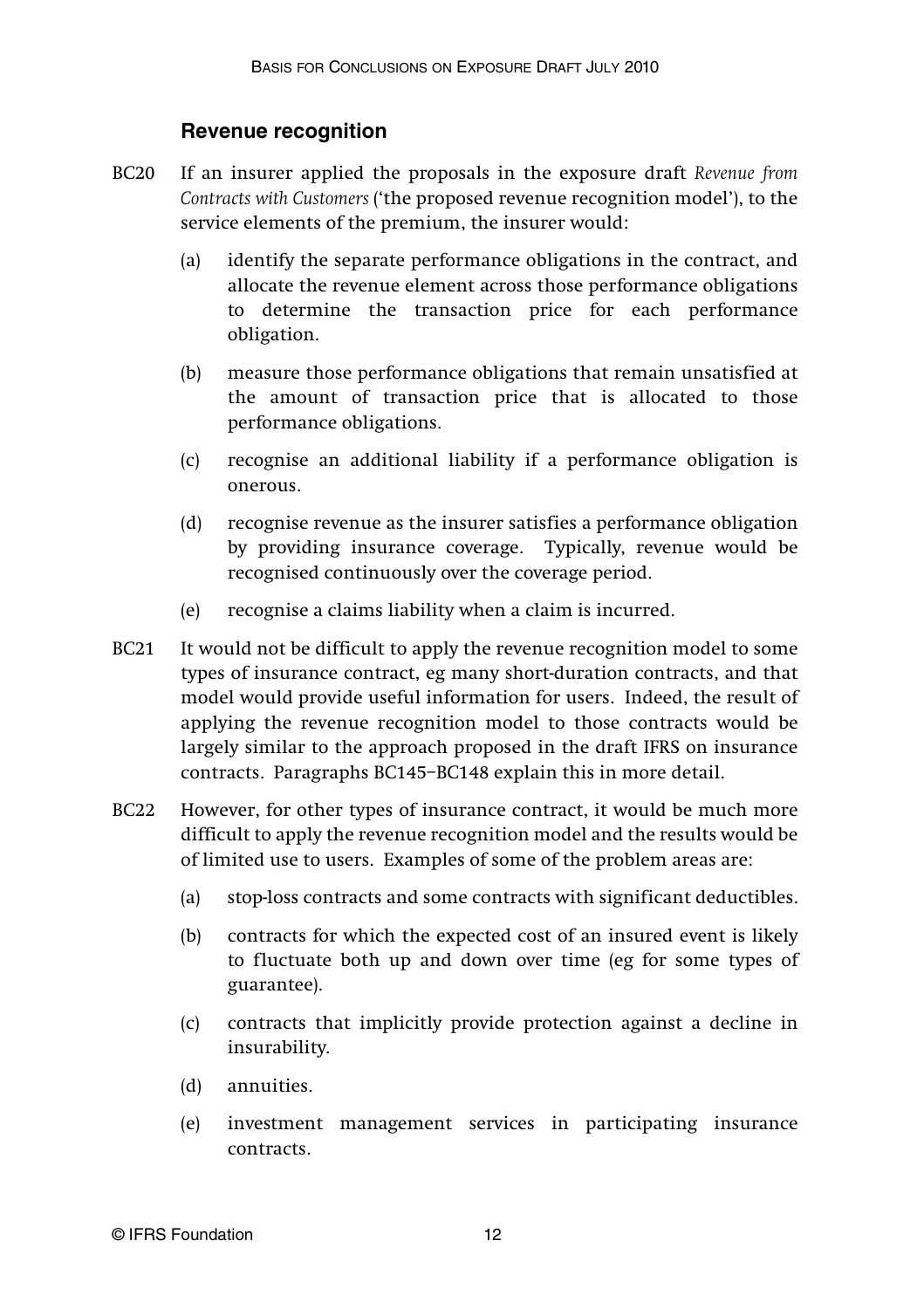#### **Revenue recognition**

- BC20 If an insurer applied the proposals in the exposure draft *Revenue from Contracts with Customers* ('the proposed revenue recognition model'), to the service elements of the premium, the insurer would:
	- (a) identify the separate performance obligations in the contract, and allocate the revenue element across those performance obligations to determine the transaction price for each performance obligation.
	- (b) measure those performance obligations that remain unsatisfied at the amount of transaction price that is allocated to those performance obligations.
	- (c) recognise an additional liability if a performance obligation is onerous.
	- (d) recognise revenue as the insurer satisfies a performance obligation by providing insurance coverage. Typically, revenue would be recognised continuously over the coverage period.
	- (e) recognise a claims liability when a claim is incurred.
- BC21 It would not be difficult to apply the revenue recognition model to some types of insurance contract, eg many short-duration contracts, and that model would provide useful information for users. Indeed, the result of applying the revenue recognition model to those contracts would be largely similar to the approach proposed in the draft IFRS on insurance contracts. Paragraphs BC145–BC148 explain this in more detail.
- BC22 However, for other types of insurance contract, it would be much more difficult to apply the revenue recognition model and the results would be of limited use to users. Examples of some of the problem areas are:
	- (a) stop-loss contracts and some contracts with significant deductibles.
	- (b) contracts for which the expected cost of an insured event is likely to fluctuate both up and down over time (eg for some types of guarantee).
	- (c) contracts that implicitly provide protection against a decline in insurability.
	- (d) annuities.
	- (e) investment management services in participating insurance contracts.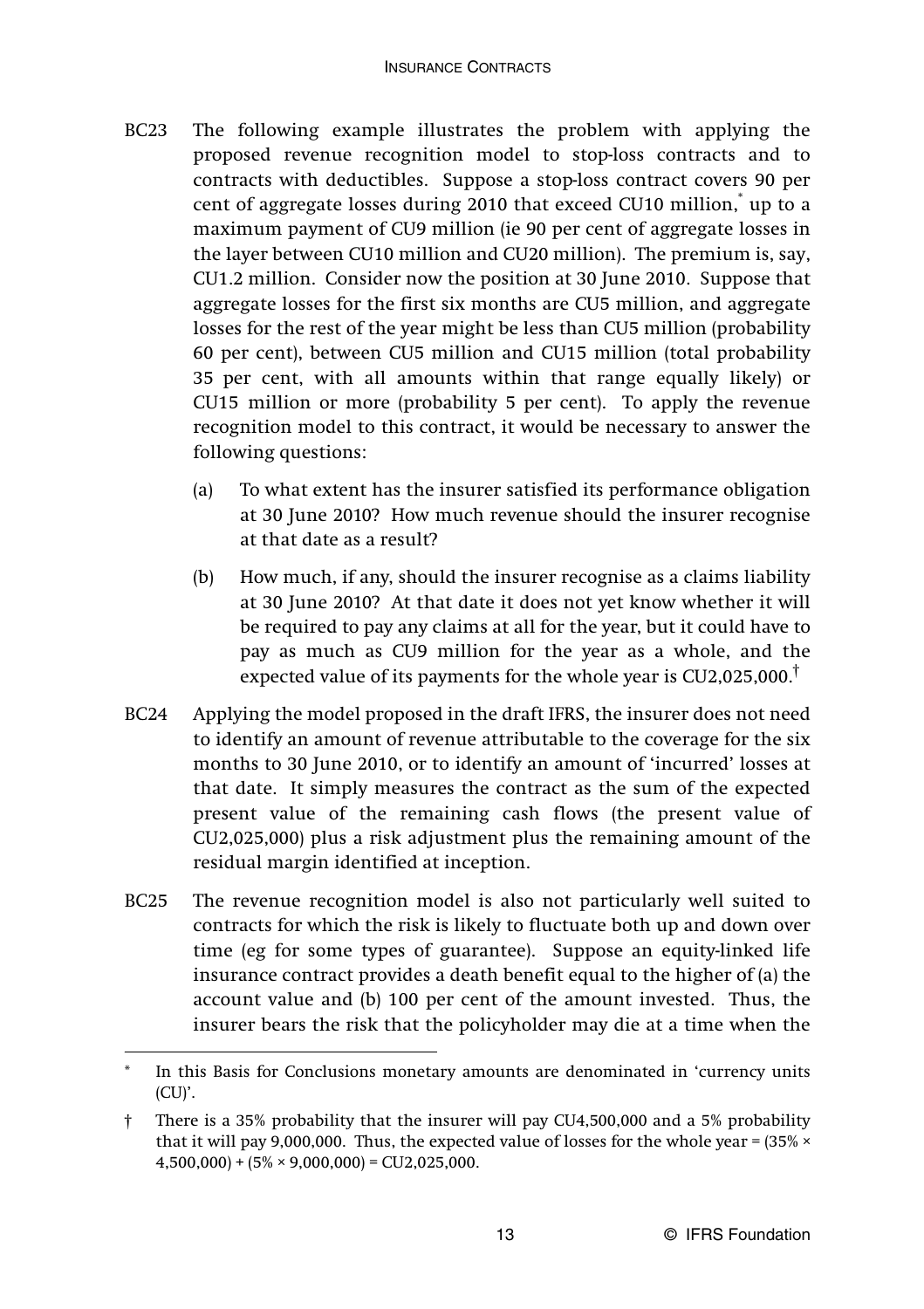- BC23 The following example illustrates the problem with applying the proposed revenue recognition model to stop-loss contracts and to contracts with deductibles. Suppose a stop-loss contract covers 90 per cent of aggregate losses during 2010 that exceed CU10 million,\* up to a maximum payment of CU9 million (ie 90 per cent of aggregate losses in the layer between CU10 million and CU20 million). The premium is, say, CU1.2 million. Consider now the position at 30 June 2010. Suppose that aggregate losses for the first six months are CU5 million, and aggregate losses for the rest of the year might be less than CU5 million (probability 60 per cent), between CU5 million and CU15 million (total probability 35 per cent, with all amounts within that range equally likely) or CU15 million or more (probability 5 per cent). To apply the revenue recognition model to this contract, it would be necessary to answer the following questions:
	- (a) To what extent has the insurer satisfied its performance obligation at 30 June 2010? How much revenue should the insurer recognise at that date as a result?
	- (b) How much, if any, should the insurer recognise as a claims liability at 30 June 2010? At that date it does not yet know whether it will be required to pay any claims at all for the year, but it could have to pay as much as CU9 million for the year as a whole, and the expected value of its payments for the whole year is CU2,025,000. $^\dagger$
- BC24 Applying the model proposed in the draft IFRS, the insurer does not need to identify an amount of revenue attributable to the coverage for the six months to 30 June 2010, or to identify an amount of 'incurred' losses at that date. It simply measures the contract as the sum of the expected present value of the remaining cash flows (the present value of CU2,025,000) plus a risk adjustment plus the remaining amount of the residual margin identified at inception.
- BC25 The revenue recognition model is also not particularly well suited to contracts for which the risk is likely to fluctuate both up and down over time (eg for some types of guarantee). Suppose an equity-linked life insurance contract provides a death benefit equal to the higher of (a) the account value and (b) 100 per cent of the amount invested. Thus, the insurer bears the risk that the policyholder may die at a time when the

In this Basis for Conclusions monetary amounts are denominated in 'currency units  $(CU)$ '.

<sup>†</sup> There is a 35% probability that the insurer will pay CU4,500,000 and a 5% probability that it will pay 9,000,000. Thus, the expected value of losses for the whole year =  $(35\% \times$  $4,500,000$  +  $(5\% \times 9,000,000)$  = CU2,025,000.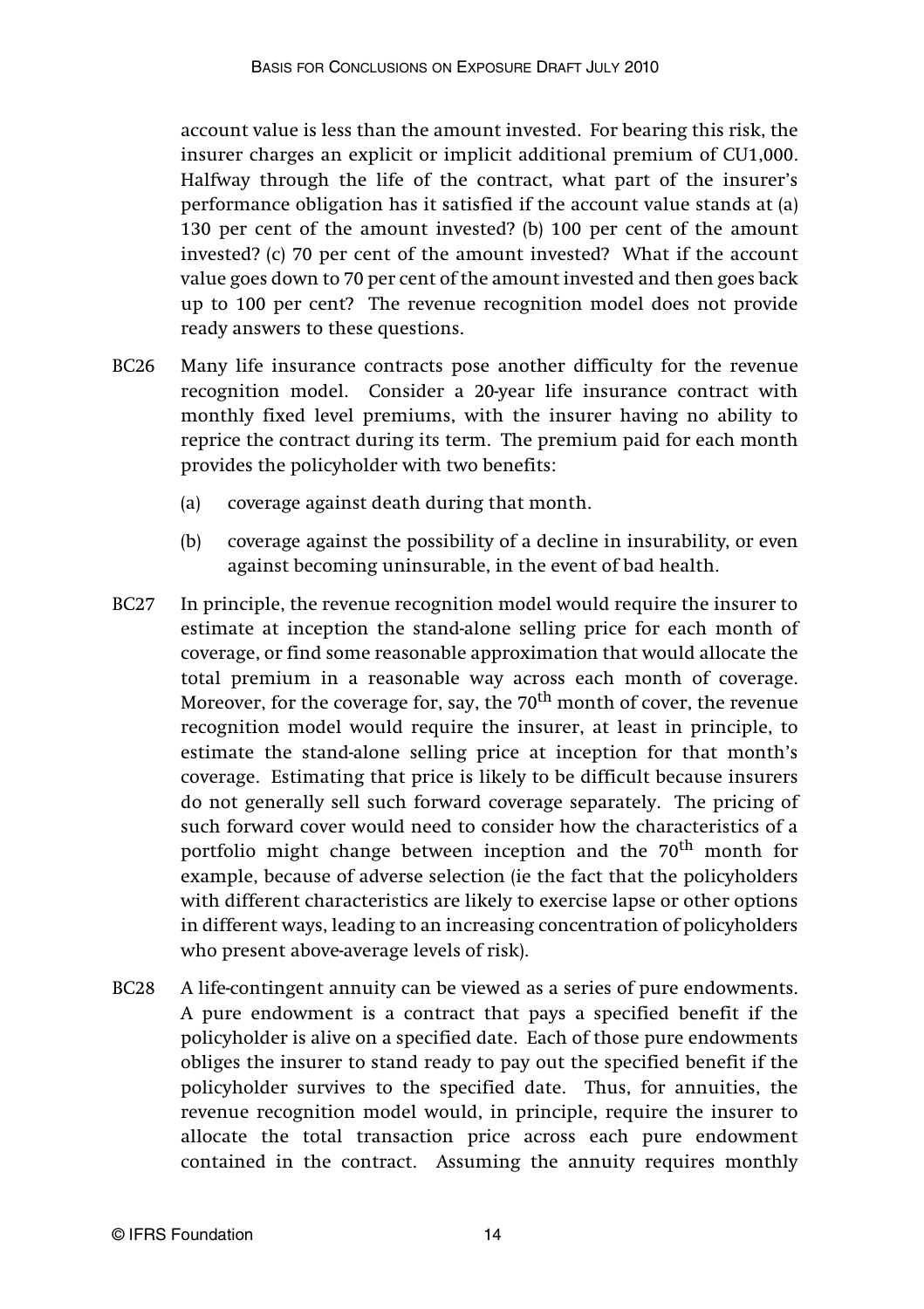account value is less than the amount invested. For bearing this risk, the insurer charges an explicit or implicit additional premium of CU1,000. Halfway through the life of the contract, what part of the insurer's performance obligation has it satisfied if the account value stands at (a) 130 per cent of the amount invested? (b) 100 per cent of the amount invested? (c) 70 per cent of the amount invested? What if the account value goes down to 70 per cent of the amount invested and then goes back up to 100 per cent? The revenue recognition model does not provide ready answers to these questions.

- BC26 Many life insurance contracts pose another difficulty for the revenue recognition model. Consider a 20-year life insurance contract with monthly fixed level premiums, with the insurer having no ability to reprice the contract during its term. The premium paid for each month provides the policyholder with two benefits:
	- (a) coverage against death during that month.
	- (b) coverage against the possibility of a decline in insurability, or even against becoming uninsurable, in the event of bad health.
- BC27 In principle, the revenue recognition model would require the insurer to estimate at inception the stand-alone selling price for each month of coverage, or find some reasonable approximation that would allocate the total premium in a reasonable way across each month of coverage. Moreover, for the coverage for, say, the  $70<sup>th</sup>$  month of cover, the revenue recognition model would require the insurer, at least in principle, to estimate the stand-alone selling price at inception for that month's coverage. Estimating that price is likely to be difficult because insurers do not generally sell such forward coverage separately. The pricing of such forward cover would need to consider how the characteristics of a portfolio might change between inception and the  $70<sup>th</sup>$  month for example, because of adverse selection (ie the fact that the policyholders with different characteristics are likely to exercise lapse or other options in different ways, leading to an increasing concentration of policyholders who present above-average levels of risk).
- BC28 A life-contingent annuity can be viewed as a series of pure endowments. A pure endowment is a contract that pays a specified benefit if the policyholder is alive on a specified date. Each of those pure endowments obliges the insurer to stand ready to pay out the specified benefit if the policyholder survives to the specified date. Thus, for annuities, the revenue recognition model would, in principle, require the insurer to allocate the total transaction price across each pure endowment contained in the contract. Assuming the annuity requires monthly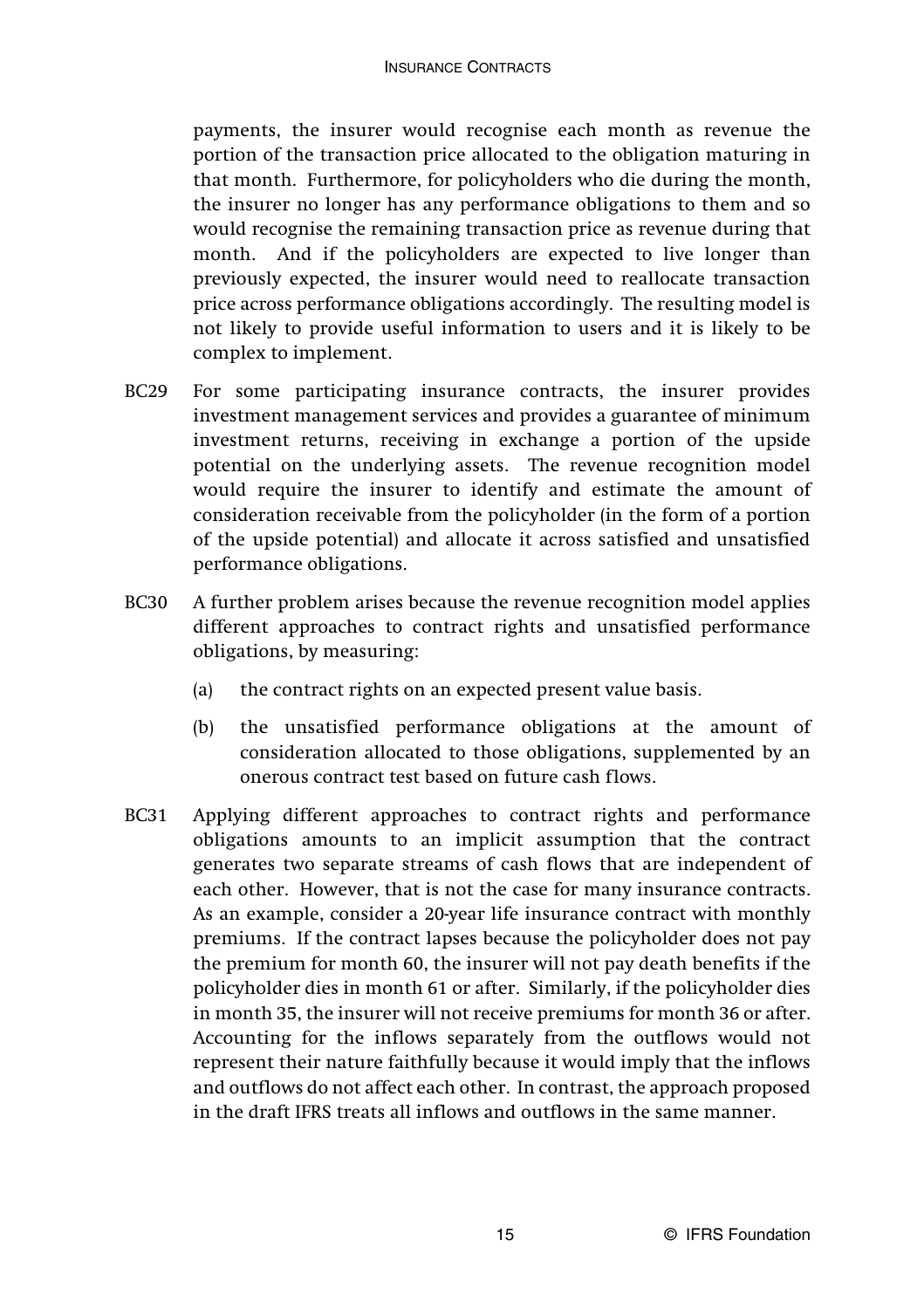payments, the insurer would recognise each month as revenue the portion of the transaction price allocated to the obligation maturing in that month. Furthermore, for policyholders who die during the month, the insurer no longer has any performance obligations to them and so would recognise the remaining transaction price as revenue during that month. And if the policyholders are expected to live longer than previously expected, the insurer would need to reallocate transaction price across performance obligations accordingly. The resulting model is not likely to provide useful information to users and it is likely to be complex to implement.

- BC29 For some participating insurance contracts, the insurer provides investment management services and provides a guarantee of minimum investment returns, receiving in exchange a portion of the upside potential on the underlying assets. The revenue recognition model would require the insurer to identify and estimate the amount of consideration receivable from the policyholder (in the form of a portion of the upside potential) and allocate it across satisfied and unsatisfied performance obligations.
- BC30 A further problem arises because the revenue recognition model applies different approaches to contract rights and unsatisfied performance obligations, by measuring:
	- (a) the contract rights on an expected present value basis.
	- (b) the unsatisfied performance obligations at the amount of consideration allocated to those obligations, supplemented by an onerous contract test based on future cash flows.
- BC31 Applying different approaches to contract rights and performance obligations amounts to an implicit assumption that the contract generates two separate streams of cash flows that are independent of each other. However, that is not the case for many insurance contracts. As an example, consider a 20-year life insurance contract with monthly premiums. If the contract lapses because the policyholder does not pay the premium for month 60, the insurer will not pay death benefits if the policyholder dies in month 61 or after. Similarly, if the policyholder dies in month 35, the insurer will not receive premiums for month 36 or after. Accounting for the inflows separately from the outflows would not represent their nature faithfully because it would imply that the inflows and outflows do not affect each other. In contrast, the approach proposed in the draft IFRS treats all inflows and outflows in the same manner.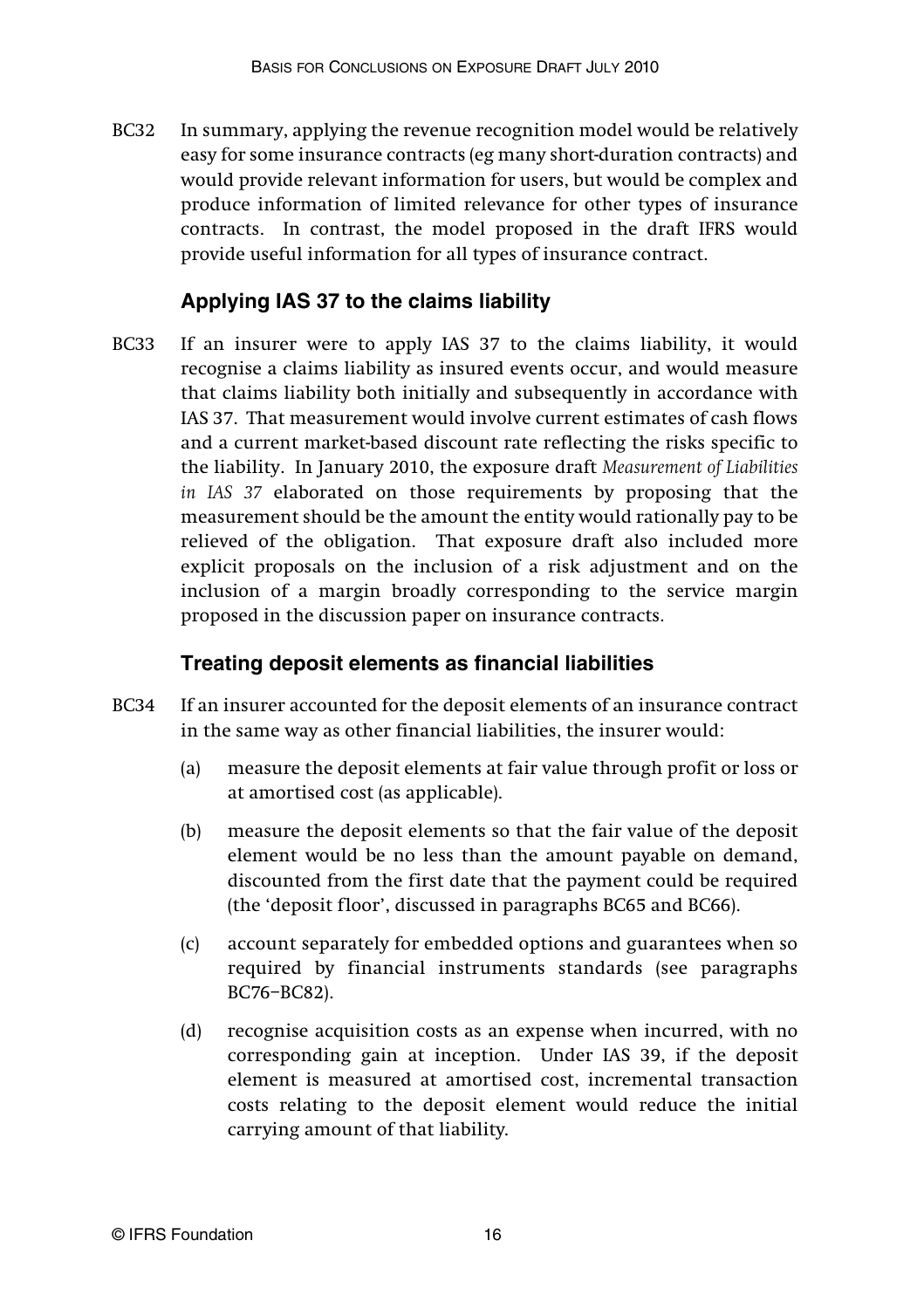BC32 In summary, applying the revenue recognition model would be relatively easy for some insurance contracts (eg many short-duration contracts) and would provide relevant information for users, but would be complex and produce information of limited relevance for other types of insurance contracts. In contrast, the model proposed in the draft IFRS would provide useful information for all types of insurance contract.

#### **Applying IAS 37 to the claims liability**

BC33 If an insurer were to apply IAS 37 to the claims liability, it would recognise a claims liability as insured events occur, and would measure that claims liability both initially and subsequently in accordance with IAS 37. That measurement would involve current estimates of cash flows and a current market-based discount rate reflecting the risks specific to the liability. In January 2010, the exposure draft *Measurement of Liabilities in IAS 37* elaborated on those requirements by proposing that the measurement should be the amount the entity would rationally pay to be relieved of the obligation. That exposure draft also included more explicit proposals on the inclusion of a risk adjustment and on the inclusion of a margin broadly corresponding to the service margin proposed in the discussion paper on insurance contracts.

#### **Treating deposit elements as financial liabilities**

- BC34 If an insurer accounted for the deposit elements of an insurance contract in the same way as other financial liabilities, the insurer would:
	- (a) measure the deposit elements at fair value through profit or loss or at amortised cost (as applicable).
	- (b) measure the deposit elements so that the fair value of the deposit element would be no less than the amount payable on demand, discounted from the first date that the payment could be required (the 'deposit floor', discussed in paragraphs BC65 and BC66).
	- (c) account separately for embedded options and guarantees when so required by financial instruments standards (see paragraphs BC76–BC82).
	- (d) recognise acquisition costs as an expense when incurred, with no corresponding gain at inception. Under IAS 39, if the deposit element is measured at amortised cost, incremental transaction costs relating to the deposit element would reduce the initial carrying amount of that liability.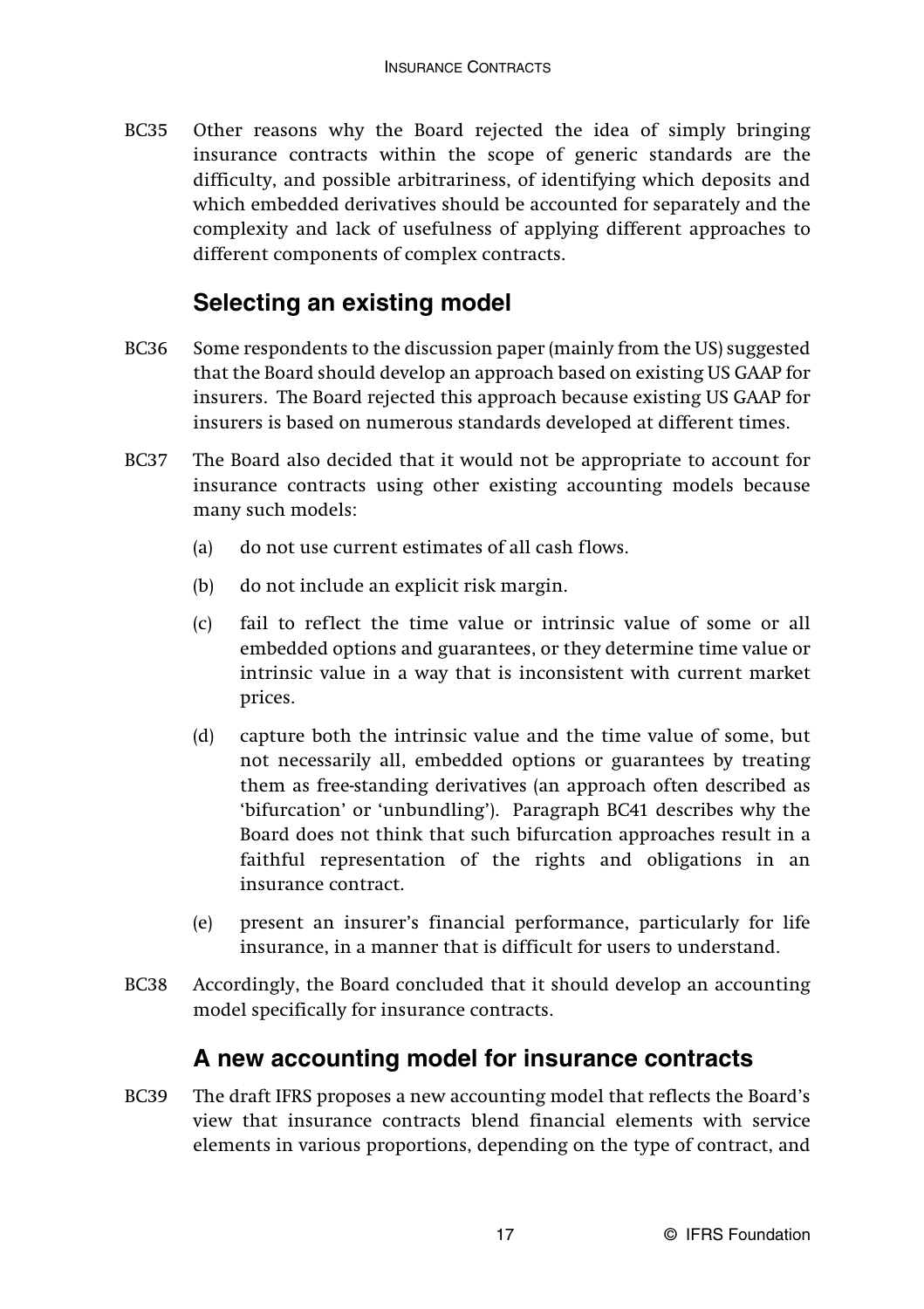BC35 Other reasons why the Board rejected the idea of simply bringing insurance contracts within the scope of generic standards are the difficulty, and possible arbitrariness, of identifying which deposits and which embedded derivatives should be accounted for separately and the complexity and lack of usefulness of applying different approaches to different components of complex contracts.

## **Selecting an existing model**

- BC36 Some respondents to the discussion paper (mainly from the US) suggested that the Board should develop an approach based on existing US GAAP for insurers. The Board rejected this approach because existing US GAAP for insurers is based on numerous standards developed at different times.
- BC37 The Board also decided that it would not be appropriate to account for insurance contracts using other existing accounting models because many such models:
	- (a) do not use current estimates of all cash flows.
	- (b) do not include an explicit risk margin.
	- (c) fail to reflect the time value or intrinsic value of some or all embedded options and guarantees, or they determine time value or intrinsic value in a way that is inconsistent with current market prices.
	- (d) capture both the intrinsic value and the time value of some, but not necessarily all, embedded options or guarantees by treating them as free-standing derivatives (an approach often described as 'bifurcation' or 'unbundling'). Paragraph BC41 describes why the Board does not think that such bifurcation approaches result in a faithful representation of the rights and obligations in an insurance contract.
	- (e) present an insurer's financial performance, particularly for life insurance, in a manner that is difficult for users to understand.
- BC38 Accordingly, the Board concluded that it should develop an accounting model specifically for insurance contracts.

### **A new accounting model for insurance contracts**

BC39 The draft IFRS proposes a new accounting model that reflects the Board's view that insurance contracts blend financial elements with service elements in various proportions, depending on the type of contract, and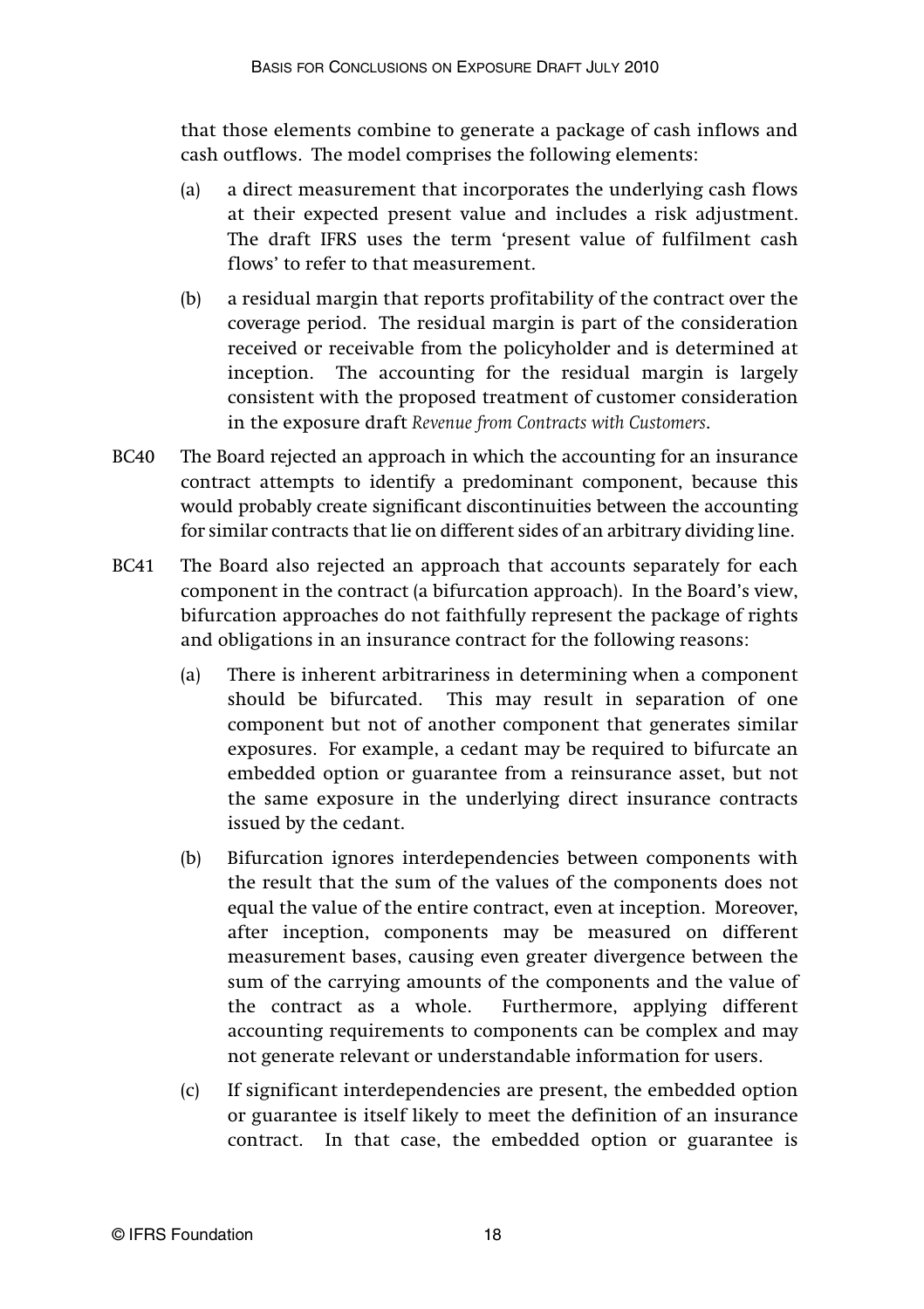that those elements combine to generate a package of cash inflows and cash outflows. The model comprises the following elements:

- (a) a direct measurement that incorporates the underlying cash flows at their expected present value and includes a risk adjustment. The draft IFRS uses the term 'present value of fulfilment cash flows' to refer to that measurement.
- (b) a residual margin that reports profitability of the contract over the coverage period. The residual margin is part of the consideration received or receivable from the policyholder and is determined at inception. The accounting for the residual margin is largely consistent with the proposed treatment of customer consideration in the exposure draft *Revenue from Contracts with Customers*.
- BC40 The Board rejected an approach in which the accounting for an insurance contract attempts to identify a predominant component, because this would probably create significant discontinuities between the accounting for similar contracts that lie on different sides of an arbitrary dividing line.
- BC41 The Board also rejected an approach that accounts separately for each component in the contract (a bifurcation approach). In the Board's view, bifurcation approaches do not faithfully represent the package of rights and obligations in an insurance contract for the following reasons:
	- (a) There is inherent arbitrariness in determining when a component should be bifurcated. This may result in separation of one component but not of another component that generates similar exposures. For example, a cedant may be required to bifurcate an embedded option or guarantee from a reinsurance asset, but not the same exposure in the underlying direct insurance contracts issued by the cedant.
	- (b) Bifurcation ignores interdependencies between components with the result that the sum of the values of the components does not equal the value of the entire contract, even at inception. Moreover, after inception, components may be measured on different measurement bases, causing even greater divergence between the sum of the carrying amounts of the components and the value of the contract as a whole. Furthermore, applying different accounting requirements to components can be complex and may not generate relevant or understandable information for users.
	- (c) If significant interdependencies are present, the embedded option or guarantee is itself likely to meet the definition of an insurance contract. In that case, the embedded option or guarantee is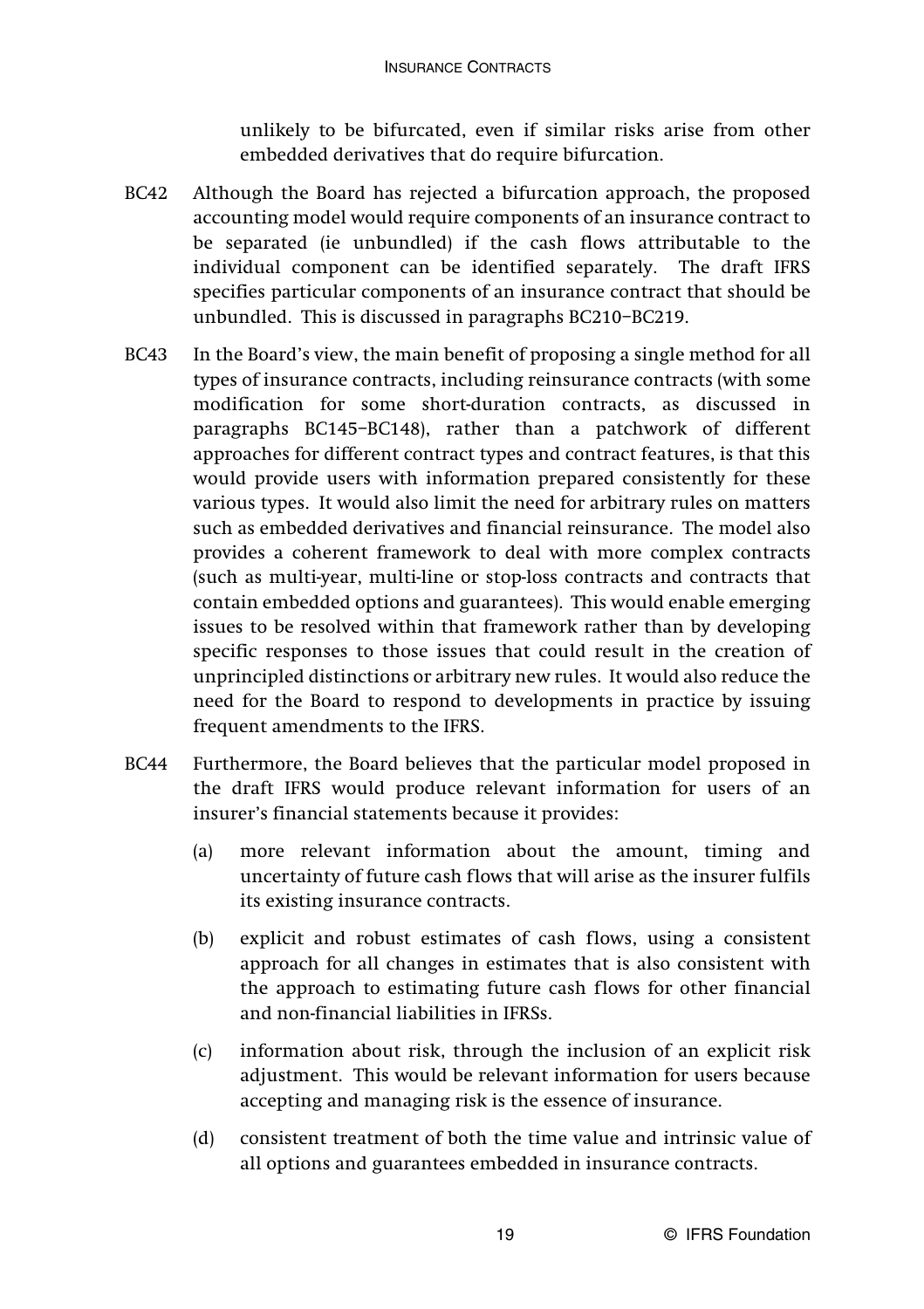unlikely to be bifurcated, even if similar risks arise from other embedded derivatives that do require bifurcation.

- BC42 Although the Board has rejected a bifurcation approach, the proposed accounting model would require components of an insurance contract to be separated (ie unbundled) if the cash flows attributable to the individual component can be identified separately. The draft IFRS specifies particular components of an insurance contract that should be unbundled. This is discussed in paragraphs BC210–BC219.
- BC43 In the Board's view, the main benefit of proposing a single method for all types of insurance contracts, including reinsurance contracts (with some modification for some short-duration contracts, as discussed in paragraphs BC145–BC148), rather than a patchwork of different approaches for different contract types and contract features, is that this would provide users with information prepared consistently for these various types. It would also limit the need for arbitrary rules on matters such as embedded derivatives and financial reinsurance. The model also provides a coherent framework to deal with more complex contracts (such as multi-year, multi-line or stop-loss contracts and contracts that contain embedded options and guarantees). This would enable emerging issues to be resolved within that framework rather than by developing specific responses to those issues that could result in the creation of unprincipled distinctions or arbitrary new rules. It would also reduce the need for the Board to respond to developments in practice by issuing frequent amendments to the IFRS.
- BC44 Furthermore, the Board believes that the particular model proposed in the draft IFRS would produce relevant information for users of an insurer's financial statements because it provides:
	- (a) more relevant information about the amount, timing and uncertainty of future cash flows that will arise as the insurer fulfils its existing insurance contracts.
	- (b) explicit and robust estimates of cash flows, using a consistent approach for all changes in estimates that is also consistent with the approach to estimating future cash flows for other financial and non-financial liabilities in IFRSs.
	- (c) information about risk, through the inclusion of an explicit risk adjustment. This would be relevant information for users because accepting and managing risk is the essence of insurance.
	- (d) consistent treatment of both the time value and intrinsic value of all options and guarantees embedded in insurance contracts.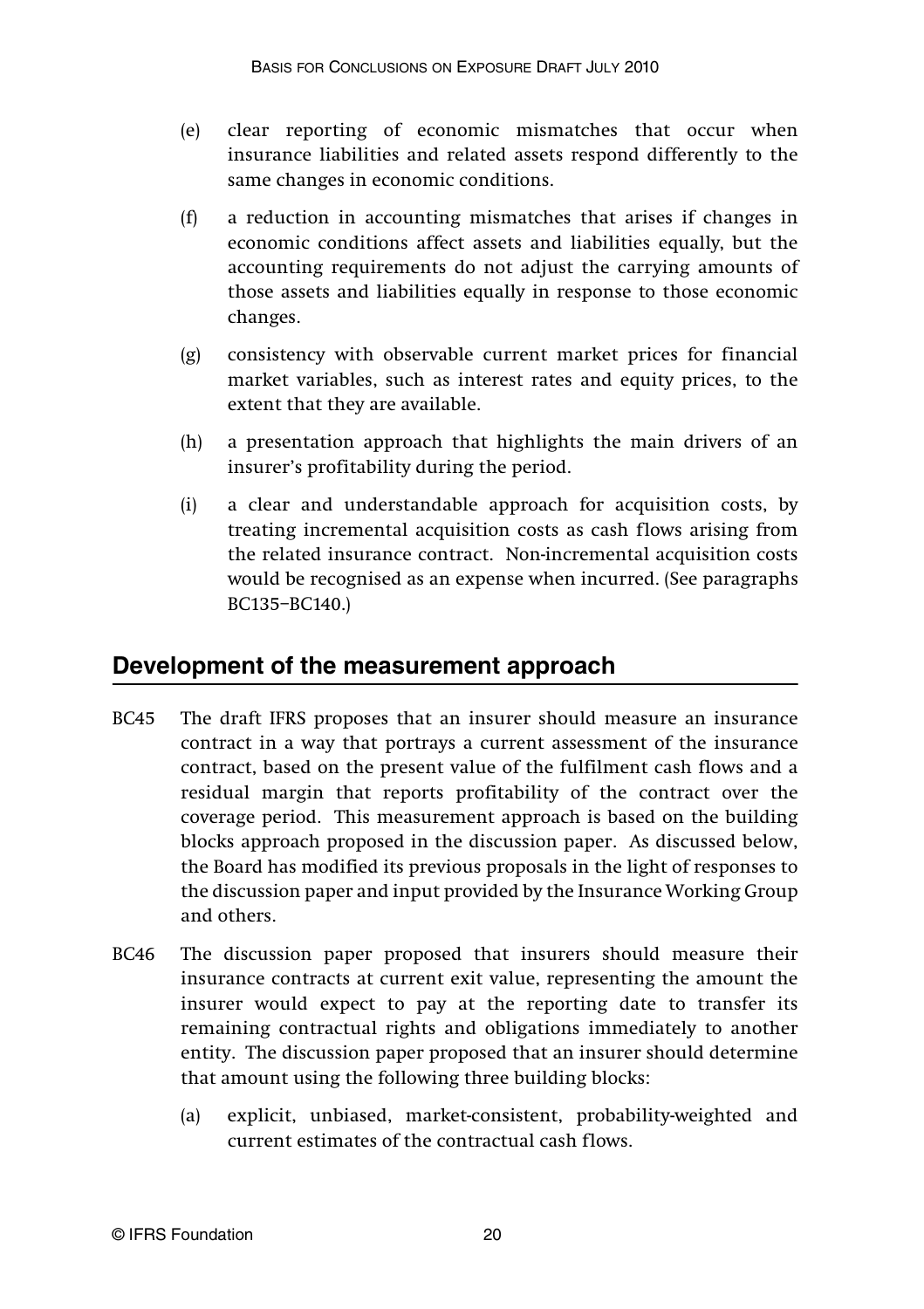- (e) clear reporting of economic mismatches that occur when insurance liabilities and related assets respond differently to the same changes in economic conditions.
- (f) a reduction in accounting mismatches that arises if changes in economic conditions affect assets and liabilities equally, but the accounting requirements do not adjust the carrying amounts of those assets and liabilities equally in response to those economic changes.
- (g) consistency with observable current market prices for financial market variables, such as interest rates and equity prices, to the extent that they are available.
- (h) a presentation approach that highlights the main drivers of an insurer's profitability during the period.
- (i) a clear and understandable approach for acquisition costs, by treating incremental acquisition costs as cash flows arising from the related insurance contract. Non-incremental acquisition costs would be recognised as an expense when incurred. (See paragraphs BC135–BC140.)

## **Development of the measurement approach**

- BC45 The draft IFRS proposes that an insurer should measure an insurance contract in a way that portrays a current assessment of the insurance contract, based on the present value of the fulfilment cash flows and a residual margin that reports profitability of the contract over the coverage period. This measurement approach is based on the building blocks approach proposed in the discussion paper. As discussed below, the Board has modified its previous proposals in the light of responses to the discussion paper and input provided by the Insurance Working Group and others.
- BC46 The discussion paper proposed that insurers should measure their insurance contracts at current exit value, representing the amount the insurer would expect to pay at the reporting date to transfer its remaining contractual rights and obligations immediately to another entity. The discussion paper proposed that an insurer should determine that amount using the following three building blocks:
	- (a) explicit, unbiased, market-consistent, probability-weighted and current estimates of the contractual cash flows.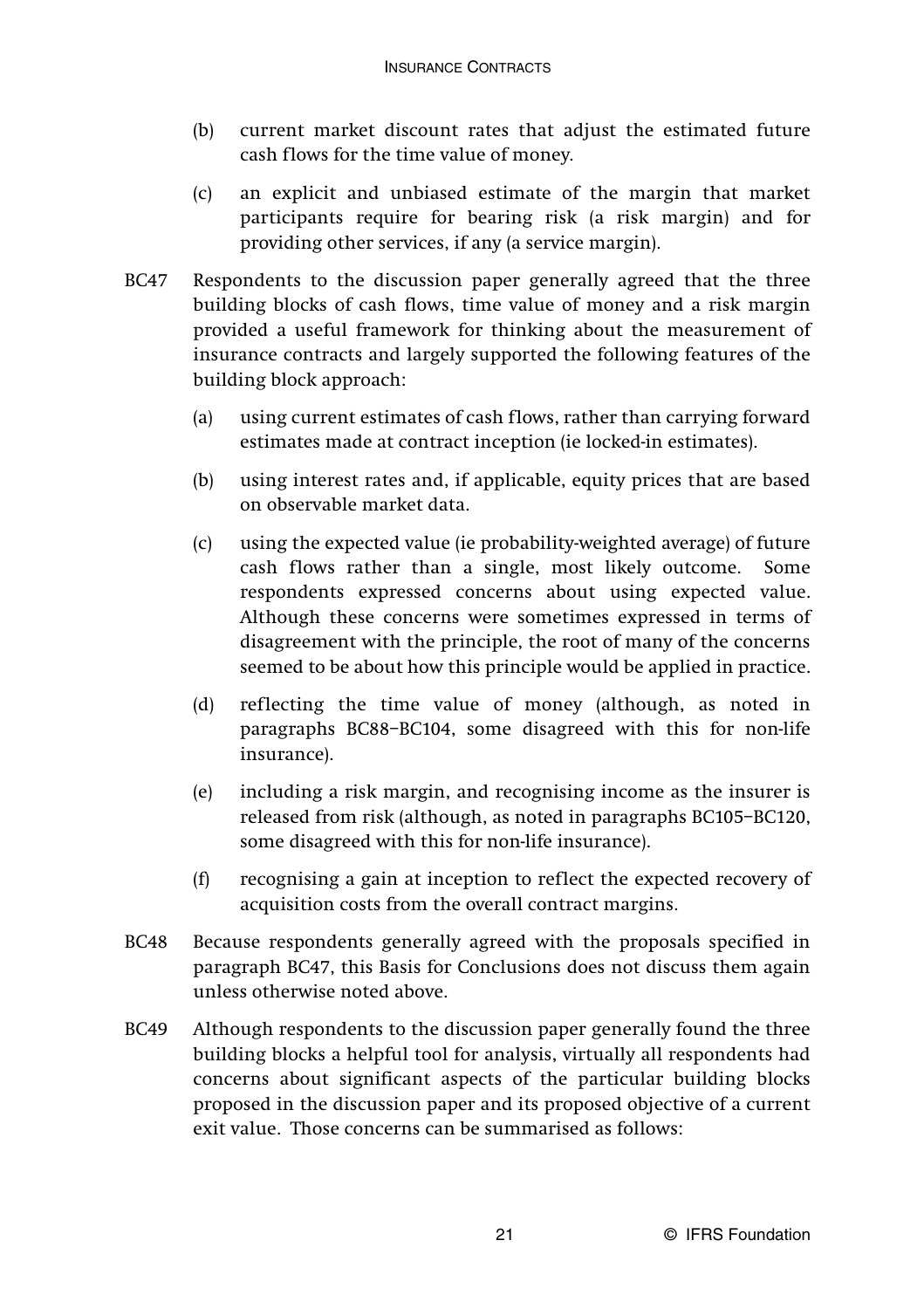- (b) current market discount rates that adjust the estimated future cash flows for the time value of money.
- (c) an explicit and unbiased estimate of the margin that market participants require for bearing risk (a risk margin) and for providing other services, if any (a service margin).
- BC47 Respondents to the discussion paper generally agreed that the three building blocks of cash flows, time value of money and a risk margin provided a useful framework for thinking about the measurement of insurance contracts and largely supported the following features of the building block approach:
	- (a) using current estimates of cash flows, rather than carrying forward estimates made at contract inception (ie locked-in estimates).
	- (b) using interest rates and, if applicable, equity prices that are based on observable market data.
	- (c) using the expected value (ie probability-weighted average) of future cash flows rather than a single, most likely outcome. Some respondents expressed concerns about using expected value. Although these concerns were sometimes expressed in terms of disagreement with the principle, the root of many of the concerns seemed to be about how this principle would be applied in practice.
	- (d) reflecting the time value of money (although, as noted in paragraphs BC88–BC104, some disagreed with this for non-life insurance).
	- (e) including a risk margin, and recognising income as the insurer is released from risk (although, as noted in paragraphs BC105–BC120, some disagreed with this for non-life insurance).
	- (f) recognising a gain at inception to reflect the expected recovery of acquisition costs from the overall contract margins.
- BC48 Because respondents generally agreed with the proposals specified in paragraph BC47, this Basis for Conclusions does not discuss them again unless otherwise noted above.
- BC49 Although respondents to the discussion paper generally found the three building blocks a helpful tool for analysis, virtually all respondents had concerns about significant aspects of the particular building blocks proposed in the discussion paper and its proposed objective of a current exit value. Those concerns can be summarised as follows: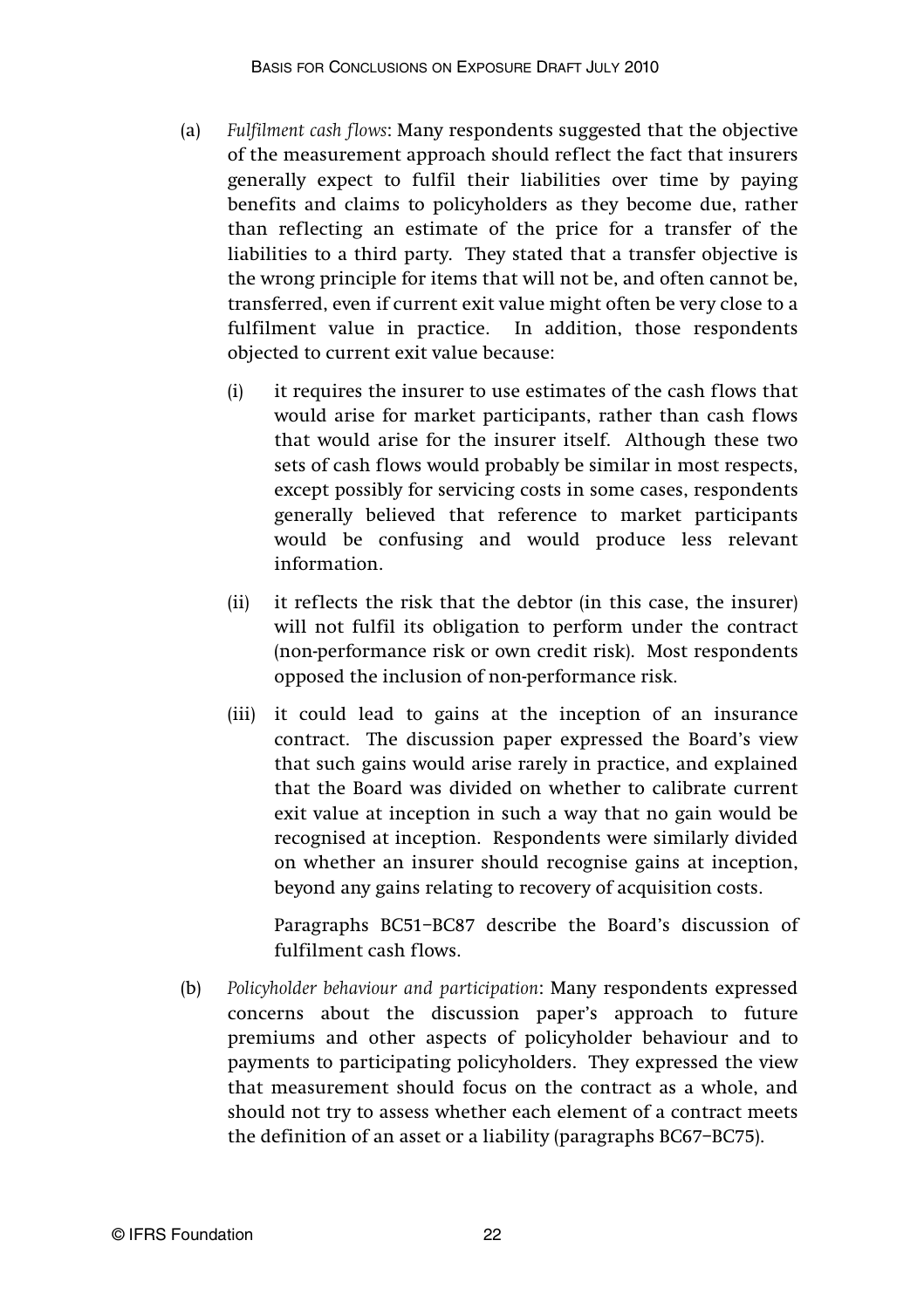- (a) *Fulfilment cash flows*: Many respondents suggested that the objective of the measurement approach should reflect the fact that insurers generally expect to fulfil their liabilities over time by paying benefits and claims to policyholders as they become due, rather than reflecting an estimate of the price for a transfer of the liabilities to a third party. They stated that a transfer objective is the wrong principle for items that will not be, and often cannot be, transferred, even if current exit value might often be very close to a fulfilment value in practice. In addition, those respondents objected to current exit value because:
	- (i) it requires the insurer to use estimates of the cash flows that would arise for market participants, rather than cash flows that would arise for the insurer itself. Although these two sets of cash flows would probably be similar in most respects, except possibly for servicing costs in some cases, respondents generally believed that reference to market participants would be confusing and would produce less relevant information.
	- (ii) it reflects the risk that the debtor (in this case, the insurer) will not fulfil its obligation to perform under the contract (non-performance risk or own credit risk). Most respondents opposed the inclusion of non-performance risk.
	- (iii) it could lead to gains at the inception of an insurance contract. The discussion paper expressed the Board's view that such gains would arise rarely in practice, and explained that the Board was divided on whether to calibrate current exit value at inception in such a way that no gain would be recognised at inception. Respondents were similarly divided on whether an insurer should recognise gains at inception, beyond any gains relating to recovery of acquisition costs.

Paragraphs BC51–BC87 describe the Board's discussion of fulfilment cash flows.

(b) *Policyholder behaviour and participation*: Many respondents expressed concerns about the discussion paper's approach to future premiums and other aspects of policyholder behaviour and to payments to participating policyholders. They expressed the view that measurement should focus on the contract as a whole, and should not try to assess whether each element of a contract meets the definition of an asset or a liability (paragraphs BC67–BC75).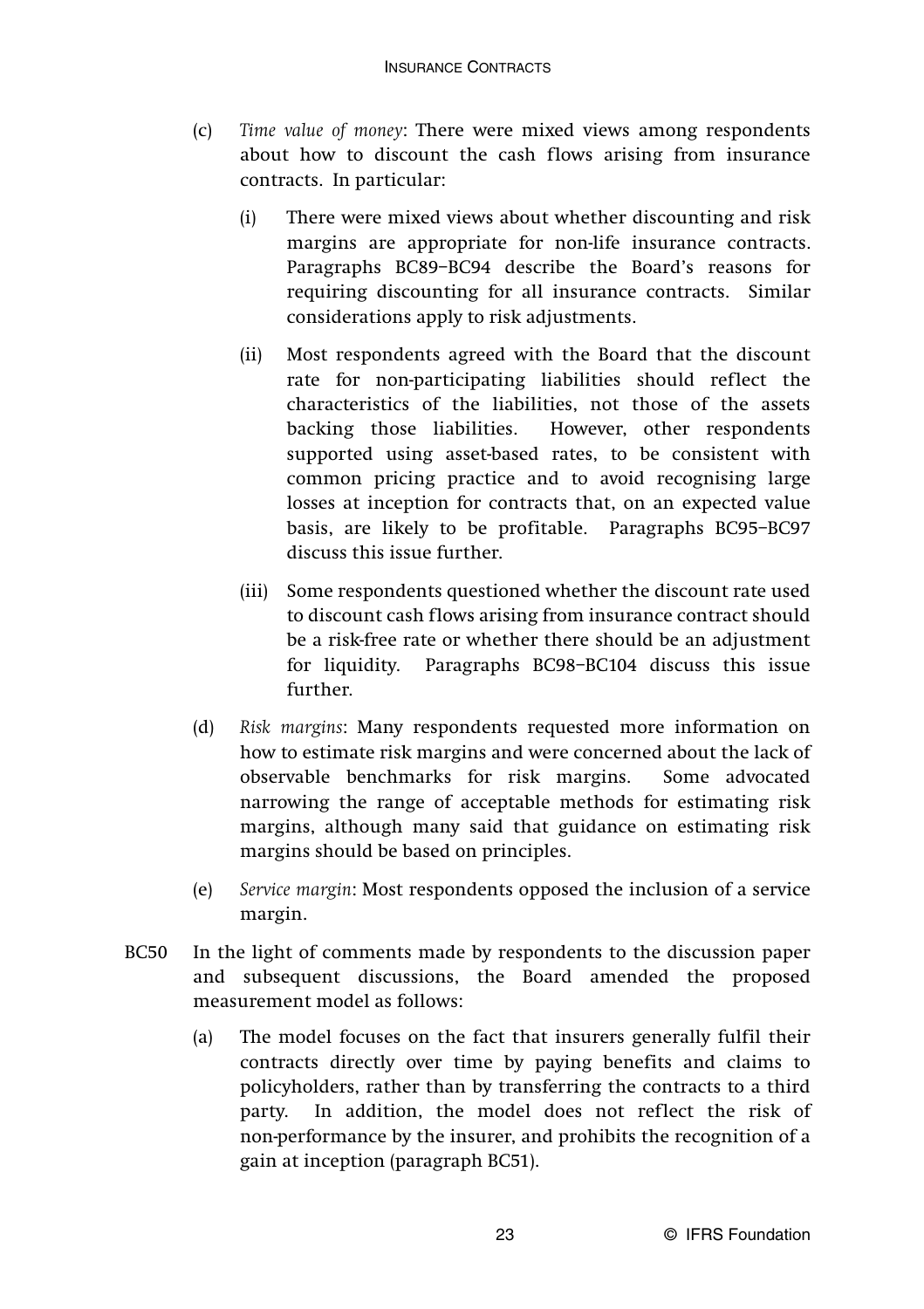- (c) *Time value of money*: There were mixed views among respondents about how to discount the cash flows arising from insurance contracts. In particular:
	- (i) There were mixed views about whether discounting and risk margins are appropriate for non-life insurance contracts. Paragraphs BC89–BC94 describe the Board's reasons for requiring discounting for all insurance contracts. Similar considerations apply to risk adjustments.
	- (ii) Most respondents agreed with the Board that the discount rate for non-participating liabilities should reflect the characteristics of the liabilities, not those of the assets backing those liabilities. However, other respondents supported using asset-based rates, to be consistent with common pricing practice and to avoid recognising large losses at inception for contracts that, on an expected value basis, are likely to be profitable. Paragraphs BC95–BC97 discuss this issue further.
	- (iii) Some respondents questioned whether the discount rate used to discount cash flows arising from insurance contract should be a risk-free rate or whether there should be an adjustment for liquidity. Paragraphs BC98–BC104 discuss this issue further.
- (d) *Risk margins*: Many respondents requested more information on how to estimate risk margins and were concerned about the lack of observable benchmarks for risk margins. Some advocated narrowing the range of acceptable methods for estimating risk margins, although many said that guidance on estimating risk margins should be based on principles.
- (e) *Service margin*: Most respondents opposed the inclusion of a service margin.
- BC50 In the light of comments made by respondents to the discussion paper and subsequent discussions, the Board amended the proposed measurement model as follows:
	- (a) The model focuses on the fact that insurers generally fulfil their contracts directly over time by paying benefits and claims to policyholders, rather than by transferring the contracts to a third party. In addition, the model does not reflect the risk of non-performance by the insurer, and prohibits the recognition of a gain at inception (paragraph BC51).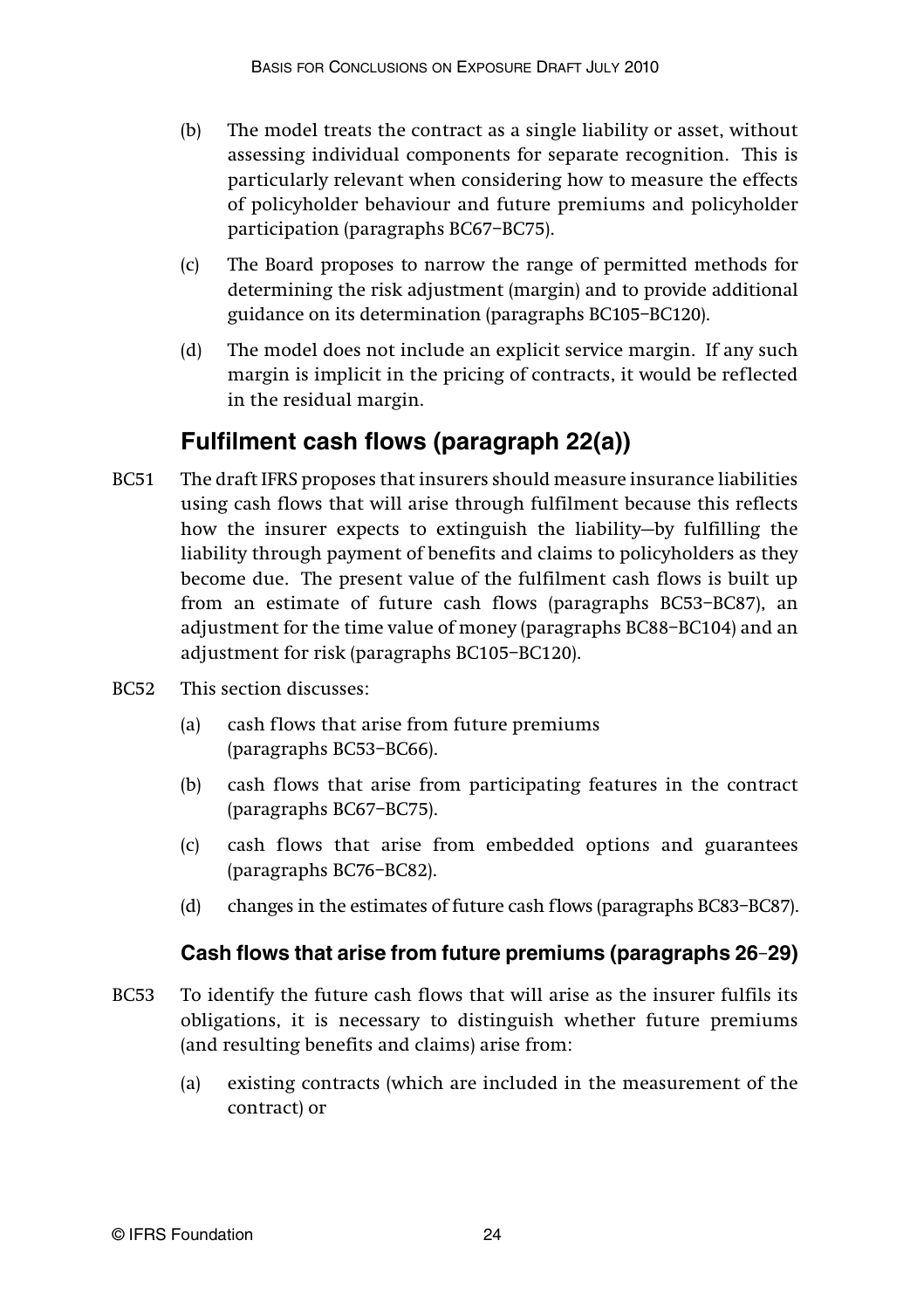- (b) The model treats the contract as a single liability or asset, without assessing individual components for separate recognition. This is particularly relevant when considering how to measure the effects of policyholder behaviour and future premiums and policyholder participation (paragraphs BC67–BC75).
- (c) The Board proposes to narrow the range of permitted methods for determining the risk adjustment (margin) and to provide additional guidance on its determination (paragraphs BC105–BC120).
- (d) The model does not include an explicit service margin. If any such margin is implicit in the pricing of contracts, it would be reflected in the residual margin.

## **Fulfilment cash flows (paragraph 22(a))**

- BC51 The draft IFRS proposes that insurers should measure insurance liabilities using cash flows that will arise through fulfilment because this reflects how the insurer expects to extinguish the liability—by fulfilling the liability through payment of benefits and claims to policyholders as they become due. The present value of the fulfilment cash flows is built up from an estimate of future cash flows (paragraphs BC53–BC87), an adjustment for the time value of money (paragraphs BC88–BC104) and an adjustment for risk (paragraphs BC105–BC120).
- BC52 This section discusses:
	- (a) cash flows that arise from future premiums (paragraphs BC53–BC66).
	- (b) cash flows that arise from participating features in the contract (paragraphs BC67–BC75).
	- (c) cash flows that arise from embedded options and guarantees (paragraphs BC76–BC82).
	- (d) changes in the estimates of future cash flows (paragraphs BC83–BC87).

#### **Cash flows that arise from future premiums (paragraphs 26**–**29)**

- BC53 To identify the future cash flows that will arise as the insurer fulfils its obligations, it is necessary to distinguish whether future premiums (and resulting benefits and claims) arise from:
	- (a) existing contracts (which are included in the measurement of the contract) or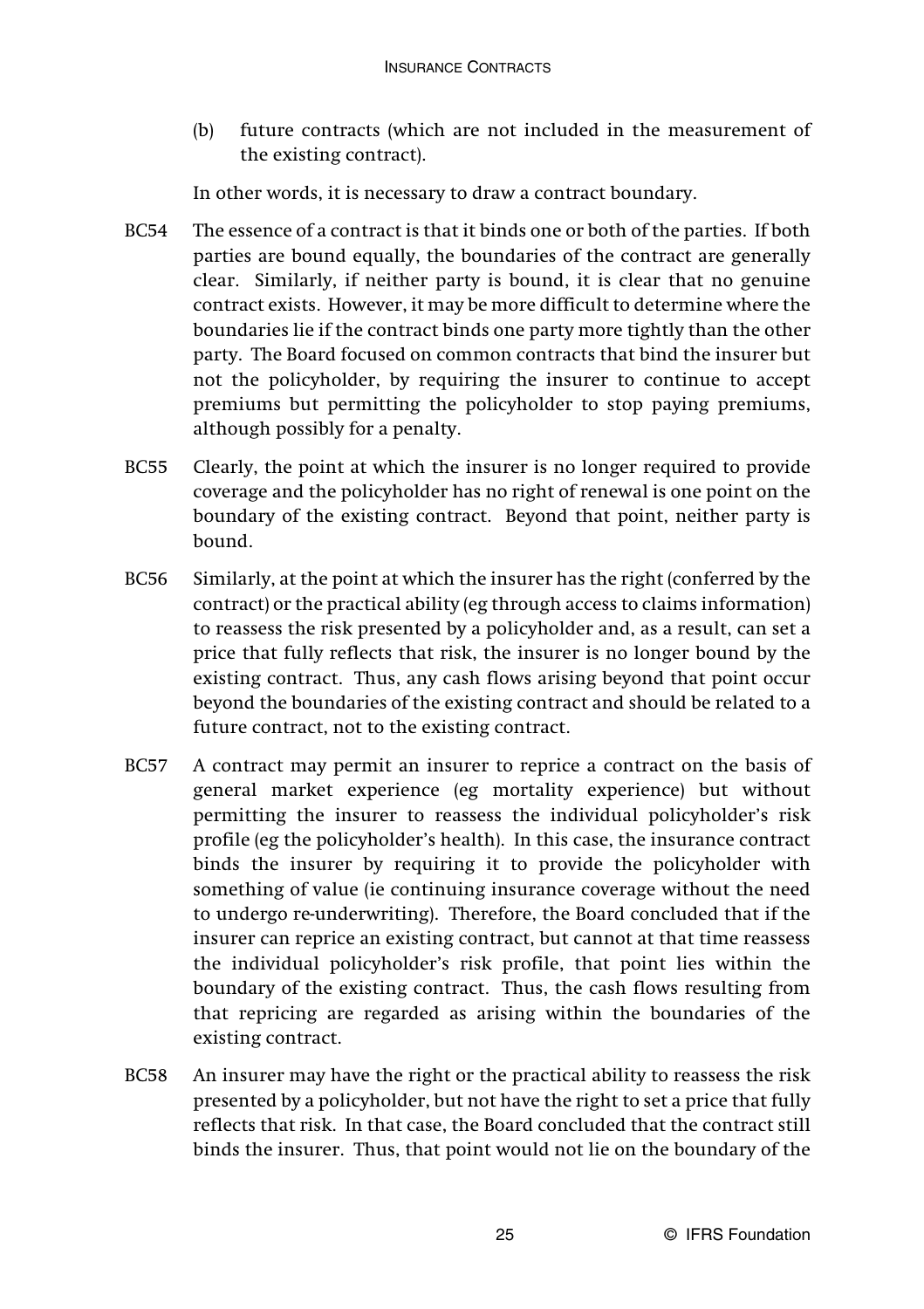(b) future contracts (which are not included in the measurement of the existing contract).

In other words, it is necessary to draw a contract boundary.

- BC54 The essence of a contract is that it binds one or both of the parties. If both parties are bound equally, the boundaries of the contract are generally clear. Similarly, if neither party is bound, it is clear that no genuine contract exists. However, it may be more difficult to determine where the boundaries lie if the contract binds one party more tightly than the other party. The Board focused on common contracts that bind the insurer but not the policyholder, by requiring the insurer to continue to accept premiums but permitting the policyholder to stop paying premiums, although possibly for a penalty.
- BC55 Clearly, the point at which the insurer is no longer required to provide coverage and the policyholder has no right of renewal is one point on the boundary of the existing contract. Beyond that point, neither party is bound.
- BC56 Similarly, at the point at which the insurer has the right (conferred by the contract) or the practical ability (eg through access to claims information) to reassess the risk presented by a policyholder and, as a result, can set a price that fully reflects that risk, the insurer is no longer bound by the existing contract. Thus, any cash flows arising beyond that point occur beyond the boundaries of the existing contract and should be related to a future contract, not to the existing contract.
- BC57 A contract may permit an insurer to reprice a contract on the basis of general market experience (eg mortality experience) but without permitting the insurer to reassess the individual policyholder's risk profile (eg the policyholder's health). In this case, the insurance contract binds the insurer by requiring it to provide the policyholder with something of value (ie continuing insurance coverage without the need to undergo re-underwriting). Therefore, the Board concluded that if the insurer can reprice an existing contract, but cannot at that time reassess the individual policyholder's risk profile, that point lies within the boundary of the existing contract. Thus, the cash flows resulting from that repricing are regarded as arising within the boundaries of the existing contract.
- BC58 An insurer may have the right or the practical ability to reassess the risk presented by a policyholder, but not have the right to set a price that fully reflects that risk. In that case, the Board concluded that the contract still binds the insurer. Thus, that point would not lie on the boundary of the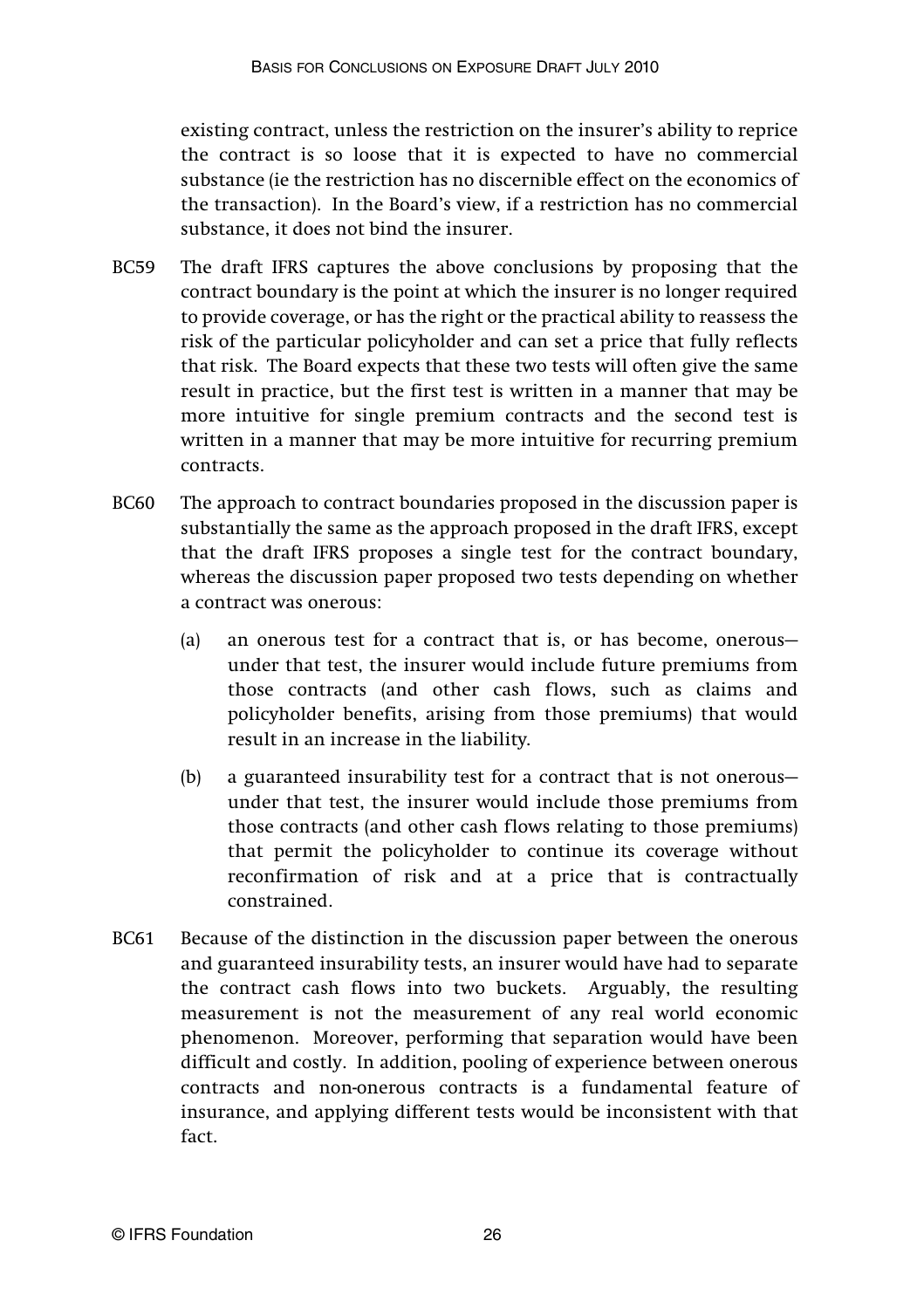existing contract, unless the restriction on the insurer's ability to reprice the contract is so loose that it is expected to have no commercial substance (ie the restriction has no discernible effect on the economics of the transaction). In the Board's view, if a restriction has no commercial substance, it does not bind the insurer.

- BC59 The draft IFRS captures the above conclusions by proposing that the contract boundary is the point at which the insurer is no longer required to provide coverage, or has the right or the practical ability to reassess the risk of the particular policyholder and can set a price that fully reflects that risk. The Board expects that these two tests will often give the same result in practice, but the first test is written in a manner that may be more intuitive for single premium contracts and the second test is written in a manner that may be more intuitive for recurring premium contracts.
- BC60 The approach to contract boundaries proposed in the discussion paper is substantially the same as the approach proposed in the draft IFRS, except that the draft IFRS proposes a single test for the contract boundary, whereas the discussion paper proposed two tests depending on whether a contract was onerous:
	- (a) an onerous test for a contract that is, or has become, onerous under that test, the insurer would include future premiums from those contracts (and other cash flows, such as claims and policyholder benefits, arising from those premiums) that would result in an increase in the liability.
	- (b) a guaranteed insurability test for a contract that is not onerous under that test, the insurer would include those premiums from those contracts (and other cash flows relating to those premiums) that permit the policyholder to continue its coverage without reconfirmation of risk and at a price that is contractually constrained.
- BC61 Because of the distinction in the discussion paper between the onerous and guaranteed insurability tests, an insurer would have had to separate the contract cash flows into two buckets. Arguably, the resulting measurement is not the measurement of any real world economic phenomenon. Moreover, performing that separation would have been difficult and costly. In addition, pooling of experience between onerous contracts and non-onerous contracts is a fundamental feature of insurance, and applying different tests would be inconsistent with that fact.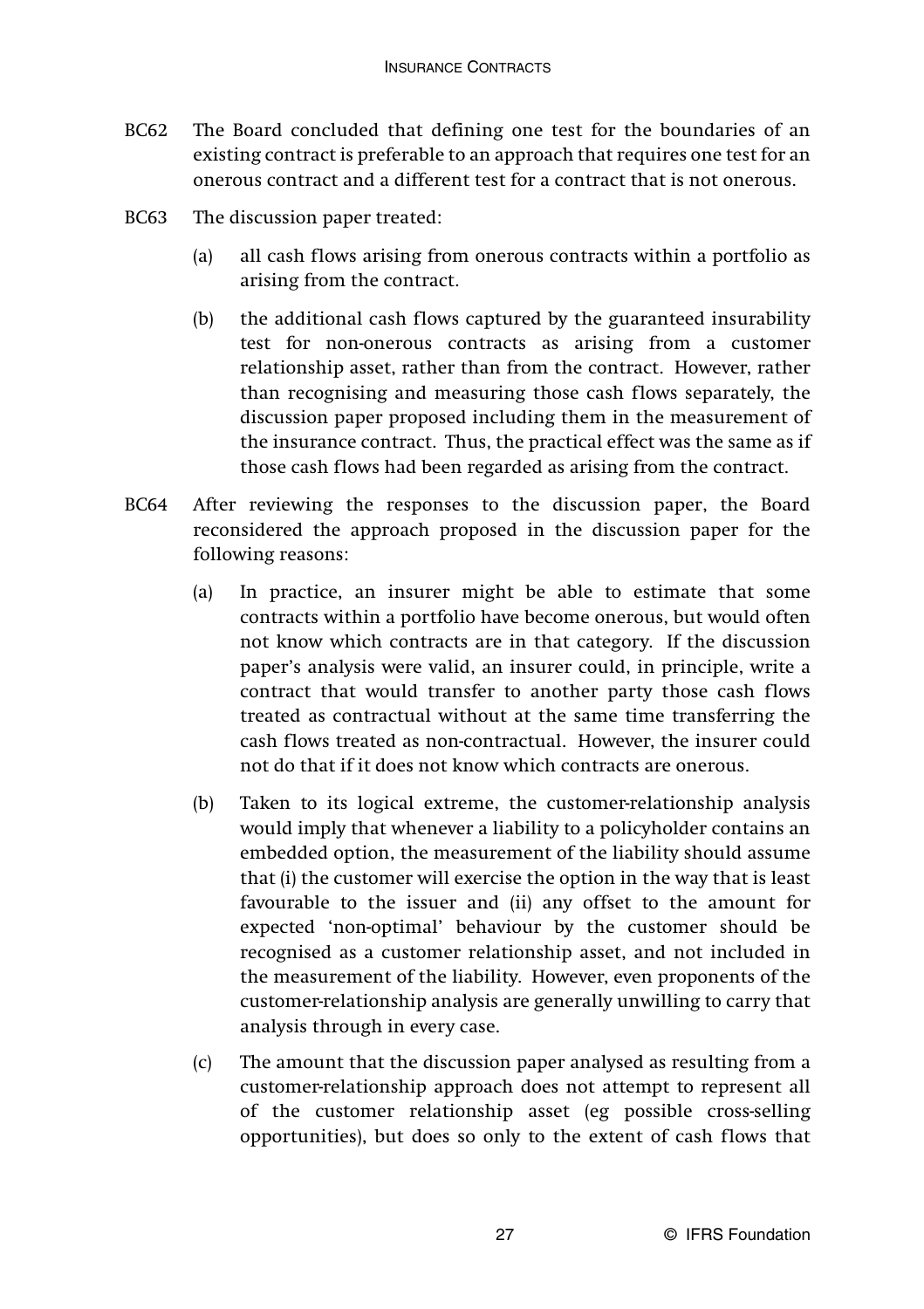- BC62 The Board concluded that defining one test for the boundaries of an existing contract is preferable to an approach that requires one test for an onerous contract and a different test for a contract that is not onerous.
- BC63 The discussion paper treated:
	- (a) all cash flows arising from onerous contracts within a portfolio as arising from the contract.
	- (b) the additional cash flows captured by the guaranteed insurability test for non-onerous contracts as arising from a customer relationship asset, rather than from the contract. However, rather than recognising and measuring those cash flows separately, the discussion paper proposed including them in the measurement of the insurance contract. Thus, the practical effect was the same as if those cash flows had been regarded as arising from the contract.
- BC64 After reviewing the responses to the discussion paper, the Board reconsidered the approach proposed in the discussion paper for the following reasons:
	- (a) In practice, an insurer might be able to estimate that some contracts within a portfolio have become onerous, but would often not know which contracts are in that category. If the discussion paper's analysis were valid, an insurer could, in principle, write a contract that would transfer to another party those cash flows treated as contractual without at the same time transferring the cash flows treated as non-contractual. However, the insurer could not do that if it does not know which contracts are onerous.
	- (b) Taken to its logical extreme, the customer-relationship analysis would imply that whenever a liability to a policyholder contains an embedded option, the measurement of the liability should assume that (i) the customer will exercise the option in the way that is least favourable to the issuer and (ii) any offset to the amount for expected 'non-optimal' behaviour by the customer should be recognised as a customer relationship asset, and not included in the measurement of the liability. However, even proponents of the customer-relationship analysis are generally unwilling to carry that analysis through in every case.
	- (c) The amount that the discussion paper analysed as resulting from a customer-relationship approach does not attempt to represent all of the customer relationship asset (eg possible cross-selling opportunities), but does so only to the extent of cash flows that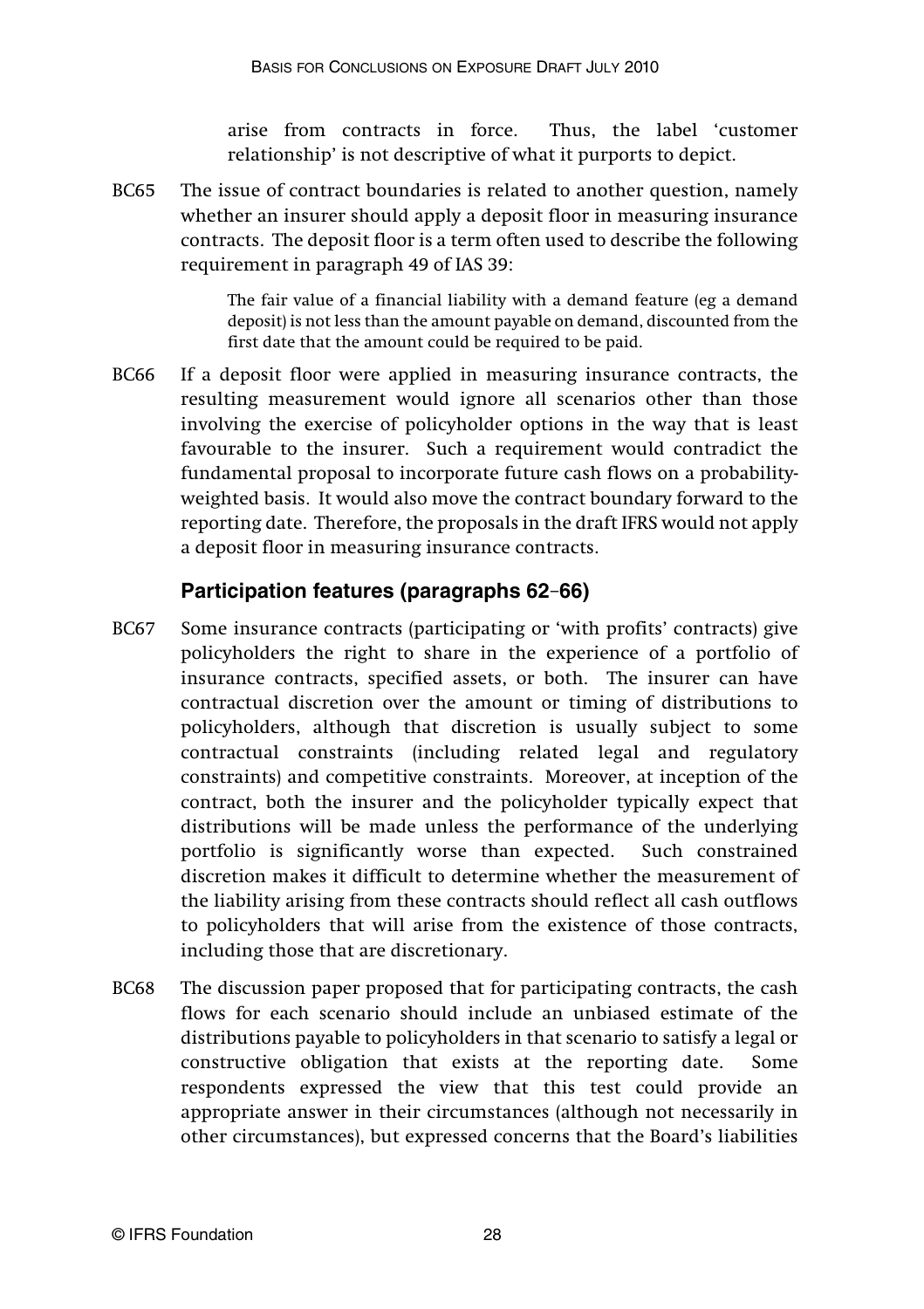arise from contracts in force. Thus, the label 'customer relationship' is not descriptive of what it purports to depict.

BC65 The issue of contract boundaries is related to another question, namely whether an insurer should apply a deposit floor in measuring insurance contracts. The deposit floor is a term often used to describe the following requirement in paragraph 49 of IAS 39:

> The fair value of a financial liability with a demand feature (eg a demand deposit) is not less than the amount payable on demand, discounted from the first date that the amount could be required to be paid.

BC66 If a deposit floor were applied in measuring insurance contracts, the resulting measurement would ignore all scenarios other than those involving the exercise of policyholder options in the way that is least favourable to the insurer. Such a requirement would contradict the fundamental proposal to incorporate future cash flows on a probabilityweighted basis. It would also move the contract boundary forward to the reporting date. Therefore, the proposals in the draft IFRS would not apply a deposit floor in measuring insurance contracts.

#### **Participation features (paragraphs 62**–**66)**

- BC67 Some insurance contracts (participating or 'with profits' contracts) give policyholders the right to share in the experience of a portfolio of insurance contracts, specified assets, or both. The insurer can have contractual discretion over the amount or timing of distributions to policyholders, although that discretion is usually subject to some contractual constraints (including related legal and regulatory constraints) and competitive constraints. Moreover, at inception of the contract, both the insurer and the policyholder typically expect that distributions will be made unless the performance of the underlying portfolio is significantly worse than expected. Such constrained discretion makes it difficult to determine whether the measurement of the liability arising from these contracts should reflect all cash outflows to policyholders that will arise from the existence of those contracts, including those that are discretionary.
- BC68 The discussion paper proposed that for participating contracts, the cash flows for each scenario should include an unbiased estimate of the distributions payable to policyholders in that scenario to satisfy a legal or constructive obligation that exists at the reporting date. Some respondents expressed the view that this test could provide an appropriate answer in their circumstances (although not necessarily in other circumstances), but expressed concerns that the Board's liabilities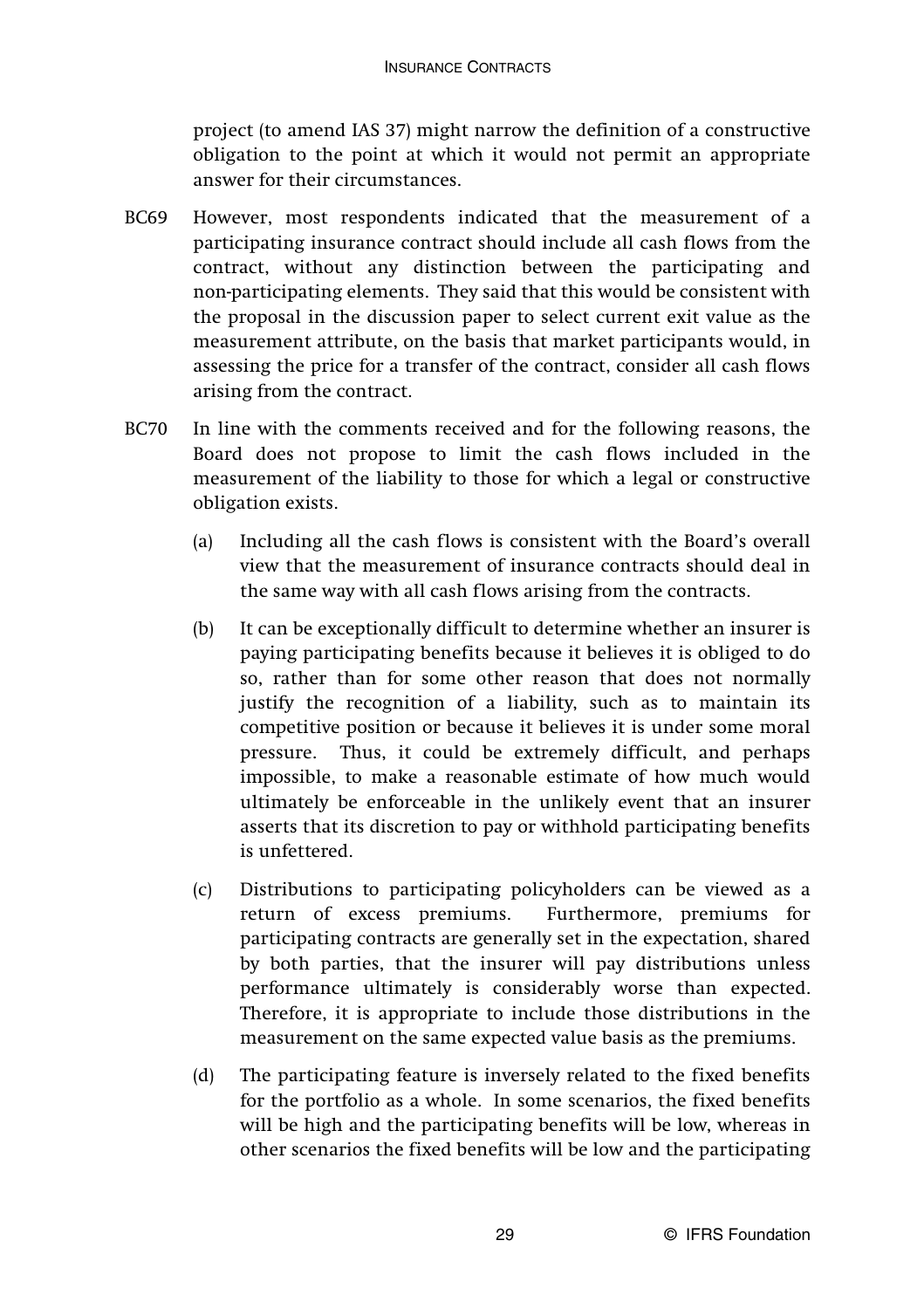project (to amend IAS 37) might narrow the definition of a constructive obligation to the point at which it would not permit an appropriate answer for their circumstances.

- BC69 However, most respondents indicated that the measurement of a participating insurance contract should include all cash flows from the contract, without any distinction between the participating and non-participating elements. They said that this would be consistent with the proposal in the discussion paper to select current exit value as the measurement attribute, on the basis that market participants would, in assessing the price for a transfer of the contract, consider all cash flows arising from the contract.
- BC70 In line with the comments received and for the following reasons, the Board does not propose to limit the cash flows included in the measurement of the liability to those for which a legal or constructive obligation exists.
	- (a) Including all the cash flows is consistent with the Board's overall view that the measurement of insurance contracts should deal in the same way with all cash flows arising from the contracts.
	- (b) It can be exceptionally difficult to determine whether an insurer is paying participating benefits because it believes it is obliged to do so, rather than for some other reason that does not normally justify the recognition of a liability, such as to maintain its competitive position or because it believes it is under some moral pressure. Thus, it could be extremely difficult, and perhaps impossible, to make a reasonable estimate of how much would ultimately be enforceable in the unlikely event that an insurer asserts that its discretion to pay or withhold participating benefits is unfettered.
	- (c) Distributions to participating policyholders can be viewed as a return of excess premiums. Furthermore, premiums for participating contracts are generally set in the expectation, shared by both parties, that the insurer will pay distributions unless performance ultimately is considerably worse than expected. Therefore, it is appropriate to include those distributions in the measurement on the same expected value basis as the premiums.
	- (d) The participating feature is inversely related to the fixed benefits for the portfolio as a whole. In some scenarios, the fixed benefits will be high and the participating benefits will be low, whereas in other scenarios the fixed benefits will be low and the participating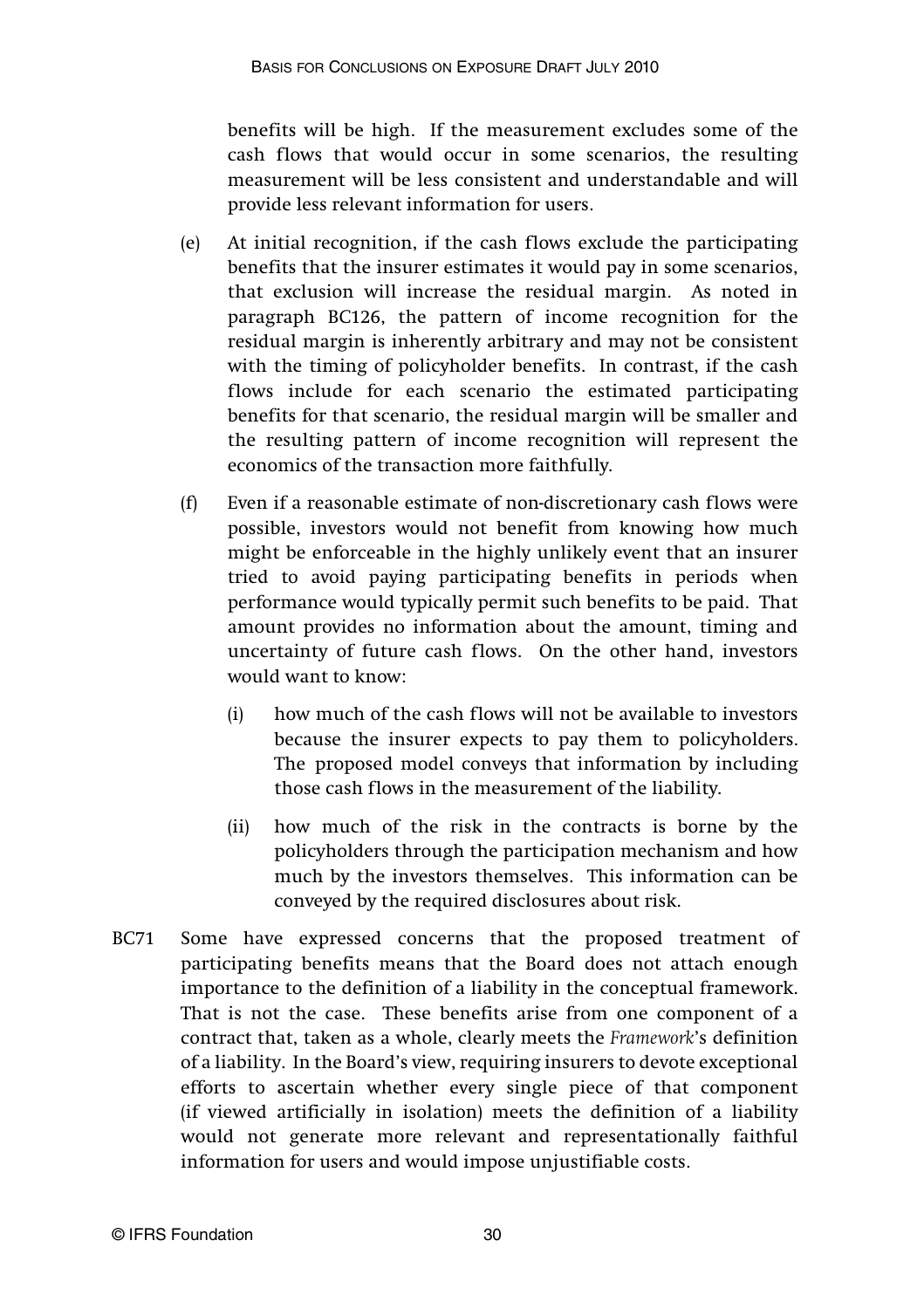benefits will be high. If the measurement excludes some of the cash flows that would occur in some scenarios, the resulting measurement will be less consistent and understandable and will provide less relevant information for users.

- (e) At initial recognition, if the cash flows exclude the participating benefits that the insurer estimates it would pay in some scenarios, that exclusion will increase the residual margin. As noted in paragraph BC126, the pattern of income recognition for the residual margin is inherently arbitrary and may not be consistent with the timing of policyholder benefits. In contrast, if the cash flows include for each scenario the estimated participating benefits for that scenario, the residual margin will be smaller and the resulting pattern of income recognition will represent the economics of the transaction more faithfully.
- (f) Even if a reasonable estimate of non-discretionary cash flows were possible, investors would not benefit from knowing how much might be enforceable in the highly unlikely event that an insurer tried to avoid paying participating benefits in periods when performance would typically permit such benefits to be paid. That amount provides no information about the amount, timing and uncertainty of future cash flows. On the other hand, investors would want to know:
	- (i) how much of the cash flows will not be available to investors because the insurer expects to pay them to policyholders. The proposed model conveys that information by including those cash flows in the measurement of the liability.
	- (ii) how much of the risk in the contracts is borne by the policyholders through the participation mechanism and how much by the investors themselves. This information can be conveyed by the required disclosures about risk.
- BC71 Some have expressed concerns that the proposed treatment of participating benefits means that the Board does not attach enough importance to the definition of a liability in the conceptual framework. That is not the case. These benefits arise from one component of a contract that, taken as a whole, clearly meets the *Framework*'s definition of a liability. In the Board's view, requiring insurers to devote exceptional efforts to ascertain whether every single piece of that component (if viewed artificially in isolation) meets the definition of a liability would not generate more relevant and representationally faithful information for users and would impose unjustifiable costs.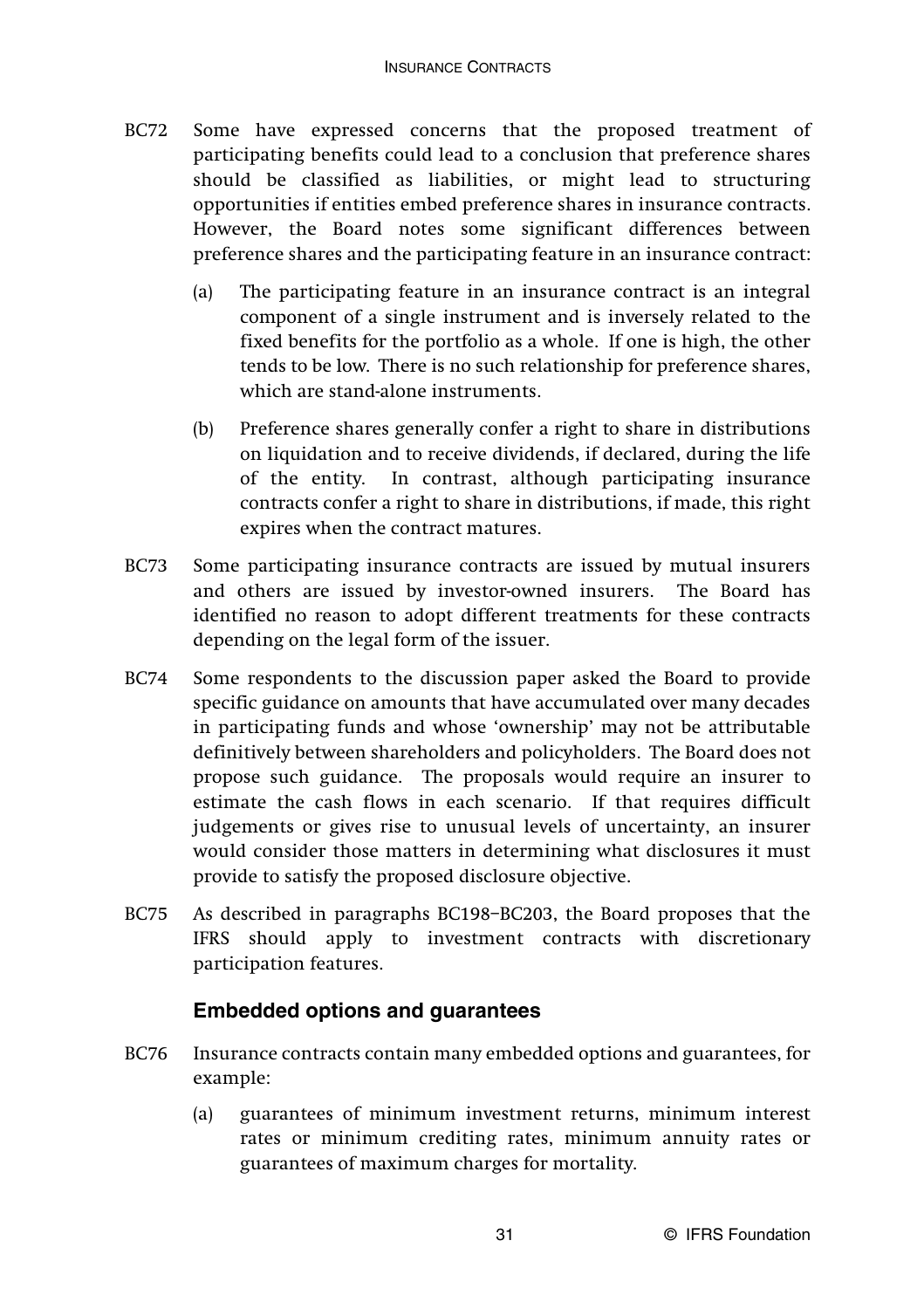- BC72 Some have expressed concerns that the proposed treatment of participating benefits could lead to a conclusion that preference shares should be classified as liabilities, or might lead to structuring opportunities if entities embed preference shares in insurance contracts. However, the Board notes some significant differences between preference shares and the participating feature in an insurance contract:
	- (a) The participating feature in an insurance contract is an integral component of a single instrument and is inversely related to the fixed benefits for the portfolio as a whole. If one is high, the other tends to be low. There is no such relationship for preference shares, which are stand-alone instruments.
	- (b) Preference shares generally confer a right to share in distributions on liquidation and to receive dividends, if declared, during the life of the entity. In contrast, although participating insurance contracts confer a right to share in distributions, if made, this right expires when the contract matures.
- BC73 Some participating insurance contracts are issued by mutual insurers and others are issued by investor-owned insurers. The Board has identified no reason to adopt different treatments for these contracts depending on the legal form of the issuer.
- BC74 Some respondents to the discussion paper asked the Board to provide specific guidance on amounts that have accumulated over many decades in participating funds and whose 'ownership' may not be attributable definitively between shareholders and policyholders. The Board does not propose such guidance. The proposals would require an insurer to estimate the cash flows in each scenario. If that requires difficult judgements or gives rise to unusual levels of uncertainty, an insurer would consider those matters in determining what disclosures it must provide to satisfy the proposed disclosure objective.
- BC75 As described in paragraphs BC198–BC203, the Board proposes that the IFRS should apply to investment contracts with discretionary participation features.

#### **Embedded options and guarantees**

- BC76 Insurance contracts contain many embedded options and guarantees, for example:
	- (a) guarantees of minimum investment returns, minimum interest rates or minimum crediting rates, minimum annuity rates or guarantees of maximum charges for mortality.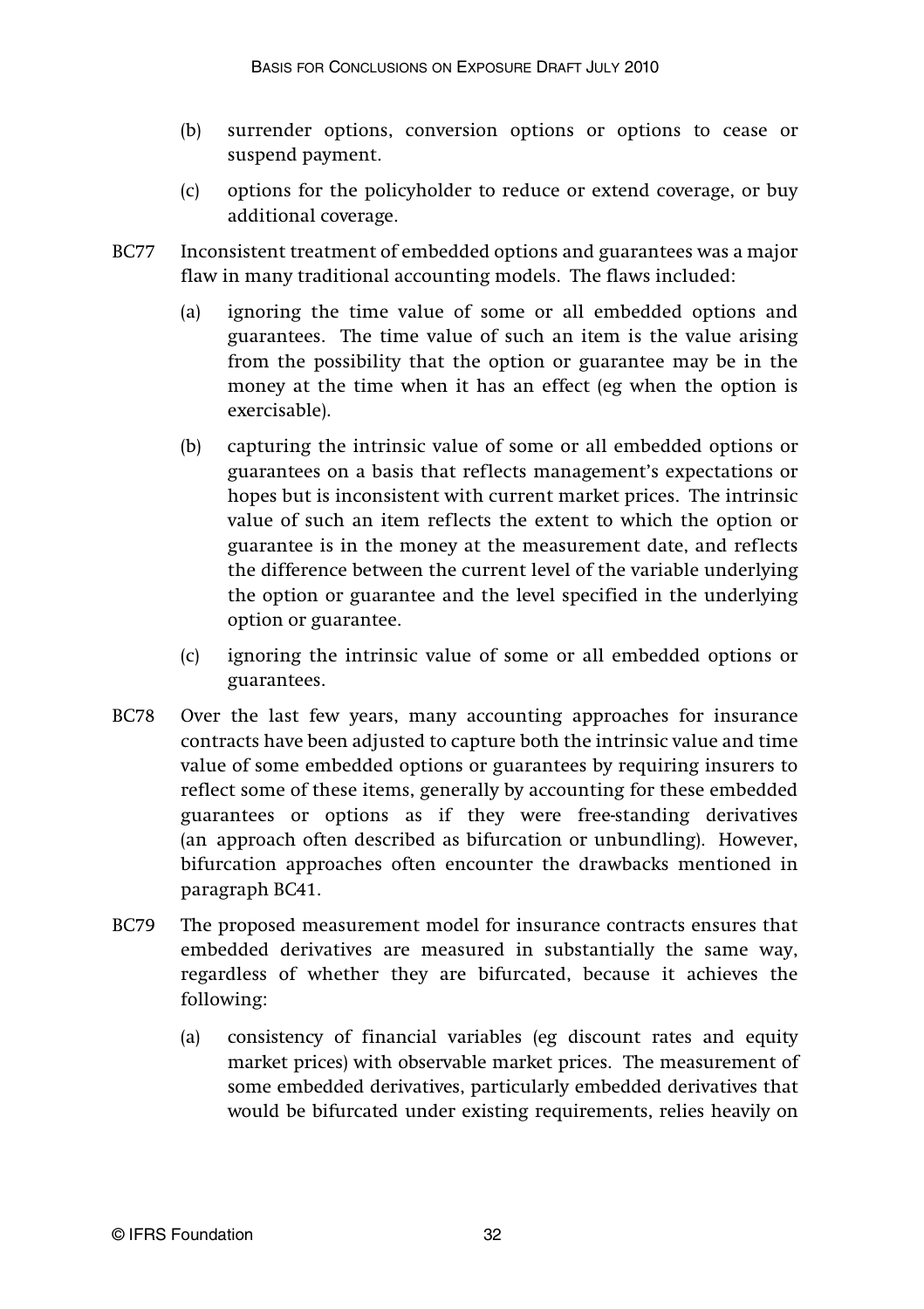- (b) surrender options, conversion options or options to cease or suspend payment.
- (c) options for the policyholder to reduce or extend coverage, or buy additional coverage.
- BC77 Inconsistent treatment of embedded options and guarantees was a major flaw in many traditional accounting models. The flaws included:
	- (a) ignoring the time value of some or all embedded options and guarantees. The time value of such an item is the value arising from the possibility that the option or guarantee may be in the money at the time when it has an effect (eg when the option is exercisable).
	- (b) capturing the intrinsic value of some or all embedded options or guarantees on a basis that reflects management's expectations or hopes but is inconsistent with current market prices. The intrinsic value of such an item reflects the extent to which the option or guarantee is in the money at the measurement date, and reflects the difference between the current level of the variable underlying the option or guarantee and the level specified in the underlying option or guarantee.
	- (c) ignoring the intrinsic value of some or all embedded options or guarantees.
- BC78 Over the last few years, many accounting approaches for insurance contracts have been adjusted to capture both the intrinsic value and time value of some embedded options or guarantees by requiring insurers to reflect some of these items, generally by accounting for these embedded guarantees or options as if they were free-standing derivatives (an approach often described as bifurcation or unbundling). However, bifurcation approaches often encounter the drawbacks mentioned in paragraph BC41.
- BC79 The proposed measurement model for insurance contracts ensures that embedded derivatives are measured in substantially the same way, regardless of whether they are bifurcated, because it achieves the following:
	- (a) consistency of financial variables (eg discount rates and equity market prices) with observable market prices. The measurement of some embedded derivatives, particularly embedded derivatives that would be bifurcated under existing requirements, relies heavily on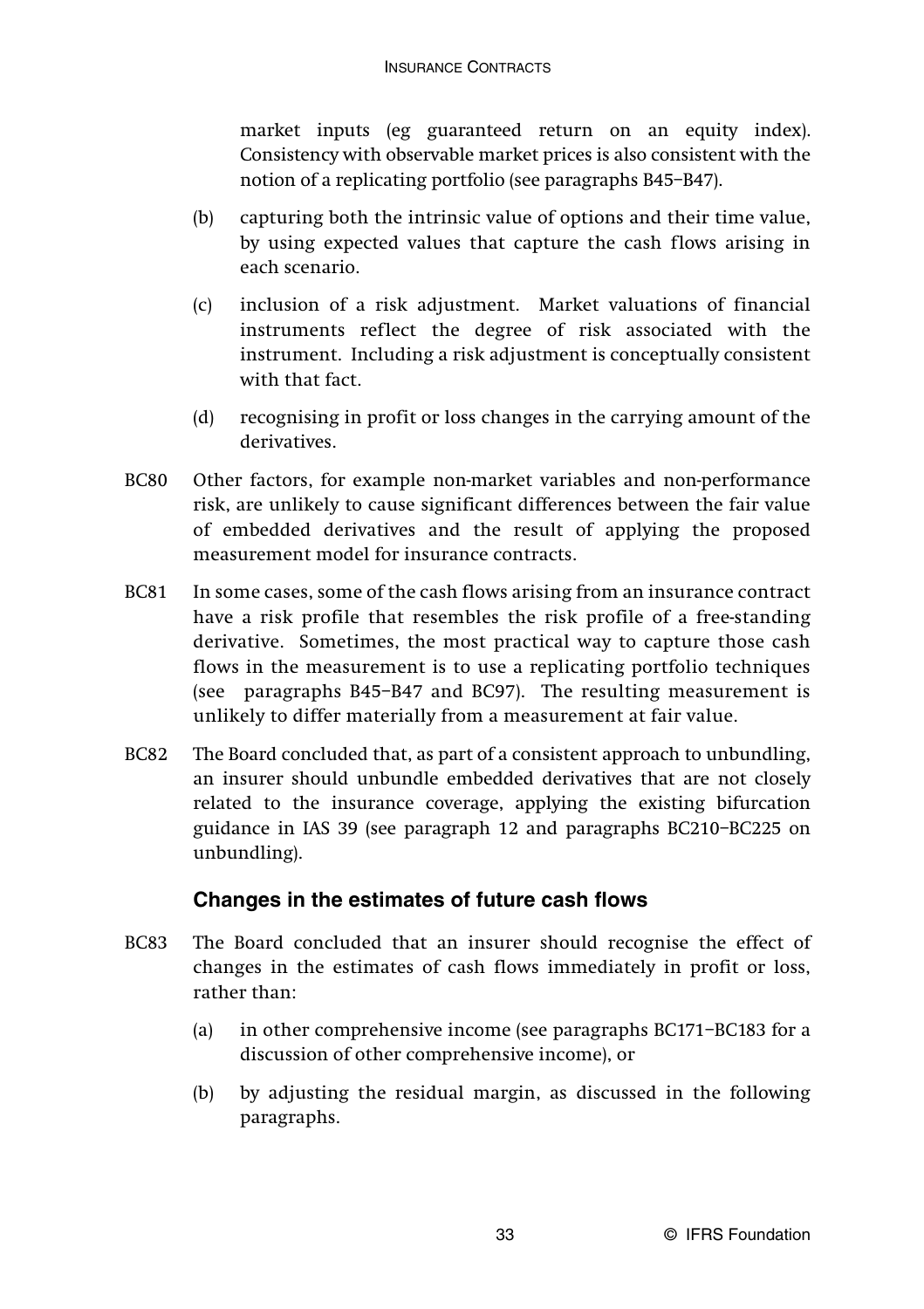market inputs (eg guaranteed return on an equity index). Consistency with observable market prices is also consistent with the notion of a replicating portfolio (see paragraphs B45–B47).

- (b) capturing both the intrinsic value of options and their time value, by using expected values that capture the cash flows arising in each scenario.
- (c) inclusion of a risk adjustment. Market valuations of financial instruments reflect the degree of risk associated with the instrument. Including a risk adjustment is conceptually consistent with that fact.
- (d) recognising in profit or loss changes in the carrying amount of the derivatives.
- BC80 Other factors, for example non-market variables and non-performance risk, are unlikely to cause significant differences between the fair value of embedded derivatives and the result of applying the proposed measurement model for insurance contracts.
- BC81 In some cases, some of the cash flows arising from an insurance contract have a risk profile that resembles the risk profile of a free-standing derivative. Sometimes, the most practical way to capture those cash flows in the measurement is to use a replicating portfolio techniques (see paragraphs B45–B47 and BC97). The resulting measurement is unlikely to differ materially from a measurement at fair value.
- BC82 The Board concluded that, as part of a consistent approach to unbundling, an insurer should unbundle embedded derivatives that are not closely related to the insurance coverage, applying the existing bifurcation guidance in IAS 39 (see paragraph 12 and paragraphs BC210–BC225 on unbundling).

#### **Changes in the estimates of future cash flows**

- BC83 The Board concluded that an insurer should recognise the effect of changes in the estimates of cash flows immediately in profit or loss, rather than:
	- (a) in other comprehensive income (see paragraphs BC171–BC183 for a discussion of other comprehensive income), or
	- (b) by adjusting the residual margin, as discussed in the following paragraphs.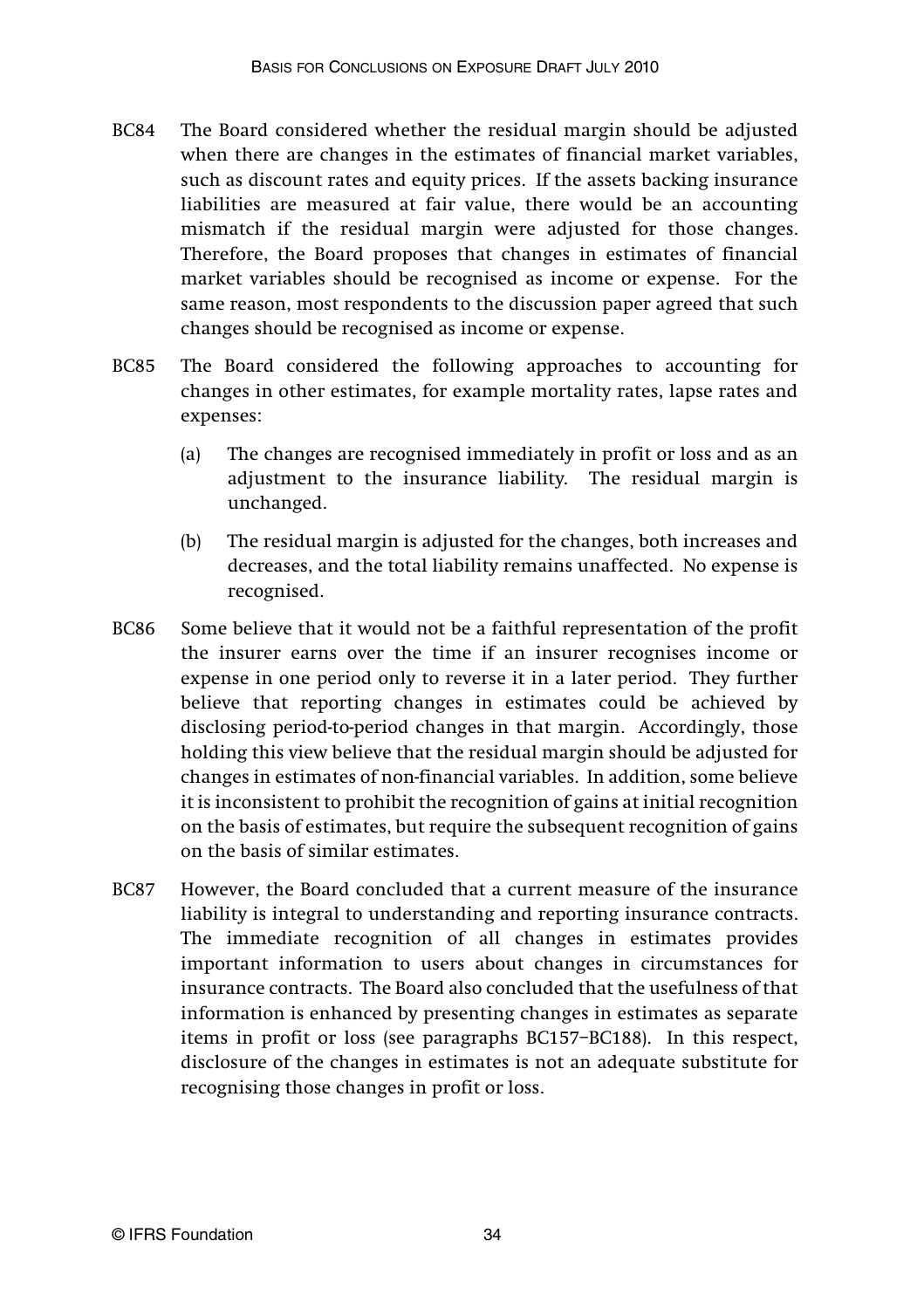- BC84 The Board considered whether the residual margin should be adjusted when there are changes in the estimates of financial market variables, such as discount rates and equity prices. If the assets backing insurance liabilities are measured at fair value, there would be an accounting mismatch if the residual margin were adjusted for those changes. Therefore, the Board proposes that changes in estimates of financial market variables should be recognised as income or expense. For the same reason, most respondents to the discussion paper agreed that such changes should be recognised as income or expense.
- BC85 The Board considered the following approaches to accounting for changes in other estimates, for example mortality rates, lapse rates and expenses:
	- (a) The changes are recognised immediately in profit or loss and as an adjustment to the insurance liability. The residual margin is unchanged.
	- (b) The residual margin is adjusted for the changes, both increases and decreases, and the total liability remains unaffected. No expense is recognised.
- BC86 Some believe that it would not be a faithful representation of the profit the insurer earns over the time if an insurer recognises income or expense in one period only to reverse it in a later period. They further believe that reporting changes in estimates could be achieved by disclosing period-to-period changes in that margin. Accordingly, those holding this view believe that the residual margin should be adjusted for changes in estimates of non-financial variables. In addition, some believe it is inconsistent to prohibit the recognition of gains at initial recognition on the basis of estimates, but require the subsequent recognition of gains on the basis of similar estimates.
- BC87 However, the Board concluded that a current measure of the insurance liability is integral to understanding and reporting insurance contracts. The immediate recognition of all changes in estimates provides important information to users about changes in circumstances for insurance contracts. The Board also concluded that the usefulness of that information is enhanced by presenting changes in estimates as separate items in profit or loss (see paragraphs BC157–BC188). In this respect, disclosure of the changes in estimates is not an adequate substitute for recognising those changes in profit or loss.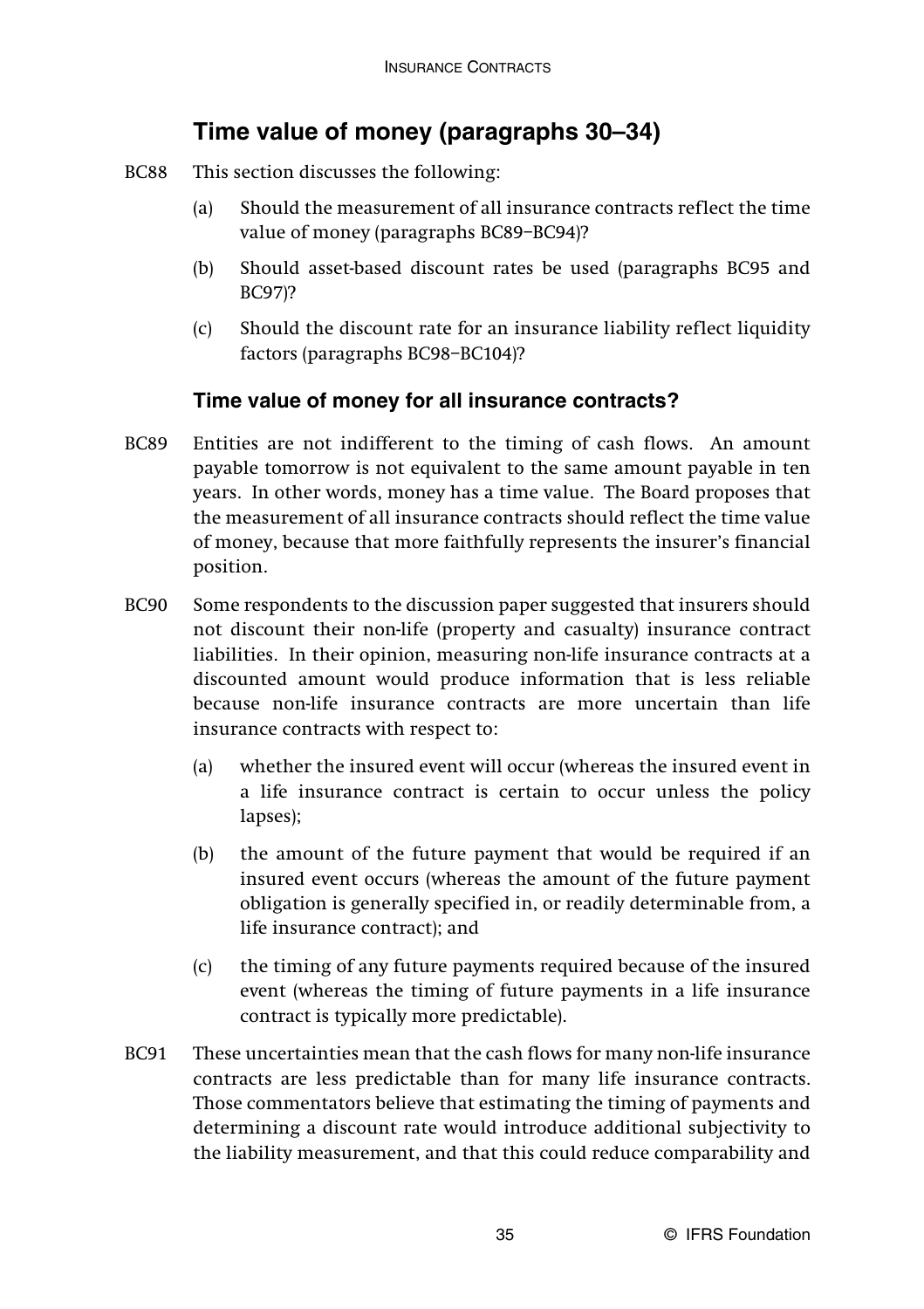## **Time value of money (paragraphs 30–34)**

- BC88 This section discusses the following:
	- (a) Should the measurement of all insurance contracts reflect the time value of money (paragraphs BC89–BC94)?
	- (b) Should asset-based discount rates be used (paragraphs BC95 and BC97)?
	- (c) Should the discount rate for an insurance liability reflect liquidity factors (paragraphs BC98–BC104)?

#### **Time value of money for all insurance contracts?**

- BC89 Entities are not indifferent to the timing of cash flows. An amount payable tomorrow is not equivalent to the same amount payable in ten years. In other words, money has a time value. The Board proposes that the measurement of all insurance contracts should reflect the time value of money, because that more faithfully represents the insurer's financial position.
- BC90 Some respondents to the discussion paper suggested that insurers should not discount their non-life (property and casualty) insurance contract liabilities. In their opinion, measuring non-life insurance contracts at a discounted amount would produce information that is less reliable because non-life insurance contracts are more uncertain than life insurance contracts with respect to:
	- (a) whether the insured event will occur (whereas the insured event in a life insurance contract is certain to occur unless the policy lapses);
	- (b) the amount of the future payment that would be required if an insured event occurs (whereas the amount of the future payment obligation is generally specified in, or readily determinable from, a life insurance contract); and
	- (c) the timing of any future payments required because of the insured event (whereas the timing of future payments in a life insurance contract is typically more predictable).
- BC91 These uncertainties mean that the cash flows for many non-life insurance contracts are less predictable than for many life insurance contracts. Those commentators believe that estimating the timing of payments and determining a discount rate would introduce additional subjectivity to the liability measurement, and that this could reduce comparability and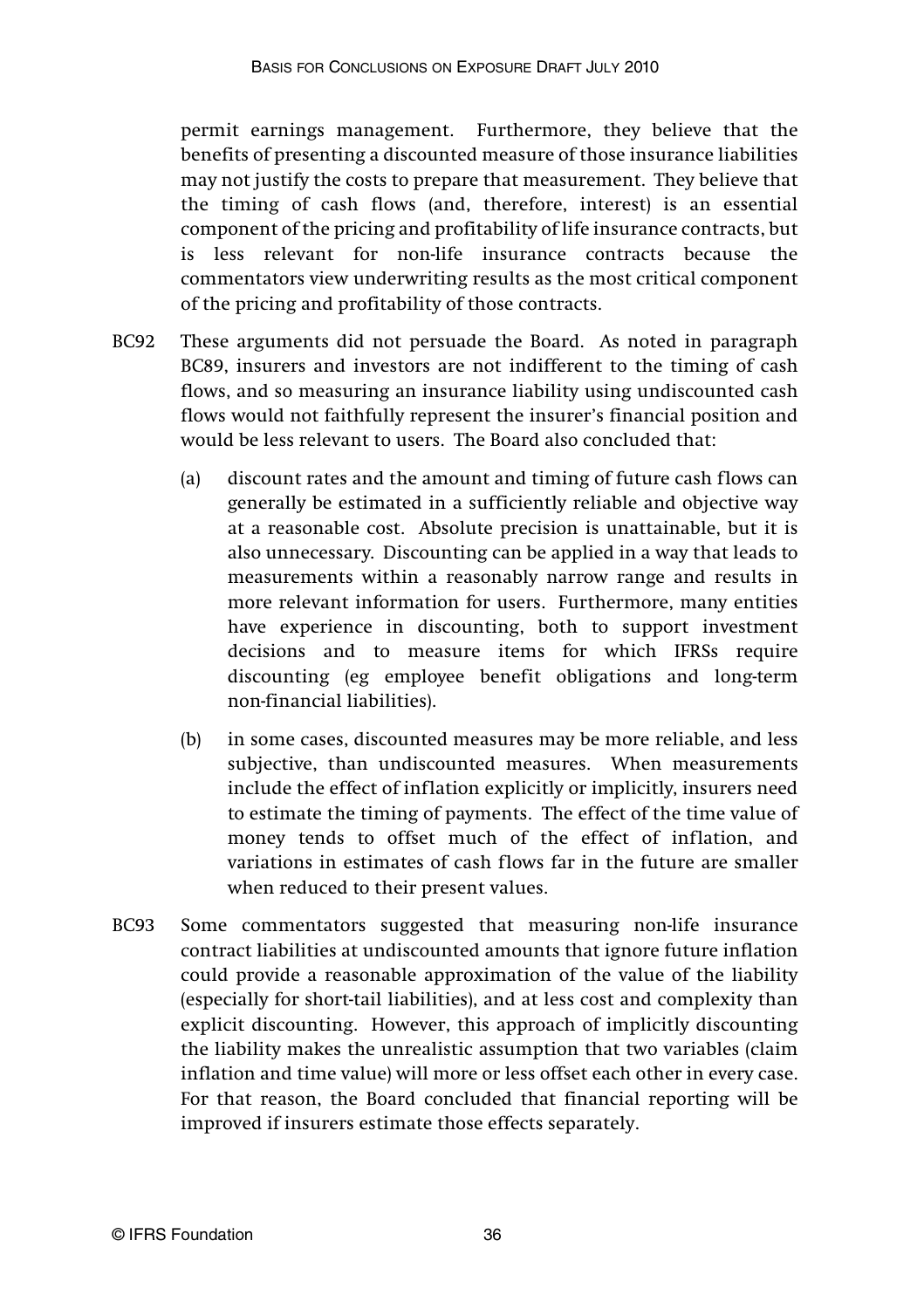permit earnings management. Furthermore, they believe that the benefits of presenting a discounted measure of those insurance liabilities may not justify the costs to prepare that measurement. They believe that the timing of cash flows (and, therefore, interest) is an essential component of the pricing and profitability of life insurance contracts, but is less relevant for non-life insurance contracts because the commentators view underwriting results as the most critical component of the pricing and profitability of those contracts.

- BC92 These arguments did not persuade the Board. As noted in paragraph BC89, insurers and investors are not indifferent to the timing of cash flows, and so measuring an insurance liability using undiscounted cash flows would not faithfully represent the insurer's financial position and would be less relevant to users. The Board also concluded that:
	- (a) discount rates and the amount and timing of future cash flows can generally be estimated in a sufficiently reliable and objective way at a reasonable cost. Absolute precision is unattainable, but it is also unnecessary. Discounting can be applied in a way that leads to measurements within a reasonably narrow range and results in more relevant information for users. Furthermore, many entities have experience in discounting, both to support investment decisions and to measure items for which IFRSs require discounting (eg employee benefit obligations and long-term non-financial liabilities).
	- (b) in some cases, discounted measures may be more reliable, and less subjective, than undiscounted measures. When measurements include the effect of inflation explicitly or implicitly, insurers need to estimate the timing of payments. The effect of the time value of money tends to offset much of the effect of inflation, and variations in estimates of cash flows far in the future are smaller when reduced to their present values.
- BC93 Some commentators suggested that measuring non-life insurance contract liabilities at undiscounted amounts that ignore future inflation could provide a reasonable approximation of the value of the liability (especially for short-tail liabilities), and at less cost and complexity than explicit discounting. However, this approach of implicitly discounting the liability makes the unrealistic assumption that two variables (claim inflation and time value) will more or less offset each other in every case. For that reason, the Board concluded that financial reporting will be improved if insurers estimate those effects separately.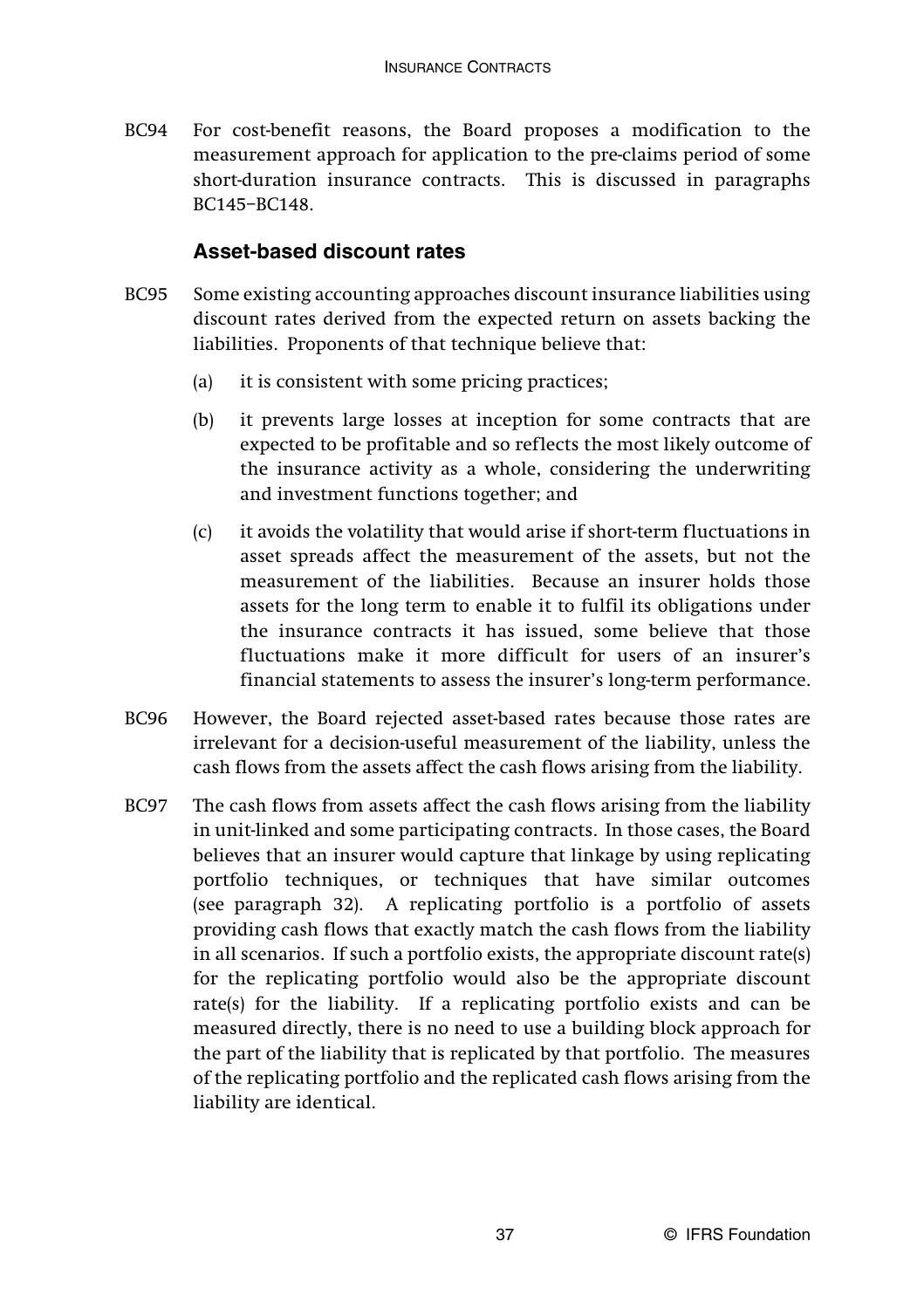BC94 For cost-benefit reasons, the Board proposes a modification to the measurement approach for application to the pre-claims period of some short-duration insurance contracts. This is discussed in paragraphs BC145–BC148.

#### **Asset-based discount rates**

- BC95 Some existing accounting approaches discount insurance liabilities using discount rates derived from the expected return on assets backing the liabilities. Proponents of that technique believe that:
	- (a) it is consistent with some pricing practices;
	- (b) it prevents large losses at inception for some contracts that are expected to be profitable and so reflects the most likely outcome of the insurance activity as a whole, considering the underwriting and investment functions together; and
	- (c) it avoids the volatility that would arise if short-term fluctuations in asset spreads affect the measurement of the assets, but not the measurement of the liabilities. Because an insurer holds those assets for the long term to enable it to fulfil its obligations under the insurance contracts it has issued, some believe that those fluctuations make it more difficult for users of an insurer's financial statements to assess the insurer's long-term performance.
- BC96 However, the Board rejected asset-based rates because those rates are irrelevant for a decision-useful measurement of the liability, unless the cash flows from the assets affect the cash flows arising from the liability.
- BC97 The cash flows from assets affect the cash flows arising from the liability in unit-linked and some participating contracts. In those cases, the Board believes that an insurer would capture that linkage by using replicating portfolio techniques, or techniques that have similar outcomes (see paragraph 32). A replicating portfolio is a portfolio of assets providing cash flows that exactly match the cash flows from the liability in all scenarios. If such a portfolio exists, the appropriate discount rate(s) for the replicating portfolio would also be the appropriate discount rate(s) for the liability. If a replicating portfolio exists and can be measured directly, there is no need to use a building block approach for the part of the liability that is replicated by that portfolio. The measures of the replicating portfolio and the replicated cash flows arising from the liability are identical.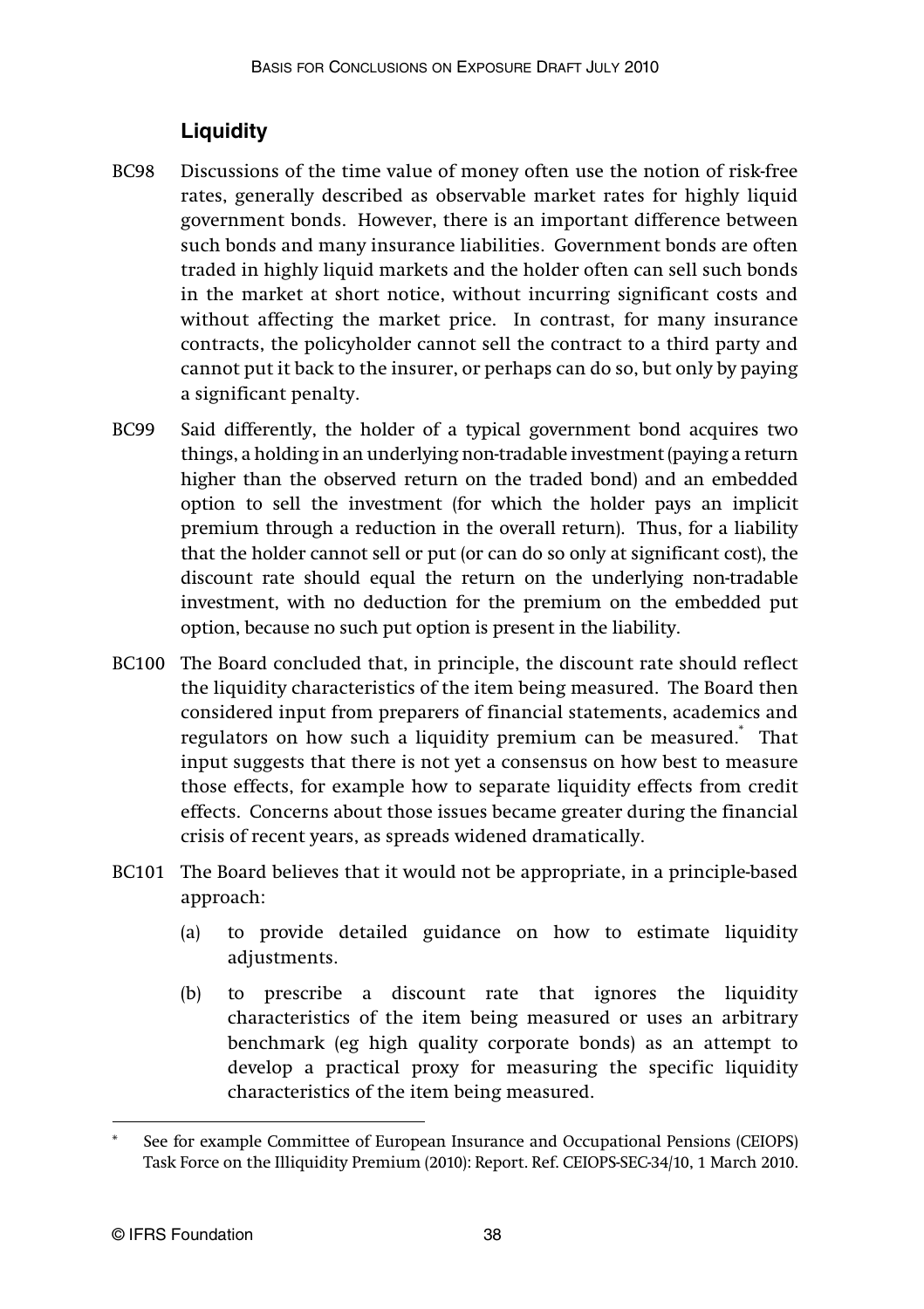## **Liquidity**

- BC98 Discussions of the time value of money often use the notion of risk-free rates, generally described as observable market rates for highly liquid government bonds. However, there is an important difference between such bonds and many insurance liabilities. Government bonds are often traded in highly liquid markets and the holder often can sell such bonds in the market at short notice, without incurring significant costs and without affecting the market price. In contrast, for many insurance contracts, the policyholder cannot sell the contract to a third party and cannot put it back to the insurer, or perhaps can do so, but only by paying a significant penalty.
- BC99 Said differently, the holder of a typical government bond acquires two things, a holding in an underlying non-tradable investment (paying a return higher than the observed return on the traded bond) and an embedded option to sell the investment (for which the holder pays an implicit premium through a reduction in the overall return). Thus, for a liability that the holder cannot sell or put (or can do so only at significant cost), the discount rate should equal the return on the underlying non-tradable investment, with no deduction for the premium on the embedded put option, because no such put option is present in the liability.
- BC100 The Board concluded that, in principle, the discount rate should reflect the liquidity characteristics of the item being measured. The Board then considered input from preparers of financial statements, academics and regulators on how such a liquidity premium can be measured.\* That input suggests that there is not yet a consensus on how best to measure those effects, for example how to separate liquidity effects from credit effects. Concerns about those issues became greater during the financial crisis of recent years, as spreads widened dramatically.
- BC101 The Board believes that it would not be appropriate, in a principle-based approach:
	- (a) to provide detailed guidance on how to estimate liquidity adjustments.
	- (b) to prescribe a discount rate that ignores the liquidity characteristics of the item being measured or uses an arbitrary benchmark (eg high quality corporate bonds) as an attempt to develop a practical proxy for measuring the specific liquidity characteristics of the item being measured.

See for example Committee of European Insurance and Occupational Pensions (CEIOPS) Task Force on the Illiquidity Premium (2010): Report. Ref. CEIOPS-SEC-34/10, 1 March 2010.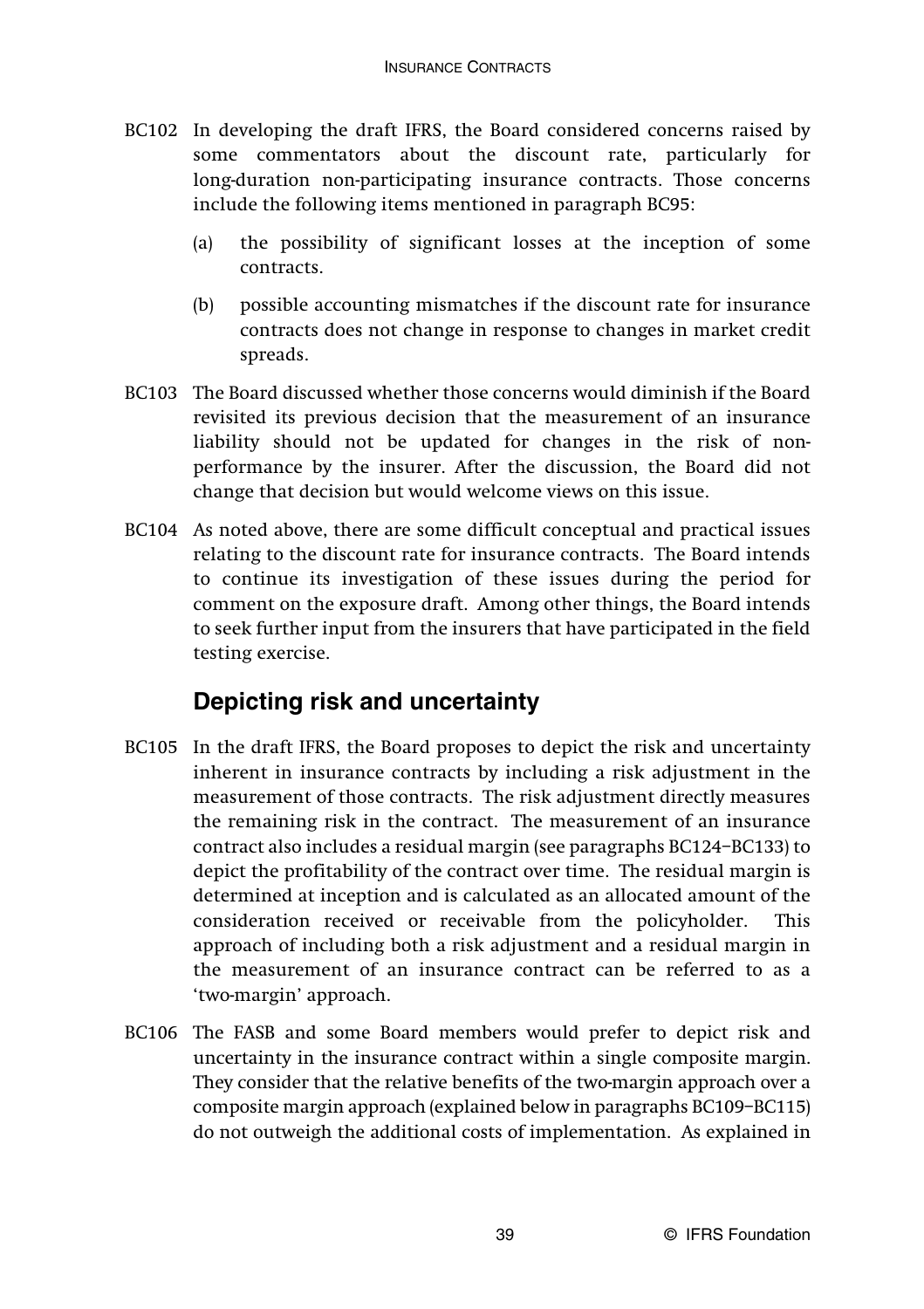- BC102 In developing the draft IFRS, the Board considered concerns raised by some commentators about the discount rate, particularly for long-duration non-participating insurance contracts. Those concerns include the following items mentioned in paragraph BC95:
	- (a) the possibility of significant losses at the inception of some contracts.
	- (b) possible accounting mismatches if the discount rate for insurance contracts does not change in response to changes in market credit spreads.
- BC103 The Board discussed whether those concerns would diminish if the Board revisited its previous decision that the measurement of an insurance liability should not be updated for changes in the risk of nonperformance by the insurer. After the discussion, the Board did not change that decision but would welcome views on this issue.
- BC104 As noted above, there are some difficult conceptual and practical issues relating to the discount rate for insurance contracts. The Board intends to continue its investigation of these issues during the period for comment on the exposure draft. Among other things, the Board intends to seek further input from the insurers that have participated in the field testing exercise.

## **Depicting risk and uncertainty**

- BC105 In the draft IFRS, the Board proposes to depict the risk and uncertainty inherent in insurance contracts by including a risk adjustment in the measurement of those contracts. The risk adjustment directly measures the remaining risk in the contract. The measurement of an insurance contract also includes a residual margin (see paragraphs BC124–BC133) to depict the profitability of the contract over time. The residual margin is determined at inception and is calculated as an allocated amount of the consideration received or receivable from the policyholder. This approach of including both a risk adjustment and a residual margin in the measurement of an insurance contract can be referred to as a 'two-margin' approach.
- BC106 The FASB and some Board members would prefer to depict risk and uncertainty in the insurance contract within a single composite margin. They consider that the relative benefits of the two-margin approach over a composite margin approach (explained below in paragraphs BC109–BC115) do not outweigh the additional costs of implementation. As explained in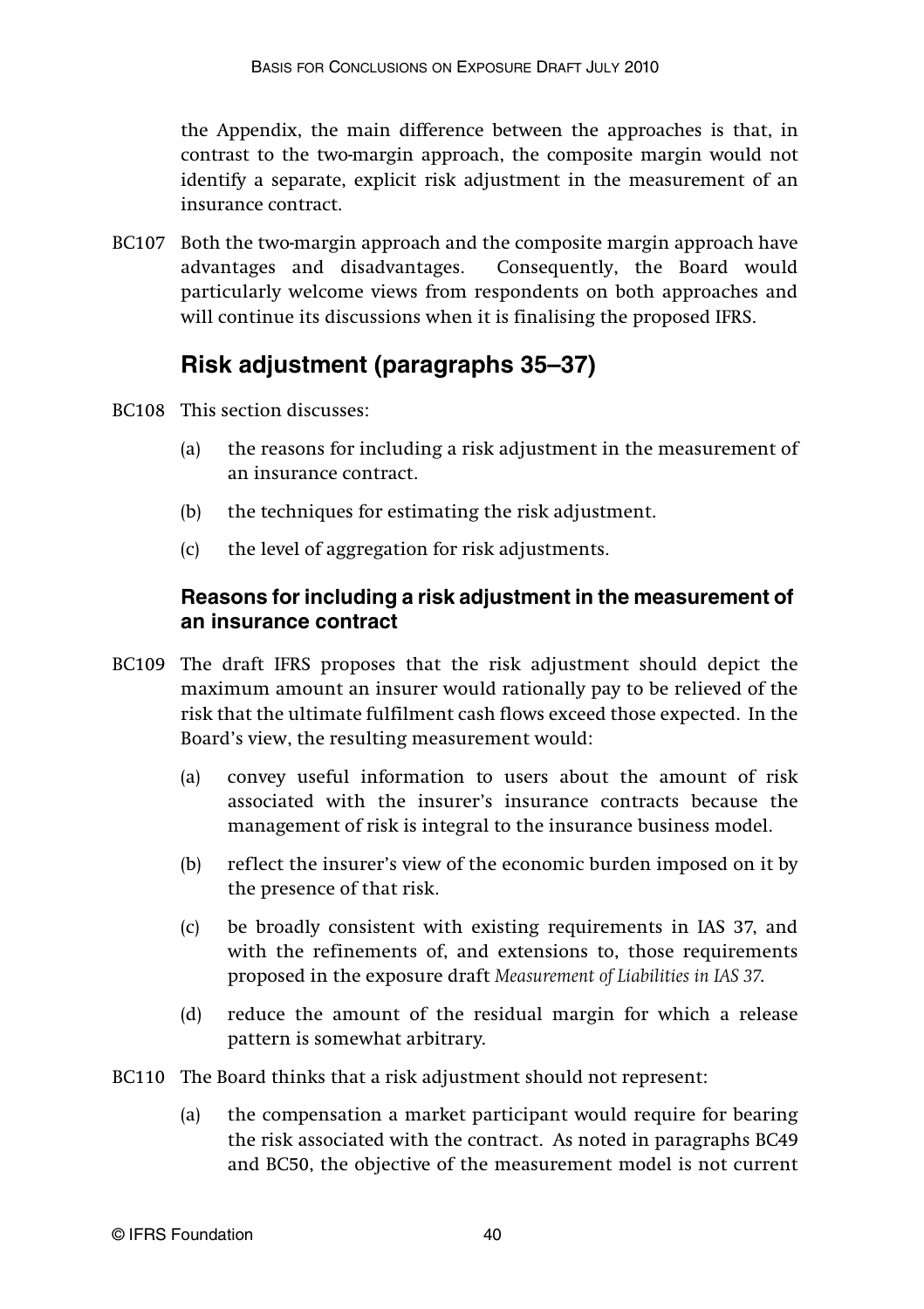the Appendix, the main difference between the approaches is that, in contrast to the two-margin approach, the composite margin would not identify a separate, explicit risk adjustment in the measurement of an insurance contract.

BC107 Both the two-margin approach and the composite margin approach have advantages and disadvantages. Consequently, the Board would particularly welcome views from respondents on both approaches and will continue its discussions when it is finalising the proposed IFRS.

# **Risk adjustment (paragraphs 35–37)**

- BC108 This section discusses:
	- (a) the reasons for including a risk adjustment in the measurement of an insurance contract.
	- (b) the techniques for estimating the risk adjustment.
	- (c) the level of aggregation for risk adjustments.

## **Reasons for including a risk adjustment in the measurement of an insurance contract**

- BC109 The draft IFRS proposes that the risk adjustment should depict the maximum amount an insurer would rationally pay to be relieved of the risk that the ultimate fulfilment cash flows exceed those expected. In the Board's view, the resulting measurement would:
	- (a) convey useful information to users about the amount of risk associated with the insurer's insurance contracts because the management of risk is integral to the insurance business model.
	- (b) reflect the insurer's view of the economic burden imposed on it by the presence of that risk.
	- (c) be broadly consistent with existing requirements in IAS 37, and with the refinements of, and extensions to, those requirements proposed in the exposure draft *Measurement of Liabilities in IAS 37*.
	- (d) reduce the amount of the residual margin for which a release pattern is somewhat arbitrary.
- BC110 The Board thinks that a risk adjustment should not represent:
	- (a) the compensation a market participant would require for bearing the risk associated with the contract. As noted in paragraphs BC49 and BC50, the objective of the measurement model is not current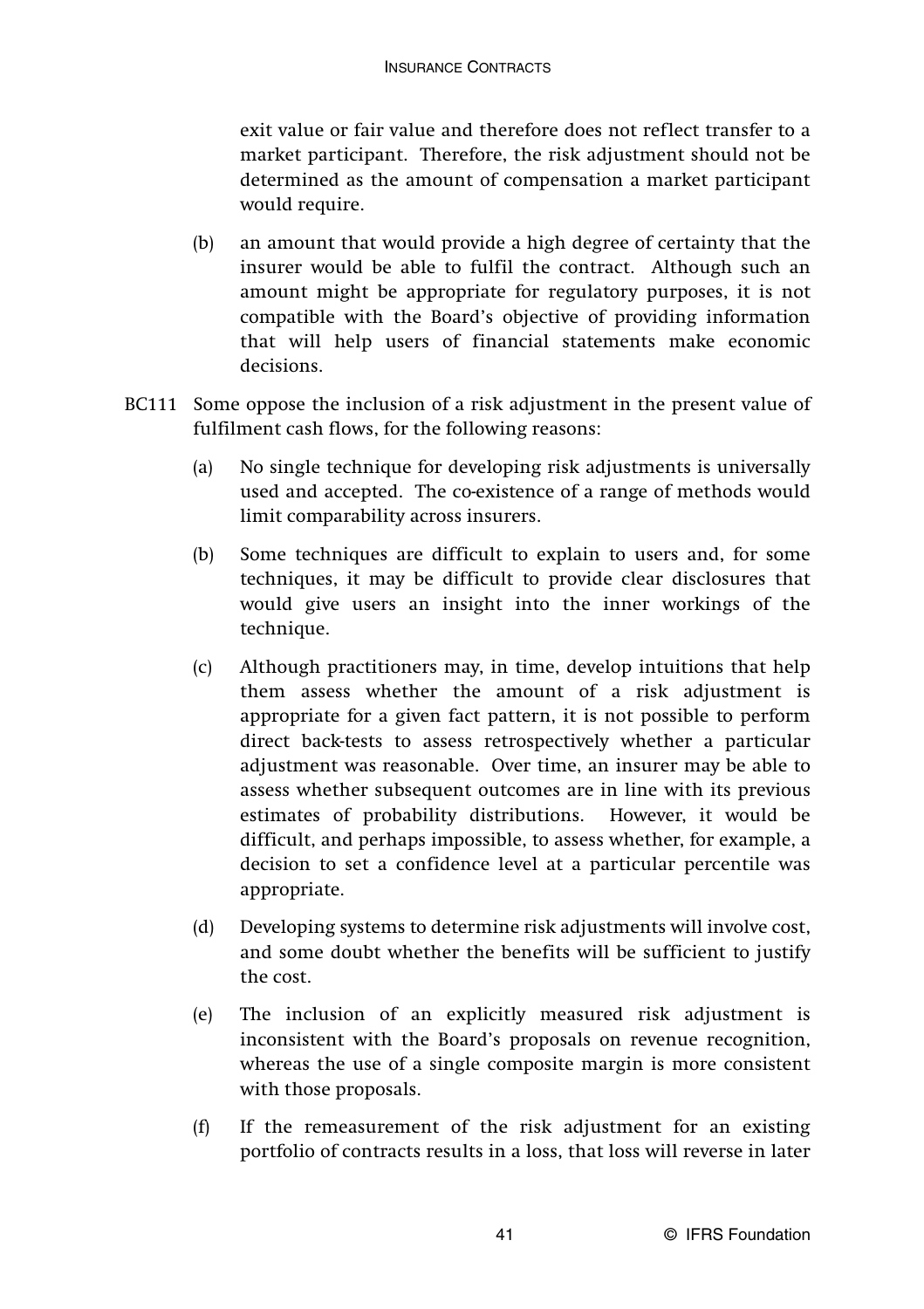exit value or fair value and therefore does not reflect transfer to a market participant. Therefore, the risk adjustment should not be determined as the amount of compensation a market participant would require.

- (b) an amount that would provide a high degree of certainty that the insurer would be able to fulfil the contract. Although such an amount might be appropriate for regulatory purposes, it is not compatible with the Board's objective of providing information that will help users of financial statements make economic decisions.
- BC111 Some oppose the inclusion of a risk adjustment in the present value of fulfilment cash flows, for the following reasons:
	- (a) No single technique for developing risk adjustments is universally used and accepted. The co-existence of a range of methods would limit comparability across insurers.
	- (b) Some techniques are difficult to explain to users and, for some techniques, it may be difficult to provide clear disclosures that would give users an insight into the inner workings of the technique.
	- (c) Although practitioners may, in time, develop intuitions that help them assess whether the amount of a risk adjustment is appropriate for a given fact pattern, it is not possible to perform direct back-tests to assess retrospectively whether a particular adjustment was reasonable. Over time, an insurer may be able to assess whether subsequent outcomes are in line with its previous estimates of probability distributions. However, it would be difficult, and perhaps impossible, to assess whether, for example, a decision to set a confidence level at a particular percentile was appropriate.
	- (d) Developing systems to determine risk adjustments will involve cost, and some doubt whether the benefits will be sufficient to justify the cost.
	- (e) The inclusion of an explicitly measured risk adjustment is inconsistent with the Board's proposals on revenue recognition, whereas the use of a single composite margin is more consistent with those proposals.
	- (f) If the remeasurement of the risk adjustment for an existing portfolio of contracts results in a loss, that loss will reverse in later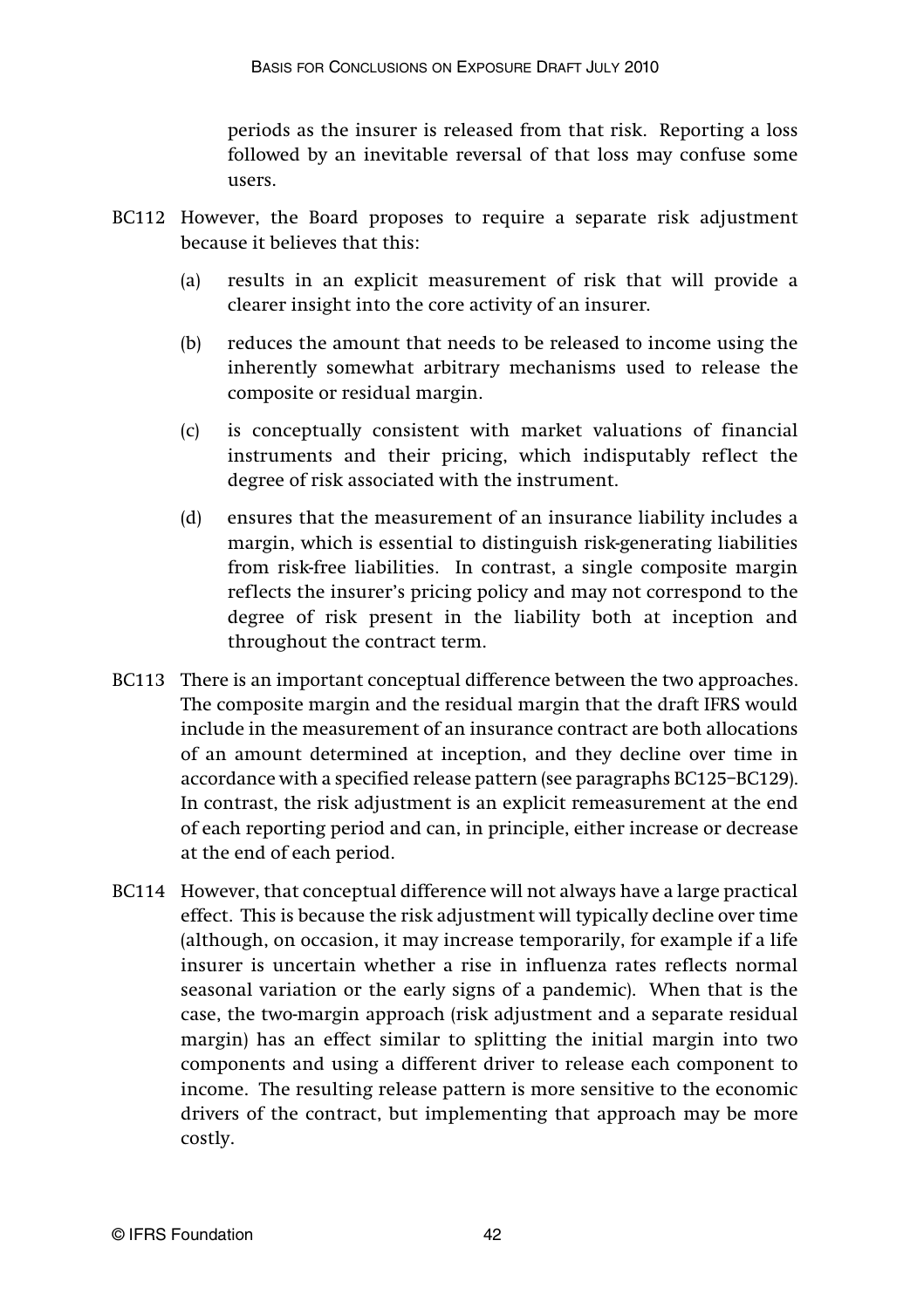periods as the insurer is released from that risk. Reporting a loss followed by an inevitable reversal of that loss may confuse some users.

- BC112 However, the Board proposes to require a separate risk adjustment because it believes that this:
	- (a) results in an explicit measurement of risk that will provide a clearer insight into the core activity of an insurer.
	- (b) reduces the amount that needs to be released to income using the inherently somewhat arbitrary mechanisms used to release the composite or residual margin.
	- (c) is conceptually consistent with market valuations of financial instruments and their pricing, which indisputably reflect the degree of risk associated with the instrument.
	- (d) ensures that the measurement of an insurance liability includes a margin, which is essential to distinguish risk-generating liabilities from risk-free liabilities. In contrast, a single composite margin reflects the insurer's pricing policy and may not correspond to the degree of risk present in the liability both at inception and throughout the contract term.
- BC113 There is an important conceptual difference between the two approaches. The composite margin and the residual margin that the draft IFRS would include in the measurement of an insurance contract are both allocations of an amount determined at inception, and they decline over time in accordance with a specified release pattern (see paragraphs BC125–BC129). In contrast, the risk adjustment is an explicit remeasurement at the end of each reporting period and can, in principle, either increase or decrease at the end of each period.
- BC114 However, that conceptual difference will not always have a large practical effect. This is because the risk adjustment will typically decline over time (although, on occasion, it may increase temporarily, for example if a life insurer is uncertain whether a rise in influenza rates reflects normal seasonal variation or the early signs of a pandemic). When that is the case, the two-margin approach (risk adjustment and a separate residual margin) has an effect similar to splitting the initial margin into two components and using a different driver to release each component to income. The resulting release pattern is more sensitive to the economic drivers of the contract, but implementing that approach may be more costly.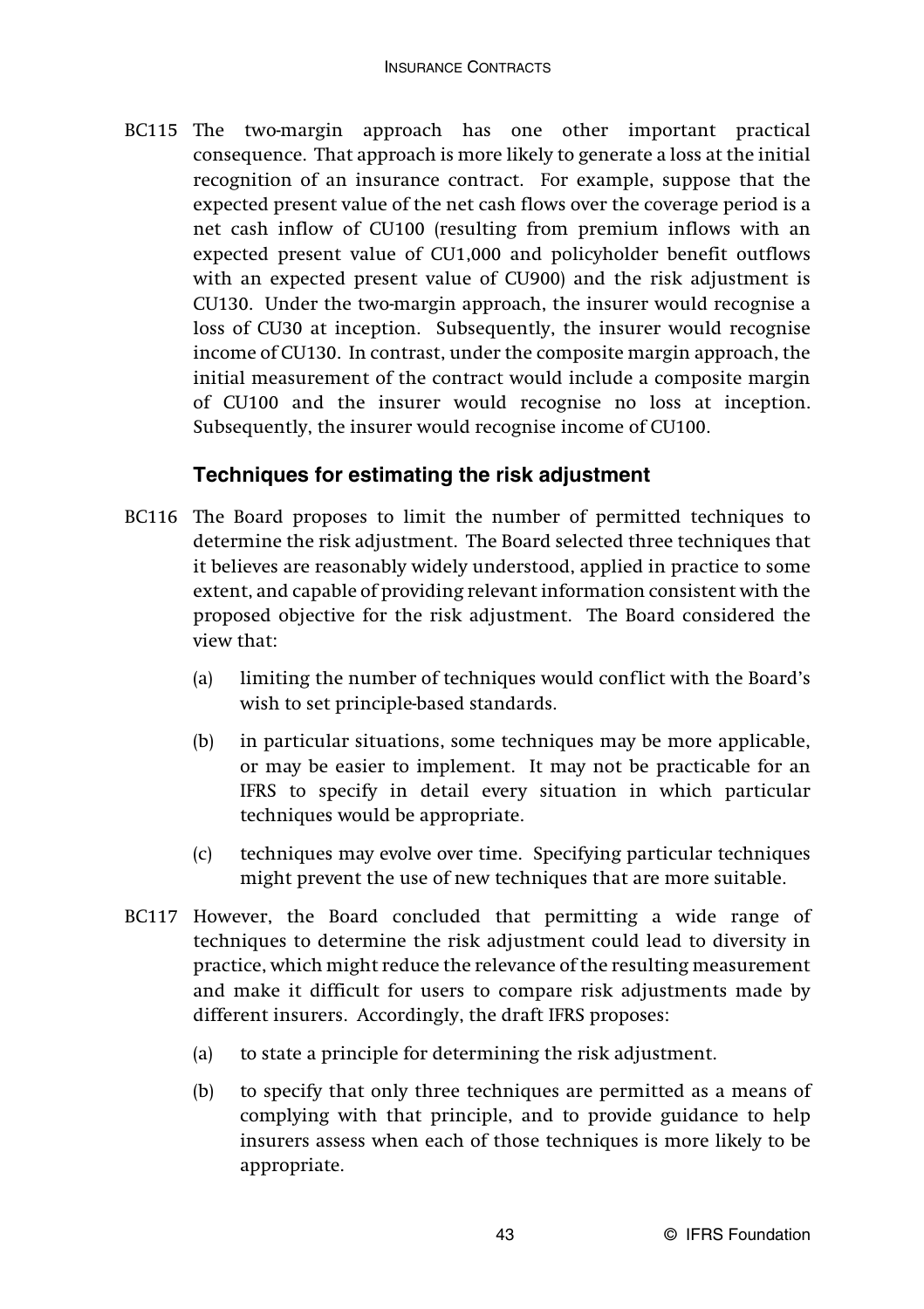BC115 The two-margin approach has one other important practical consequence. That approach is more likely to generate a loss at the initial recognition of an insurance contract. For example, suppose that the expected present value of the net cash flows over the coverage period is a net cash inflow of CU100 (resulting from premium inflows with an expected present value of CU1,000 and policyholder benefit outflows with an expected present value of CU900) and the risk adjustment is CU130. Under the two-margin approach, the insurer would recognise a loss of CU30 at inception. Subsequently, the insurer would recognise income of CU130. In contrast, under the composite margin approach, the initial measurement of the contract would include a composite margin of CU100 and the insurer would recognise no loss at inception. Subsequently, the insurer would recognise income of CU100.

### **Techniques for estimating the risk adjustment**

- BC116 The Board proposes to limit the number of permitted techniques to determine the risk adjustment. The Board selected three techniques that it believes are reasonably widely understood, applied in practice to some extent, and capable of providing relevant information consistent with the proposed objective for the risk adjustment. The Board considered the view that:
	- (a) limiting the number of techniques would conflict with the Board's wish to set principle-based standards.
	- (b) in particular situations, some techniques may be more applicable, or may be easier to implement. It may not be practicable for an IFRS to specify in detail every situation in which particular techniques would be appropriate.
	- (c) techniques may evolve over time. Specifying particular techniques might prevent the use of new techniques that are more suitable.
- BC117 However, the Board concluded that permitting a wide range of techniques to determine the risk adjustment could lead to diversity in practice, which might reduce the relevance of the resulting measurement and make it difficult for users to compare risk adjustments made by different insurers. Accordingly, the draft IFRS proposes:
	- (a) to state a principle for determining the risk adjustment.
	- (b) to specify that only three techniques are permitted as a means of complying with that principle, and to provide guidance to help insurers assess when each of those techniques is more likely to be appropriate.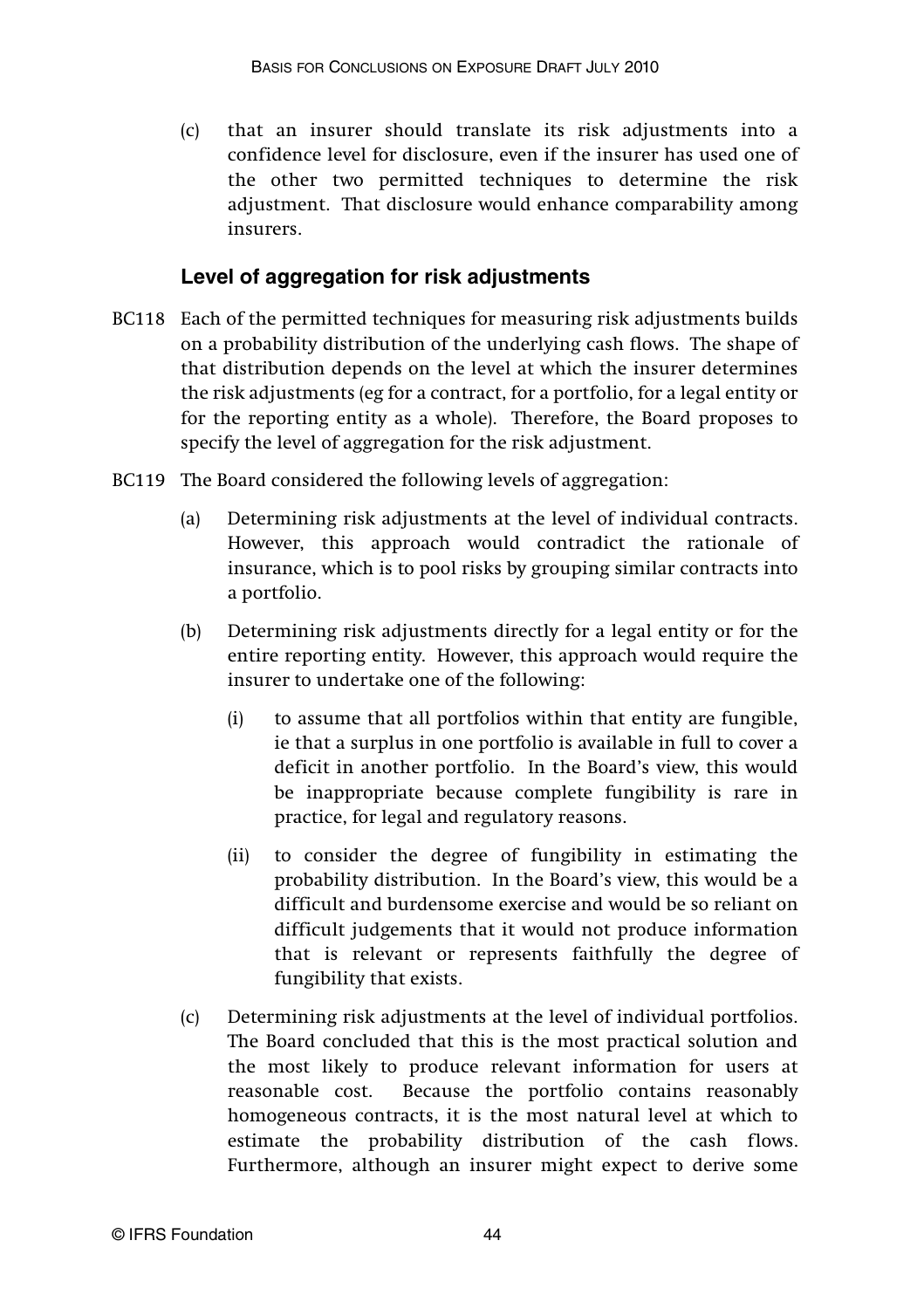(c) that an insurer should translate its risk adjustments into a confidence level for disclosure, even if the insurer has used one of the other two permitted techniques to determine the risk adjustment. That disclosure would enhance comparability among insurers.

### **Level of aggregation for risk adjustments**

- BC118 Each of the permitted techniques for measuring risk adjustments builds on a probability distribution of the underlying cash flows. The shape of that distribution depends on the level at which the insurer determines the risk adjustments (eg for a contract, for a portfolio, for a legal entity or for the reporting entity as a whole). Therefore, the Board proposes to specify the level of aggregation for the risk adjustment.
- BC119 The Board considered the following levels of aggregation:
	- (a) Determining risk adjustments at the level of individual contracts. However, this approach would contradict the rationale of insurance, which is to pool risks by grouping similar contracts into a portfolio.
	- (b) Determining risk adjustments directly for a legal entity or for the entire reporting entity. However, this approach would require the insurer to undertake one of the following:
		- (i) to assume that all portfolios within that entity are fungible, ie that a surplus in one portfolio is available in full to cover a deficit in another portfolio. In the Board's view, this would be inappropriate because complete fungibility is rare in practice, for legal and regulatory reasons.
		- (ii) to consider the degree of fungibility in estimating the probability distribution. In the Board's view, this would be a difficult and burdensome exercise and would be so reliant on difficult judgements that it would not produce information that is relevant or represents faithfully the degree of fungibility that exists.
	- (c) Determining risk adjustments at the level of individual portfolios. The Board concluded that this is the most practical solution and the most likely to produce relevant information for users at reasonable cost. Because the portfolio contains reasonably homogeneous contracts, it is the most natural level at which to estimate the probability distribution of the cash flows. Furthermore, although an insurer might expect to derive some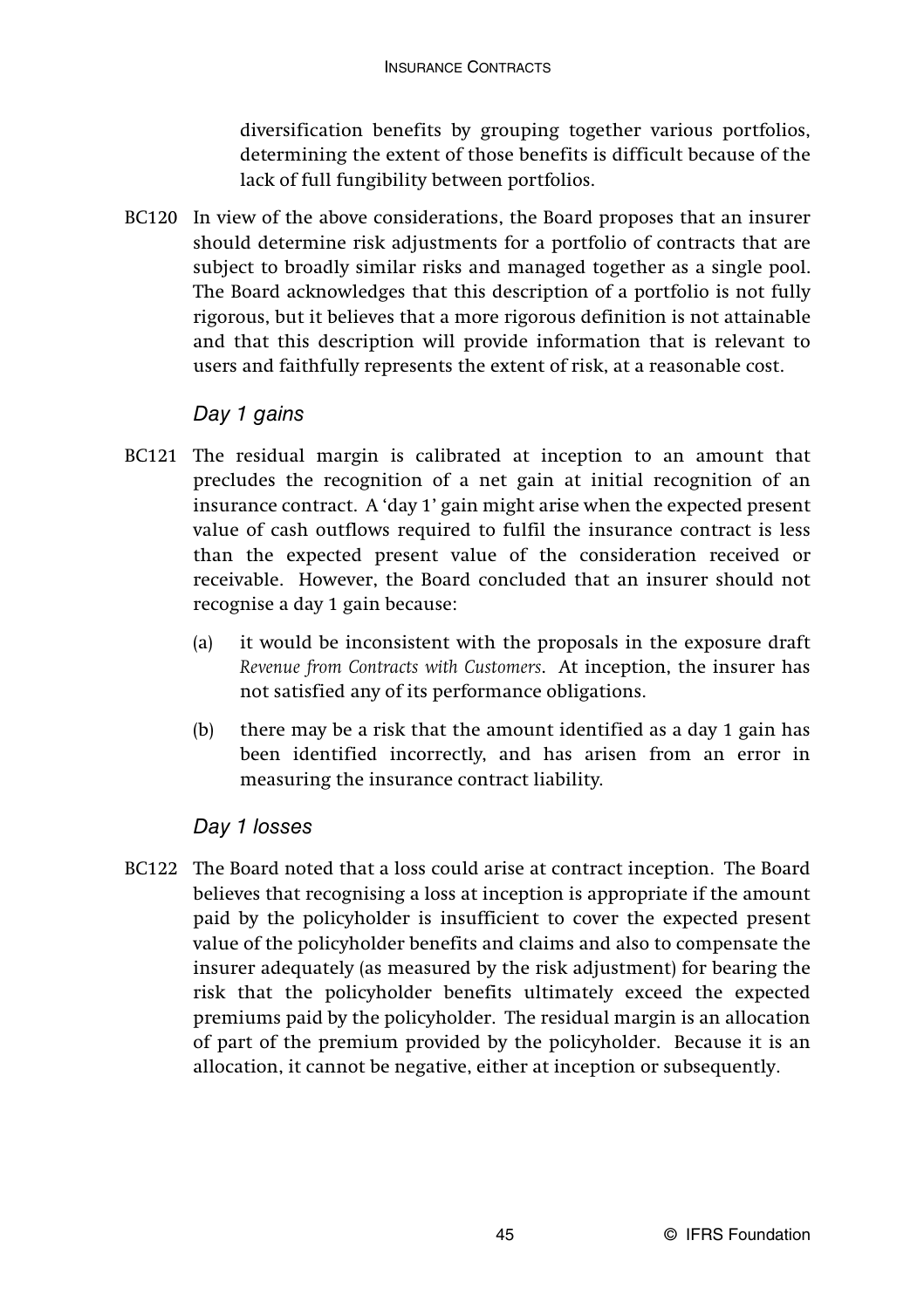diversification benefits by grouping together various portfolios, determining the extent of those benefits is difficult because of the lack of full fungibility between portfolios.

BC120 In view of the above considerations, the Board proposes that an insurer should determine risk adjustments for a portfolio of contracts that are subject to broadly similar risks and managed together as a single pool. The Board acknowledges that this description of a portfolio is not fully rigorous, but it believes that a more rigorous definition is not attainable and that this description will provide information that is relevant to users and faithfully represents the extent of risk, at a reasonable cost.

### Day 1 gains

- BC121 The residual margin is calibrated at inception to an amount that precludes the recognition of a net gain at initial recognition of an insurance contract. A 'day 1' gain might arise when the expected present value of cash outflows required to fulfil the insurance contract is less than the expected present value of the consideration received or receivable. However, the Board concluded that an insurer should not recognise a day 1 gain because:
	- (a) it would be inconsistent with the proposals in the exposure draft *Revenue from Contracts with Customers*. At inception, the insurer has not satisfied any of its performance obligations.
	- (b) there may be a risk that the amount identified as a day 1 gain has been identified incorrectly, and has arisen from an error in measuring the insurance contract liability.

### Day 1 losses

BC122 The Board noted that a loss could arise at contract inception. The Board believes that recognising a loss at inception is appropriate if the amount paid by the policyholder is insufficient to cover the expected present value of the policyholder benefits and claims and also to compensate the insurer adequately (as measured by the risk adjustment) for bearing the risk that the policyholder benefits ultimately exceed the expected premiums paid by the policyholder. The residual margin is an allocation of part of the premium provided by the policyholder. Because it is an allocation, it cannot be negative, either at inception or subsequently.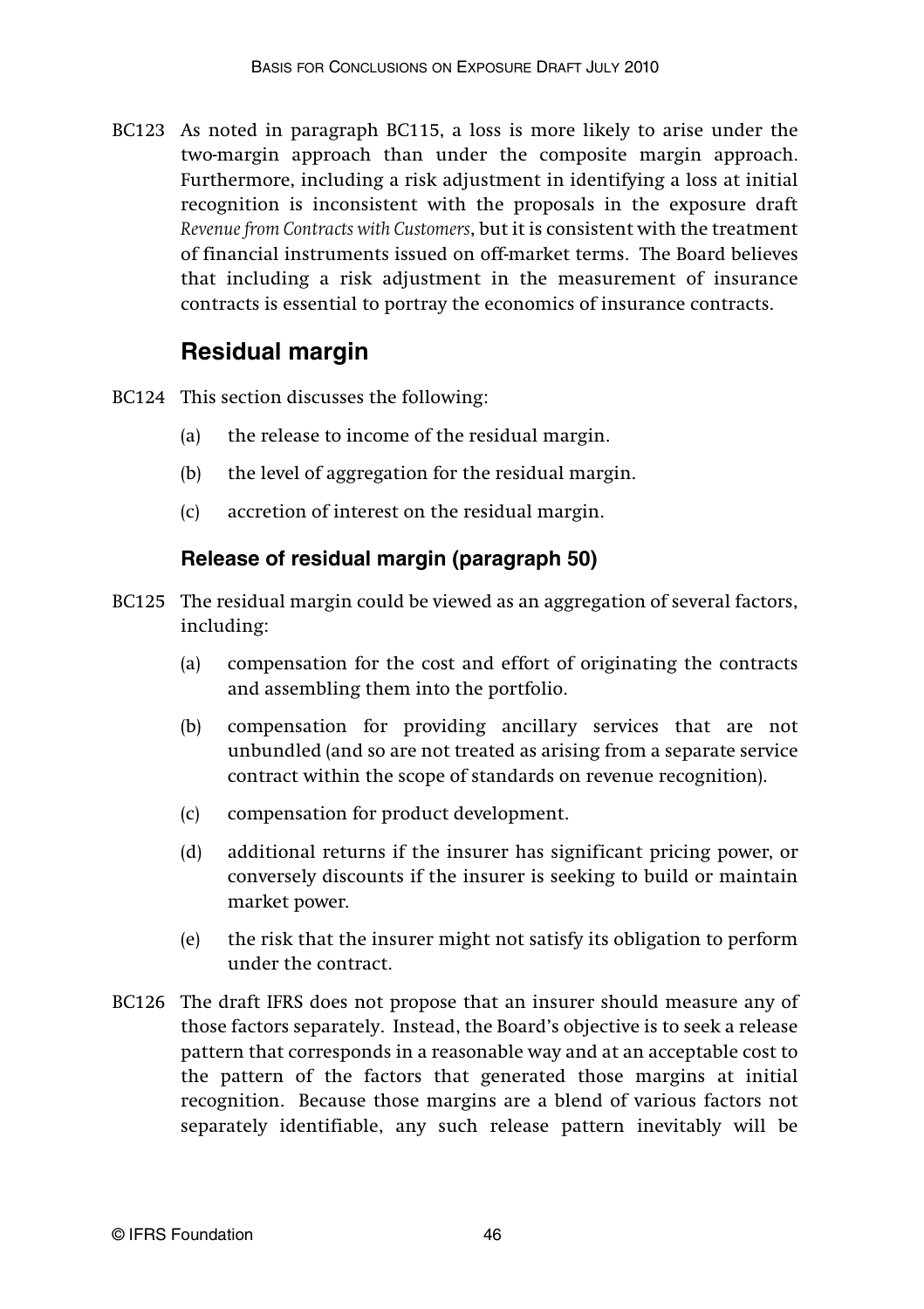BC123 As noted in paragraph BC115, a loss is more likely to arise under the two-margin approach than under the composite margin approach. Furthermore, including a risk adjustment in identifying a loss at initial recognition is inconsistent with the proposals in the exposure draft *Revenue from Contracts with Customers*, but it is consistent with the treatment of financial instruments issued on off-market terms. The Board believes that including a risk adjustment in the measurement of insurance contracts is essential to portray the economics of insurance contracts.

## **Residual margin**

- BC124 This section discusses the following:
	- (a) the release to income of the residual margin.
	- (b) the level of aggregation for the residual margin.
	- (c) accretion of interest on the residual margin.

### **Release of residual margin (paragraph 50)**

- BC125 The residual margin could be viewed as an aggregation of several factors, including:
	- (a) compensation for the cost and effort of originating the contracts and assembling them into the portfolio.
	- (b) compensation for providing ancillary services that are not unbundled (and so are not treated as arising from a separate service contract within the scope of standards on revenue recognition).
	- (c) compensation for product development.
	- (d) additional returns if the insurer has significant pricing power, or conversely discounts if the insurer is seeking to build or maintain market power.
	- (e) the risk that the insurer might not satisfy its obligation to perform under the contract.
- BC126 The draft IFRS does not propose that an insurer should measure any of those factors separately. Instead, the Board's objective is to seek a release pattern that corresponds in a reasonable way and at an acceptable cost to the pattern of the factors that generated those margins at initial recognition. Because those margins are a blend of various factors not separately identifiable, any such release pattern inevitably will be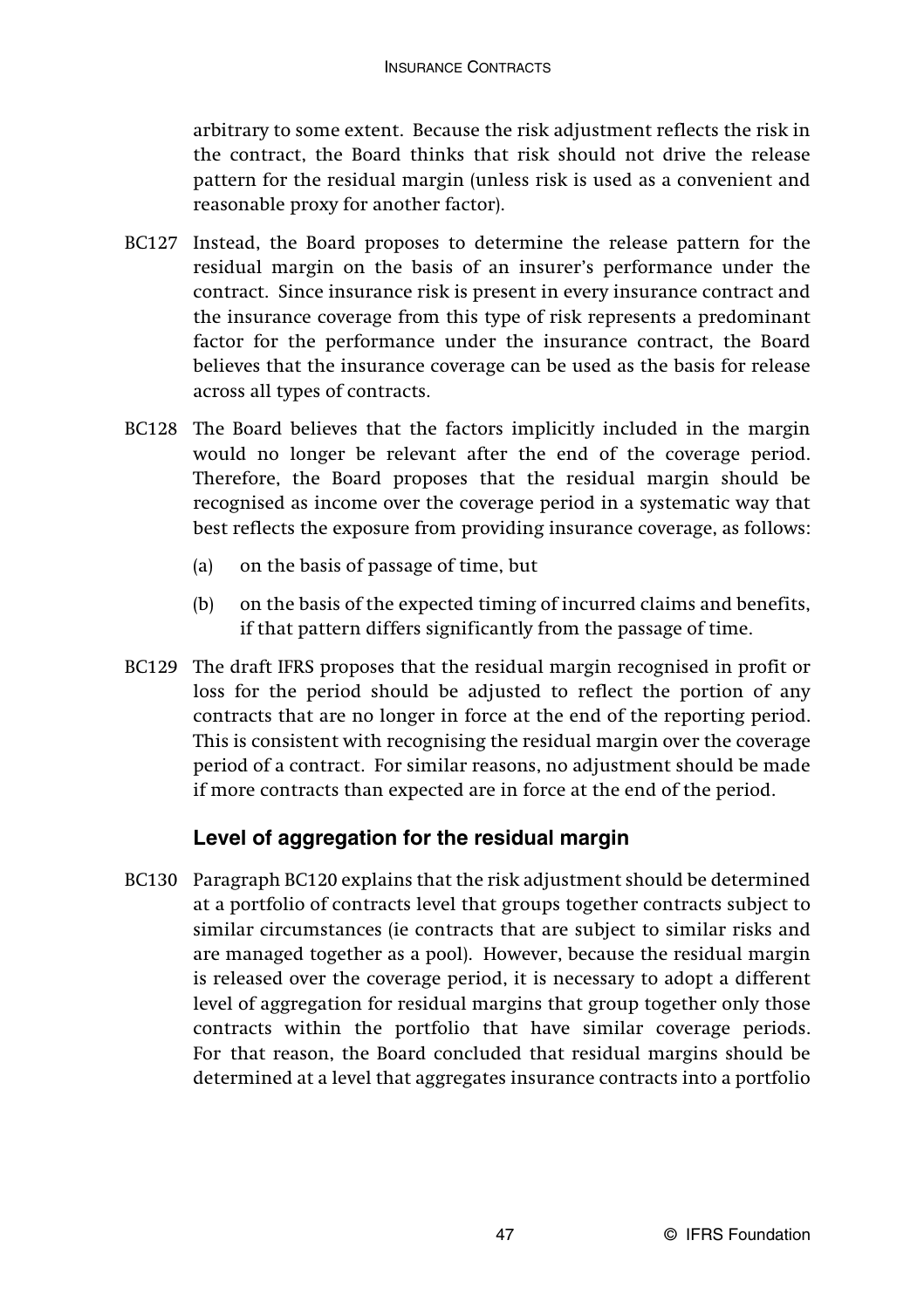arbitrary to some extent. Because the risk adjustment reflects the risk in the contract, the Board thinks that risk should not drive the release pattern for the residual margin (unless risk is used as a convenient and reasonable proxy for another factor).

- BC127 Instead, the Board proposes to determine the release pattern for the residual margin on the basis of an insurer's performance under the contract. Since insurance risk is present in every insurance contract and the insurance coverage from this type of risk represents a predominant factor for the performance under the insurance contract, the Board believes that the insurance coverage can be used as the basis for release across all types of contracts.
- BC128 The Board believes that the factors implicitly included in the margin would no longer be relevant after the end of the coverage period. Therefore, the Board proposes that the residual margin should be recognised as income over the coverage period in a systematic way that best reflects the exposure from providing insurance coverage, as follows:
	- (a) on the basis of passage of time, but
	- (b) on the basis of the expected timing of incurred claims and benefits, if that pattern differs significantly from the passage of time.
- BC129 The draft IFRS proposes that the residual margin recognised in profit or loss for the period should be adjusted to reflect the portion of any contracts that are no longer in force at the end of the reporting period. This is consistent with recognising the residual margin over the coverage period of a contract. For similar reasons, no adjustment should be made if more contracts than expected are in force at the end of the period.

## **Level of aggregation for the residual margin**

BC130 Paragraph BC120 explains that the risk adjustment should be determined at a portfolio of contracts level that groups together contracts subject to similar circumstances (ie contracts that are subject to similar risks and are managed together as a pool). However, because the residual margin is released over the coverage period, it is necessary to adopt a different level of aggregation for residual margins that group together only those contracts within the portfolio that have similar coverage periods. For that reason, the Board concluded that residual margins should be determined at a level that aggregates insurance contracts into a portfolio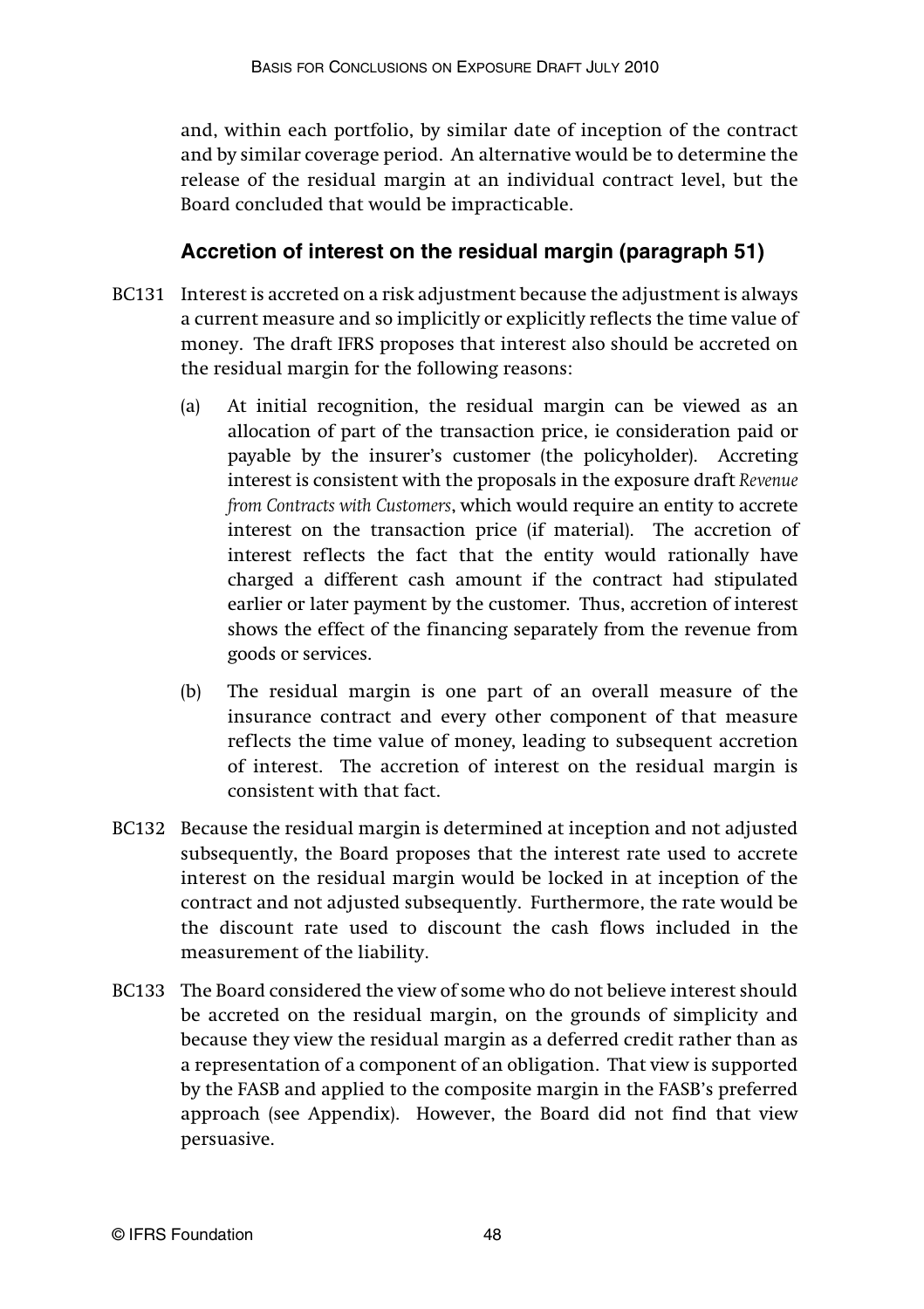and, within each portfolio, by similar date of inception of the contract and by similar coverage period. An alternative would be to determine the release of the residual margin at an individual contract level, but the Board concluded that would be impracticable.

### **Accretion of interest on the residual margin (paragraph 51)**

- BC131 Interest is accreted on a risk adjustment because the adjustment is always a current measure and so implicitly or explicitly reflects the time value of money. The draft IFRS proposes that interest also should be accreted on the residual margin for the following reasons:
	- (a) At initial recognition, the residual margin can be viewed as an allocation of part of the transaction price, ie consideration paid or payable by the insurer's customer (the policyholder). Accreting interest is consistent with the proposals in the exposure draft *Revenue from Contracts with Customers*, which would require an entity to accrete interest on the transaction price (if material). The accretion of interest reflects the fact that the entity would rationally have charged a different cash amount if the contract had stipulated earlier or later payment by the customer. Thus, accretion of interest shows the effect of the financing separately from the revenue from goods or services.
	- (b) The residual margin is one part of an overall measure of the insurance contract and every other component of that measure reflects the time value of money, leading to subsequent accretion of interest. The accretion of interest on the residual margin is consistent with that fact.
- BC132 Because the residual margin is determined at inception and not adjusted subsequently, the Board proposes that the interest rate used to accrete interest on the residual margin would be locked in at inception of the contract and not adjusted subsequently. Furthermore, the rate would be the discount rate used to discount the cash flows included in the measurement of the liability.
- BC133 The Board considered the view of some who do not believe interest should be accreted on the residual margin, on the grounds of simplicity and because they view the residual margin as a deferred credit rather than as a representation of a component of an obligation. That view is supported by the FASB and applied to the composite margin in the FASB's preferred approach (see Appendix). However, the Board did not find that view persuasive.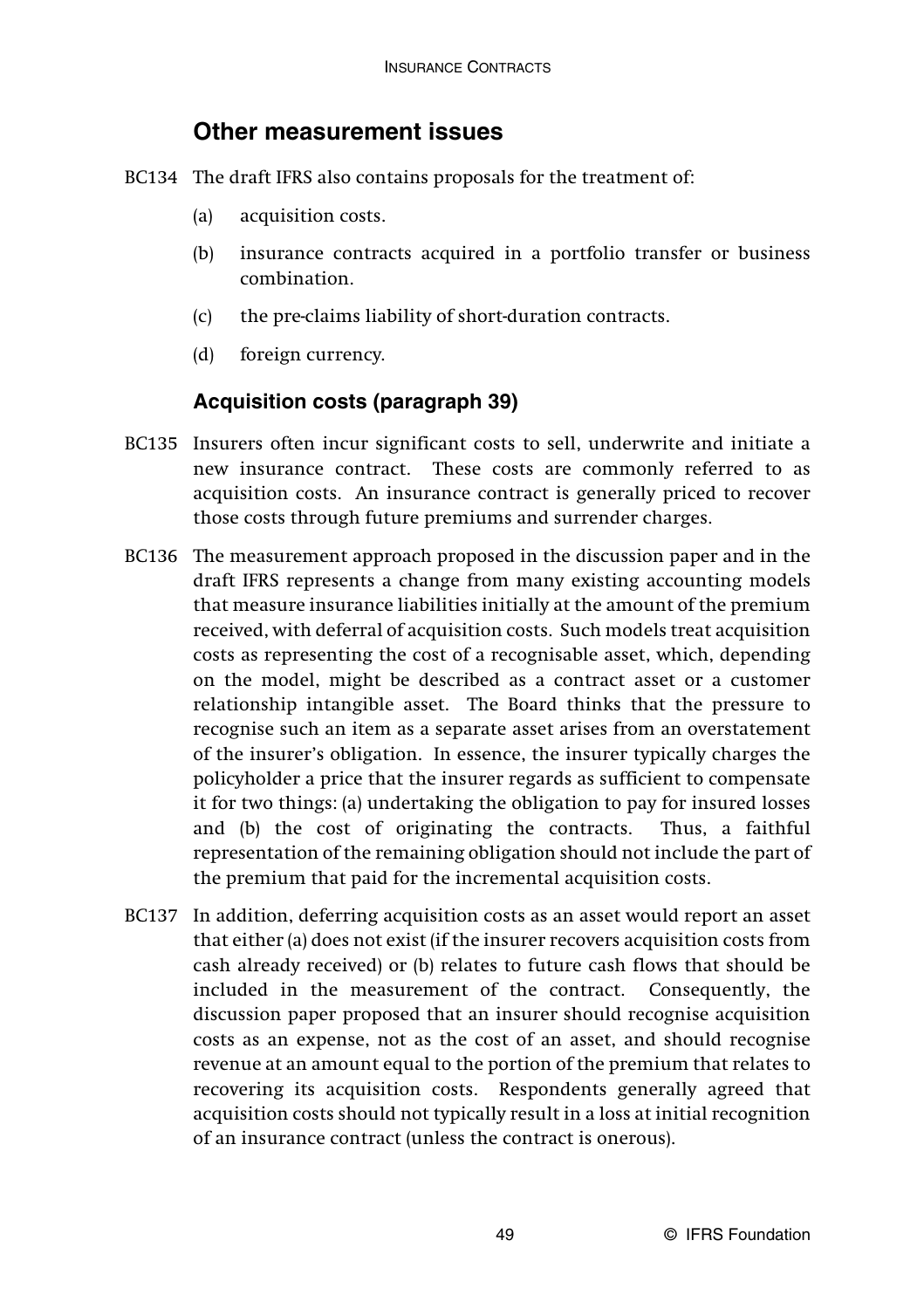## **Other measurement issues**

- BC134 The draft IFRS also contains proposals for the treatment of:
	- (a) acquisition costs.
	- (b) insurance contracts acquired in a portfolio transfer or business combination.
	- (c) the pre-claims liability of short-duration contracts.
	- (d) foreign currency.

### **Acquisition costs (paragraph 39)**

- BC135 Insurers often incur significant costs to sell, underwrite and initiate a new insurance contract. These costs are commonly referred to as acquisition costs. An insurance contract is generally priced to recover those costs through future premiums and surrender charges.
- BC136 The measurement approach proposed in the discussion paper and in the draft IFRS represents a change from many existing accounting models that measure insurance liabilities initially at the amount of the premium received, with deferral of acquisition costs. Such models treat acquisition costs as representing the cost of a recognisable asset, which, depending on the model, might be described as a contract asset or a customer relationship intangible asset. The Board thinks that the pressure to recognise such an item as a separate asset arises from an overstatement of the insurer's obligation. In essence, the insurer typically charges the policyholder a price that the insurer regards as sufficient to compensate it for two things: (a) undertaking the obligation to pay for insured losses and (b) the cost of originating the contracts. Thus, a faithful representation of the remaining obligation should not include the part of the premium that paid for the incremental acquisition costs.
- BC137 In addition, deferring acquisition costs as an asset would report an asset that either (a) does not exist (if the insurer recovers acquisition costs from cash already received) or (b) relates to future cash flows that should be included in the measurement of the contract. Consequently, the discussion paper proposed that an insurer should recognise acquisition costs as an expense, not as the cost of an asset, and should recognise revenue at an amount equal to the portion of the premium that relates to recovering its acquisition costs. Respondents generally agreed that acquisition costs should not typically result in a loss at initial recognition of an insurance contract (unless the contract is onerous).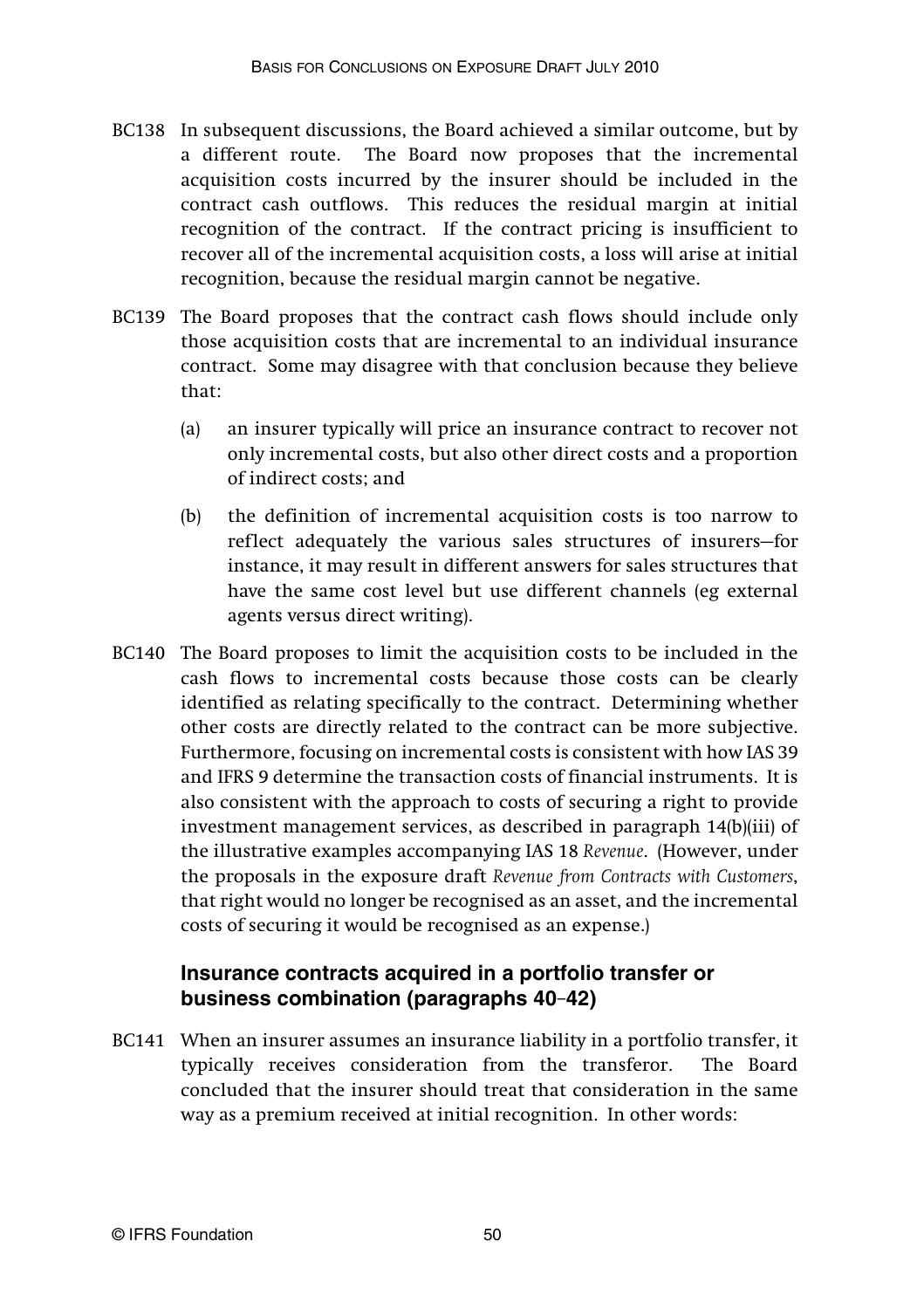- BC138 In subsequent discussions, the Board achieved a similar outcome, but by a different route. The Board now proposes that the incremental acquisition costs incurred by the insurer should be included in the contract cash outflows. This reduces the residual margin at initial recognition of the contract. If the contract pricing is insufficient to recover all of the incremental acquisition costs, a loss will arise at initial recognition, because the residual margin cannot be negative.
- BC139 The Board proposes that the contract cash flows should include only those acquisition costs that are incremental to an individual insurance contract. Some may disagree with that conclusion because they believe that:
	- (a) an insurer typically will price an insurance contract to recover not only incremental costs, but also other direct costs and a proportion of indirect costs; and
	- (b) the definition of incremental acquisition costs is too narrow to reflect adequately the various sales structures of insurers—for instance, it may result in different answers for sales structures that have the same cost level but use different channels (eg external agents versus direct writing).
- BC140 The Board proposes to limit the acquisition costs to be included in the cash flows to incremental costs because those costs can be clearly identified as relating specifically to the contract. Determining whether other costs are directly related to the contract can be more subjective. Furthermore, focusing on incremental costs is consistent with how IAS 39 and IFRS 9 determine the transaction costs of financial instruments. It is also consistent with the approach to costs of securing a right to provide investment management services, as described in paragraph 14(b)(iii) of the illustrative examples accompanying IAS 18 *Revenue*. (However, under the proposals in the exposure draft *Revenue from Contracts with Customers*, that right would no longer be recognised as an asset, and the incremental costs of securing it would be recognised as an expense.)

### **Insurance contracts acquired in a portfolio transfer or business combination (paragraphs 40**–**42)**

BC141 When an insurer assumes an insurance liability in a portfolio transfer, it typically receives consideration from the transferor. The Board concluded that the insurer should treat that consideration in the same way as a premium received at initial recognition. In other words: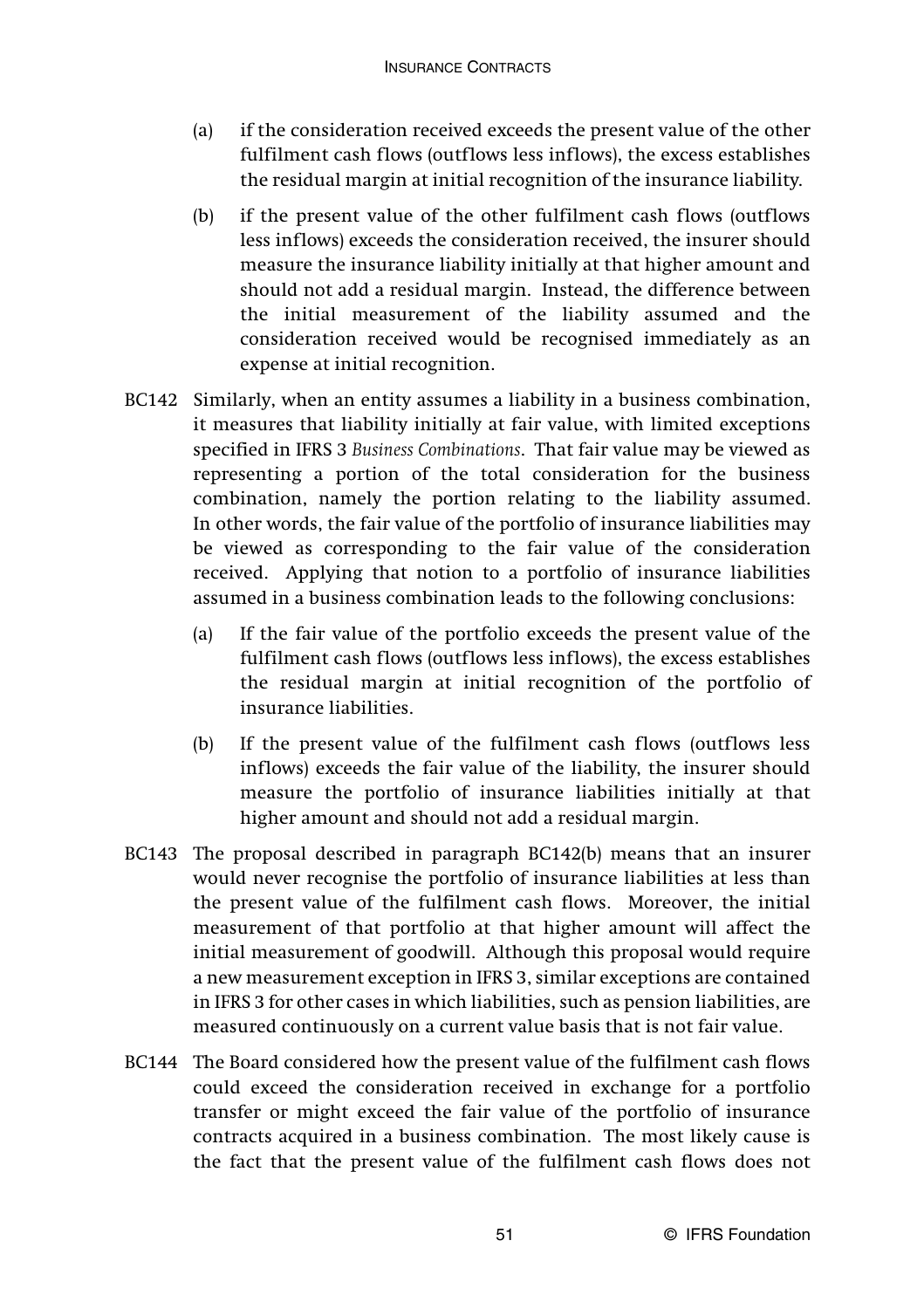- (a) if the consideration received exceeds the present value of the other fulfilment cash flows (outflows less inflows), the excess establishes the residual margin at initial recognition of the insurance liability.
- (b) if the present value of the other fulfilment cash flows (outflows less inflows) exceeds the consideration received, the insurer should measure the insurance liability initially at that higher amount and should not add a residual margin. Instead, the difference between the initial measurement of the liability assumed and the consideration received would be recognised immediately as an expense at initial recognition.
- BC142 Similarly, when an entity assumes a liability in a business combination, it measures that liability initially at fair value, with limited exceptions specified in IFRS 3 *Business Combinations*. That fair value may be viewed as representing a portion of the total consideration for the business combination, namely the portion relating to the liability assumed. In other words, the fair value of the portfolio of insurance liabilities may be viewed as corresponding to the fair value of the consideration received. Applying that notion to a portfolio of insurance liabilities assumed in a business combination leads to the following conclusions:
	- (a) If the fair value of the portfolio exceeds the present value of the fulfilment cash flows (outflows less inflows), the excess establishes the residual margin at initial recognition of the portfolio of insurance liabilities.
	- (b) If the present value of the fulfilment cash flows (outflows less inflows) exceeds the fair value of the liability, the insurer should measure the portfolio of insurance liabilities initially at that higher amount and should not add a residual margin.
- BC143 The proposal described in paragraph BC142(b) means that an insurer would never recognise the portfolio of insurance liabilities at less than the present value of the fulfilment cash flows. Moreover, the initial measurement of that portfolio at that higher amount will affect the initial measurement of goodwill. Although this proposal would require a new measurement exception in IFRS 3, similar exceptions are contained in IFRS 3 for other cases in which liabilities, such as pension liabilities, are measured continuously on a current value basis that is not fair value.
- BC144 The Board considered how the present value of the fulfilment cash flows could exceed the consideration received in exchange for a portfolio transfer or might exceed the fair value of the portfolio of insurance contracts acquired in a business combination. The most likely cause is the fact that the present value of the fulfilment cash flows does not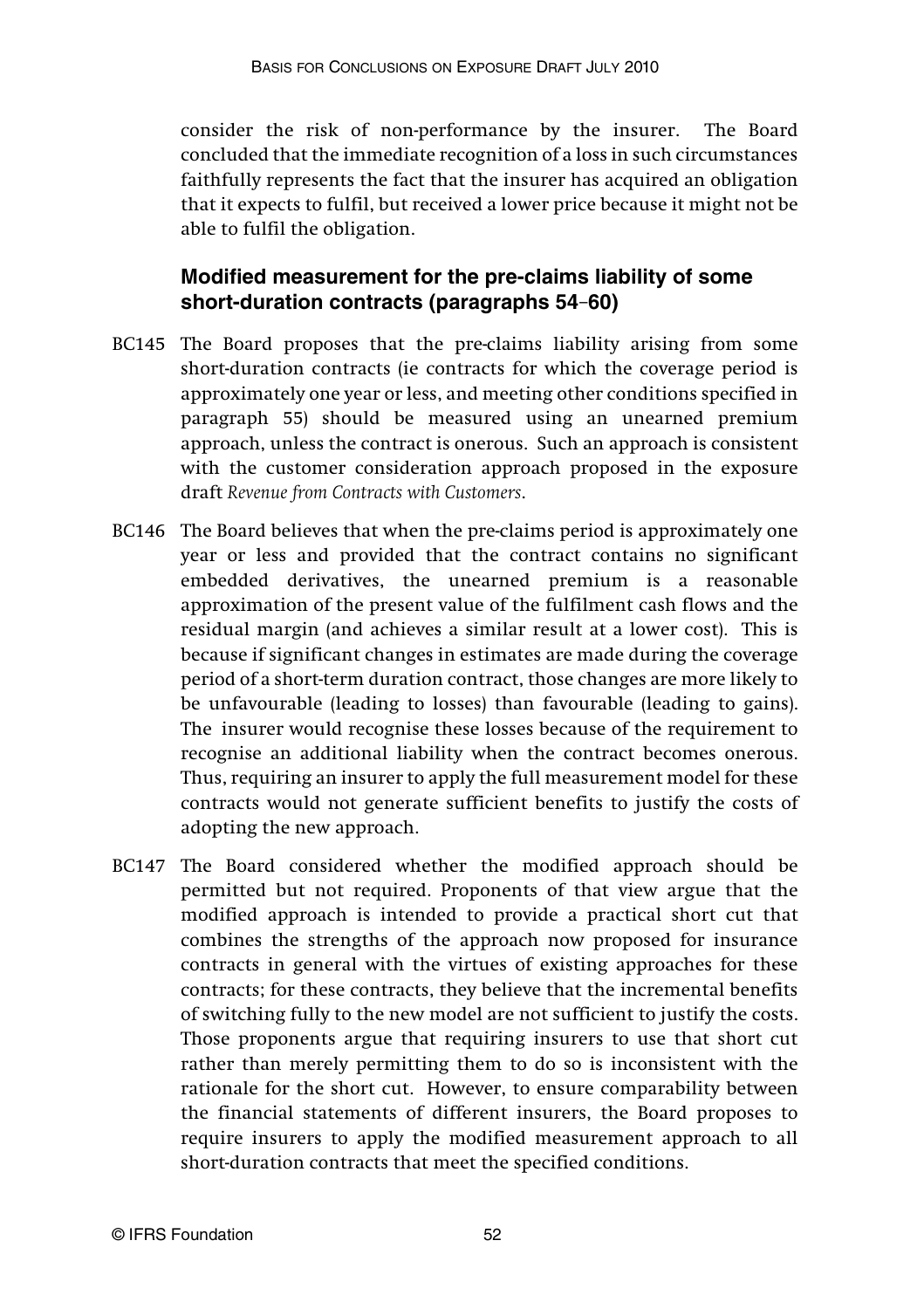consider the risk of non-performance by the insurer. The Board concluded that the immediate recognition of a loss in such circumstances faithfully represents the fact that the insurer has acquired an obligation that it expects to fulfil, but received a lower price because it might not be able to fulfil the obligation.

### **Modified measurement for the pre-claims liability of some short-duration contracts (paragraphs 54**–**60)**

- BC145 The Board proposes that the pre-claims liability arising from some short-duration contracts (ie contracts for which the coverage period is approximately one year or less, and meeting other conditions specified in paragraph 55) should be measured using an unearned premium approach, unless the contract is onerous. Such an approach is consistent with the customer consideration approach proposed in the exposure draft *Revenue from Contracts with Customers*.
- BC146 The Board believes that when the pre-claims period is approximately one year or less and provided that the contract contains no significant embedded derivatives, the unearned premium is a reasonable approximation of the present value of the fulfilment cash flows and the residual margin (and achieves a similar result at a lower cost). This is because if significant changes in estimates are made during the coverage period of a short-term duration contract, those changes are more likely to be unfavourable (leading to losses) than favourable (leading to gains). The insurer would recognise these losses because of the requirement to recognise an additional liability when the contract becomes onerous. Thus, requiring an insurer to apply the full measurement model for these contracts would not generate sufficient benefits to justify the costs of adopting the new approach.
- BC147 The Board considered whether the modified approach should be permitted but not required. Proponents of that view argue that the modified approach is intended to provide a practical short cut that combines the strengths of the approach now proposed for insurance contracts in general with the virtues of existing approaches for these contracts; for these contracts, they believe that the incremental benefits of switching fully to the new model are not sufficient to justify the costs. Those proponents argue that requiring insurers to use that short cut rather than merely permitting them to do so is inconsistent with the rationale for the short cut. However, to ensure comparability between the financial statements of different insurers, the Board proposes to require insurers to apply the modified measurement approach to all short-duration contracts that meet the specified conditions.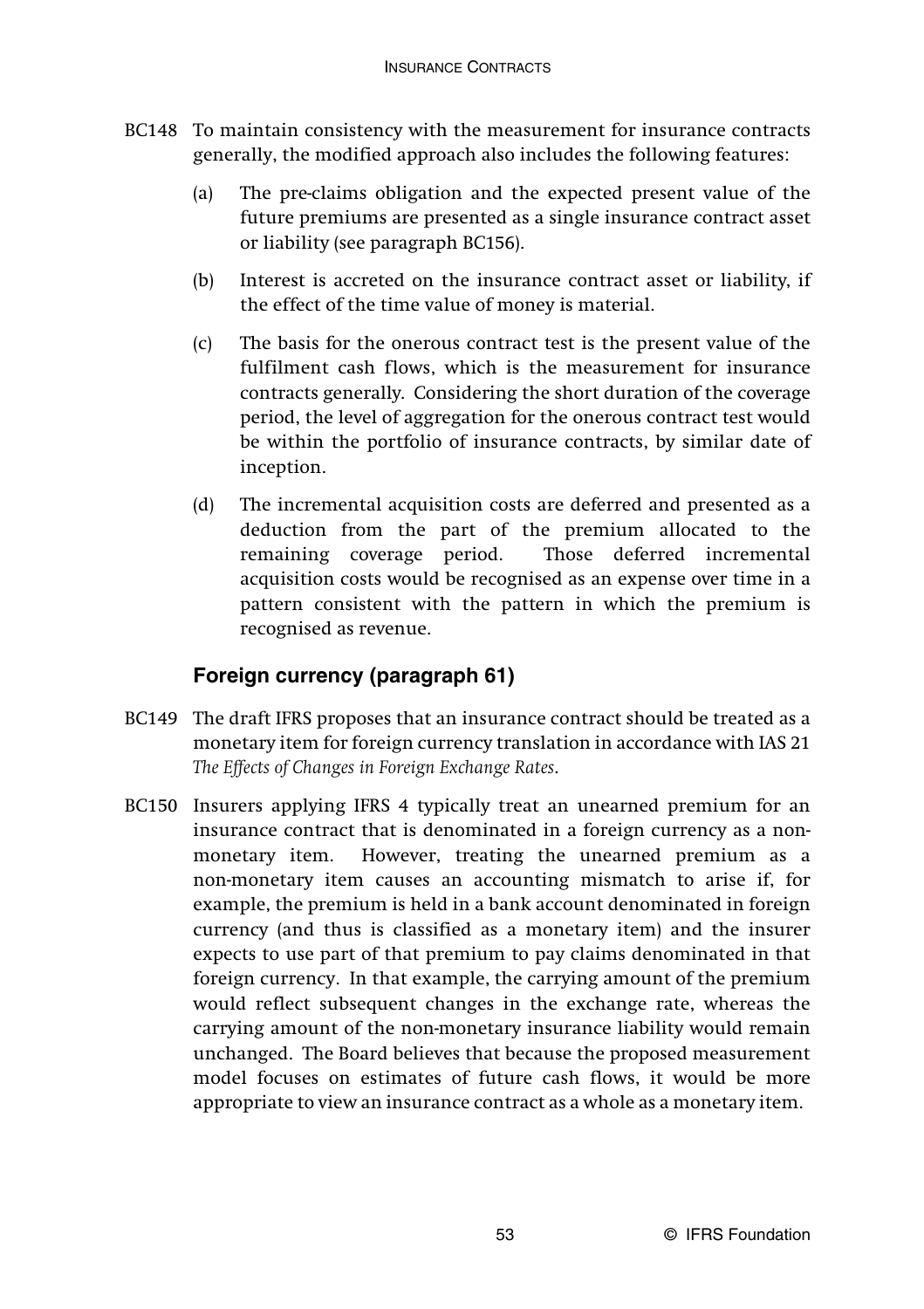- BC148 To maintain consistency with the measurement for insurance contracts generally, the modified approach also includes the following features:
	- (a) The pre-claims obligation and the expected present value of the future premiums are presented as a single insurance contract asset or liability (see paragraph BC156).
	- (b) Interest is accreted on the insurance contract asset or liability, if the effect of the time value of money is material.
	- (c) The basis for the onerous contract test is the present value of the fulfilment cash flows, which is the measurement for insurance contracts generally. Considering the short duration of the coverage period, the level of aggregation for the onerous contract test would be within the portfolio of insurance contracts, by similar date of inception.
	- (d) The incremental acquisition costs are deferred and presented as a deduction from the part of the premium allocated to the remaining coverage period. Those deferred incremental acquisition costs would be recognised as an expense over time in a pattern consistent with the pattern in which the premium is recognised as revenue.

## **Foreign currency (paragraph 61)**

- BC149 The draft IFRS proposes that an insurance contract should be treated as a monetary item for foreign currency translation in accordance with IAS 21 *The Effects of Changes in Foreign Exchange Rates*.
- BC150 Insurers applying IFRS 4 typically treat an unearned premium for an insurance contract that is denominated in a foreign currency as a nonmonetary item. However, treating the unearned premium as a non-monetary item causes an accounting mismatch to arise if, for example, the premium is held in a bank account denominated in foreign currency (and thus is classified as a monetary item) and the insurer expects to use part of that premium to pay claims denominated in that foreign currency. In that example, the carrying amount of the premium would reflect subsequent changes in the exchange rate, whereas the carrying amount of the non-monetary insurance liability would remain unchanged. The Board believes that because the proposed measurement model focuses on estimates of future cash flows, it would be more appropriate to view an insurance contract as a whole as a monetary item.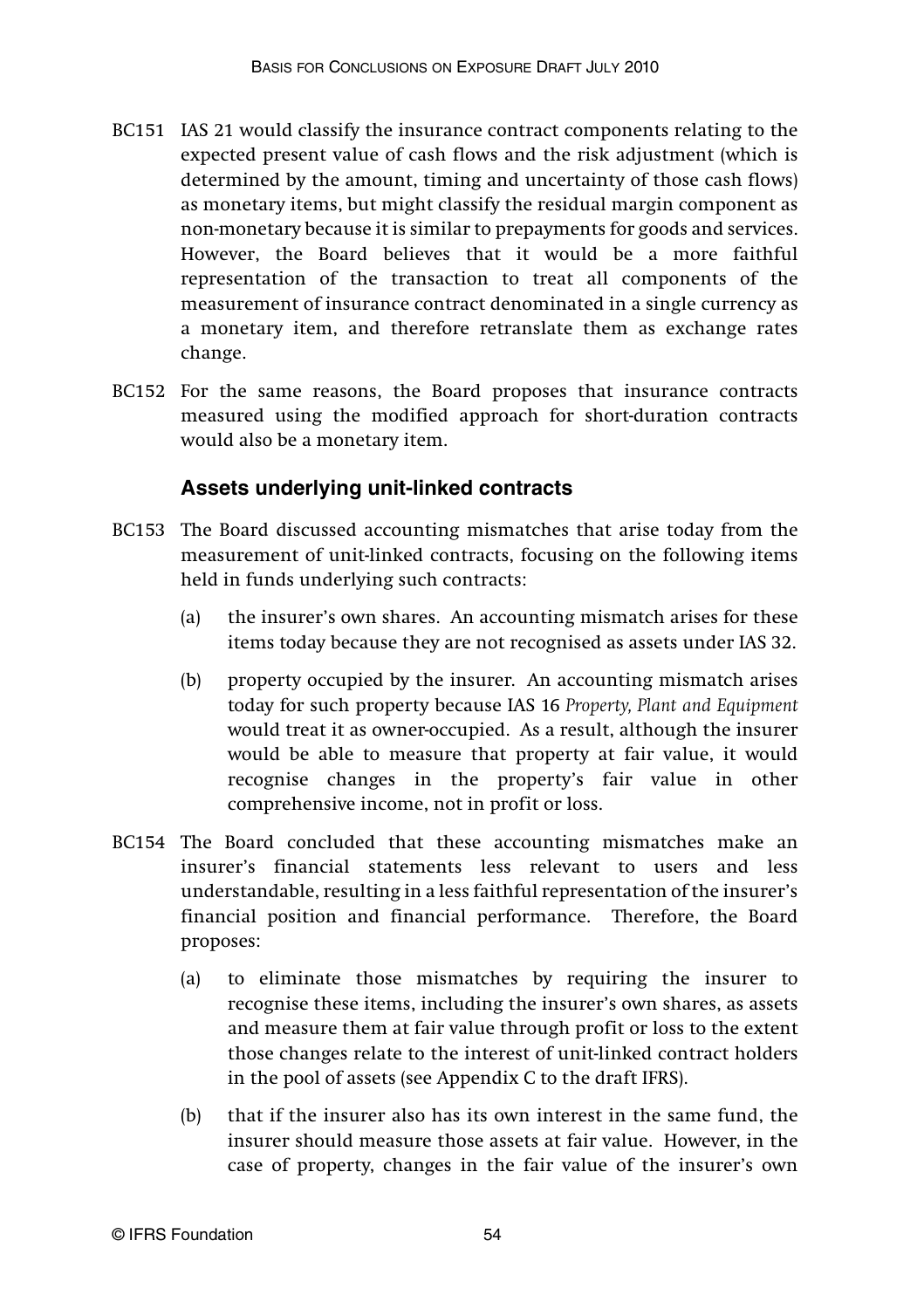- BC151 IAS 21 would classify the insurance contract components relating to the expected present value of cash flows and the risk adjustment (which is determined by the amount, timing and uncertainty of those cash flows) as monetary items, but might classify the residual margin component as non-monetary because it is similar to prepayments for goods and services. However, the Board believes that it would be a more faithful representation of the transaction to treat all components of the measurement of insurance contract denominated in a single currency as a monetary item, and therefore retranslate them as exchange rates change.
- BC152 For the same reasons, the Board proposes that insurance contracts measured using the modified approach for short-duration contracts would also be a monetary item.

### **Assets underlying unit-linked contracts**

- BC153 The Board discussed accounting mismatches that arise today from the measurement of unit-linked contracts, focusing on the following items held in funds underlying such contracts:
	- (a) the insurer's own shares. An accounting mismatch arises for these items today because they are not recognised as assets under IAS 32.
	- (b) property occupied by the insurer. An accounting mismatch arises today for such property because IAS 16 *Property, Plant and Equipment* would treat it as owner-occupied. As a result, although the insurer would be able to measure that property at fair value, it would recognise changes in the property's fair value in other comprehensive income, not in profit or loss.
- BC154 The Board concluded that these accounting mismatches make an insurer's financial statements less relevant to users and less understandable, resulting in a less faithful representation of the insurer's financial position and financial performance. Therefore, the Board proposes:
	- (a) to eliminate those mismatches by requiring the insurer to recognise these items, including the insurer's own shares, as assets and measure them at fair value through profit or loss to the extent those changes relate to the interest of unit-linked contract holders in the pool of assets (see Appendix C to the draft IFRS).
	- (b) that if the insurer also has its own interest in the same fund, the insurer should measure those assets at fair value. However, in the case of property, changes in the fair value of the insurer's own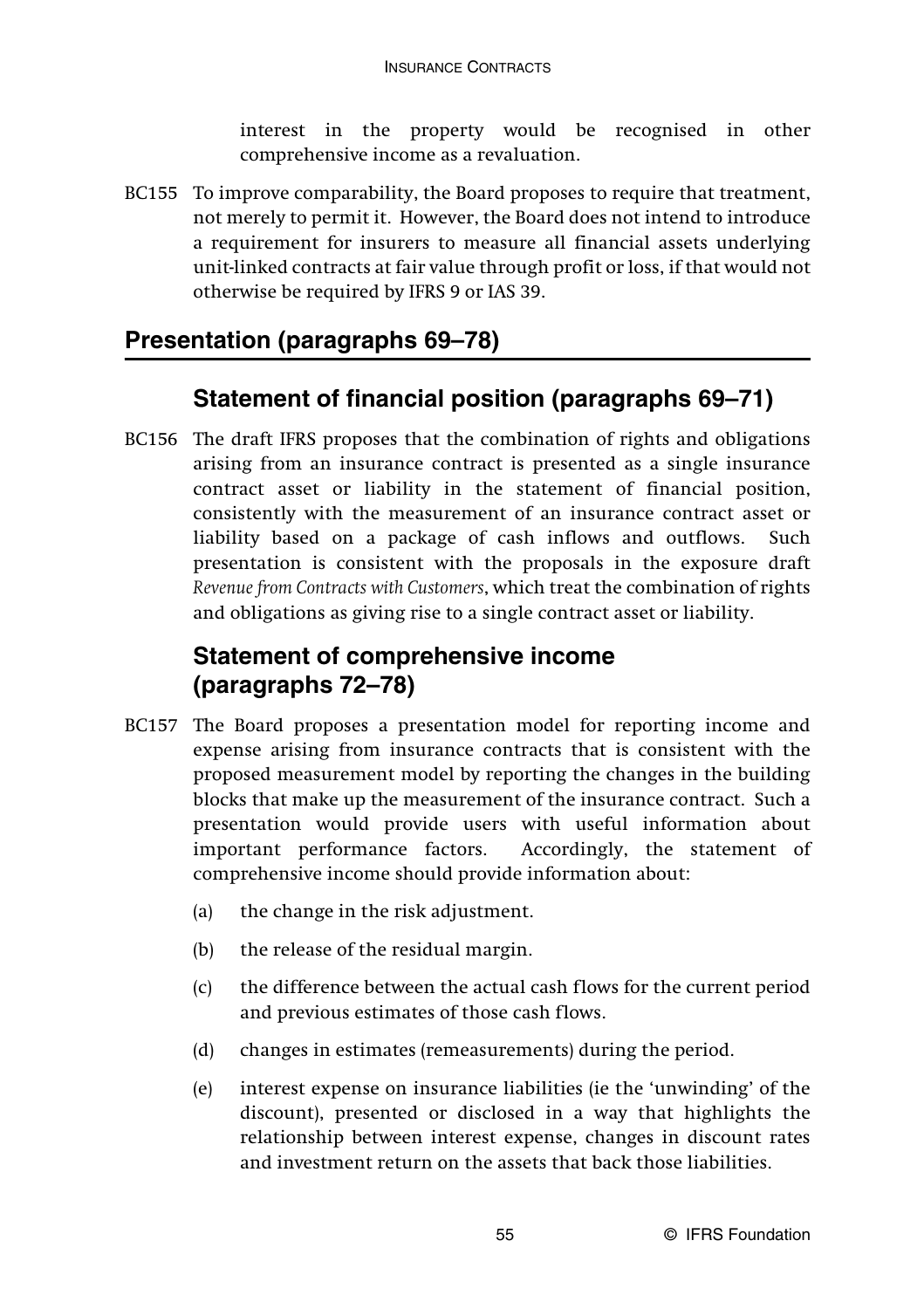interest in the property would be recognised in other comprehensive income as a revaluation.

BC155 To improve comparability, the Board proposes to require that treatment, not merely to permit it. However, the Board does not intend to introduce a requirement for insurers to measure all financial assets underlying unit-linked contracts at fair value through profit or loss, if that would not otherwise be required by IFRS 9 or IAS 39.

# **Presentation (paragraphs 69–78)**

# **Statement of financial position (paragraphs 69–71)**

BC156 The draft IFRS proposes that the combination of rights and obligations arising from an insurance contract is presented as a single insurance contract asset or liability in the statement of financial position, consistently with the measurement of an insurance contract asset or liability based on a package of cash inflows and outflows. Such presentation is consistent with the proposals in the exposure draft *Revenue from Contracts with Customers*, which treat the combination of rights and obligations as giving rise to a single contract asset or liability.

# **Statement of comprehensive income (paragraphs 72–78)**

- BC157 The Board proposes a presentation model for reporting income and expense arising from insurance contracts that is consistent with the proposed measurement model by reporting the changes in the building blocks that make up the measurement of the insurance contract. Such a presentation would provide users with useful information about important performance factors. Accordingly, the statement of comprehensive income should provide information about:
	- (a) the change in the risk adjustment.
	- (b) the release of the residual margin.
	- (c) the difference between the actual cash flows for the current period and previous estimates of those cash flows.
	- (d) changes in estimates (remeasurements) during the period.
	- (e) interest expense on insurance liabilities (ie the 'unwinding' of the discount), presented or disclosed in a way that highlights the relationship between interest expense, changes in discount rates and investment return on the assets that back those liabilities.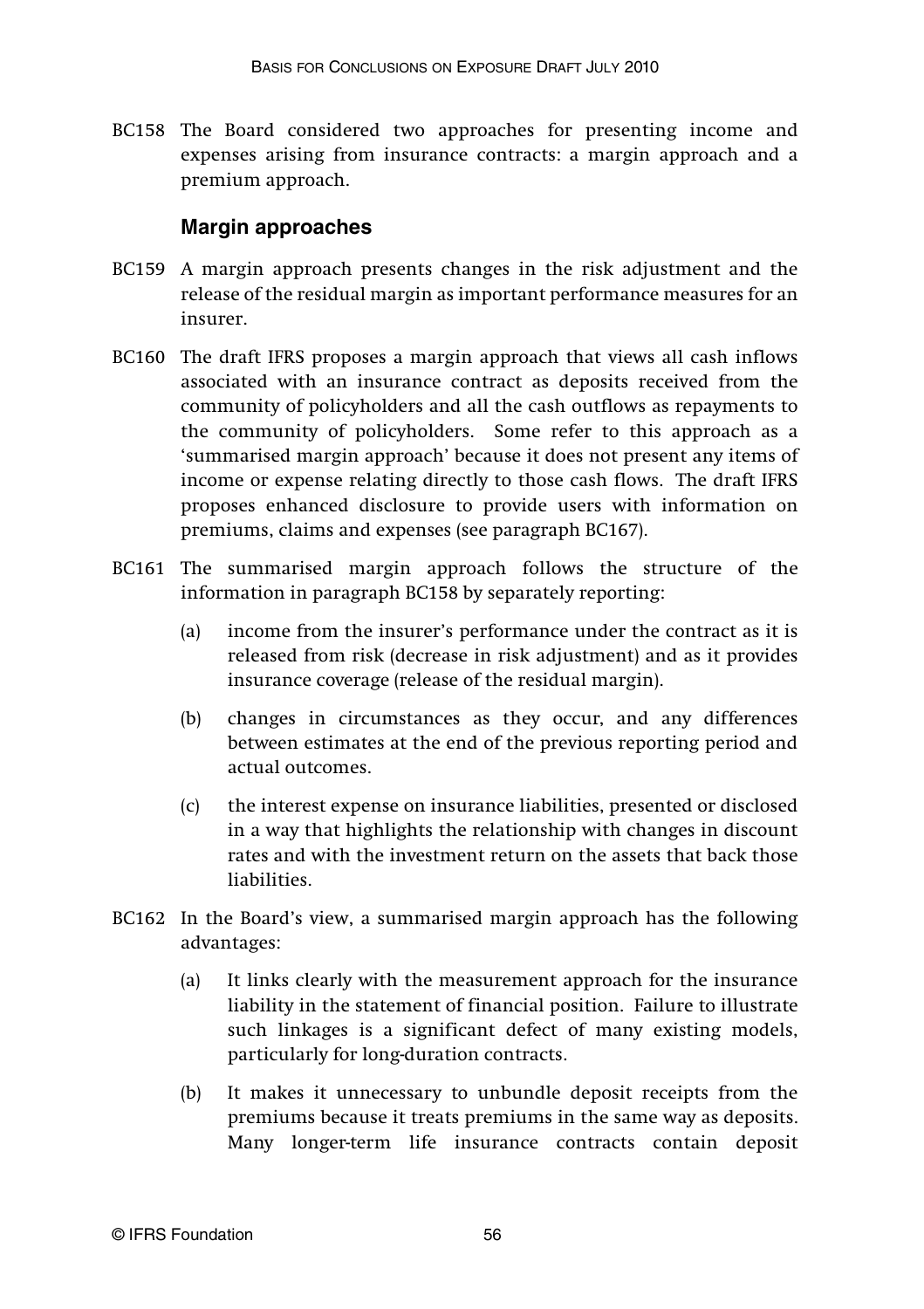BC158 The Board considered two approaches for presenting income and expenses arising from insurance contracts: a margin approach and a premium approach.

#### **Margin approaches**

- BC159 A margin approach presents changes in the risk adjustment and the release of the residual margin as important performance measures for an insurer.
- BC160 The draft IFRS proposes a margin approach that views all cash inflows associated with an insurance contract as deposits received from the community of policyholders and all the cash outflows as repayments to the community of policyholders. Some refer to this approach as a 'summarised margin approach' because it does not present any items of income or expense relating directly to those cash flows. The draft IFRS proposes enhanced disclosure to provide users with information on premiums, claims and expenses (see paragraph BC167).
- BC161 The summarised margin approach follows the structure of the information in paragraph BC158 by separately reporting:
	- (a) income from the insurer's performance under the contract as it is released from risk (decrease in risk adjustment) and as it provides insurance coverage (release of the residual margin).
	- (b) changes in circumstances as they occur, and any differences between estimates at the end of the previous reporting period and actual outcomes.
	- (c) the interest expense on insurance liabilities, presented or disclosed in a way that highlights the relationship with changes in discount rates and with the investment return on the assets that back those liabilities.
- BC162 In the Board's view, a summarised margin approach has the following advantages:
	- (a) It links clearly with the measurement approach for the insurance liability in the statement of financial position. Failure to illustrate such linkages is a significant defect of many existing models, particularly for long-duration contracts.
	- (b) It makes it unnecessary to unbundle deposit receipts from the premiums because it treats premiums in the same way as deposits. Many longer-term life insurance contracts contain deposit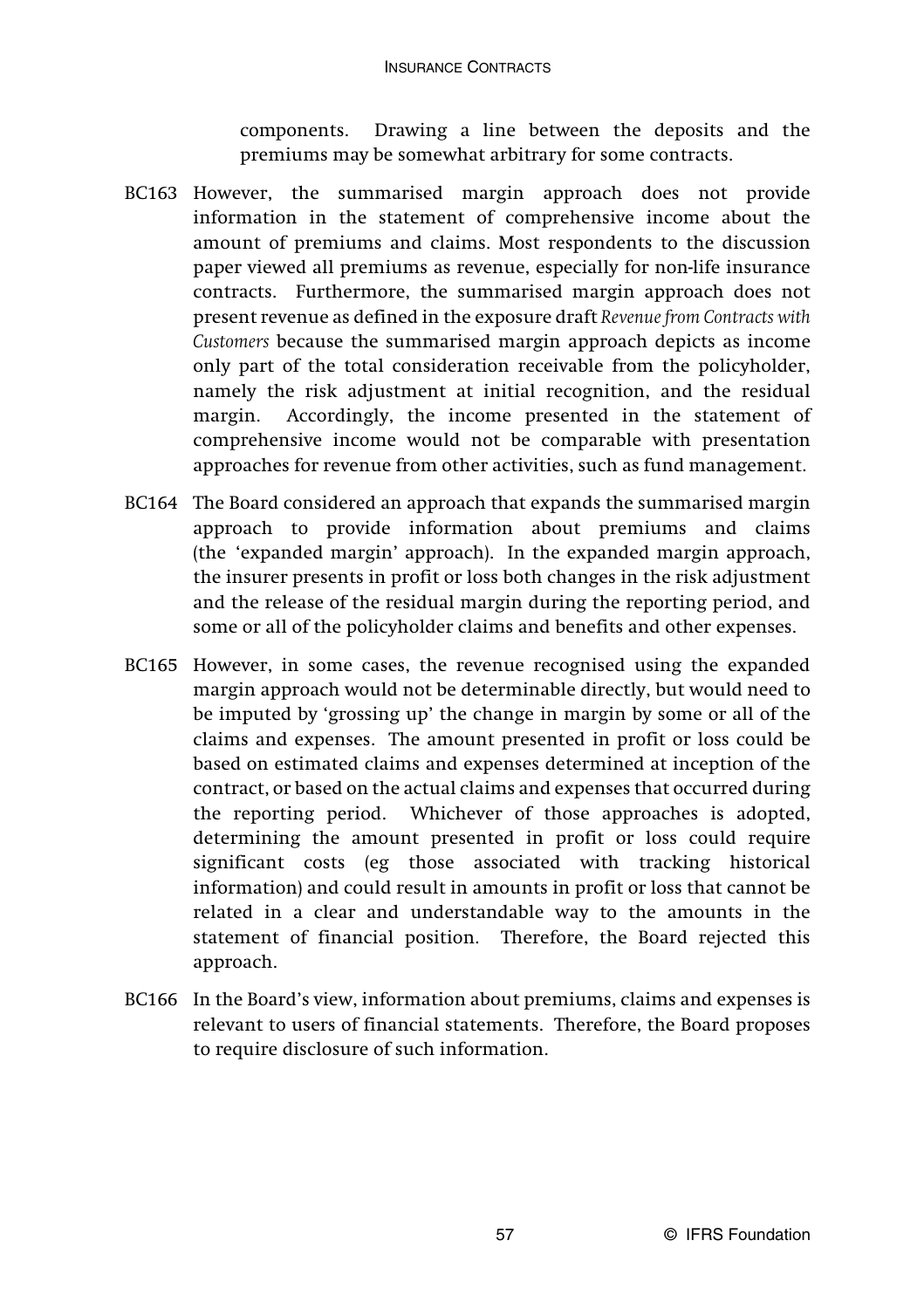components. Drawing a line between the deposits and the premiums may be somewhat arbitrary for some contracts.

- BC163 However, the summarised margin approach does not provide information in the statement of comprehensive income about the amount of premiums and claims. Most respondents to the discussion paper viewed all premiums as revenue, especially for non-life insurance contracts. Furthermore, the summarised margin approach does not present revenue as defined in the exposure draft *Revenue from Contracts with Customers* because the summarised margin approach depicts as income only part of the total consideration receivable from the policyholder, namely the risk adjustment at initial recognition, and the residual margin. Accordingly, the income presented in the statement of comprehensive income would not be comparable with presentation approaches for revenue from other activities, such as fund management.
- BC164 The Board considered an approach that expands the summarised margin approach to provide information about premiums and claims (the 'expanded margin' approach). In the expanded margin approach, the insurer presents in profit or loss both changes in the risk adjustment and the release of the residual margin during the reporting period, and some or all of the policyholder claims and benefits and other expenses.
- BC165 However, in some cases, the revenue recognised using the expanded margin approach would not be determinable directly, but would need to be imputed by 'grossing up' the change in margin by some or all of the claims and expenses. The amount presented in profit or loss could be based on estimated claims and expenses determined at inception of the contract, or based on the actual claims and expenses that occurred during the reporting period. Whichever of those approaches is adopted, determining the amount presented in profit or loss could require significant costs (eg those associated with tracking historical information) and could result in amounts in profit or loss that cannot be related in a clear and understandable way to the amounts in the statement of financial position. Therefore, the Board rejected this approach.
- BC166 In the Board's view, information about premiums, claims and expenses is relevant to users of financial statements. Therefore, the Board proposes to require disclosure of such information.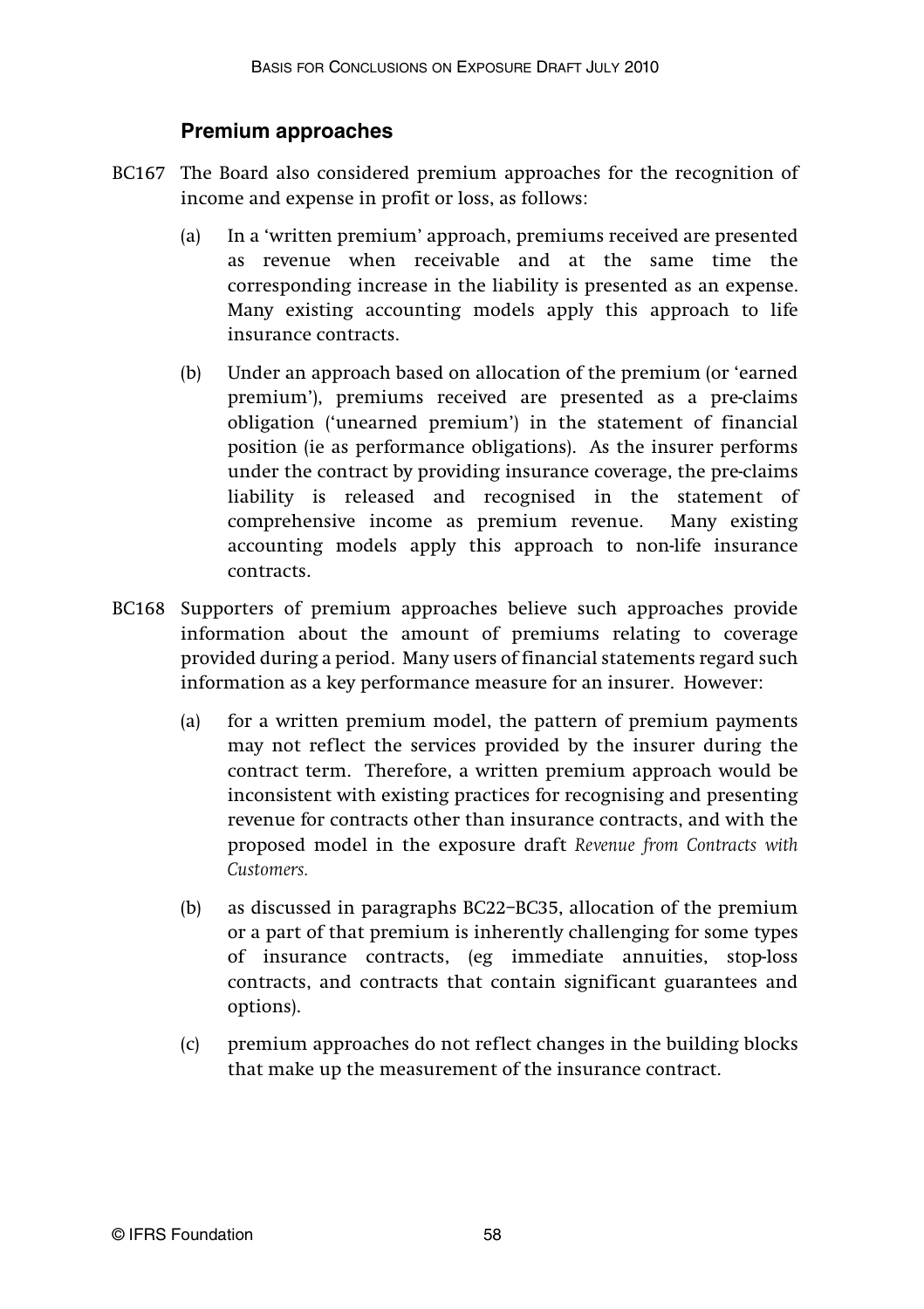#### **Premium approaches**

- BC167 The Board also considered premium approaches for the recognition of income and expense in profit or loss, as follows:
	- (a) In a 'written premium' approach, premiums received are presented as revenue when receivable and at the same time the corresponding increase in the liability is presented as an expense. Many existing accounting models apply this approach to life insurance contracts.
	- (b) Under an approach based on allocation of the premium (or 'earned premium'), premiums received are presented as a pre-claims obligation ('unearned premium') in the statement of financial position (ie as performance obligations). As the insurer performs under the contract by providing insurance coverage, the pre-claims liability is released and recognised in the statement of comprehensive income as premium revenue. Many existing accounting models apply this approach to non-life insurance contracts.
- BC168 Supporters of premium approaches believe such approaches provide information about the amount of premiums relating to coverage provided during a period. Many users of financial statements regard such information as a key performance measure for an insurer. However:
	- (a) for a written premium model, the pattern of premium payments may not reflect the services provided by the insurer during the contract term. Therefore, a written premium approach would be inconsistent with existing practices for recognising and presenting revenue for contracts other than insurance contracts, and with the proposed model in the exposure draft *Revenue from Contracts with Customers.*
	- (b) as discussed in paragraphs BC22–BC35, allocation of the premium or a part of that premium is inherently challenging for some types of insurance contracts, (eg immediate annuities, stop-loss contracts, and contracts that contain significant guarantees and options).
	- (c) premium approaches do not reflect changes in the building blocks that make up the measurement of the insurance contract.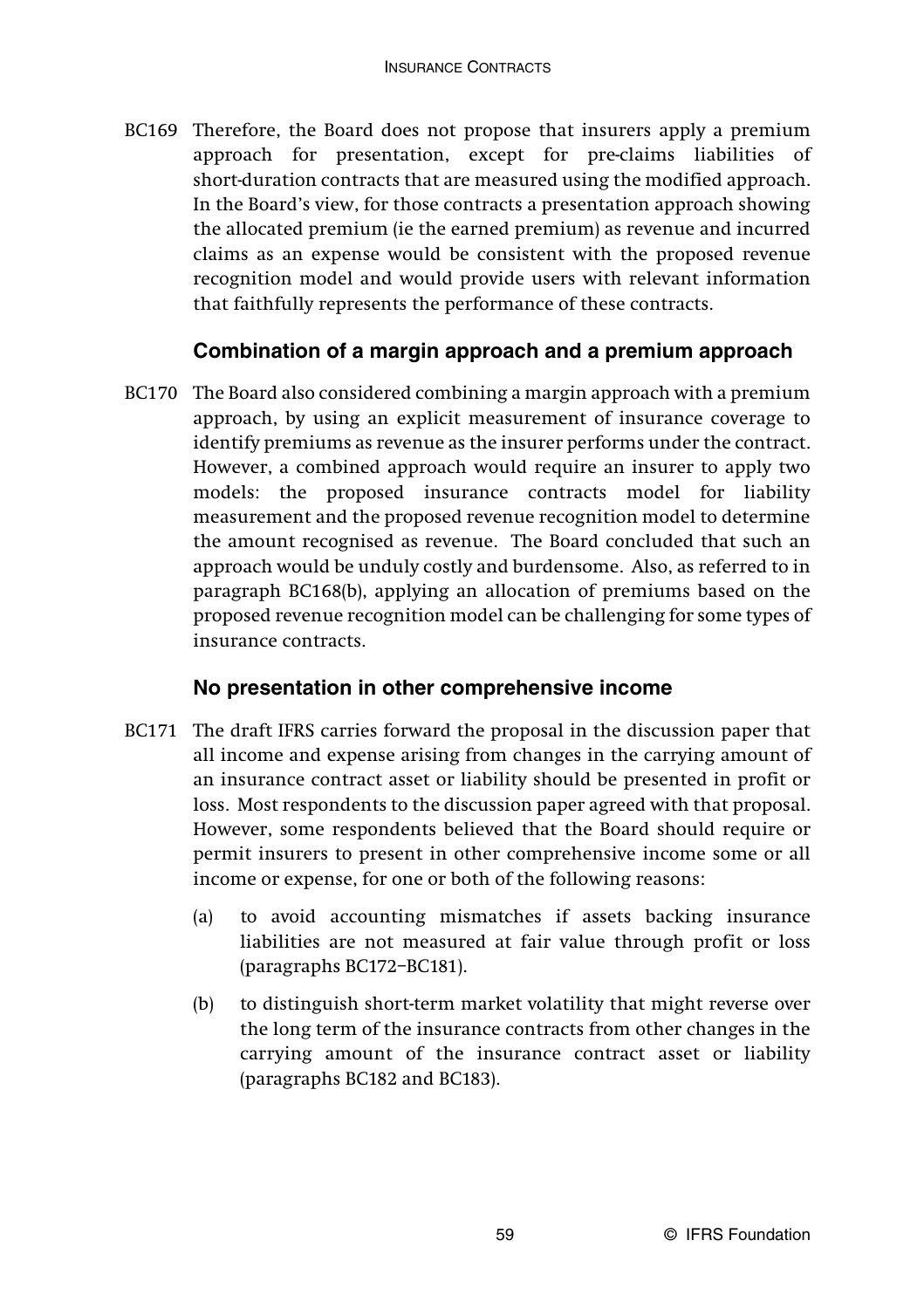BC169 Therefore, the Board does not propose that insurers apply a premium approach for presentation, except for pre-claims liabilities of short-duration contracts that are measured using the modified approach. In the Board's view, for those contracts a presentation approach showing the allocated premium (ie the earned premium) as revenue and incurred claims as an expense would be consistent with the proposed revenue recognition model and would provide users with relevant information that faithfully represents the performance of these contracts.

### **Combination of a margin approach and a premium approach**

BC170 The Board also considered combining a margin approach with a premium approach, by using an explicit measurement of insurance coverage to identify premiums as revenue as the insurer performs under the contract. However, a combined approach would require an insurer to apply two models: the proposed insurance contracts model for liability measurement and the proposed revenue recognition model to determine the amount recognised as revenue. The Board concluded that such an approach would be unduly costly and burdensome. Also, as referred to in paragraph BC168(b), applying an allocation of premiums based on the proposed revenue recognition model can be challenging for some types of insurance contracts.

### **No presentation in other comprehensive income**

- BC171 The draft IFRS carries forward the proposal in the discussion paper that all income and expense arising from changes in the carrying amount of an insurance contract asset or liability should be presented in profit or loss. Most respondents to the discussion paper agreed with that proposal. However, some respondents believed that the Board should require or permit insurers to present in other comprehensive income some or all income or expense, for one or both of the following reasons:
	- (a) to avoid accounting mismatches if assets backing insurance liabilities are not measured at fair value through profit or loss (paragraphs BC172–BC181).
	- (b) to distinguish short-term market volatility that might reverse over the long term of the insurance contracts from other changes in the carrying amount of the insurance contract asset or liability (paragraphs BC182 and BC183).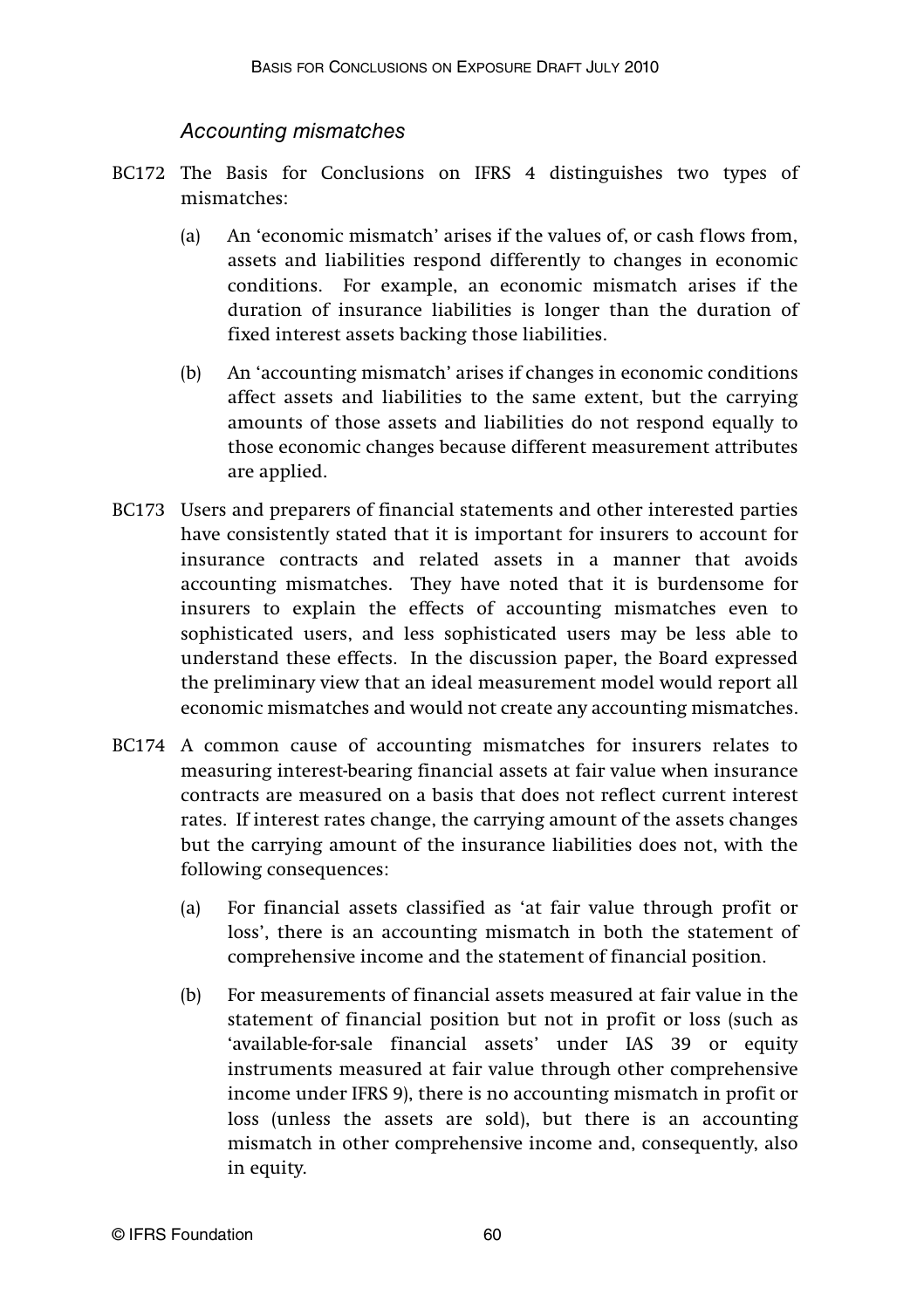#### Accounting mismatches

- BC172 The Basis for Conclusions on IFRS 4 distinguishes two types of mismatches:
	- (a) An 'economic mismatch' arises if the values of, or cash flows from, assets and liabilities respond differently to changes in economic conditions. For example, an economic mismatch arises if the duration of insurance liabilities is longer than the duration of fixed interest assets backing those liabilities.
	- (b) An 'accounting mismatch' arises if changes in economic conditions affect assets and liabilities to the same extent, but the carrying amounts of those assets and liabilities do not respond equally to those economic changes because different measurement attributes are applied.
- BC173 Users and preparers of financial statements and other interested parties have consistently stated that it is important for insurers to account for insurance contracts and related assets in a manner that avoids accounting mismatches. They have noted that it is burdensome for insurers to explain the effects of accounting mismatches even to sophisticated users, and less sophisticated users may be less able to understand these effects. In the discussion paper, the Board expressed the preliminary view that an ideal measurement model would report all economic mismatches and would not create any accounting mismatches.
- BC174 A common cause of accounting mismatches for insurers relates to measuring interest-bearing financial assets at fair value when insurance contracts are measured on a basis that does not reflect current interest rates. If interest rates change, the carrying amount of the assets changes but the carrying amount of the insurance liabilities does not, with the following consequences:
	- (a) For financial assets classified as 'at fair value through profit or loss', there is an accounting mismatch in both the statement of comprehensive income and the statement of financial position.
	- (b) For measurements of financial assets measured at fair value in the statement of financial position but not in profit or loss (such as 'available-for-sale financial assets' under IAS 39 or equity instruments measured at fair value through other comprehensive income under IFRS 9), there is no accounting mismatch in profit or loss (unless the assets are sold), but there is an accounting mismatch in other comprehensive income and, consequently, also in equity.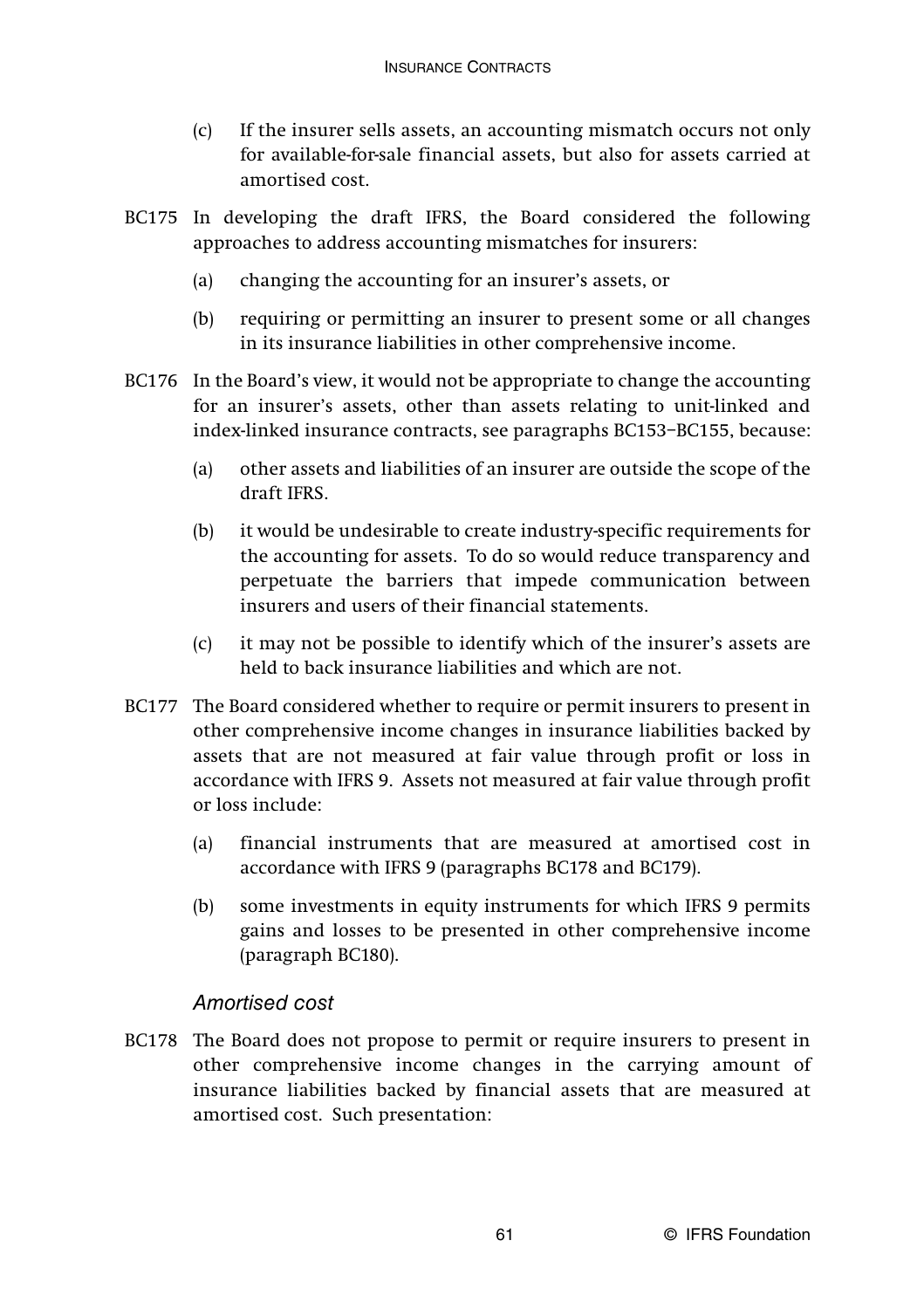- (c) If the insurer sells assets, an accounting mismatch occurs not only for available-for-sale financial assets, but also for assets carried at amortised cost.
- BC175 In developing the draft IFRS, the Board considered the following approaches to address accounting mismatches for insurers:
	- (a) changing the accounting for an insurer's assets, or
	- (b) requiring or permitting an insurer to present some or all changes in its insurance liabilities in other comprehensive income.
- BC176 In the Board's view, it would not be appropriate to change the accounting for an insurer's assets, other than assets relating to unit-linked and index-linked insurance contracts, see paragraphs BC153–BC155, because:
	- (a) other assets and liabilities of an insurer are outside the scope of the draft IFRS.
	- (b) it would be undesirable to create industry-specific requirements for the accounting for assets. To do so would reduce transparency and perpetuate the barriers that impede communication between insurers and users of their financial statements.
	- (c) it may not be possible to identify which of the insurer's assets are held to back insurance liabilities and which are not.
- BC177 The Board considered whether to require or permit insurers to present in other comprehensive income changes in insurance liabilities backed by assets that are not measured at fair value through profit or loss in accordance with IFRS 9. Assets not measured at fair value through profit or loss include:
	- (a) financial instruments that are measured at amortised cost in accordance with IFRS 9 (paragraphs BC178 and BC179).
	- (b) some investments in equity instruments for which IFRS 9 permits gains and losses to be presented in other comprehensive income (paragraph BC180).

### Amortised cost

BC178 The Board does not propose to permit or require insurers to present in other comprehensive income changes in the carrying amount of insurance liabilities backed by financial assets that are measured at amortised cost. Such presentation: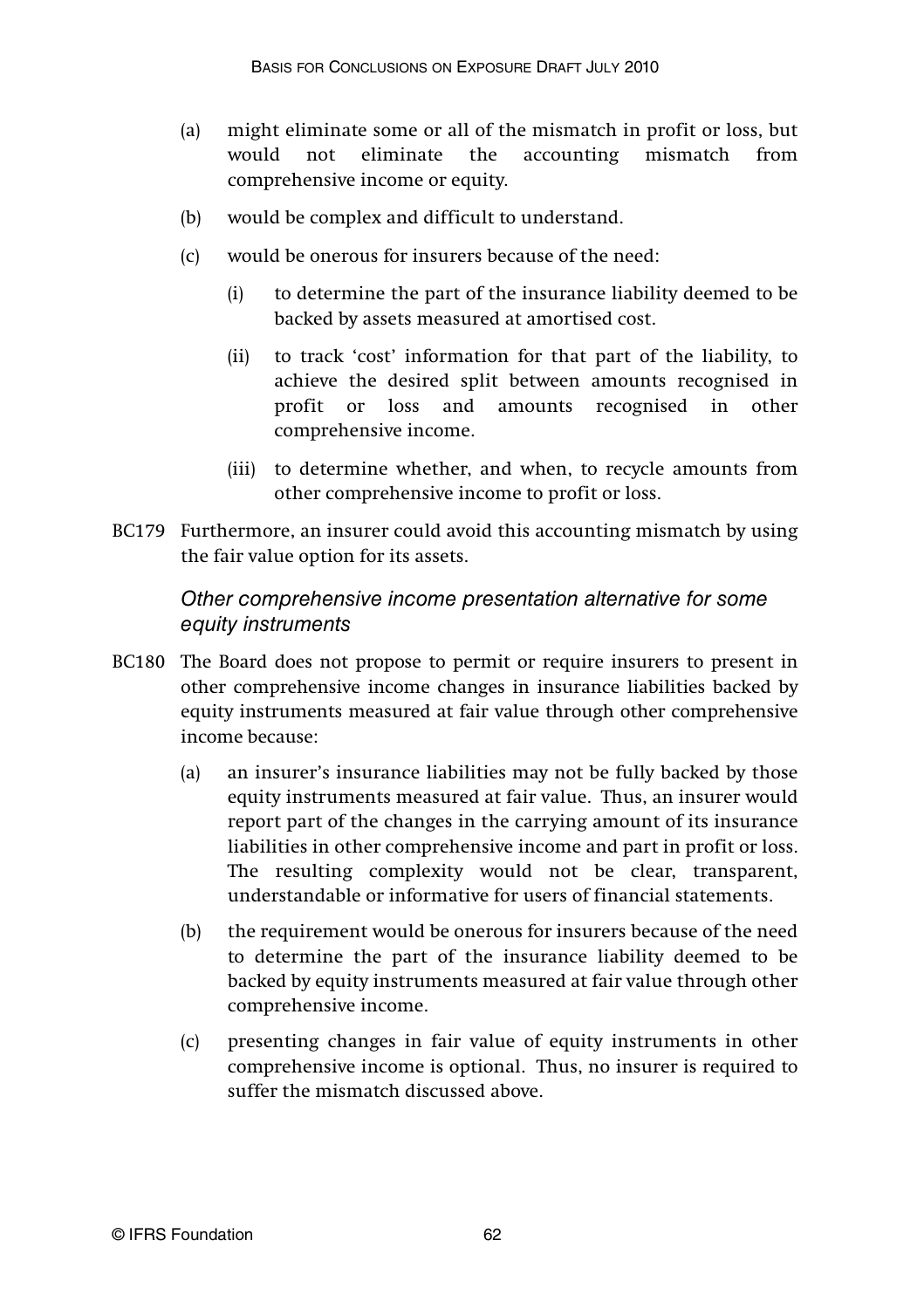- (a) might eliminate some or all of the mismatch in profit or loss, but would not eliminate the accounting mismatch from comprehensive income or equity.
- (b) would be complex and difficult to understand.
- (c) would be onerous for insurers because of the need:
	- (i) to determine the part of the insurance liability deemed to be backed by assets measured at amortised cost.
	- (ii) to track 'cost' information for that part of the liability, to achieve the desired split between amounts recognised in profit or loss and amounts recognised in other comprehensive income.
	- (iii) to determine whether, and when, to recycle amounts from other comprehensive income to profit or loss.
- BC179 Furthermore, an insurer could avoid this accounting mismatch by using the fair value option for its assets.

### Other comprehensive income presentation alternative for some equity instruments

- BC180 The Board does not propose to permit or require insurers to present in other comprehensive income changes in insurance liabilities backed by equity instruments measured at fair value through other comprehensive income because:
	- (a) an insurer's insurance liabilities may not be fully backed by those equity instruments measured at fair value. Thus, an insurer would report part of the changes in the carrying amount of its insurance liabilities in other comprehensive income and part in profit or loss. The resulting complexity would not be clear, transparent, understandable or informative for users of financial statements.
	- (b) the requirement would be onerous for insurers because of the need to determine the part of the insurance liability deemed to be backed by equity instruments measured at fair value through other comprehensive income.
	- (c) presenting changes in fair value of equity instruments in other comprehensive income is optional. Thus, no insurer is required to suffer the mismatch discussed above.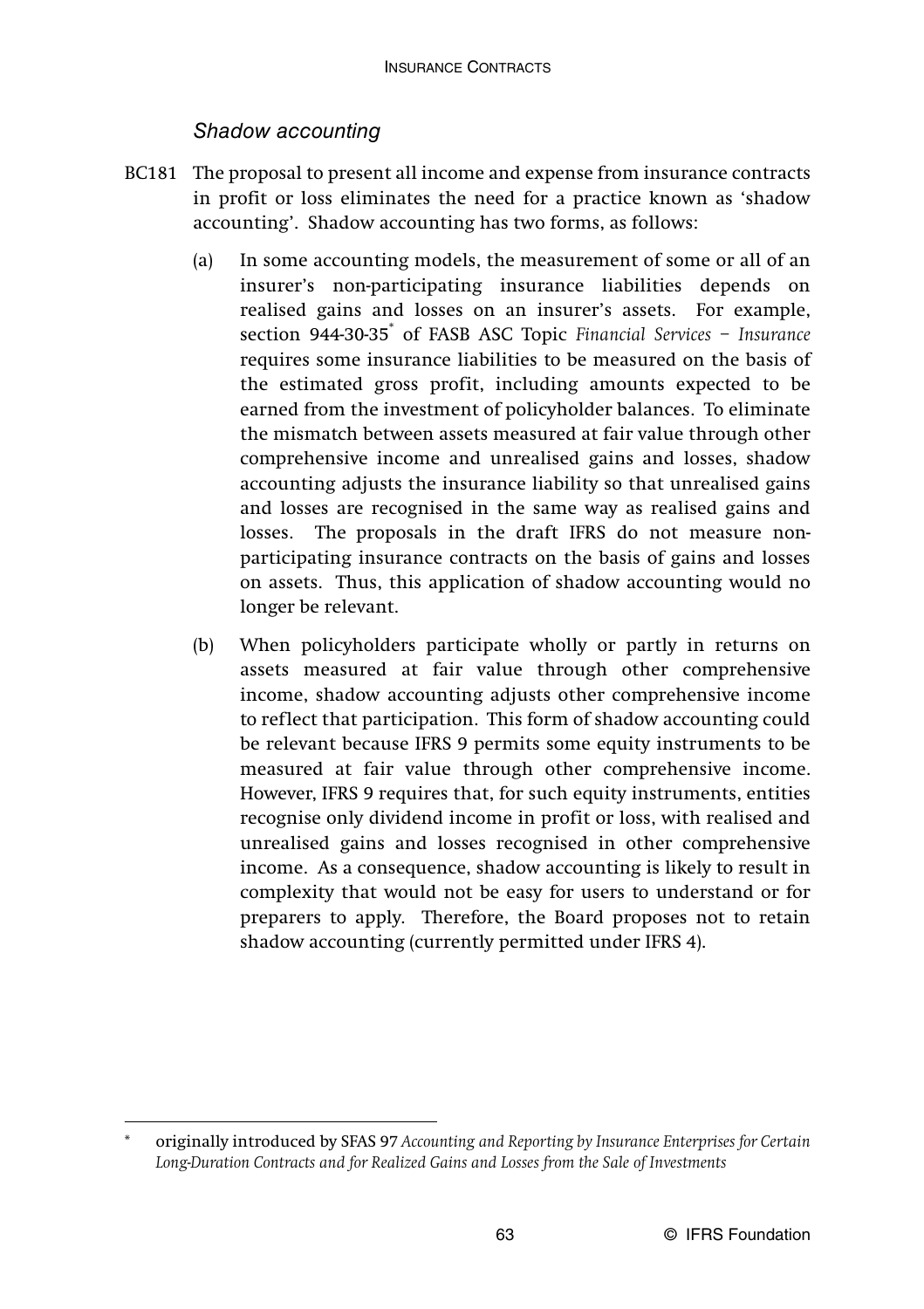### Shadow accounting

- BC181 The proposal to present all income and expense from insurance contracts in profit or loss eliminates the need for a practice known as 'shadow accounting'. Shadow accounting has two forms, as follows:
	- (a) In some accounting models, the measurement of some or all of an insurer's non-participating insurance liabilities depends on realised gains and losses on an insurer's assets. For example, section 944-30-35\* of FASB ASC Topic *Financial Services – Insurance* requires some insurance liabilities to be measured on the basis of the estimated gross profit, including amounts expected to be earned from the investment of policyholder balances. To eliminate the mismatch between assets measured at fair value through other comprehensive income and unrealised gains and losses, shadow accounting adjusts the insurance liability so that unrealised gains and losses are recognised in the same way as realised gains and losses. The proposals in the draft IFRS do not measure nonparticipating insurance contracts on the basis of gains and losses on assets. Thus, this application of shadow accounting would no longer be relevant.
	- (b) When policyholders participate wholly or partly in returns on assets measured at fair value through other comprehensive income, shadow accounting adjusts other comprehensive income to reflect that participation. This form of shadow accounting could be relevant because IFRS 9 permits some equity instruments to be measured at fair value through other comprehensive income. However, IFRS 9 requires that, for such equity instruments, entities recognise only dividend income in profit or loss, with realised and unrealised gains and losses recognised in other comprehensive income. As a consequence, shadow accounting is likely to result in complexity that would not be easy for users to understand or for preparers to apply. Therefore, the Board proposes not to retain shadow accounting (currently permitted under IFRS 4).

<sup>\*</sup> originally introduced by SFAS 97 *Accounting and Reporting by Insurance Enterprises for Certain Long-Duration Contracts and for Realized Gains and Losses from the Sale of Investments*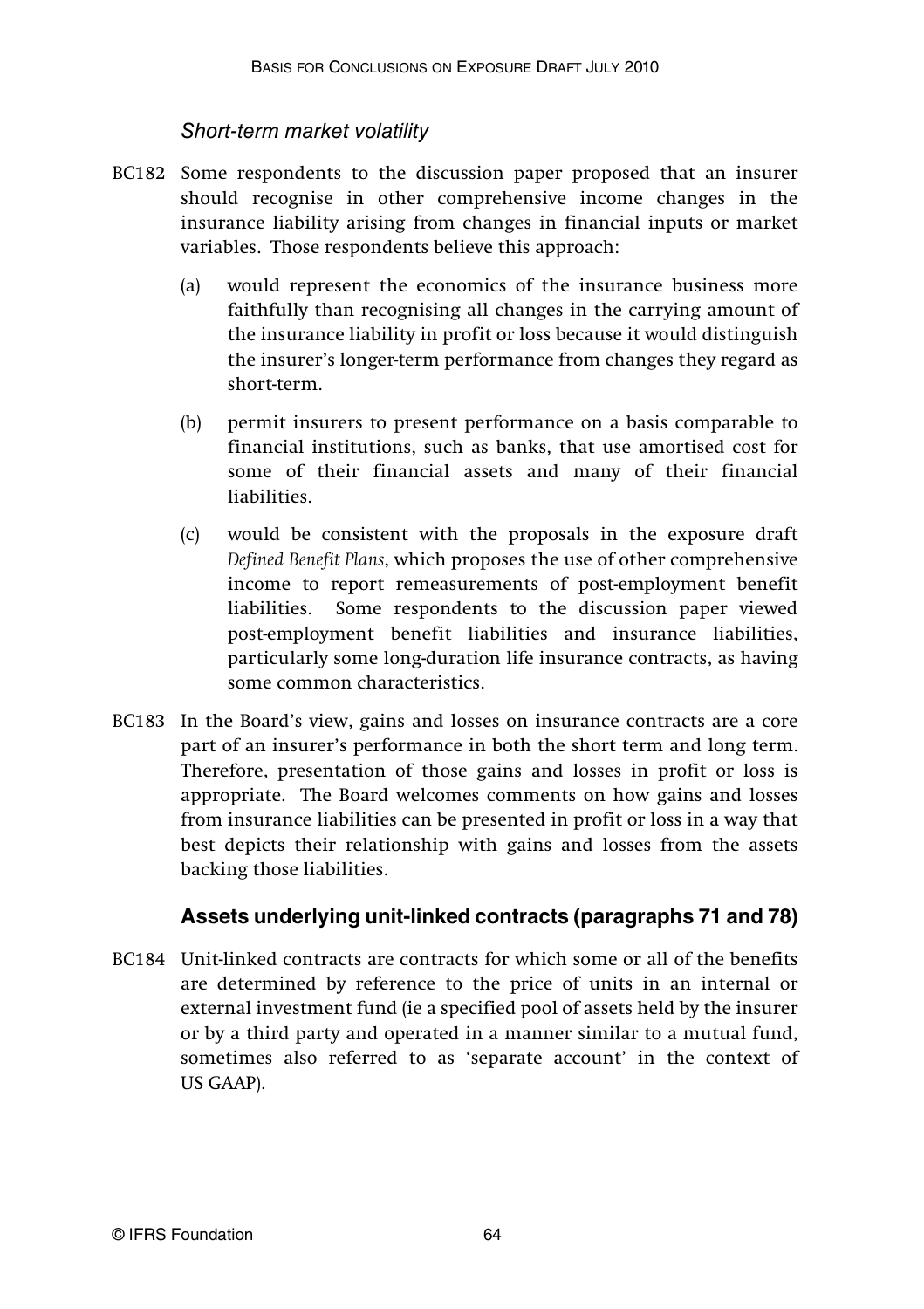#### Short-term market volatility

- BC182 Some respondents to the discussion paper proposed that an insurer should recognise in other comprehensive income changes in the insurance liability arising from changes in financial inputs or market variables. Those respondents believe this approach:
	- (a) would represent the economics of the insurance business more faithfully than recognising all changes in the carrying amount of the insurance liability in profit or loss because it would distinguish the insurer's longer-term performance from changes they regard as short-term.
	- (b) permit insurers to present performance on a basis comparable to financial institutions, such as banks, that use amortised cost for some of their financial assets and many of their financial liabilities.
	- (c) would be consistent with the proposals in the exposure draft *Defined Benefit Plans*, which proposes the use of other comprehensive income to report remeasurements of post-employment benefit liabilities. Some respondents to the discussion paper viewed post-employment benefit liabilities and insurance liabilities, particularly some long-duration life insurance contracts, as having some common characteristics.
- BC183 In the Board's view, gains and losses on insurance contracts are a core part of an insurer's performance in both the short term and long term. Therefore, presentation of those gains and losses in profit or loss is appropriate. The Board welcomes comments on how gains and losses from insurance liabilities can be presented in profit or loss in a way that best depicts their relationship with gains and losses from the assets backing those liabilities.

### **Assets underlying unit-linked contracts (paragraphs 71 and 78)**

BC184 Unit-linked contracts are contracts for which some or all of the benefits are determined by reference to the price of units in an internal or external investment fund (ie a specified pool of assets held by the insurer or by a third party and operated in a manner similar to a mutual fund, sometimes also referred to as 'separate account' in the context of US GAAP).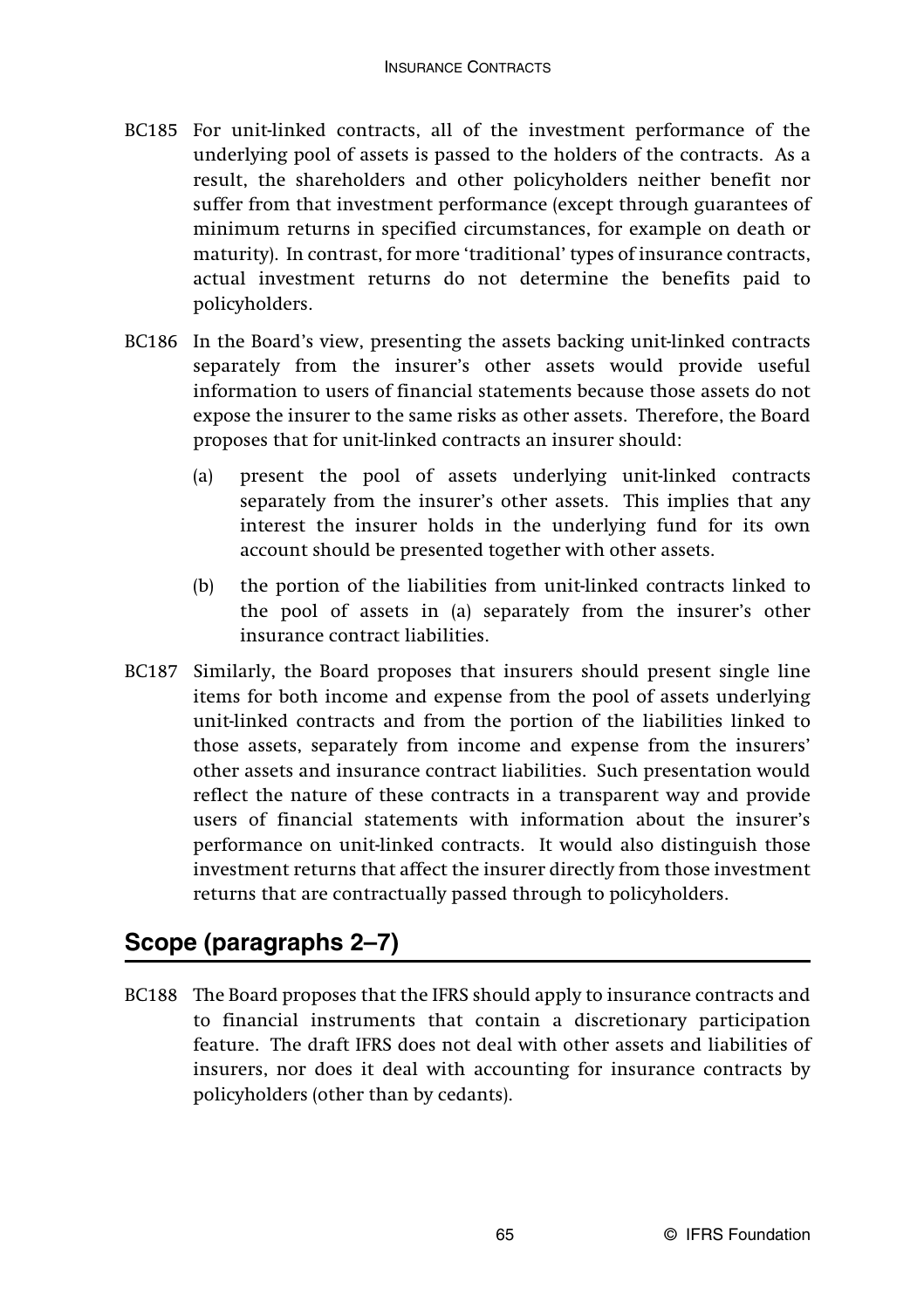- BC185 For unit-linked contracts, all of the investment performance of the underlying pool of assets is passed to the holders of the contracts. As a result, the shareholders and other policyholders neither benefit nor suffer from that investment performance (except through guarantees of minimum returns in specified circumstances, for example on death or maturity). In contrast, for more 'traditional' types of insurance contracts, actual investment returns do not determine the benefits paid to policyholders.
- BC186 In the Board's view, presenting the assets backing unit-linked contracts separately from the insurer's other assets would provide useful information to users of financial statements because those assets do not expose the insurer to the same risks as other assets. Therefore, the Board proposes that for unit-linked contracts an insurer should:
	- (a) present the pool of assets underlying unit-linked contracts separately from the insurer's other assets. This implies that any interest the insurer holds in the underlying fund for its own account should be presented together with other assets.
	- (b) the portion of the liabilities from unit-linked contracts linked to the pool of assets in (a) separately from the insurer's other insurance contract liabilities.
- BC187 Similarly, the Board proposes that insurers should present single line items for both income and expense from the pool of assets underlying unit-linked contracts and from the portion of the liabilities linked to those assets, separately from income and expense from the insurers' other assets and insurance contract liabilities. Such presentation would reflect the nature of these contracts in a transparent way and provide users of financial statements with information about the insurer's performance on unit-linked contracts. It would also distinguish those investment returns that affect the insurer directly from those investment returns that are contractually passed through to policyholders.

# **Scope (paragraphs 2–7)**

BC188 The Board proposes that the IFRS should apply to insurance contracts and to financial instruments that contain a discretionary participation feature. The draft IFRS does not deal with other assets and liabilities of insurers, nor does it deal with accounting for insurance contracts by policyholders (other than by cedants).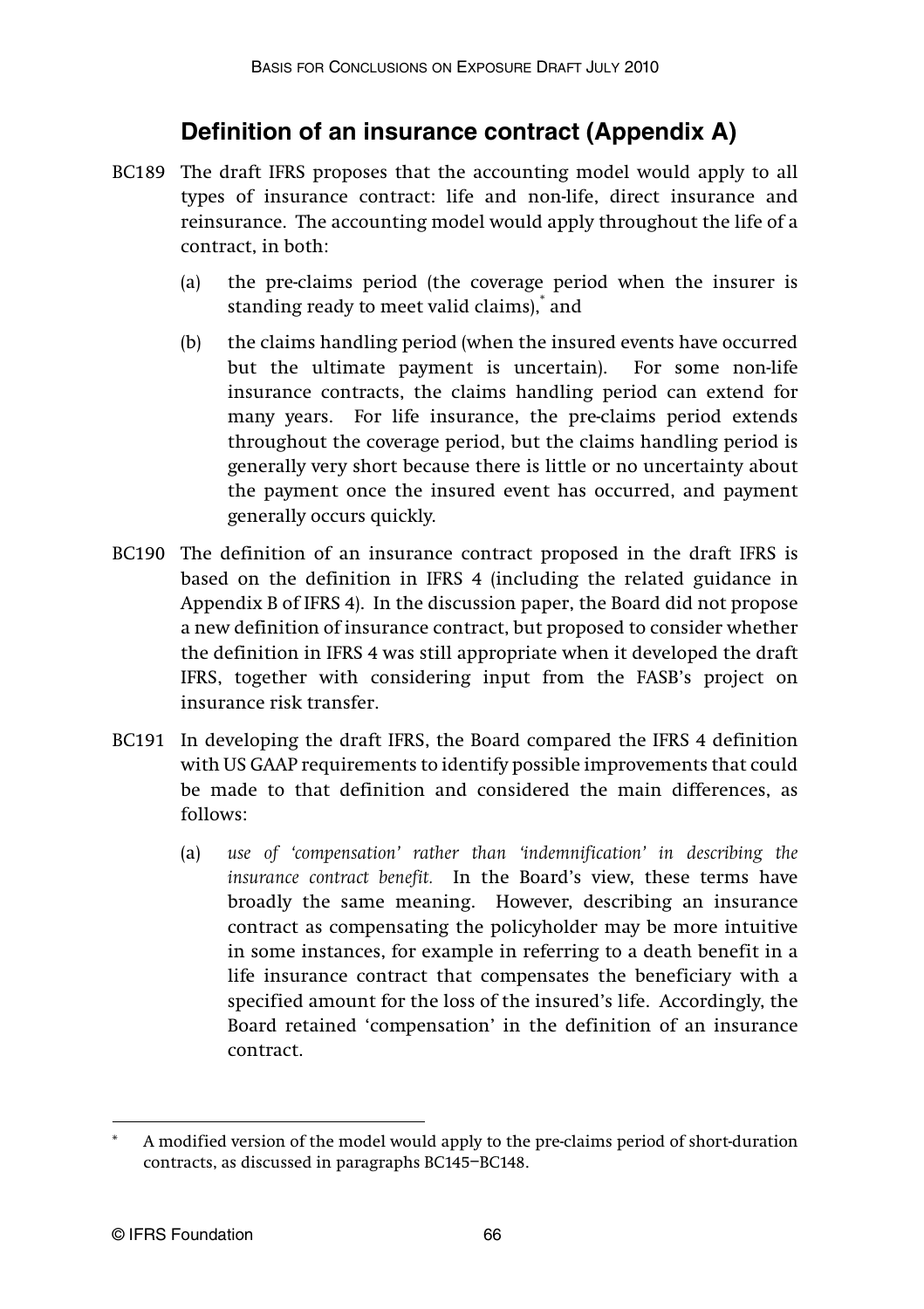## **Definition of an insurance contract (Appendix A)**

- BC189 The draft IFRS proposes that the accounting model would apply to all types of insurance contract: life and non-life, direct insurance and reinsurance. The accounting model would apply throughout the life of a contract, in both:
	- (a) the pre-claims period (the coverage period when the insurer is standing ready to meet valid claims),\* and
	- (b) the claims handling period (when the insured events have occurred but the ultimate payment is uncertain). For some non-life insurance contracts, the claims handling period can extend for many years. For life insurance, the pre-claims period extends throughout the coverage period, but the claims handling period is generally very short because there is little or no uncertainty about the payment once the insured event has occurred, and payment generally occurs quickly.
- BC190 The definition of an insurance contract proposed in the draft IFRS is based on the definition in IFRS 4 (including the related guidance in Appendix B of IFRS 4). In the discussion paper, the Board did not propose a new definition of insurance contract, but proposed to consider whether the definition in IFRS 4 was still appropriate when it developed the draft IFRS, together with considering input from the FASB's project on insurance risk transfer.
- BC191 In developing the draft IFRS, the Board compared the IFRS 4 definition with US GAAP requirements to identify possible improvements that could be made to that definition and considered the main differences, as follows:
	- (a) *use of 'compensation' rather than 'indemnification' in describing the insurance contract benefit.* In the Board's view, these terms have broadly the same meaning. However, describing an insurance contract as compensating the policyholder may be more intuitive in some instances, for example in referring to a death benefit in a life insurance contract that compensates the beneficiary with a specified amount for the loss of the insured's life. Accordingly, the Board retained 'compensation' in the definition of an insurance contract.

A modified version of the model would apply to the pre-claims period of short-duration contracts, as discussed in paragraphs BC145–BC148.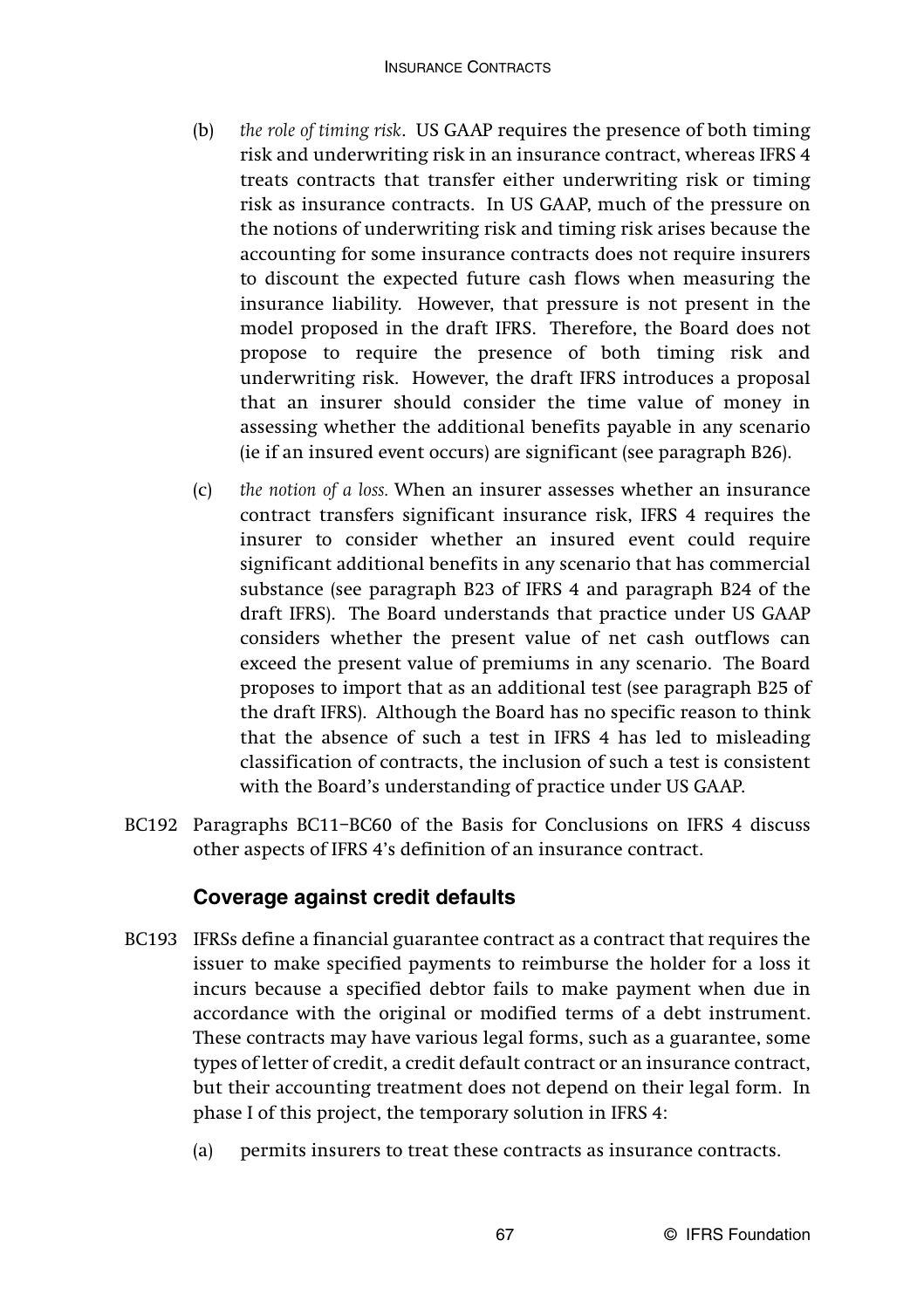- (b) *the role of timing risk*. US GAAP requires the presence of both timing risk and underwriting risk in an insurance contract, whereas IFRS 4 treats contracts that transfer either underwriting risk or timing risk as insurance contracts. In US GAAP, much of the pressure on the notions of underwriting risk and timing risk arises because the accounting for some insurance contracts does not require insurers to discount the expected future cash flows when measuring the insurance liability. However, that pressure is not present in the model proposed in the draft IFRS. Therefore, the Board does not propose to require the presence of both timing risk and underwriting risk. However, the draft IFRS introduces a proposal that an insurer should consider the time value of money in assessing whether the additional benefits payable in any scenario (ie if an insured event occurs) are significant (see paragraph B26).
- (c) *the notion of a loss.* When an insurer assesses whether an insurance contract transfers significant insurance risk, IFRS 4 requires the insurer to consider whether an insured event could require significant additional benefits in any scenario that has commercial substance (see paragraph B23 of IFRS 4 and paragraph B24 of the draft IFRS). The Board understands that practice under US GAAP considers whether the present value of net cash outflows can exceed the present value of premiums in any scenario. The Board proposes to import that as an additional test (see paragraph B25 of the draft IFRS). Although the Board has no specific reason to think that the absence of such a test in IFRS 4 has led to misleading classification of contracts, the inclusion of such a test is consistent with the Board's understanding of practice under US GAAP.
- BC192 Paragraphs BC11–BC60 of the Basis for Conclusions on IFRS 4 discuss other aspects of IFRS 4's definition of an insurance contract.

## **Coverage against credit defaults**

- BC193 IFRSs define a financial guarantee contract as a contract that requires the issuer to make specified payments to reimburse the holder for a loss it incurs because a specified debtor fails to make payment when due in accordance with the original or modified terms of a debt instrument. These contracts may have various legal forms, such as a guarantee, some types of letter of credit, a credit default contract or an insurance contract, but their accounting treatment does not depend on their legal form. In phase I of this project, the temporary solution in IFRS 4:
	- (a) permits insurers to treat these contracts as insurance contracts.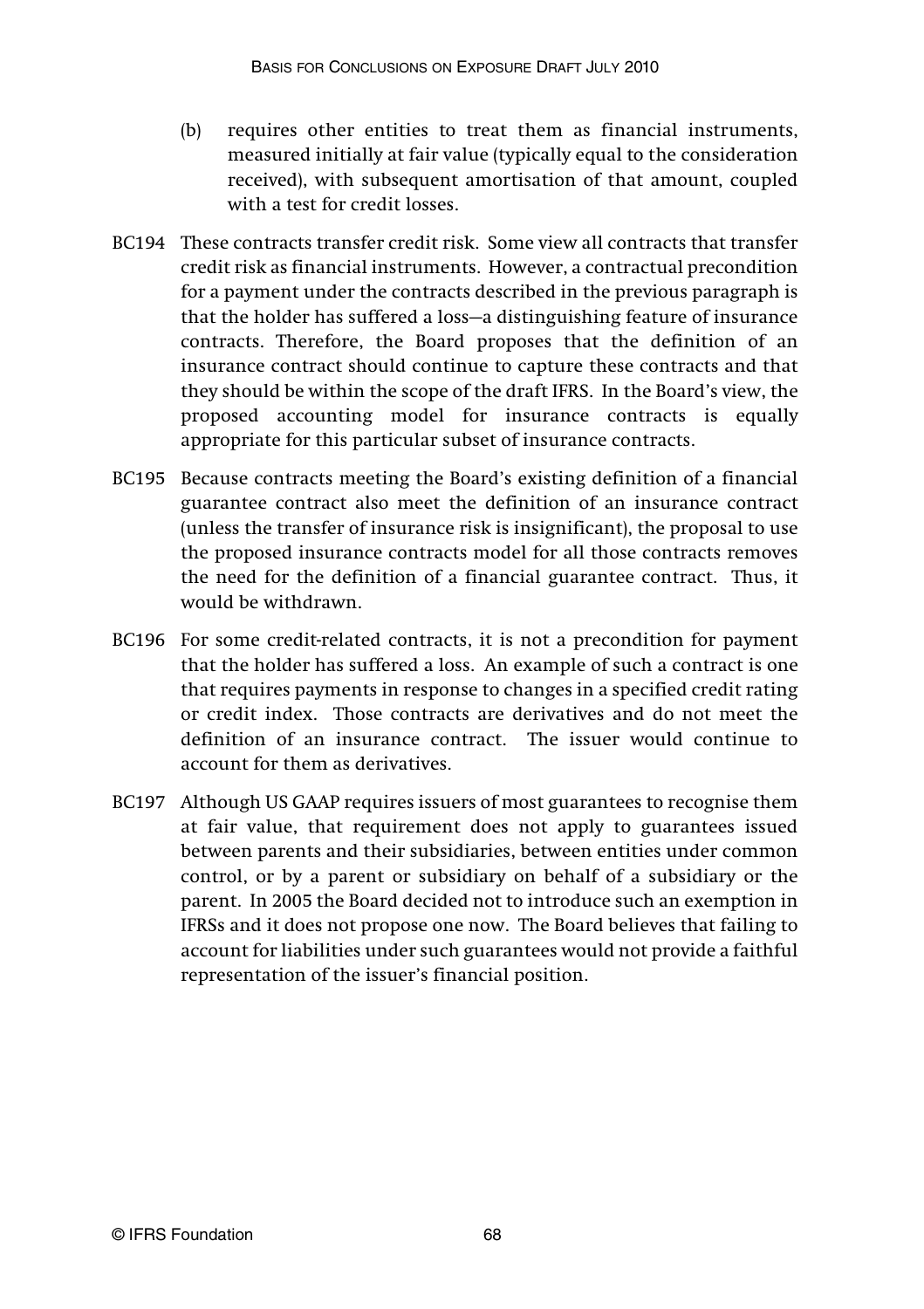- (b) requires other entities to treat them as financial instruments, measured initially at fair value (typically equal to the consideration received), with subsequent amortisation of that amount, coupled with a test for credit losses.
- BC194 These contracts transfer credit risk. Some view all contracts that transfer credit risk as financial instruments. However, a contractual precondition for a payment under the contracts described in the previous paragraph is that the holder has suffered a loss—a distinguishing feature of insurance contracts. Therefore, the Board proposes that the definition of an insurance contract should continue to capture these contracts and that they should be within the scope of the draft IFRS. In the Board's view, the proposed accounting model for insurance contracts is equally appropriate for this particular subset of insurance contracts.
- BC195 Because contracts meeting the Board's existing definition of a financial guarantee contract also meet the definition of an insurance contract (unless the transfer of insurance risk is insignificant), the proposal to use the proposed insurance contracts model for all those contracts removes the need for the definition of a financial guarantee contract. Thus, it would be withdrawn.
- BC196 For some credit-related contracts, it is not a precondition for payment that the holder has suffered a loss. An example of such a contract is one that requires payments in response to changes in a specified credit rating or credit index. Those contracts are derivatives and do not meet the definition of an insurance contract. The issuer would continue to account for them as derivatives.
- BC197 Although US GAAP requires issuers of most guarantees to recognise them at fair value, that requirement does not apply to guarantees issued between parents and their subsidiaries, between entities under common control, or by a parent or subsidiary on behalf of a subsidiary or the parent. In 2005 the Board decided not to introduce such an exemption in IFRSs and it does not propose one now. The Board believes that failing to account for liabilities under such guarantees would not provide a faithful representation of the issuer's financial position.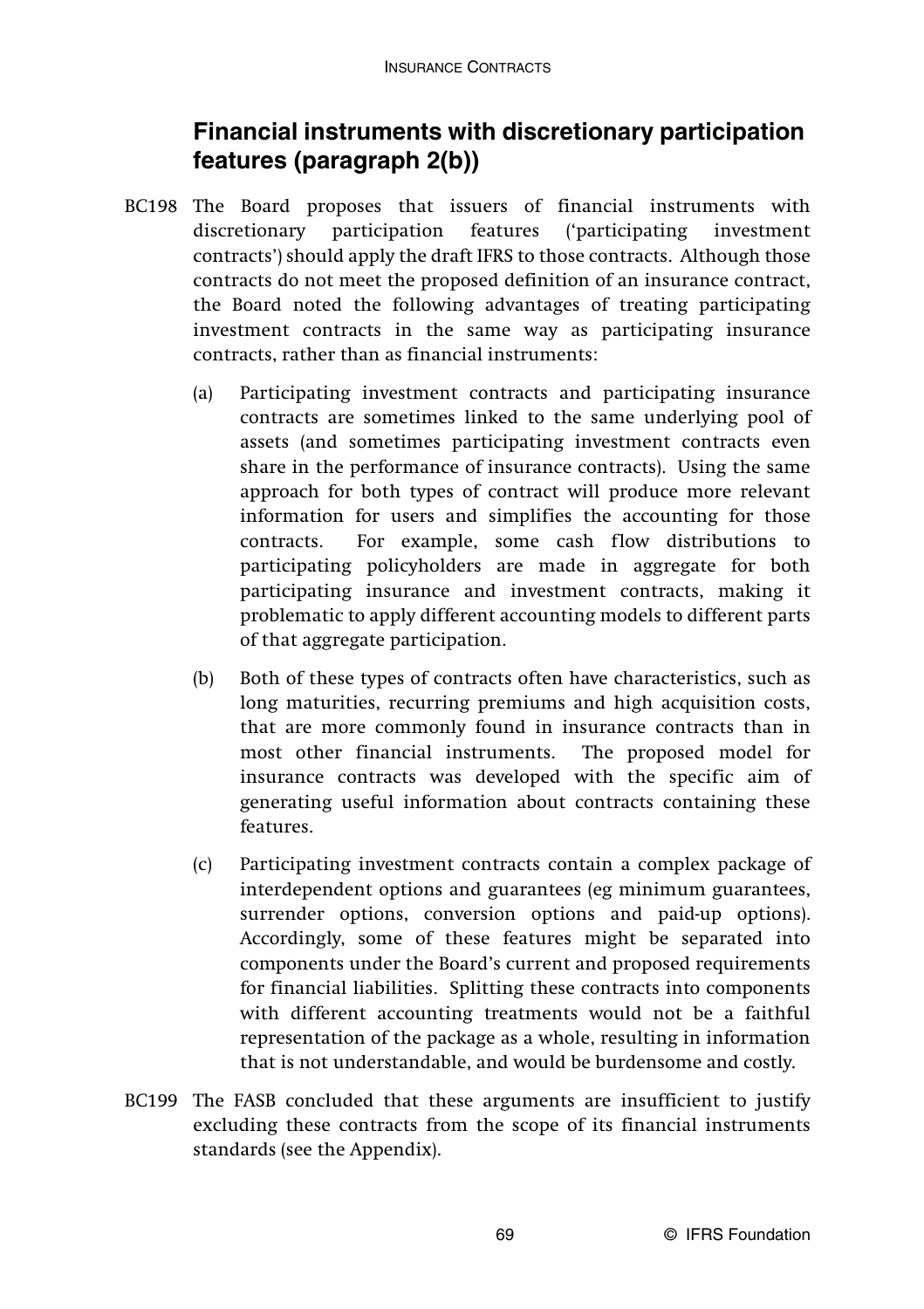## **Financial instruments with discretionary participation features (paragraph 2(b))**

- BC198 The Board proposes that issuers of financial instruments with discretionary participation features ('participating investment contracts') should apply the draft IFRS to those contracts. Although those contracts do not meet the proposed definition of an insurance contract, the Board noted the following advantages of treating participating investment contracts in the same way as participating insurance contracts, rather than as financial instruments:
	- (a) Participating investment contracts and participating insurance contracts are sometimes linked to the same underlying pool of assets (and sometimes participating investment contracts even share in the performance of insurance contracts). Using the same approach for both types of contract will produce more relevant information for users and simplifies the accounting for those contracts. For example, some cash flow distributions to participating policyholders are made in aggregate for both participating insurance and investment contracts, making it problematic to apply different accounting models to different parts of that aggregate participation.
	- (b) Both of these types of contracts often have characteristics, such as long maturities, recurring premiums and high acquisition costs, that are more commonly found in insurance contracts than in most other financial instruments. The proposed model for insurance contracts was developed with the specific aim of generating useful information about contracts containing these features.
	- (c) Participating investment contracts contain a complex package of interdependent options and guarantees (eg minimum guarantees, surrender options, conversion options and paid-up options). Accordingly, some of these features might be separated into components under the Board's current and proposed requirements for financial liabilities. Splitting these contracts into components with different accounting treatments would not be a faithful representation of the package as a whole, resulting in information that is not understandable, and would be burdensome and costly.
- BC199 The FASB concluded that these arguments are insufficient to justify excluding these contracts from the scope of its financial instruments standards (see the Appendix).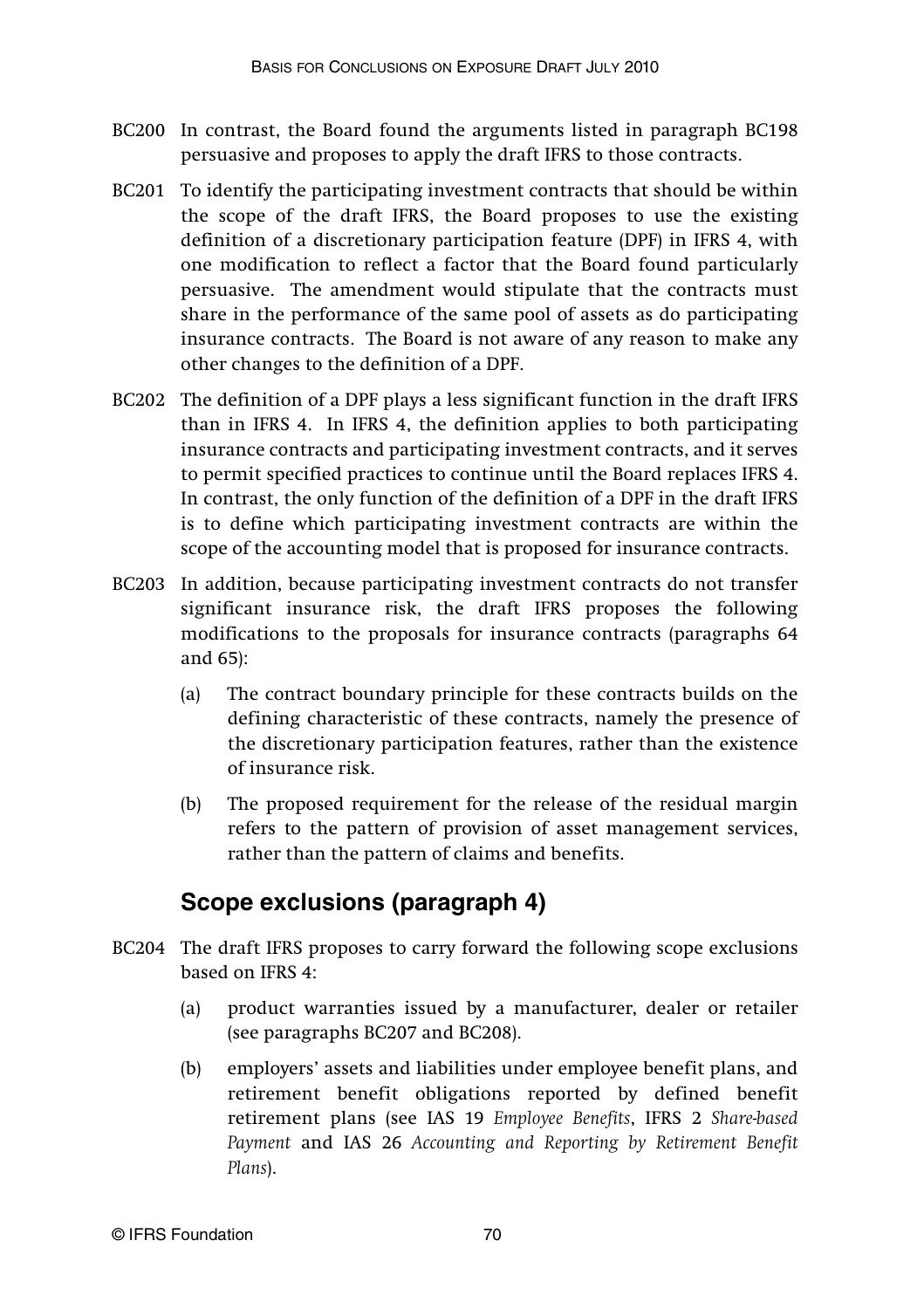- BC200 In contrast, the Board found the arguments listed in paragraph BC198 persuasive and proposes to apply the draft IFRS to those contracts.
- BC201 To identify the participating investment contracts that should be within the scope of the draft IFRS, the Board proposes to use the existing definition of a discretionary participation feature (DPF) in IFRS 4, with one modification to reflect a factor that the Board found particularly persuasive. The amendment would stipulate that the contracts must share in the performance of the same pool of assets as do participating insurance contracts. The Board is not aware of any reason to make any other changes to the definition of a DPF.
- BC202 The definition of a DPF plays a less significant function in the draft IFRS than in IFRS 4. In IFRS 4, the definition applies to both participating insurance contracts and participating investment contracts, and it serves to permit specified practices to continue until the Board replaces IFRS 4. In contrast, the only function of the definition of a DPF in the draft IFRS is to define which participating investment contracts are within the scope of the accounting model that is proposed for insurance contracts.
- BC203 In addition, because participating investment contracts do not transfer significant insurance risk, the draft IFRS proposes the following modifications to the proposals for insurance contracts (paragraphs 64 and 65):
	- (a) The contract boundary principle for these contracts builds on the defining characteristic of these contracts, namely the presence of the discretionary participation features, rather than the existence of insurance risk.
	- (b) The proposed requirement for the release of the residual margin refers to the pattern of provision of asset management services, rather than the pattern of claims and benefits.

## **Scope exclusions (paragraph 4)**

- BC204 The draft IFRS proposes to carry forward the following scope exclusions based on IFRS 4:
	- (a) product warranties issued by a manufacturer, dealer or retailer (see paragraphs BC207 and BC208).
	- (b) employers' assets and liabilities under employee benefit plans, and retirement benefit obligations reported by defined benefit retirement plans (see IAS 19 *Employee Benefits*, IFRS 2 *Share-based Payment* and IAS 26 *Accounting and Reporting by Retirement Benefit Plans*).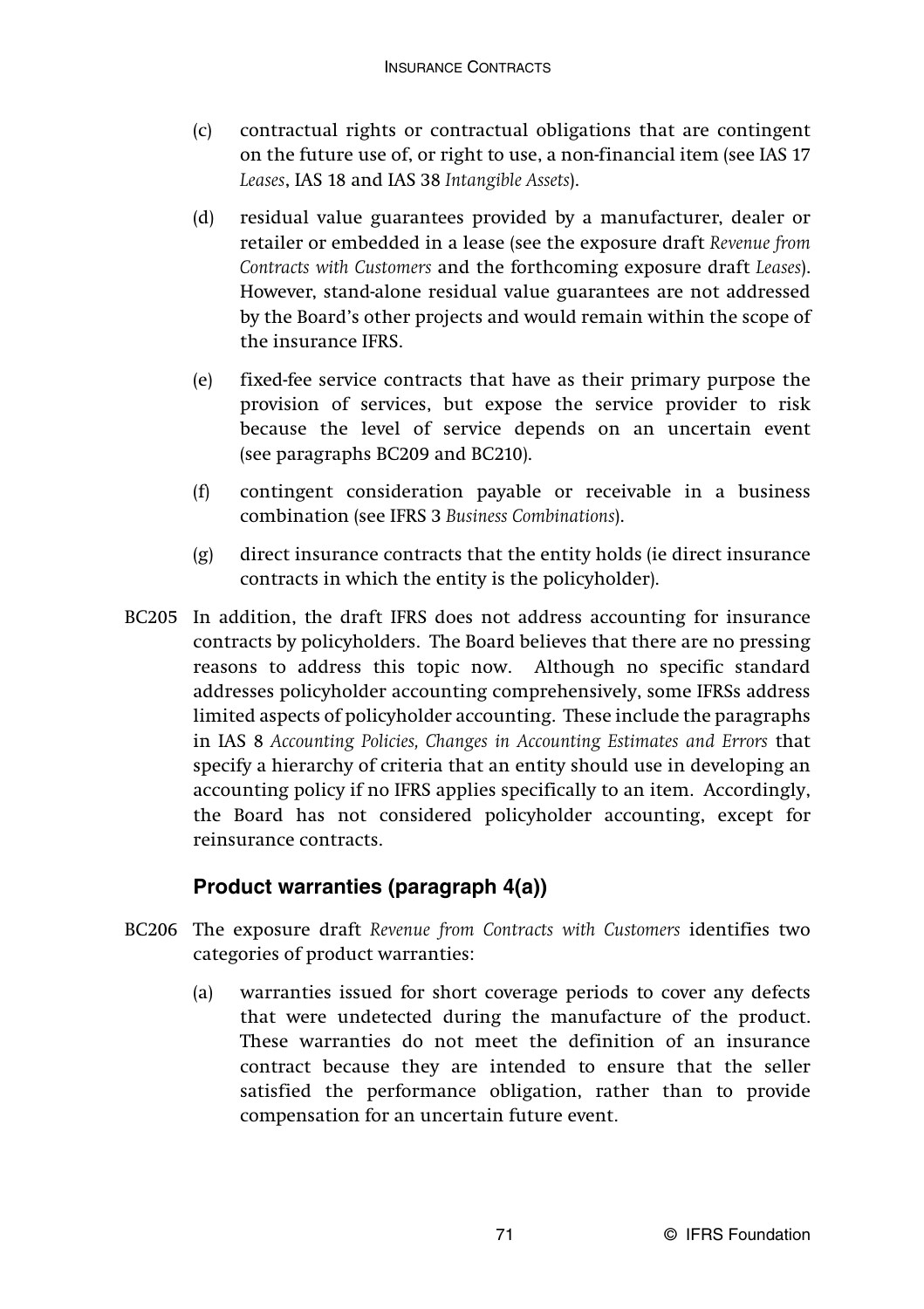- (c) contractual rights or contractual obligations that are contingent on the future use of, or right to use, a non-financial item (see IAS 17 *Leases*, IAS 18 and IAS 38 *Intangible Assets*).
- (d) residual value guarantees provided by a manufacturer, dealer or retailer or embedded in a lease (see the exposure draft *Revenue from Contracts with Customers* and the forthcoming exposure draft *Leases*). However, stand-alone residual value guarantees are not addressed by the Board's other projects and would remain within the scope of the insurance IFRS.
- (e) fixed-fee service contracts that have as their primary purpose the provision of services, but expose the service provider to risk because the level of service depends on an uncertain event (see paragraphs BC209 and BC210).
- (f) contingent consideration payable or receivable in a business combination (see IFRS 3 *Business Combinations*).
- (g) direct insurance contracts that the entity holds (ie direct insurance contracts in which the entity is the policyholder).
- BC205 In addition, the draft IFRS does not address accounting for insurance contracts by policyholders. The Board believes that there are no pressing reasons to address this topic now. Although no specific standard addresses policyholder accounting comprehensively, some IFRSs address limited aspects of policyholder accounting. These include the paragraphs in IAS 8 *Accounting Policies, Changes in Accounting Estimates and Errors* that specify a hierarchy of criteria that an entity should use in developing an accounting policy if no IFRS applies specifically to an item. Accordingly, the Board has not considered policyholder accounting, except for reinsurance contracts.

## **Product warranties (paragraph 4(a))**

- BC206 The exposure draft *Revenue from Contracts with Customers* identifies two categories of product warranties:
	- (a) warranties issued for short coverage periods to cover any defects that were undetected during the manufacture of the product. These warranties do not meet the definition of an insurance contract because they are intended to ensure that the seller satisfied the performance obligation, rather than to provide compensation for an uncertain future event.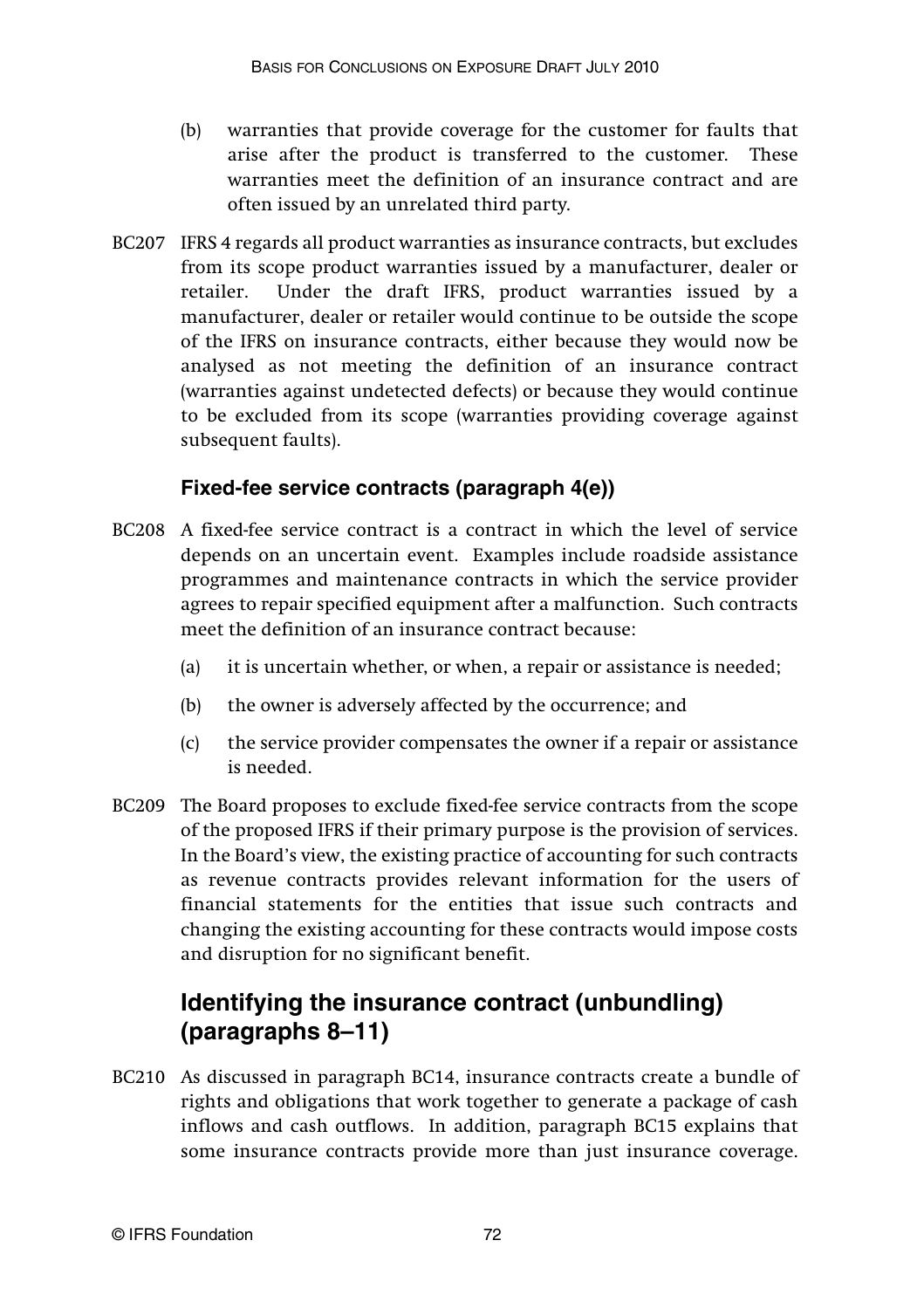- (b) warranties that provide coverage for the customer for faults that arise after the product is transferred to the customer. These warranties meet the definition of an insurance contract and are often issued by an unrelated third party.
- BC207 IFRS 4 regards all product warranties as insurance contracts, but excludes from its scope product warranties issued by a manufacturer, dealer or retailer. Under the draft IFRS, product warranties issued by a manufacturer, dealer or retailer would continue to be outside the scope of the IFRS on insurance contracts, either because they would now be analysed as not meeting the definition of an insurance contract (warranties against undetected defects) or because they would continue to be excluded from its scope (warranties providing coverage against subsequent faults).

#### **Fixed-fee service contracts (paragraph 4(e))**

- BC208 A fixed-fee service contract is a contract in which the level of service depends on an uncertain event. Examples include roadside assistance programmes and maintenance contracts in which the service provider agrees to repair specified equipment after a malfunction. Such contracts meet the definition of an insurance contract because:
	- (a) it is uncertain whether, or when, a repair or assistance is needed;
	- (b) the owner is adversely affected by the occurrence; and
	- (c) the service provider compensates the owner if a repair or assistance is needed.
- BC209 The Board proposes to exclude fixed-fee service contracts from the scope of the proposed IFRS if their primary purpose is the provision of services. In the Board's view, the existing practice of accounting for such contracts as revenue contracts provides relevant information for the users of financial statements for the entities that issue such contracts and changing the existing accounting for these contracts would impose costs and disruption for no significant benefit.

## **Identifying the insurance contract (unbundling) (paragraphs 8–11)**

BC210 As discussed in paragraph BC14, insurance contracts create a bundle of rights and obligations that work together to generate a package of cash inflows and cash outflows. In addition, paragraph BC15 explains that some insurance contracts provide more than just insurance coverage.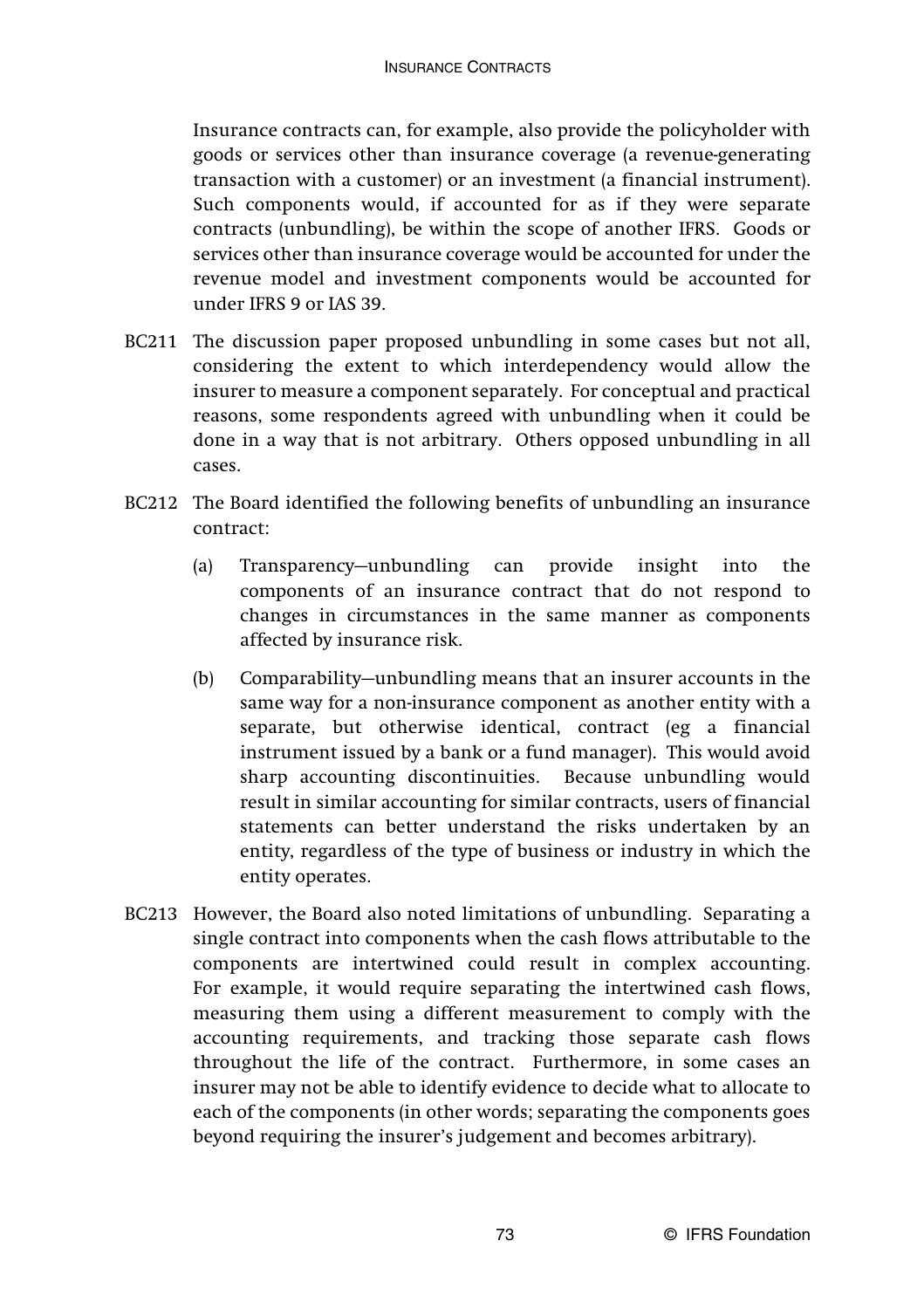Insurance contracts can, for example, also provide the policyholder with goods or services other than insurance coverage (a revenue-generating transaction with a customer) or an investment (a financial instrument). Such components would, if accounted for as if they were separate contracts (unbundling), be within the scope of another IFRS. Goods or services other than insurance coverage would be accounted for under the revenue model and investment components would be accounted for under IFRS 9 or IAS 39.

- BC211 The discussion paper proposed unbundling in some cases but not all, considering the extent to which interdependency would allow the insurer to measure a component separately. For conceptual and practical reasons, some respondents agreed with unbundling when it could be done in a way that is not arbitrary. Others opposed unbundling in all cases.
- BC212 The Board identified the following benefits of unbundling an insurance contract:
	- (a) Transparency—unbundling can provide insight into the components of an insurance contract that do not respond to changes in circumstances in the same manner as components affected by insurance risk.
	- (b) Comparability—unbundling means that an insurer accounts in the same way for a non-insurance component as another entity with a separate, but otherwise identical, contract (eg a financial instrument issued by a bank or a fund manager). This would avoid sharp accounting discontinuities. Because unbundling would result in similar accounting for similar contracts, users of financial statements can better understand the risks undertaken by an entity, regardless of the type of business or industry in which the entity operates.
- BC213 However, the Board also noted limitations of unbundling. Separating a single contract into components when the cash flows attributable to the components are intertwined could result in complex accounting. For example, it would require separating the intertwined cash flows, measuring them using a different measurement to comply with the accounting requirements, and tracking those separate cash flows throughout the life of the contract. Furthermore, in some cases an insurer may not be able to identify evidence to decide what to allocate to each of the components (in other words; separating the components goes beyond requiring the insurer's judgement and becomes arbitrary).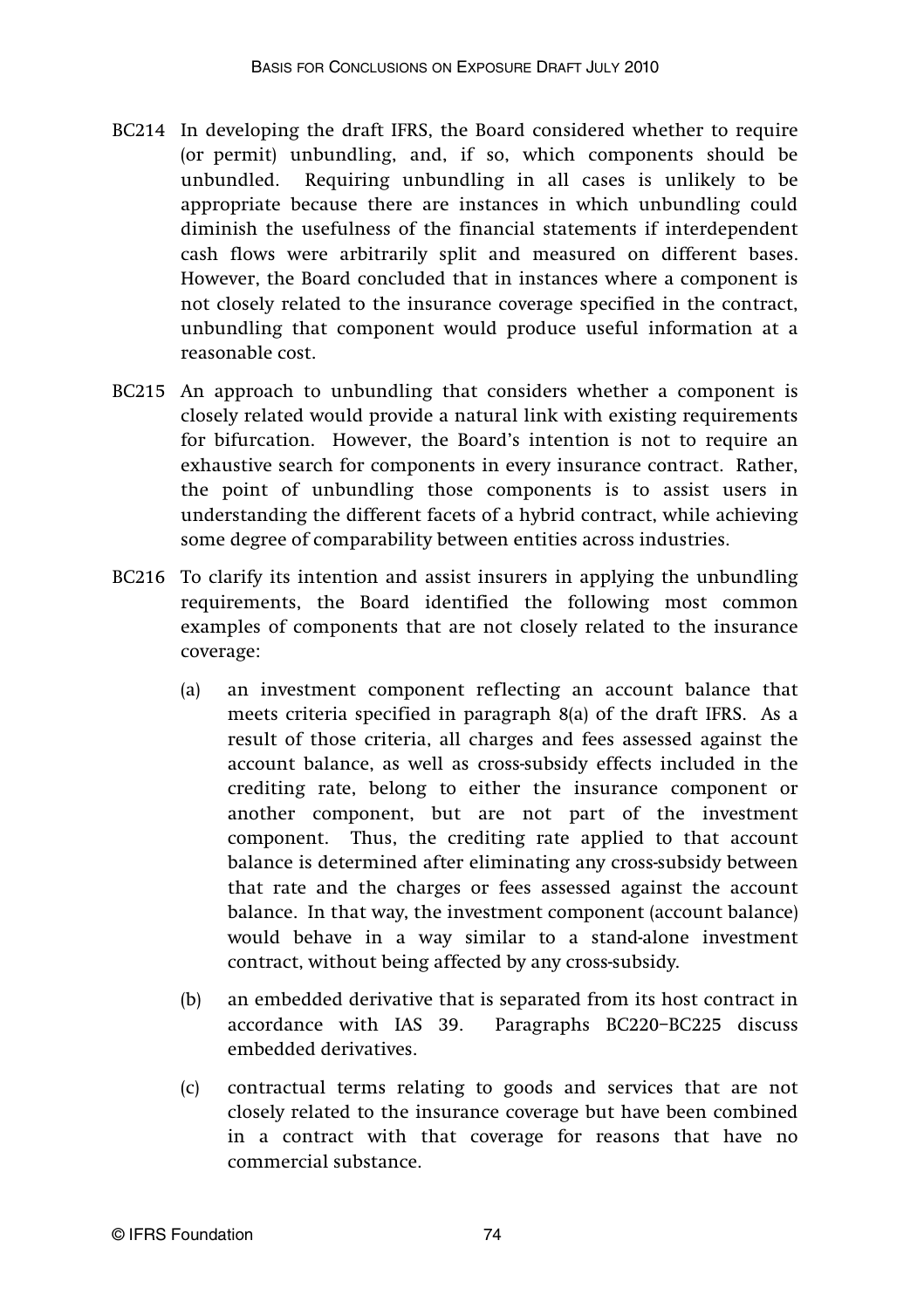- BC214 In developing the draft IFRS, the Board considered whether to require (or permit) unbundling, and, if so, which components should be unbundled. Requiring unbundling in all cases is unlikely to be appropriate because there are instances in which unbundling could diminish the usefulness of the financial statements if interdependent cash flows were arbitrarily split and measured on different bases. However, the Board concluded that in instances where a component is not closely related to the insurance coverage specified in the contract, unbundling that component would produce useful information at a reasonable cost.
- BC215 An approach to unbundling that considers whether a component is closely related would provide a natural link with existing requirements for bifurcation. However, the Board's intention is not to require an exhaustive search for components in every insurance contract. Rather, the point of unbundling those components is to assist users in understanding the different facets of a hybrid contract, while achieving some degree of comparability between entities across industries.
- BC216 To clarify its intention and assist insurers in applying the unbundling requirements, the Board identified the following most common examples of components that are not closely related to the insurance coverage:
	- (a) an investment component reflecting an account balance that meets criteria specified in paragraph 8(a) of the draft IFRS. As a result of those criteria, all charges and fees assessed against the account balance, as well as cross-subsidy effects included in the crediting rate, belong to either the insurance component or another component, but are not part of the investment component. Thus, the crediting rate applied to that account balance is determined after eliminating any cross-subsidy between that rate and the charges or fees assessed against the account balance. In that way, the investment component (account balance) would behave in a way similar to a stand-alone investment contract, without being affected by any cross-subsidy.
	- (b) an embedded derivative that is separated from its host contract in accordance with IAS 39. Paragraphs BC220–BC225 discuss embedded derivatives.
	- (c) contractual terms relating to goods and services that are not closely related to the insurance coverage but have been combined in a contract with that coverage for reasons that have no commercial substance.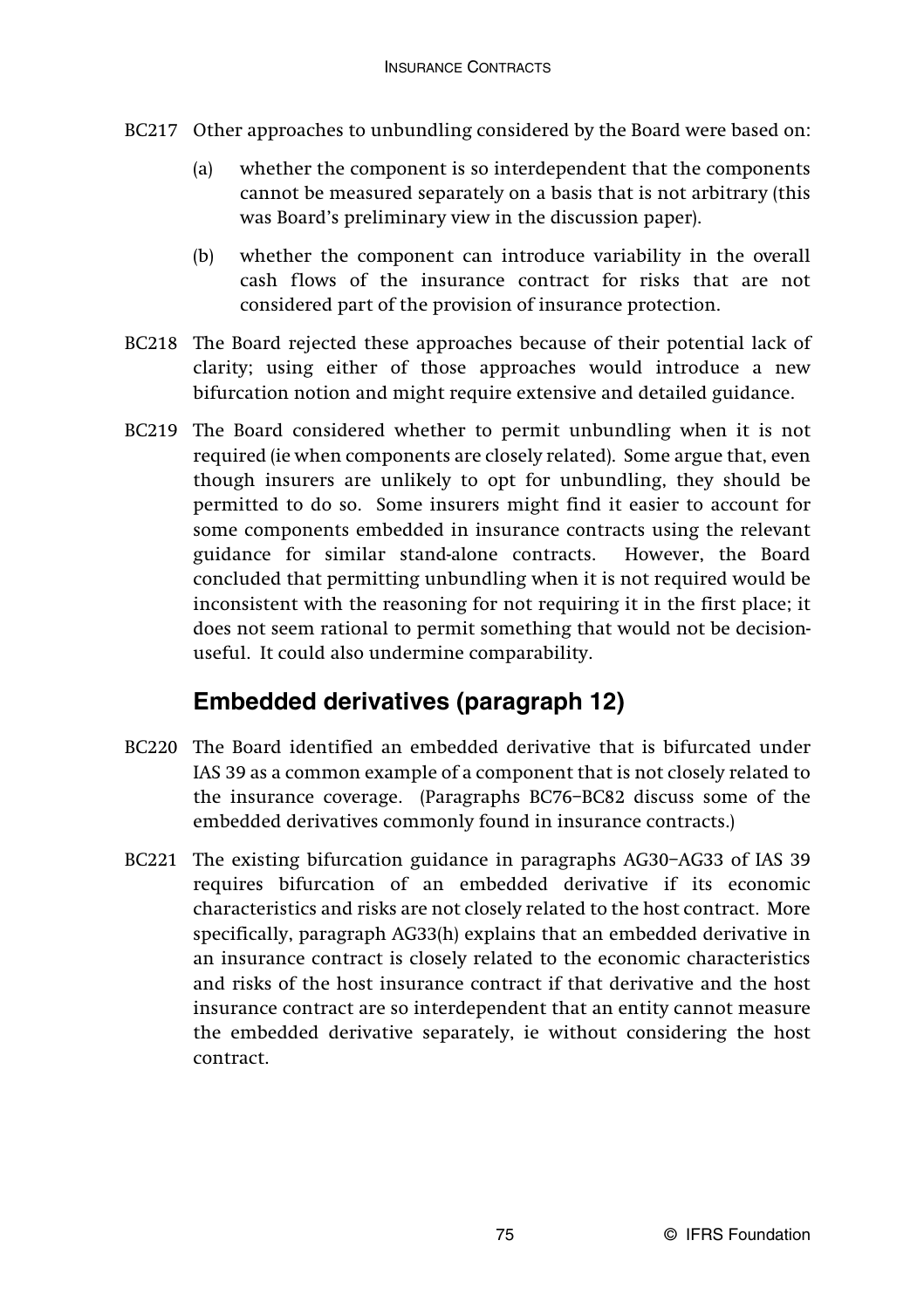- BC217 Other approaches to unbundling considered by the Board were based on:
	- (a) whether the component is so interdependent that the components cannot be measured separately on a basis that is not arbitrary (this was Board's preliminary view in the discussion paper).
	- (b) whether the component can introduce variability in the overall cash flows of the insurance contract for risks that are not considered part of the provision of insurance protection.
- BC218 The Board rejected these approaches because of their potential lack of clarity; using either of those approaches would introduce a new bifurcation notion and might require extensive and detailed guidance.
- BC219 The Board considered whether to permit unbundling when it is not required (ie when components are closely related). Some argue that, even though insurers are unlikely to opt for unbundling, they should be permitted to do so. Some insurers might find it easier to account for some components embedded in insurance contracts using the relevant guidance for similar stand-alone contracts. However, the Board concluded that permitting unbundling when it is not required would be inconsistent with the reasoning for not requiring it in the first place; it does not seem rational to permit something that would not be decisionuseful. It could also undermine comparability.

## **Embedded derivatives (paragraph 12)**

- BC220 The Board identified an embedded derivative that is bifurcated under IAS 39 as a common example of a component that is not closely related to the insurance coverage. (Paragraphs BC76–BC82 discuss some of the embedded derivatives commonly found in insurance contracts.)
- BC221 The existing bifurcation guidance in paragraphs AG30–AG33 of IAS 39 requires bifurcation of an embedded derivative if its economic characteristics and risks are not closely related to the host contract. More specifically, paragraph AG33(h) explains that an embedded derivative in an insurance contract is closely related to the economic characteristics and risks of the host insurance contract if that derivative and the host insurance contract are so interdependent that an entity cannot measure the embedded derivative separately, ie without considering the host contract.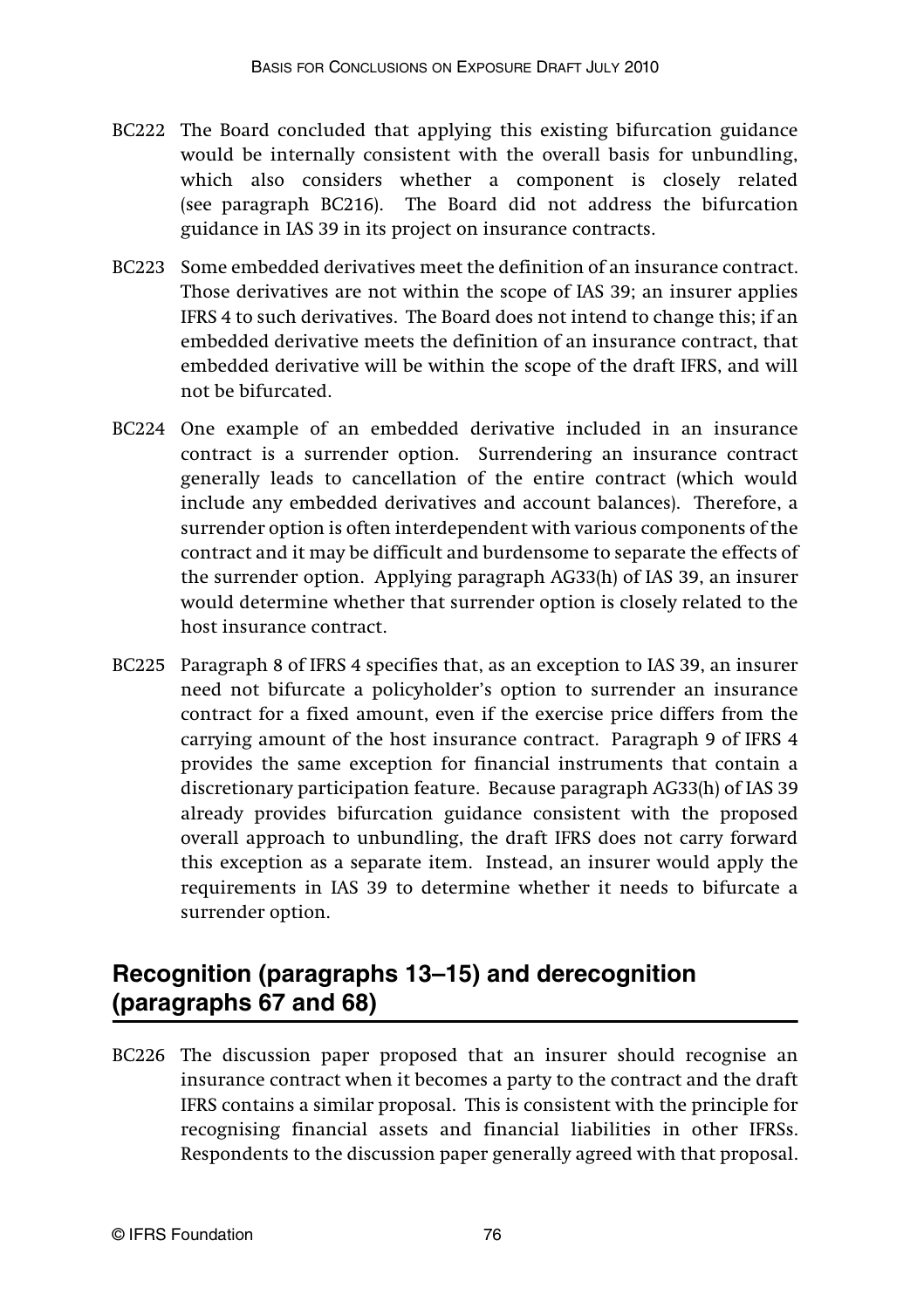- BC222 The Board concluded that applying this existing bifurcation guidance would be internally consistent with the overall basis for unbundling, which also considers whether a component is closely related (see paragraph BC216). The Board did not address the bifurcation guidance in IAS 39 in its project on insurance contracts.
- BC223 Some embedded derivatives meet the definition of an insurance contract. Those derivatives are not within the scope of IAS 39; an insurer applies IFRS 4 to such derivatives. The Board does not intend to change this; if an embedded derivative meets the definition of an insurance contract, that embedded derivative will be within the scope of the draft IFRS, and will not be bifurcated.
- BC224 One example of an embedded derivative included in an insurance contract is a surrender option. Surrendering an insurance contract generally leads to cancellation of the entire contract (which would include any embedded derivatives and account balances). Therefore, a surrender option is often interdependent with various components of the contract and it may be difficult and burdensome to separate the effects of the surrender option. Applying paragraph AG33(h) of IAS 39, an insurer would determine whether that surrender option is closely related to the host insurance contract.
- BC225 Paragraph 8 of IFRS 4 specifies that, as an exception to IAS 39, an insurer need not bifurcate a policyholder's option to surrender an insurance contract for a fixed amount, even if the exercise price differs from the carrying amount of the host insurance contract. Paragraph 9 of IFRS 4 provides the same exception for financial instruments that contain a discretionary participation feature. Because paragraph AG33(h) of IAS 39 already provides bifurcation guidance consistent with the proposed overall approach to unbundling, the draft IFRS does not carry forward this exception as a separate item. Instead, an insurer would apply the requirements in IAS 39 to determine whether it needs to bifurcate a surrender option.

## **Recognition (paragraphs 13–15) and derecognition (paragraphs 67 and 68)**

BC226 The discussion paper proposed that an insurer should recognise an insurance contract when it becomes a party to the contract and the draft IFRS contains a similar proposal. This is consistent with the principle for recognising financial assets and financial liabilities in other IFRSs. Respondents to the discussion paper generally agreed with that proposal.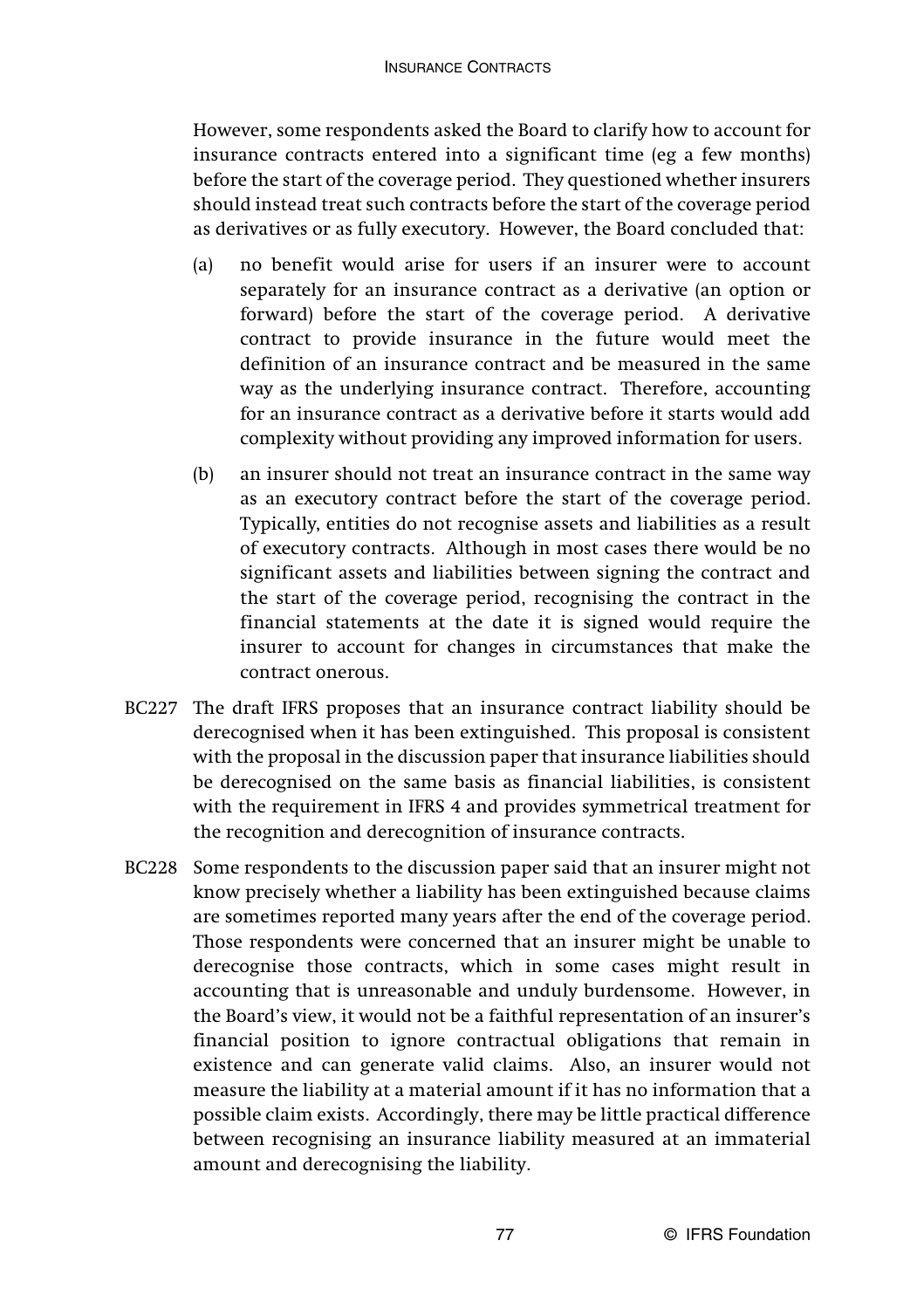However, some respondents asked the Board to clarify how to account for insurance contracts entered into a significant time (eg a few months) before the start of the coverage period. They questioned whether insurers should instead treat such contracts before the start of the coverage period as derivatives or as fully executory. However, the Board concluded that:

- (a) no benefit would arise for users if an insurer were to account separately for an insurance contract as a derivative (an option or forward) before the start of the coverage period. A derivative contract to provide insurance in the future would meet the definition of an insurance contract and be measured in the same way as the underlying insurance contract. Therefore, accounting for an insurance contract as a derivative before it starts would add complexity without providing any improved information for users.
- (b) an insurer should not treat an insurance contract in the same way as an executory contract before the start of the coverage period. Typically, entities do not recognise assets and liabilities as a result of executory contracts. Although in most cases there would be no significant assets and liabilities between signing the contract and the start of the coverage period, recognising the contract in the financial statements at the date it is signed would require the insurer to account for changes in circumstances that make the contract onerous.
- BC227 The draft IFRS proposes that an insurance contract liability should be derecognised when it has been extinguished. This proposal is consistent with the proposal in the discussion paper that insurance liabilities should be derecognised on the same basis as financial liabilities, is consistent with the requirement in IFRS 4 and provides symmetrical treatment for the recognition and derecognition of insurance contracts.
- BC228 Some respondents to the discussion paper said that an insurer might not know precisely whether a liability has been extinguished because claims are sometimes reported many years after the end of the coverage period. Those respondents were concerned that an insurer might be unable to derecognise those contracts, which in some cases might result in accounting that is unreasonable and unduly burdensome. However, in the Board's view, it would not be a faithful representation of an insurer's financial position to ignore contractual obligations that remain in existence and can generate valid claims. Also, an insurer would not measure the liability at a material amount if it has no information that a possible claim exists. Accordingly, there may be little practical difference between recognising an insurance liability measured at an immaterial amount and derecognising the liability.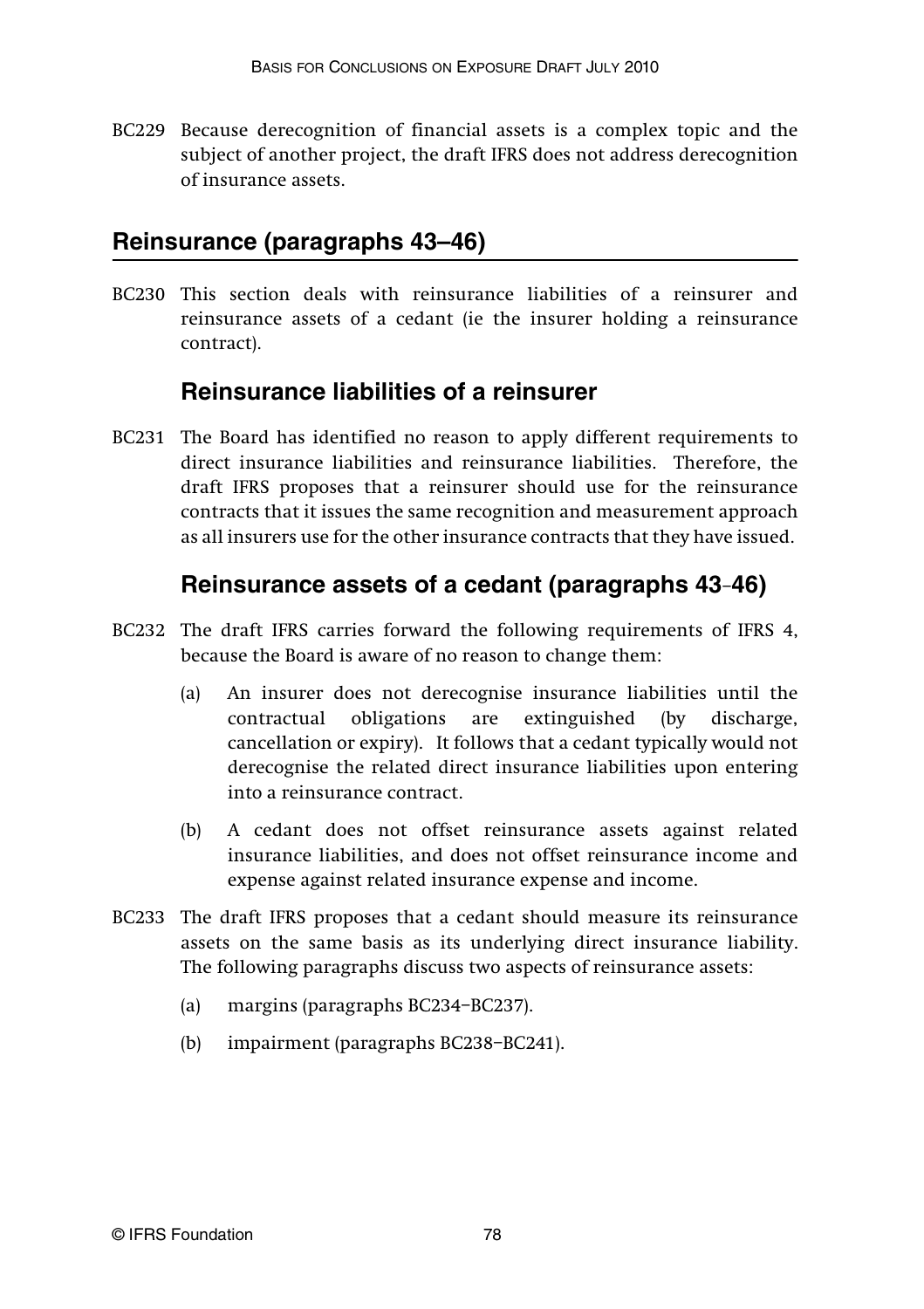BC229 Because derecognition of financial assets is a complex topic and the subject of another project, the draft IFRS does not address derecognition of insurance assets.

### **Reinsurance (paragraphs 43–46)**

BC230 This section deals with reinsurance liabilities of a reinsurer and reinsurance assets of a cedant (ie the insurer holding a reinsurance contract).

### **Reinsurance liabilities of a reinsurer**

BC231 The Board has identified no reason to apply different requirements to direct insurance liabilities and reinsurance liabilities. Therefore, the draft IFRS proposes that a reinsurer should use for the reinsurance contracts that it issues the same recognition and measurement approach as all insurers use for the other insurance contracts that they have issued.

### **Reinsurance assets of a cedant (paragraphs 43**–**46)**

- BC232 The draft IFRS carries forward the following requirements of IFRS 4, because the Board is aware of no reason to change them:
	- (a) An insurer does not derecognise insurance liabilities until the contractual obligations are extinguished (by discharge, cancellation or expiry). It follows that a cedant typically would not derecognise the related direct insurance liabilities upon entering into a reinsurance contract.
	- (b) A cedant does not offset reinsurance assets against related insurance liabilities, and does not offset reinsurance income and expense against related insurance expense and income.
- BC233 The draft IFRS proposes that a cedant should measure its reinsurance assets on the same basis as its underlying direct insurance liability. The following paragraphs discuss two aspects of reinsurance assets:
	- (a) margins (paragraphs BC234–BC237).
	- (b) impairment (paragraphs BC238–BC241).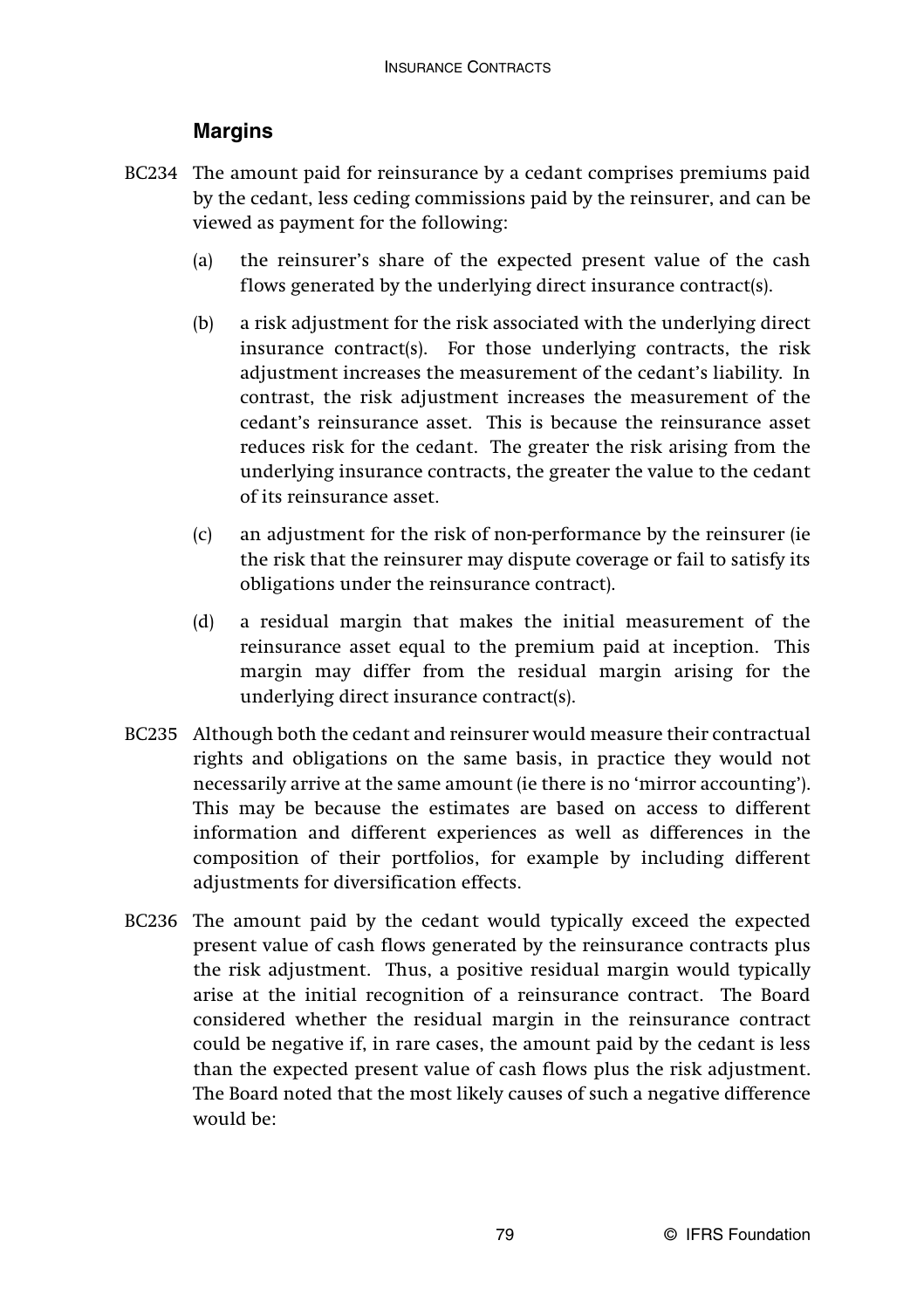#### **Margins**

- BC234 The amount paid for reinsurance by a cedant comprises premiums paid by the cedant, less ceding commissions paid by the reinsurer, and can be viewed as payment for the following:
	- (a) the reinsurer's share of the expected present value of the cash flows generated by the underlying direct insurance contract(s).
	- (b) a risk adjustment for the risk associated with the underlying direct insurance contract(s). For those underlying contracts, the risk adjustment increases the measurement of the cedant's liability. In contrast, the risk adjustment increases the measurement of the cedant's reinsurance asset. This is because the reinsurance asset reduces risk for the cedant. The greater the risk arising from the underlying insurance contracts, the greater the value to the cedant of its reinsurance asset.
	- (c) an adjustment for the risk of non-performance by the reinsurer (ie the risk that the reinsurer may dispute coverage or fail to satisfy its obligations under the reinsurance contract).
	- (d) a residual margin that makes the initial measurement of the reinsurance asset equal to the premium paid at inception. This margin may differ from the residual margin arising for the underlying direct insurance contract(s).
- BC235 Although both the cedant and reinsurer would measure their contractual rights and obligations on the same basis, in practice they would not necessarily arrive at the same amount (ie there is no 'mirror accounting'). This may be because the estimates are based on access to different information and different experiences as well as differences in the composition of their portfolios, for example by including different adjustments for diversification effects.
- BC236 The amount paid by the cedant would typically exceed the expected present value of cash flows generated by the reinsurance contracts plus the risk adjustment. Thus, a positive residual margin would typically arise at the initial recognition of a reinsurance contract. The Board considered whether the residual margin in the reinsurance contract could be negative if, in rare cases, the amount paid by the cedant is less than the expected present value of cash flows plus the risk adjustment. The Board noted that the most likely causes of such a negative difference would be: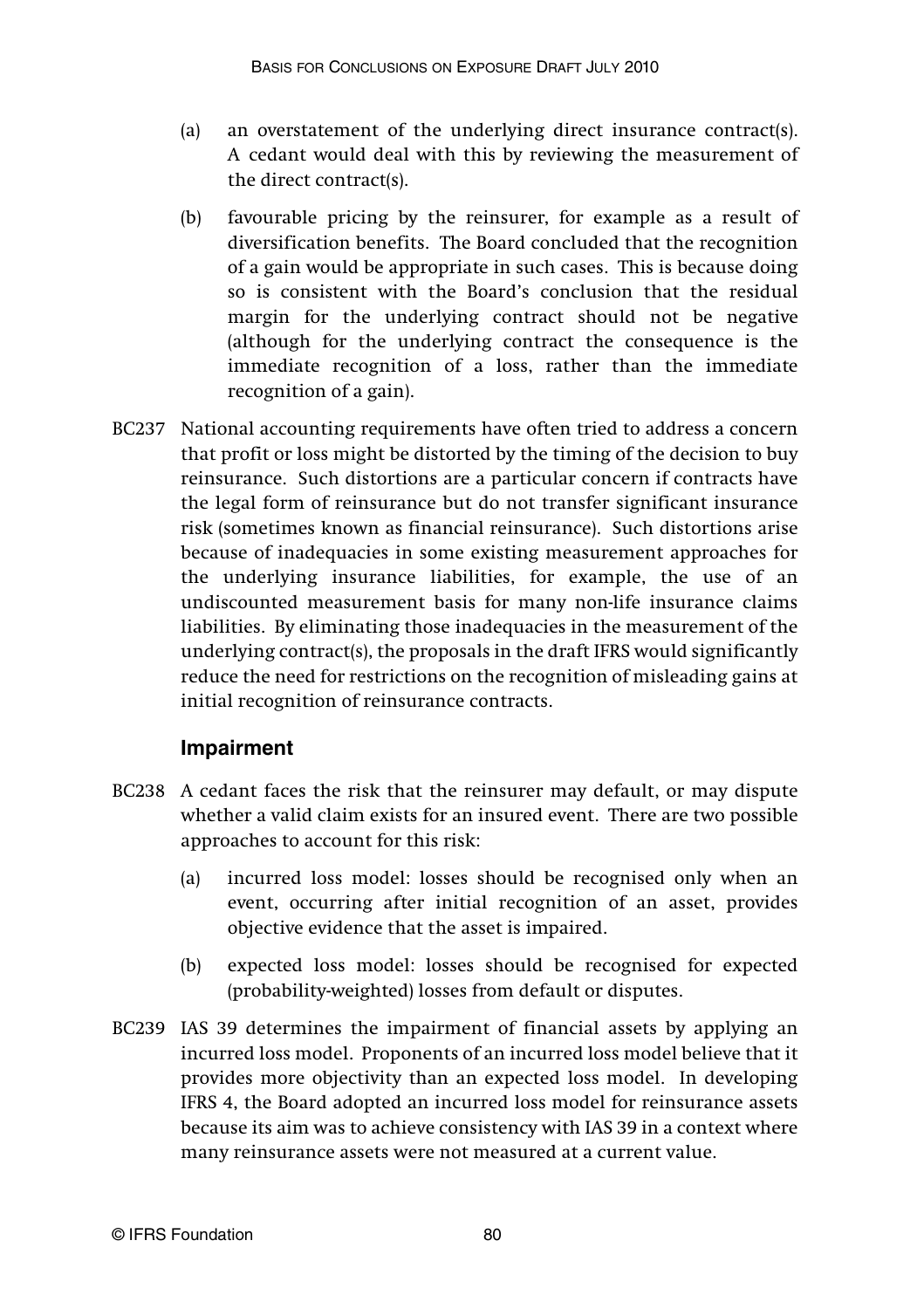- (a) an overstatement of the underlying direct insurance contract(s). A cedant would deal with this by reviewing the measurement of the direct contract(s).
- (b) favourable pricing by the reinsurer, for example as a result of diversification benefits. The Board concluded that the recognition of a gain would be appropriate in such cases. This is because doing so is consistent with the Board's conclusion that the residual margin for the underlying contract should not be negative (although for the underlying contract the consequence is the immediate recognition of a loss, rather than the immediate recognition of a gain).
- BC237 National accounting requirements have often tried to address a concern that profit or loss might be distorted by the timing of the decision to buy reinsurance. Such distortions are a particular concern if contracts have the legal form of reinsurance but do not transfer significant insurance risk (sometimes known as financial reinsurance). Such distortions arise because of inadequacies in some existing measurement approaches for the underlying insurance liabilities, for example, the use of an undiscounted measurement basis for many non-life insurance claims liabilities. By eliminating those inadequacies in the measurement of the underlying contract(s), the proposals in the draft IFRS would significantly reduce the need for restrictions on the recognition of misleading gains at initial recognition of reinsurance contracts.

#### **Impairment**

- BC238 A cedant faces the risk that the reinsurer may default, or may dispute whether a valid claim exists for an insured event. There are two possible approaches to account for this risk:
	- (a) incurred loss model: losses should be recognised only when an event, occurring after initial recognition of an asset, provides objective evidence that the asset is impaired.
	- (b) expected loss model: losses should be recognised for expected (probability-weighted) losses from default or disputes.
- BC239 IAS 39 determines the impairment of financial assets by applying an incurred loss model. Proponents of an incurred loss model believe that it provides more objectivity than an expected loss model. In developing IFRS 4, the Board adopted an incurred loss model for reinsurance assets because its aim was to achieve consistency with IAS 39 in a context where many reinsurance assets were not measured at a current value.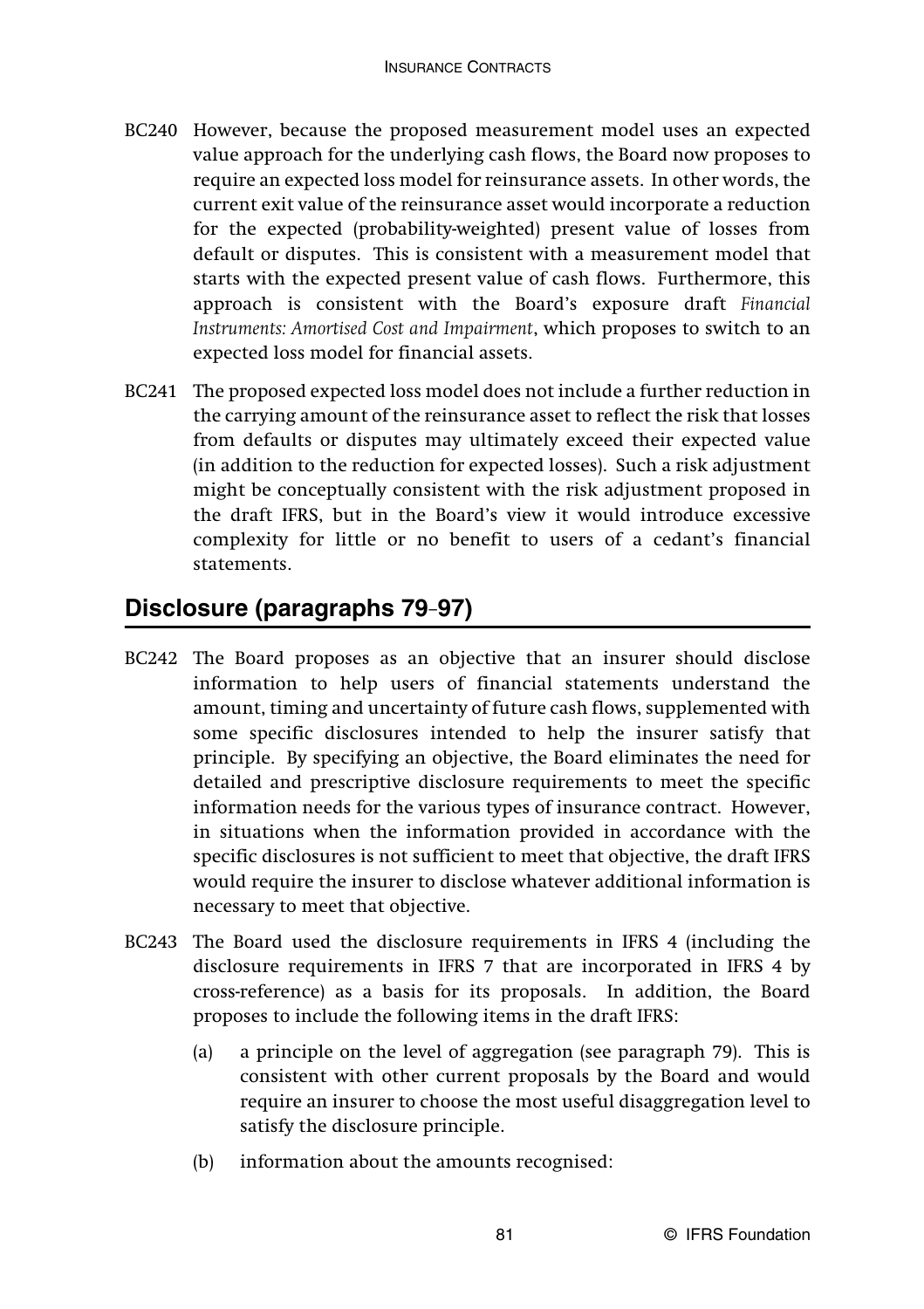- BC240 However, because the proposed measurement model uses an expected value approach for the underlying cash flows, the Board now proposes to require an expected loss model for reinsurance assets. In other words, the current exit value of the reinsurance asset would incorporate a reduction for the expected (probability-weighted) present value of losses from default or disputes. This is consistent with a measurement model that starts with the expected present value of cash flows. Furthermore, this approach is consistent with the Board's exposure draft *Financial Instruments: Amortised Cost and Impairment*, which proposes to switch to an expected loss model for financial assets.
- BC241 The proposed expected loss model does not include a further reduction in the carrying amount of the reinsurance asset to reflect the risk that losses from defaults or disputes may ultimately exceed their expected value (in addition to the reduction for expected losses). Such a risk adjustment might be conceptually consistent with the risk adjustment proposed in the draft IFRS, but in the Board's view it would introduce excessive complexity for little or no benefit to users of a cedant's financial statements.

## **Disclosure (paragraphs 79**–**97)**

- BC242 The Board proposes as an objective that an insurer should disclose information to help users of financial statements understand the amount, timing and uncertainty of future cash flows, supplemented with some specific disclosures intended to help the insurer satisfy that principle. By specifying an objective, the Board eliminates the need for detailed and prescriptive disclosure requirements to meet the specific information needs for the various types of insurance contract. However, in situations when the information provided in accordance with the specific disclosures is not sufficient to meet that objective, the draft IFRS would require the insurer to disclose whatever additional information is necessary to meet that objective.
- BC243 The Board used the disclosure requirements in IFRS 4 (including the disclosure requirements in IFRS 7 that are incorporated in IFRS 4 by cross-reference) as a basis for its proposals. In addition, the Board proposes to include the following items in the draft IFRS:
	- (a) a principle on the level of aggregation (see paragraph 79). This is consistent with other current proposals by the Board and would require an insurer to choose the most useful disaggregation level to satisfy the disclosure principle.
	- (b) information about the amounts recognised: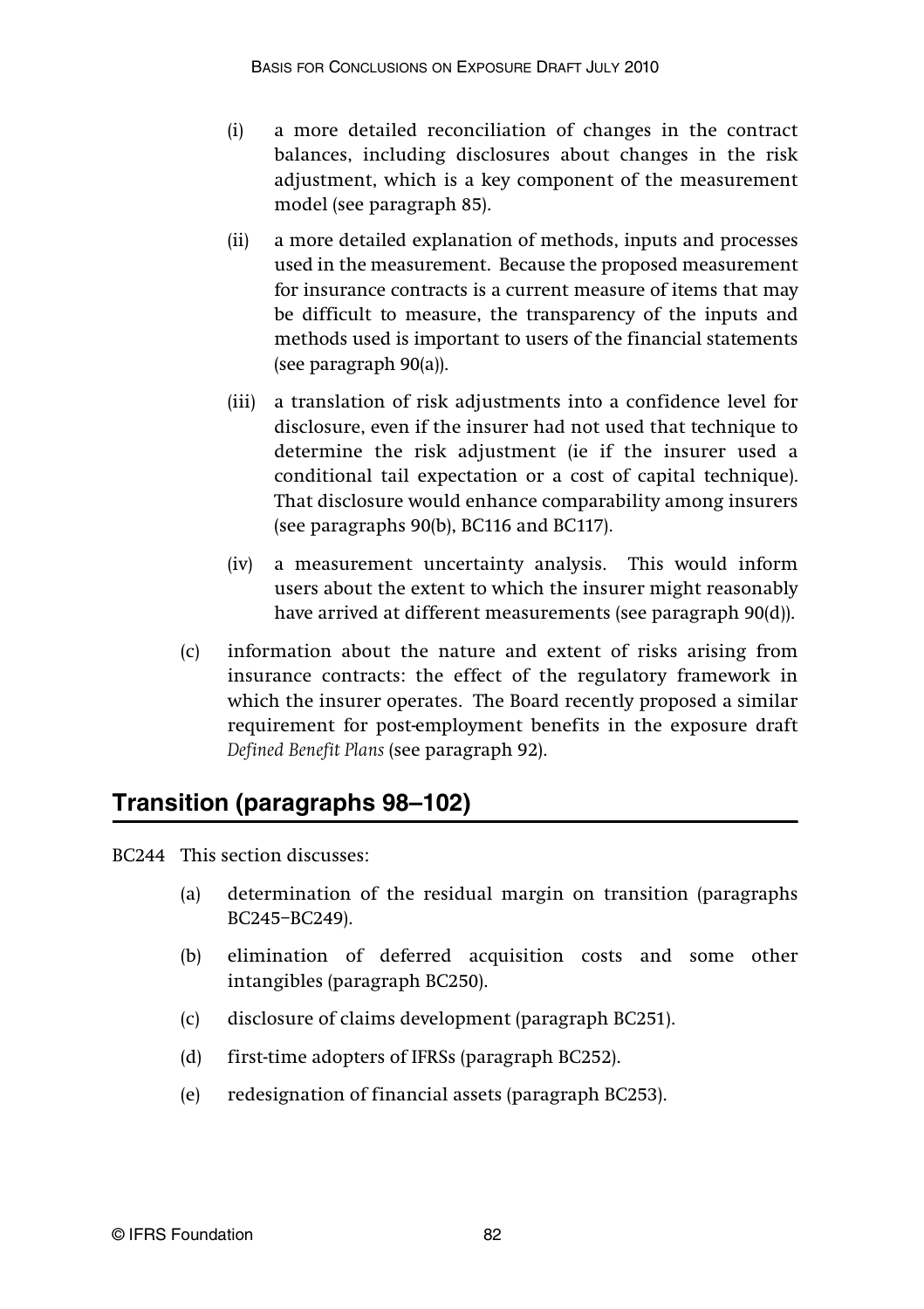- (i) a more detailed reconciliation of changes in the contract balances, including disclosures about changes in the risk adjustment, which is a key component of the measurement model (see paragraph 85).
- (ii) a more detailed explanation of methods, inputs and processes used in the measurement. Because the proposed measurement for insurance contracts is a current measure of items that may be difficult to measure, the transparency of the inputs and methods used is important to users of the financial statements (see paragraph 90(a)).
- (iii) a translation of risk adjustments into a confidence level for disclosure, even if the insurer had not used that technique to determine the risk adjustment (ie if the insurer used a conditional tail expectation or a cost of capital technique). That disclosure would enhance comparability among insurers (see paragraphs 90(b), BC116 and BC117).
- (iv) a measurement uncertainty analysis. This would inform users about the extent to which the insurer might reasonably have arrived at different measurements (see paragraph 90(d)).
- (c) information about the nature and extent of risks arising from insurance contracts: the effect of the regulatory framework in which the insurer operates. The Board recently proposed a similar requirement for post-employment benefits in the exposure draft *Defined Benefit Plans* (see paragraph 92).

## **Transition (paragraphs 98–102)**

BC244 This section discusses:

- (a) determination of the residual margin on transition (paragraphs BC245–BC249).
- (b) elimination of deferred acquisition costs and some other intangibles (paragraph BC250).
- (c) disclosure of claims development (paragraph BC251).
- (d) first-time adopters of IFRSs (paragraph BC252).
- (e) redesignation of financial assets (paragraph BC253).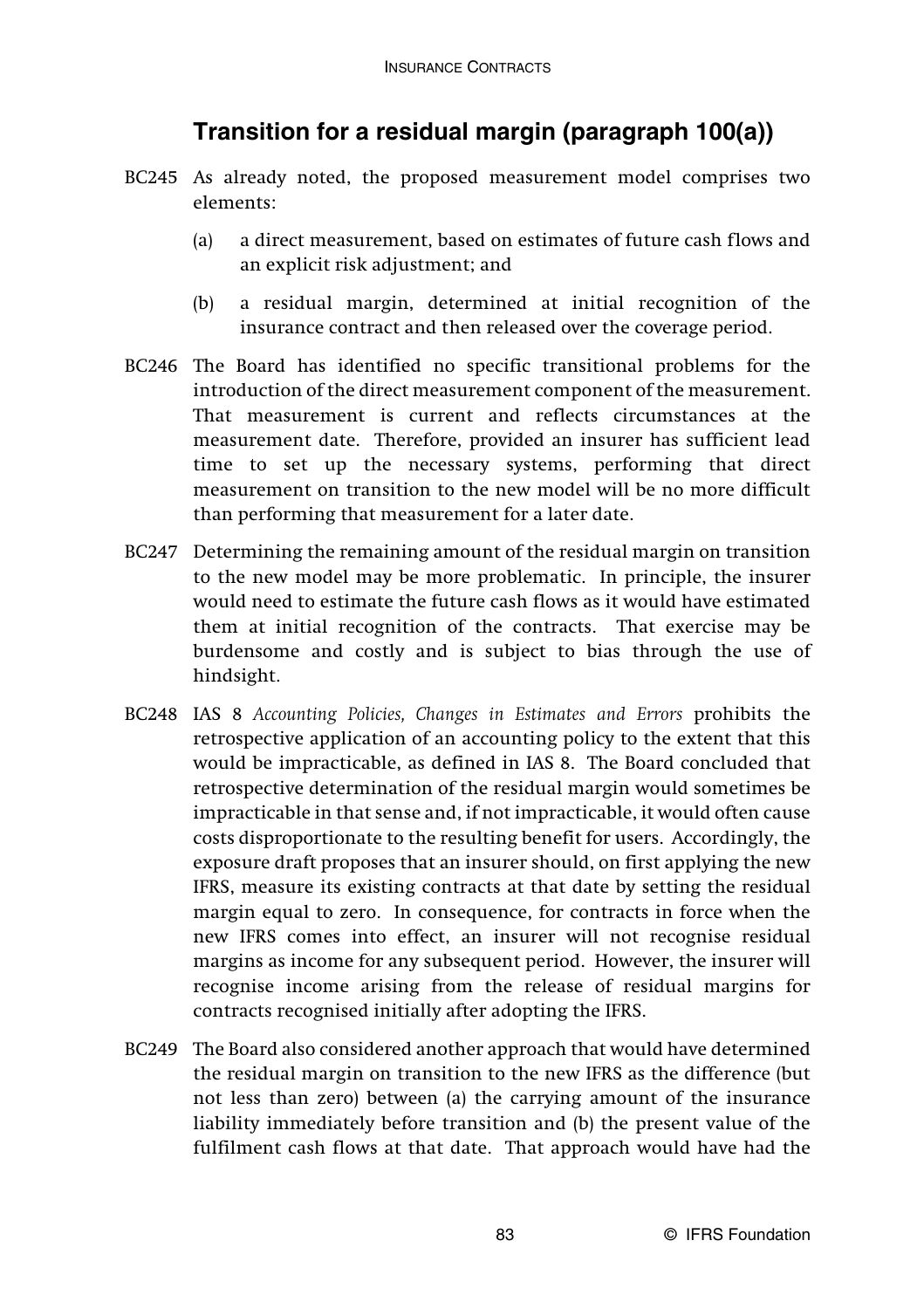## **Transition for a residual margin (paragraph 100(a))**

- BC245 As already noted, the proposed measurement model comprises two elements:
	- (a) a direct measurement, based on estimates of future cash flows and an explicit risk adjustment; and
	- (b) a residual margin, determined at initial recognition of the insurance contract and then released over the coverage period.
- BC246 The Board has identified no specific transitional problems for the introduction of the direct measurement component of the measurement. That measurement is current and reflects circumstances at the measurement date. Therefore, provided an insurer has sufficient lead time to set up the necessary systems, performing that direct measurement on transition to the new model will be no more difficult than performing that measurement for a later date.
- BC247 Determining the remaining amount of the residual margin on transition to the new model may be more problematic. In principle, the insurer would need to estimate the future cash flows as it would have estimated them at initial recognition of the contracts. That exercise may be burdensome and costly and is subject to bias through the use of hindsight.
- BC248 IAS 8 *Accounting Policies, Changes in Estimates and Errors* prohibits the retrospective application of an accounting policy to the extent that this would be impracticable, as defined in IAS 8. The Board concluded that retrospective determination of the residual margin would sometimes be impracticable in that sense and, if not impracticable, it would often cause costs disproportionate to the resulting benefit for users. Accordingly, the exposure draft proposes that an insurer should, on first applying the new IFRS, measure its existing contracts at that date by setting the residual margin equal to zero. In consequence, for contracts in force when the new IFRS comes into effect, an insurer will not recognise residual margins as income for any subsequent period. However, the insurer will recognise income arising from the release of residual margins for contracts recognised initially after adopting the IFRS.
- BC249 The Board also considered another approach that would have determined the residual margin on transition to the new IFRS as the difference (but not less than zero) between (a) the carrying amount of the insurance liability immediately before transition and (b) the present value of the fulfilment cash flows at that date. That approach would have had the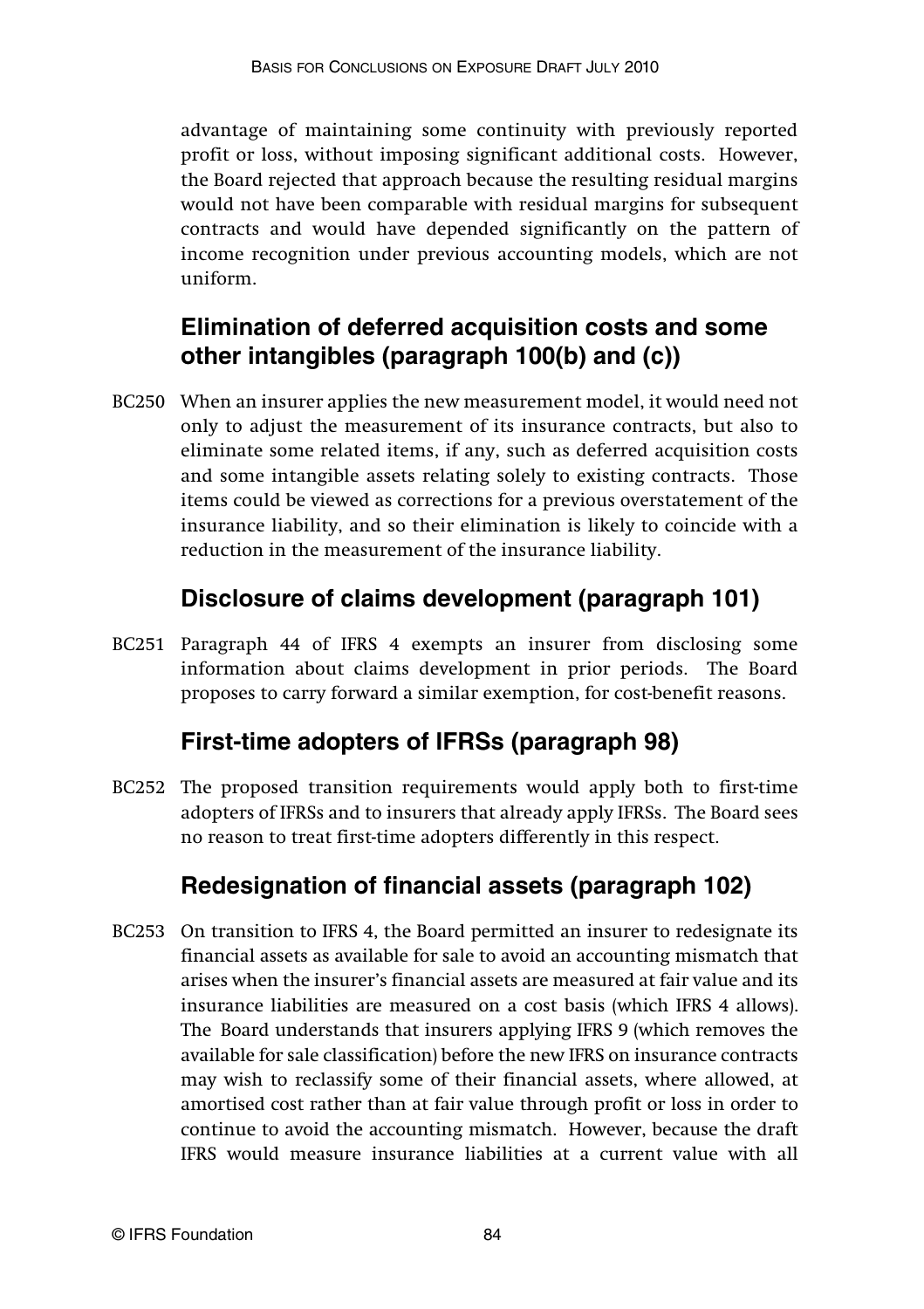advantage of maintaining some continuity with previously reported profit or loss, without imposing significant additional costs. However, the Board rejected that approach because the resulting residual margins would not have been comparable with residual margins for subsequent contracts and would have depended significantly on the pattern of income recognition under previous accounting models, which are not uniform.

## **Elimination of deferred acquisition costs and some other intangibles (paragraph 100(b) and (c))**

BC250 When an insurer applies the new measurement model, it would need not only to adjust the measurement of its insurance contracts, but also to eliminate some related items, if any, such as deferred acquisition costs and some intangible assets relating solely to existing contracts. Those items could be viewed as corrections for a previous overstatement of the insurance liability, and so their elimination is likely to coincide with a reduction in the measurement of the insurance liability.

### **Disclosure of claims development (paragraph 101)**

BC251 Paragraph 44 of IFRS 4 exempts an insurer from disclosing some information about claims development in prior periods. The Board proposes to carry forward a similar exemption, for cost-benefit reasons.

## **First-time adopters of IFRSs (paragraph 98)**

BC252 The proposed transition requirements would apply both to first-time adopters of IFRSs and to insurers that already apply IFRSs. The Board sees no reason to treat first-time adopters differently in this respect.

## **Redesignation of financial assets (paragraph 102)**

BC253 On transition to IFRS 4, the Board permitted an insurer to redesignate its financial assets as available for sale to avoid an accounting mismatch that arises when the insurer's financial assets are measured at fair value and its insurance liabilities are measured on a cost basis (which IFRS 4 allows). The Board understands that insurers applying IFRS 9 (which removes the available for sale classification) before the new IFRS on insurance contracts may wish to reclassify some of their financial assets, where allowed, at amortised cost rather than at fair value through profit or loss in order to continue to avoid the accounting mismatch. However, because the draft IFRS would measure insurance liabilities at a current value with all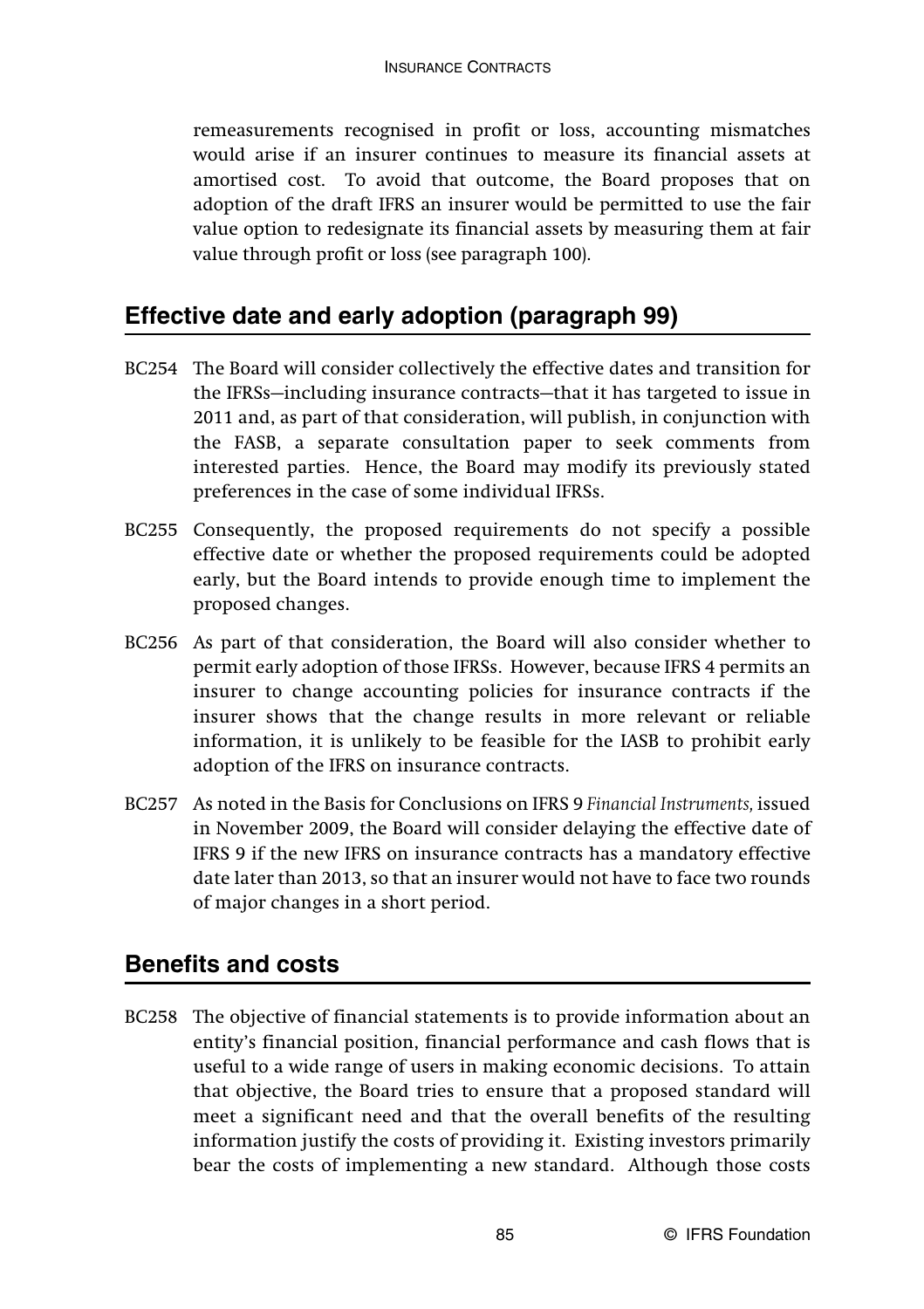remeasurements recognised in profit or loss, accounting mismatches would arise if an insurer continues to measure its financial assets at amortised cost. To avoid that outcome, the Board proposes that on adoption of the draft IFRS an insurer would be permitted to use the fair value option to redesignate its financial assets by measuring them at fair value through profit or loss (see paragraph 100).

### **Effective date and early adoption (paragraph 99)**

- BC254 The Board will consider collectively the effective dates and transition for the IFRSs—including insurance contracts—that it has targeted to issue in 2011 and, as part of that consideration, will publish, in conjunction with the FASB, a separate consultation paper to seek comments from interested parties. Hence, the Board may modify its previously stated preferences in the case of some individual IFRSs.
- BC255 Consequently, the proposed requirements do not specify a possible effective date or whether the proposed requirements could be adopted early, but the Board intends to provide enough time to implement the proposed changes.
- BC256 As part of that consideration, the Board will also consider whether to permit early adoption of those IFRSs. However, because IFRS 4 permits an insurer to change accounting policies for insurance contracts if the insurer shows that the change results in more relevant or reliable information, it is unlikely to be feasible for the IASB to prohibit early adoption of the IFRS on insurance contracts.
- BC257 As noted in the Basis for Conclusions on IFRS 9 *Financial Instruments,* issued in November 2009, the Board will consider delaying the effective date of IFRS 9 if the new IFRS on insurance contracts has a mandatory effective date later than 2013, so that an insurer would not have to face two rounds of major changes in a short period.

### **Benefits and costs**

BC258 The objective of financial statements is to provide information about an entity's financial position, financial performance and cash flows that is useful to a wide range of users in making economic decisions. To attain that objective, the Board tries to ensure that a proposed standard will meet a significant need and that the overall benefits of the resulting information justify the costs of providing it. Existing investors primarily bear the costs of implementing a new standard. Although those costs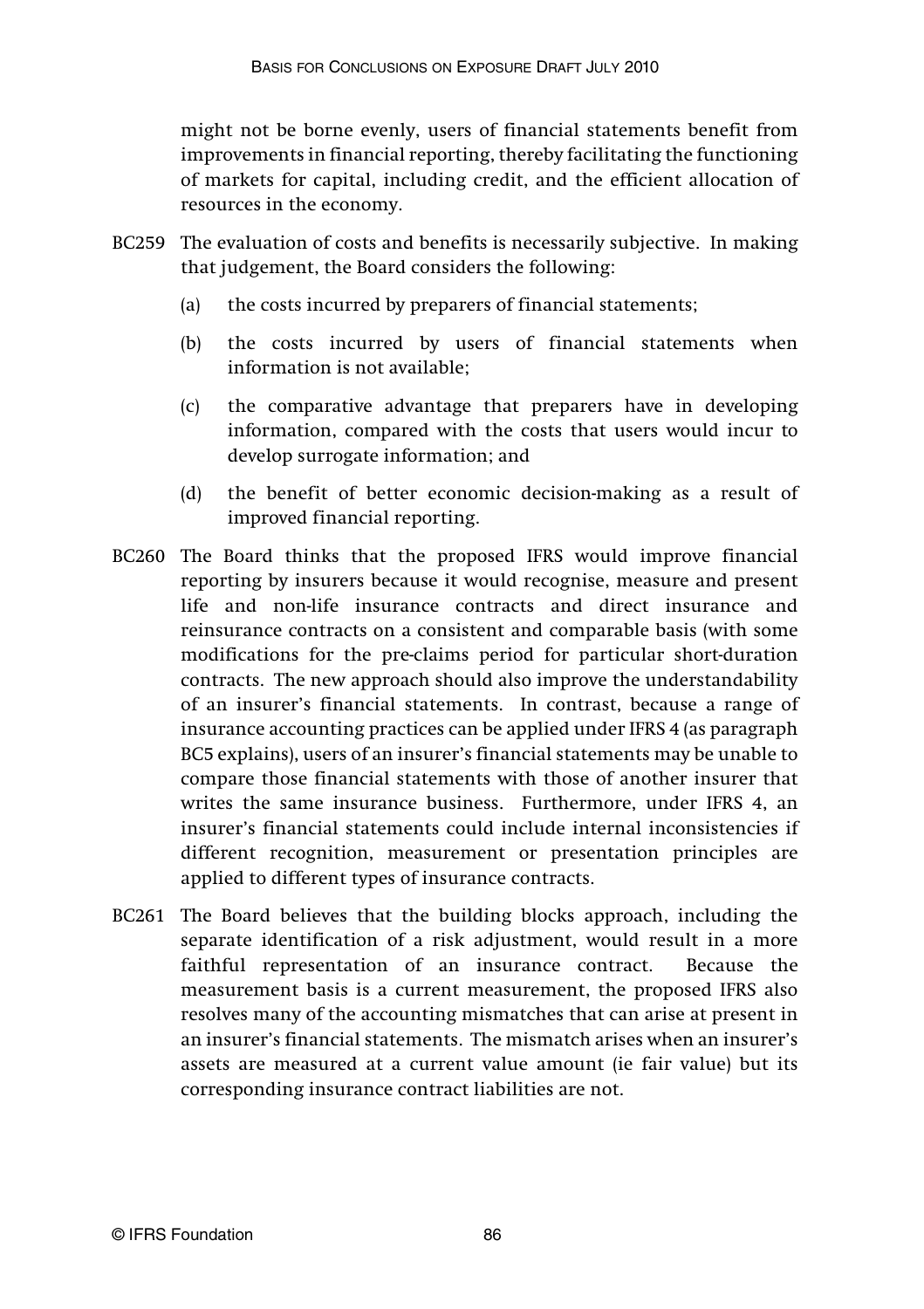might not be borne evenly, users of financial statements benefit from improvements in financial reporting, thereby facilitating the functioning of markets for capital, including credit, and the efficient allocation of resources in the economy.

- BC259 The evaluation of costs and benefits is necessarily subjective. In making that judgement, the Board considers the following:
	- (a) the costs incurred by preparers of financial statements;
	- (b) the costs incurred by users of financial statements when information is not available;
	- (c) the comparative advantage that preparers have in developing information, compared with the costs that users would incur to develop surrogate information; and
	- (d) the benefit of better economic decision-making as a result of improved financial reporting.
- BC260 The Board thinks that the proposed IFRS would improve financial reporting by insurers because it would recognise, measure and present life and non-life insurance contracts and direct insurance and reinsurance contracts on a consistent and comparable basis (with some modifications for the pre-claims period for particular short-duration contracts. The new approach should also improve the understandability of an insurer's financial statements. In contrast, because a range of insurance accounting practices can be applied under IFRS 4 (as paragraph BC5 explains), users of an insurer's financial statements may be unable to compare those financial statements with those of another insurer that writes the same insurance business. Furthermore, under IFRS 4, an insurer's financial statements could include internal inconsistencies if different recognition, measurement or presentation principles are applied to different types of insurance contracts.
- BC261 The Board believes that the building blocks approach, including the separate identification of a risk adjustment, would result in a more faithful representation of an insurance contract. Because the measurement basis is a current measurement, the proposed IFRS also resolves many of the accounting mismatches that can arise at present in an insurer's financial statements. The mismatch arises when an insurer's assets are measured at a current value amount (ie fair value) but its corresponding insurance contract liabilities are not.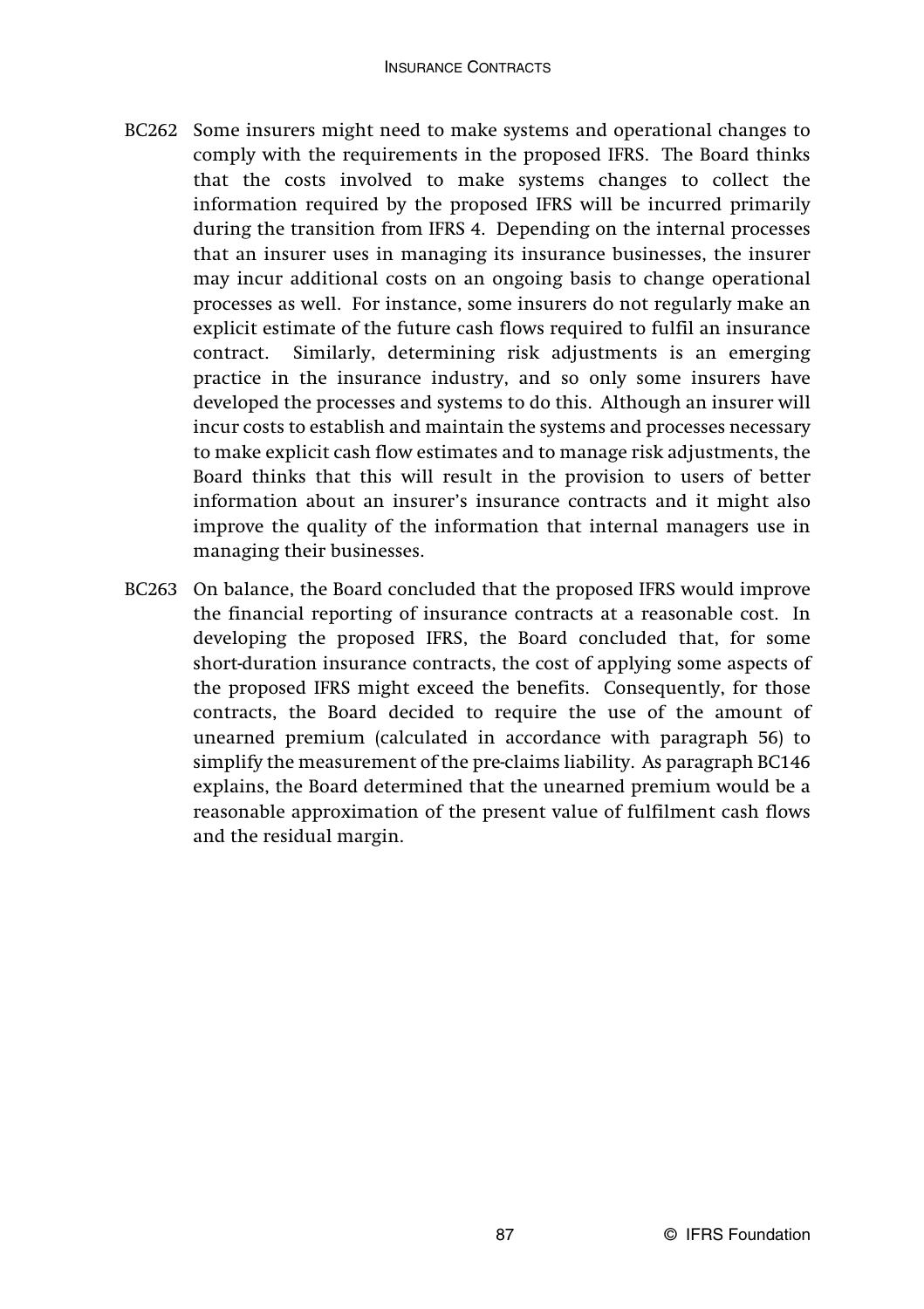- BC262 Some insurers might need to make systems and operational changes to comply with the requirements in the proposed IFRS. The Board thinks that the costs involved to make systems changes to collect the information required by the proposed IFRS will be incurred primarily during the transition from IFRS 4. Depending on the internal processes that an insurer uses in managing its insurance businesses, the insurer may incur additional costs on an ongoing basis to change operational processes as well. For instance, some insurers do not regularly make an explicit estimate of the future cash flows required to fulfil an insurance contract. Similarly, determining risk adjustments is an emerging practice in the insurance industry, and so only some insurers have developed the processes and systems to do this. Although an insurer will incur costs to establish and maintain the systems and processes necessary to make explicit cash flow estimates and to manage risk adjustments, the Board thinks that this will result in the provision to users of better information about an insurer's insurance contracts and it might also improve the quality of the information that internal managers use in managing their businesses.
- BC263 On balance, the Board concluded that the proposed IFRS would improve the financial reporting of insurance contracts at a reasonable cost. In developing the proposed IFRS, the Board concluded that, for some short-duration insurance contracts, the cost of applying some aspects of the proposed IFRS might exceed the benefits. Consequently, for those contracts, the Board decided to require the use of the amount of unearned premium (calculated in accordance with paragraph 56) to simplify the measurement of the pre-claims liability. As paragraph BC146 explains, the Board determined that the unearned premium would be a reasonable approximation of the present value of fulfilment cash flows and the residual margin.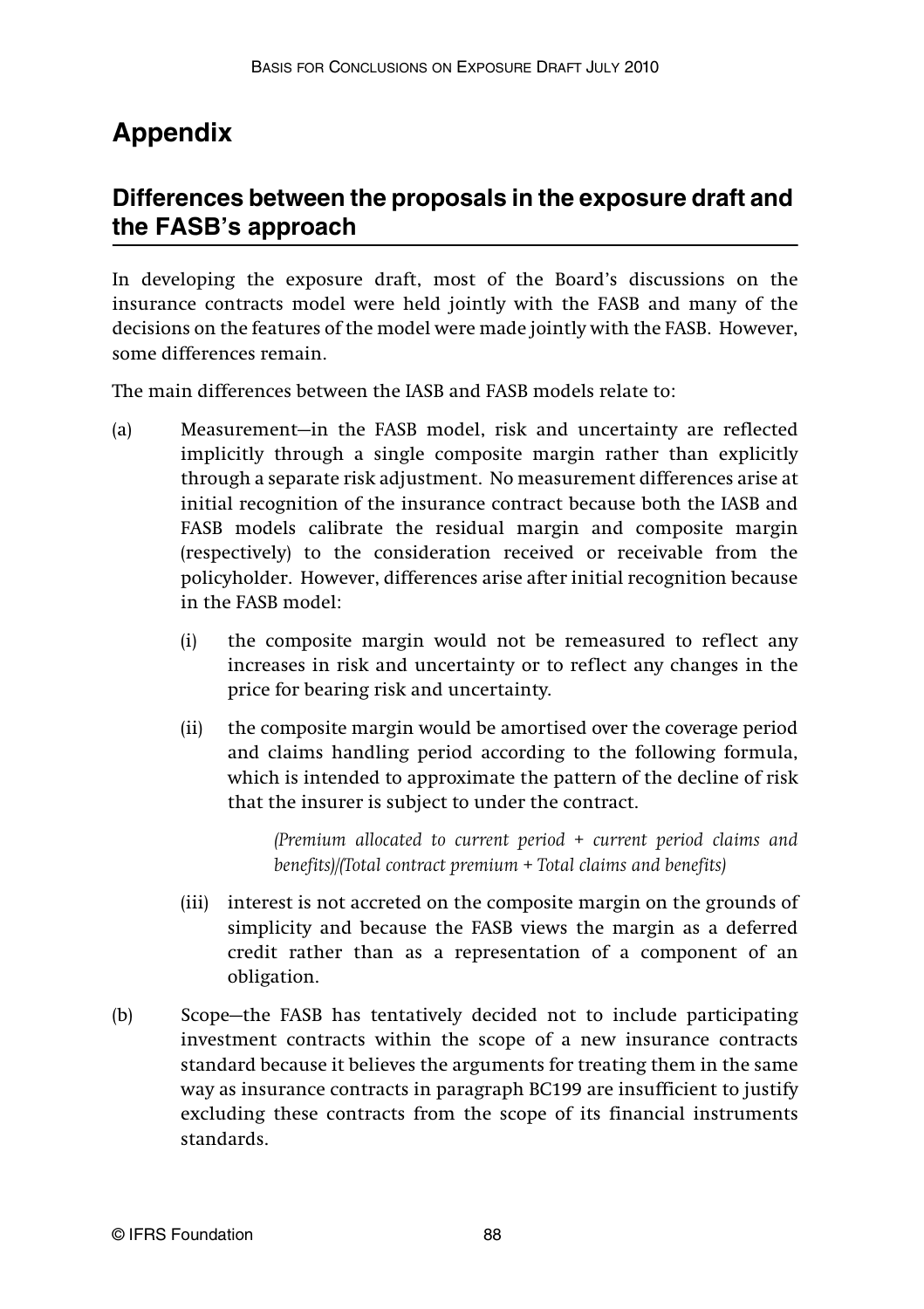# **Appendix**

## **Differences between the proposals in the exposure draft and the FASB's approach**

In developing the exposure draft, most of the Board's discussions on the insurance contracts model were held jointly with the FASB and many of the decisions on the features of the model were made jointly with the FASB. However, some differences remain.

The main differences between the IASB and FASB models relate to:

- (a) Measurement—in the FASB model, risk and uncertainty are reflected implicitly through a single composite margin rather than explicitly through a separate risk adjustment. No measurement differences arise at initial recognition of the insurance contract because both the IASB and FASB models calibrate the residual margin and composite margin (respectively) to the consideration received or receivable from the policyholder. However, differences arise after initial recognition because in the FASB model:
	- (i) the composite margin would not be remeasured to reflect any increases in risk and uncertainty or to reflect any changes in the price for bearing risk and uncertainty.
	- (ii) the composite margin would be amortised over the coverage period and claims handling period according to the following formula, which is intended to approximate the pattern of the decline of risk that the insurer is subject to under the contract.

*(Premium allocated to current period + current period claims and benefits)/(Total contract premium + Total claims and benefits)*

- (iii) interest is not accreted on the composite margin on the grounds of simplicity and because the FASB views the margin as a deferred credit rather than as a representation of a component of an obligation.
- (b) Scope—the FASB has tentatively decided not to include participating investment contracts within the scope of a new insurance contracts standard because it believes the arguments for treating them in the same way as insurance contracts in paragraph BC199 are insufficient to justify excluding these contracts from the scope of its financial instruments standards.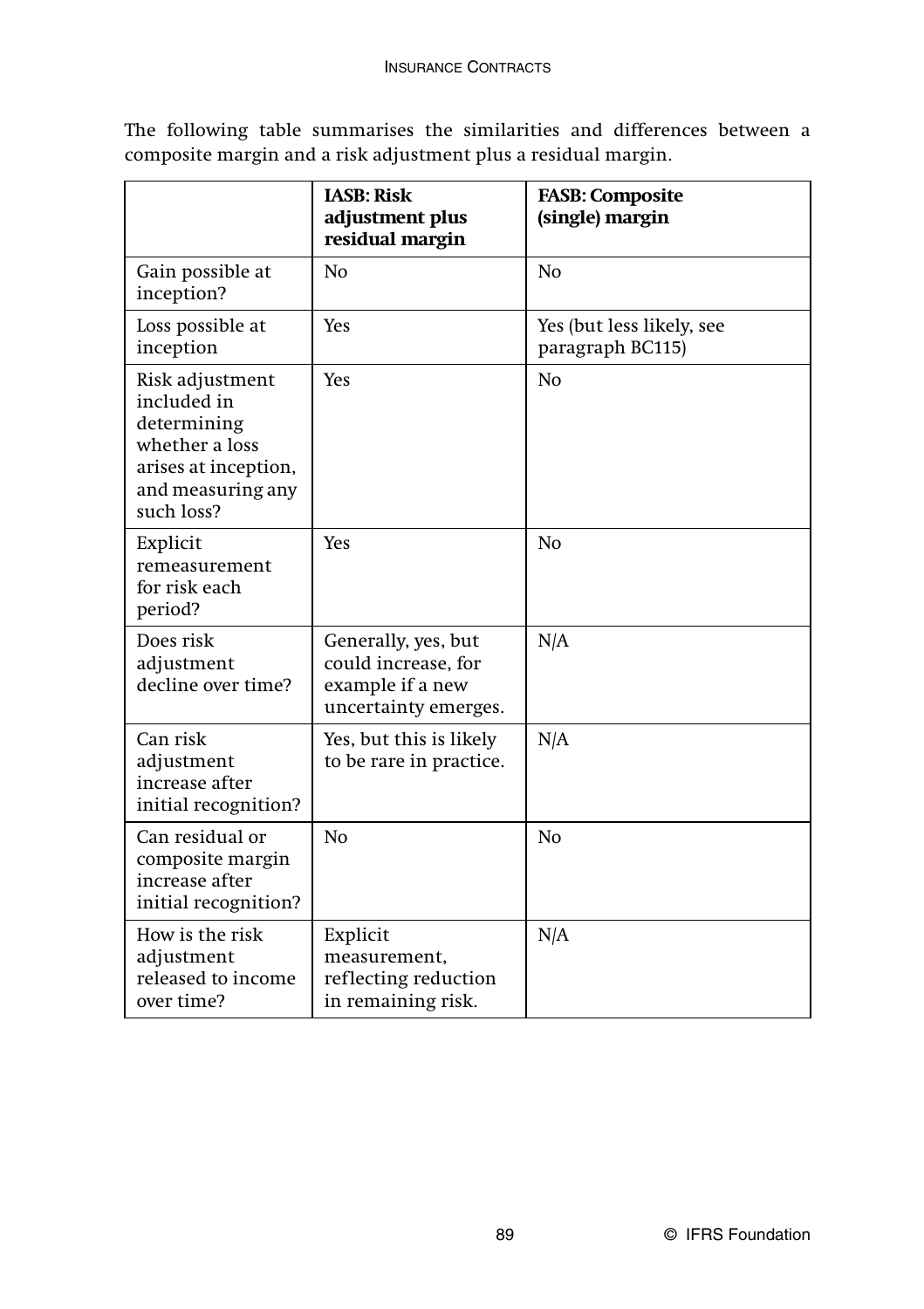|                                                                                                                            | <b>IASB: Risk</b><br>adjustment plus<br>residual margin                                | <b>FASB: Composite</b><br>(single) margin     |
|----------------------------------------------------------------------------------------------------------------------------|----------------------------------------------------------------------------------------|-----------------------------------------------|
| Gain possible at<br>inception?                                                                                             | N <sub>0</sub>                                                                         | No                                            |
| Loss possible at<br>inception                                                                                              | Yes                                                                                    | Yes (but less likely, see<br>paragraph BC115) |
| Risk adjustment<br>included in<br>determining<br>whether a loss<br>arises at inception,<br>and measuring any<br>such loss? | Yes                                                                                    | No                                            |
| Explicit<br>remeasurement<br>for risk each<br>period?                                                                      | <b>Yes</b>                                                                             | No                                            |
| Does risk<br>adjustment<br>decline over time?                                                                              | Generally, yes, but<br>could increase, for<br>example if a new<br>uncertainty emerges. | N/A                                           |
| Can risk<br>adjustment<br>increase after<br>initial recognition?                                                           | Yes, but this is likely<br>to be rare in practice.                                     | N/A                                           |
| Can residual or<br>composite margin<br>increase after<br>initial recognition?                                              | N <sub>0</sub>                                                                         | No                                            |
| How is the risk<br>adjustment<br>released to income<br>over time?                                                          | Explicit<br>measurement,<br>reflecting reduction<br>in remaining risk.                 | N/A                                           |

The following table summarises the similarities and differences between a composite margin and a risk adjustment plus a residual margin.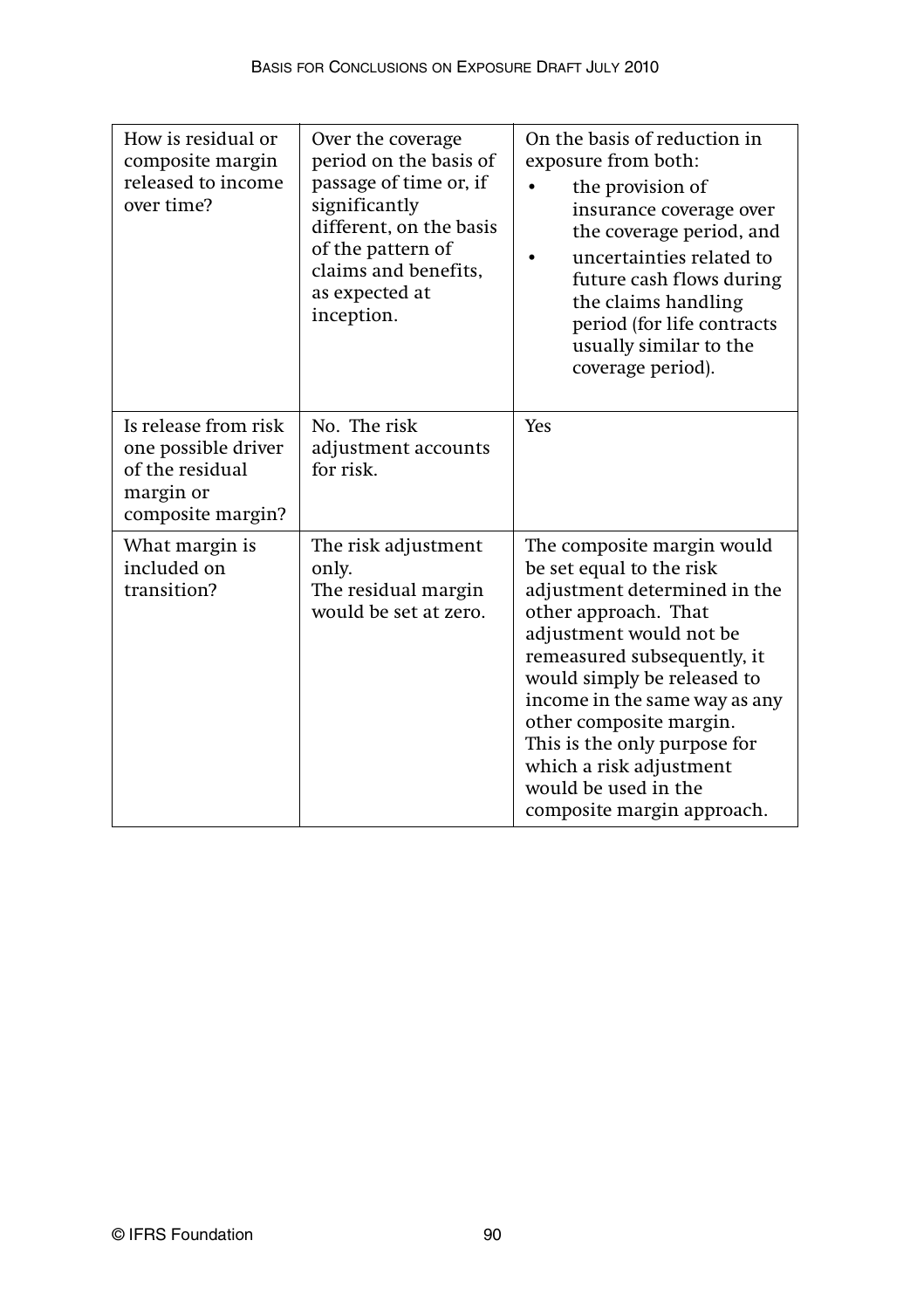| How is residual or<br>composite margin<br>released to income<br>over time?                       | Over the coverage<br>period on the basis of<br>passage of time or, if<br>significantly<br>different, on the basis<br>of the pattern of<br>claims and benefits,<br>as expected at<br>inception. | On the basis of reduction in<br>exposure from both:<br>the provision of<br>insurance coverage over<br>the coverage period, and<br>uncertainties related to<br>future cash flows during<br>the claims handling<br>period (for life contracts<br>usually similar to the<br>coverage period).                                                                                           |
|--------------------------------------------------------------------------------------------------|------------------------------------------------------------------------------------------------------------------------------------------------------------------------------------------------|--------------------------------------------------------------------------------------------------------------------------------------------------------------------------------------------------------------------------------------------------------------------------------------------------------------------------------------------------------------------------------------|
| Is release from risk<br>one possible driver<br>of the residual<br>margin or<br>composite margin? | No. The risk<br>adjustment accounts<br>for risk.                                                                                                                                               | Yes                                                                                                                                                                                                                                                                                                                                                                                  |
| What margin is<br>included on<br>transition?                                                     | The risk adjustment<br>only.<br>The residual margin<br>would be set at zero.                                                                                                                   | The composite margin would<br>be set equal to the risk<br>adjustment determined in the<br>other approach. That<br>adjustment would not be<br>remeasured subsequently, it<br>would simply be released to<br>income in the same way as any<br>other composite margin.<br>This is the only purpose for<br>which a risk adjustment<br>would be used in the<br>composite margin approach. |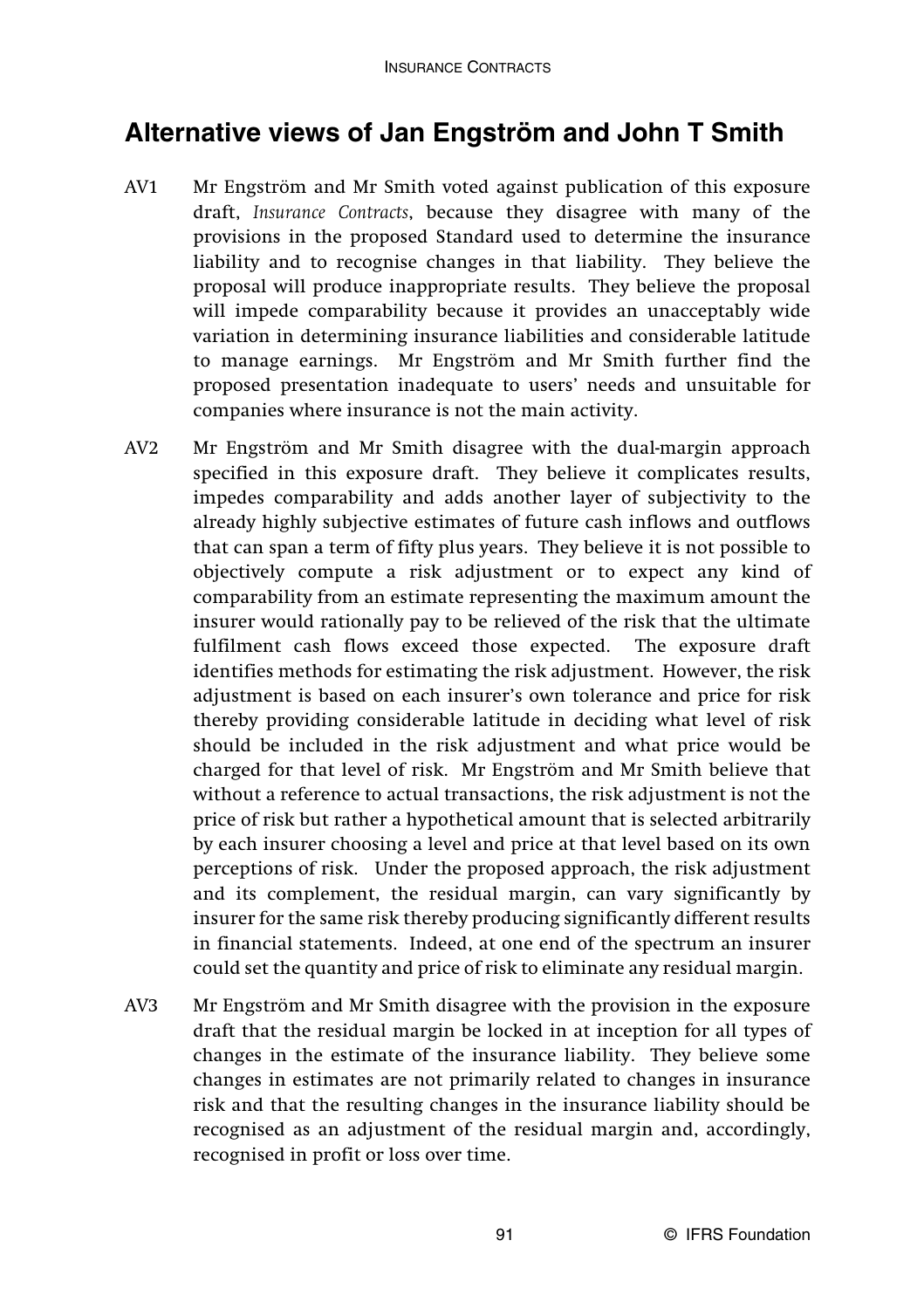# **Alternative views of Jan Engström and John T Smith**

- AV1 Mr Engström and Mr Smith voted against publication of this exposure draft, *Insurance Contracts*, because they disagree with many of the provisions in the proposed Standard used to determine the insurance liability and to recognise changes in that liability. They believe the proposal will produce inappropriate results. They believe the proposal will impede comparability because it provides an unacceptably wide variation in determining insurance liabilities and considerable latitude to manage earnings. Mr Engström and Mr Smith further find the proposed presentation inadequate to users' needs and unsuitable for companies where insurance is not the main activity.
- AV2 Mr Engström and Mr Smith disagree with the dual-margin approach specified in this exposure draft. They believe it complicates results, impedes comparability and adds another layer of subjectivity to the already highly subjective estimates of future cash inflows and outflows that can span a term of fifty plus years. They believe it is not possible to objectively compute a risk adjustment or to expect any kind of comparability from an estimate representing the maximum amount the insurer would rationally pay to be relieved of the risk that the ultimate fulfilment cash flows exceed those expected. The exposure draft identifies methods for estimating the risk adjustment. However, the risk adjustment is based on each insurer's own tolerance and price for risk thereby providing considerable latitude in deciding what level of risk should be included in the risk adjustment and what price would be charged for that level of risk. Mr Engström and Mr Smith believe that without a reference to actual transactions, the risk adjustment is not the price of risk but rather a hypothetical amount that is selected arbitrarily by each insurer choosing a level and price at that level based on its own perceptions of risk. Under the proposed approach, the risk adjustment and its complement, the residual margin, can vary significantly by insurer for the same risk thereby producing significantly different results in financial statements. Indeed, at one end of the spectrum an insurer could set the quantity and price of risk to eliminate any residual margin.
- AV3 Mr Engström and Mr Smith disagree with the provision in the exposure draft that the residual margin be locked in at inception for all types of changes in the estimate of the insurance liability. They believe some changes in estimates are not primarily related to changes in insurance risk and that the resulting changes in the insurance liability should be recognised as an adjustment of the residual margin and, accordingly, recognised in profit or loss over time.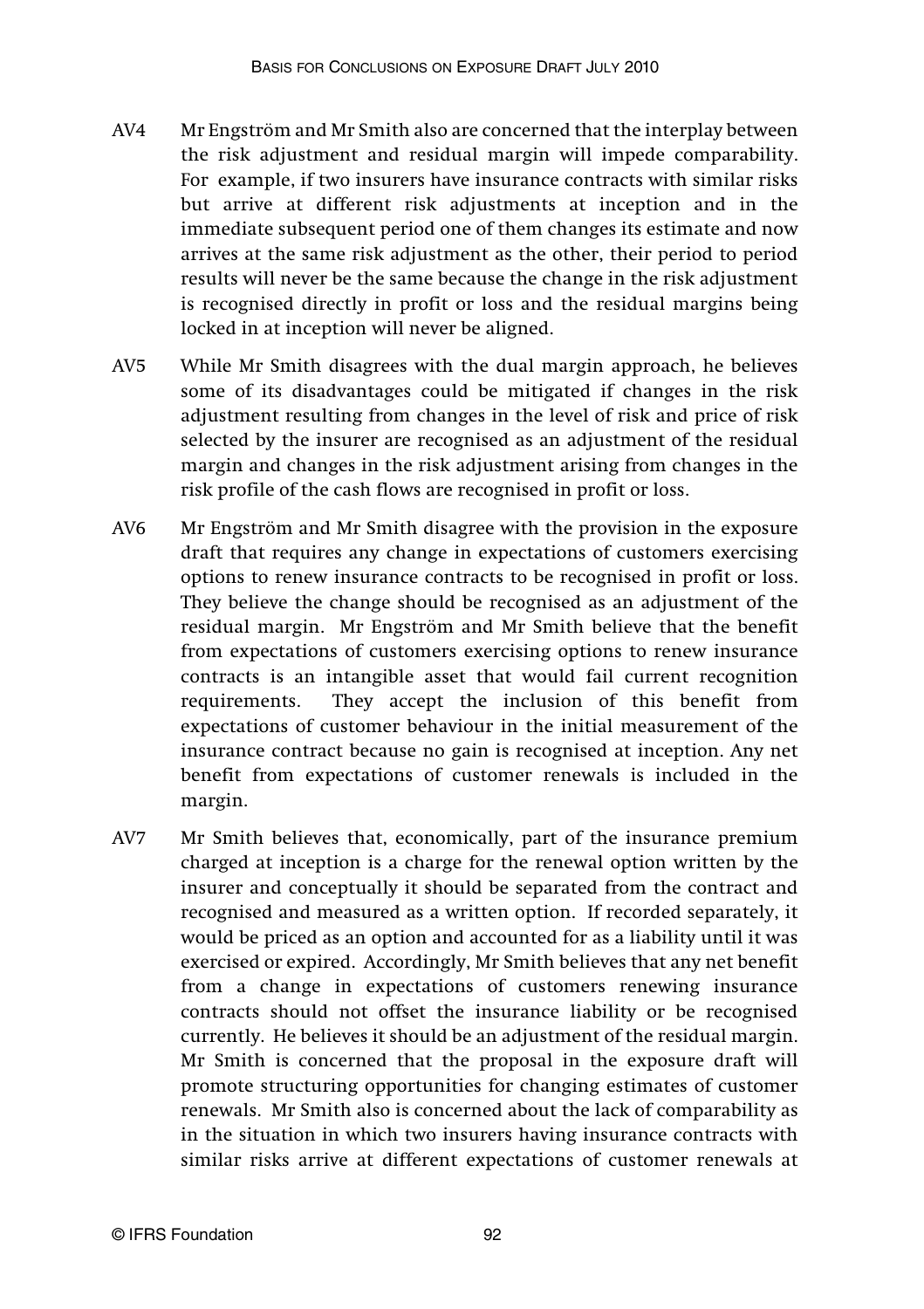- AV4 Mr Engström and Mr Smith also are concerned that the interplay between the risk adjustment and residual margin will impede comparability. For example, if two insurers have insurance contracts with similar risks but arrive at different risk adjustments at inception and in the immediate subsequent period one of them changes its estimate and now arrives at the same risk adjustment as the other, their period to period results will never be the same because the change in the risk adjustment is recognised directly in profit or loss and the residual margins being locked in at inception will never be aligned.
- AV5 While Mr Smith disagrees with the dual margin approach, he believes some of its disadvantages could be mitigated if changes in the risk adjustment resulting from changes in the level of risk and price of risk selected by the insurer are recognised as an adjustment of the residual margin and changes in the risk adjustment arising from changes in the risk profile of the cash flows are recognised in profit or loss.
- AV6 Mr Engström and Mr Smith disagree with the provision in the exposure draft that requires any change in expectations of customers exercising options to renew insurance contracts to be recognised in profit or loss. They believe the change should be recognised as an adjustment of the residual margin. Mr Engström and Mr Smith believe that the benefit from expectations of customers exercising options to renew insurance contracts is an intangible asset that would fail current recognition requirements. They accept the inclusion of this benefit from expectations of customer behaviour in the initial measurement of the insurance contract because no gain is recognised at inception. Any net benefit from expectations of customer renewals is included in the margin.
- AV7 Mr Smith believes that, economically, part of the insurance premium charged at inception is a charge for the renewal option written by the insurer and conceptually it should be separated from the contract and recognised and measured as a written option. If recorded separately, it would be priced as an option and accounted for as a liability until it was exercised or expired. Accordingly, Mr Smith believes that any net benefit from a change in expectations of customers renewing insurance contracts should not offset the insurance liability or be recognised currently. He believes it should be an adjustment of the residual margin. Mr Smith is concerned that the proposal in the exposure draft will promote structuring opportunities for changing estimates of customer renewals. Mr Smith also is concerned about the lack of comparability as in the situation in which two insurers having insurance contracts with similar risks arrive at different expectations of customer renewals at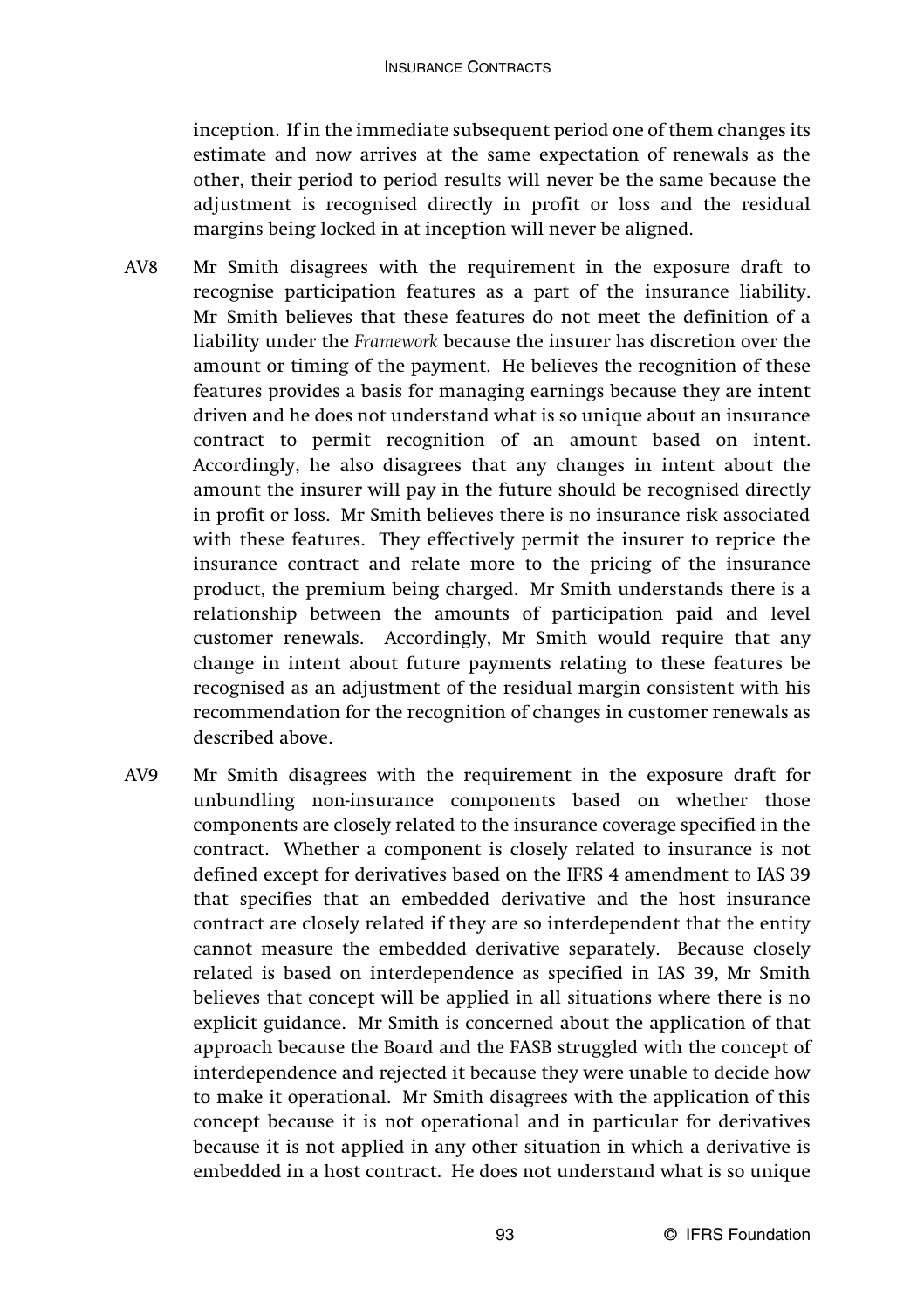inception. If in the immediate subsequent period one of them changes its estimate and now arrives at the same expectation of renewals as the other, their period to period results will never be the same because the adjustment is recognised directly in profit or loss and the residual margins being locked in at inception will never be aligned.

- AV8 Mr Smith disagrees with the requirement in the exposure draft to recognise participation features as a part of the insurance liability. Mr Smith believes that these features do not meet the definition of a liability under the *Framework* because the insurer has discretion over the amount or timing of the payment. He believes the recognition of these features provides a basis for managing earnings because they are intent driven and he does not understand what is so unique about an insurance contract to permit recognition of an amount based on intent. Accordingly, he also disagrees that any changes in intent about the amount the insurer will pay in the future should be recognised directly in profit or loss. Mr Smith believes there is no insurance risk associated with these features. They effectively permit the insurer to reprice the insurance contract and relate more to the pricing of the insurance product, the premium being charged. Mr Smith understands there is a relationship between the amounts of participation paid and level customer renewals. Accordingly, Mr Smith would require that any change in intent about future payments relating to these features be recognised as an adjustment of the residual margin consistent with his recommendation for the recognition of changes in customer renewals as described above.
- AV9 Mr Smith disagrees with the requirement in the exposure draft for unbundling non-insurance components based on whether those components are closely related to the insurance coverage specified in the contract. Whether a component is closely related to insurance is not defined except for derivatives based on the IFRS 4 amendment to IAS 39 that specifies that an embedded derivative and the host insurance contract are closely related if they are so interdependent that the entity cannot measure the embedded derivative separately. Because closely related is based on interdependence as specified in IAS 39, Mr Smith believes that concept will be applied in all situations where there is no explicit guidance. Mr Smith is concerned about the application of that approach because the Board and the FASB struggled with the concept of interdependence and rejected it because they were unable to decide how to make it operational. Mr Smith disagrees with the application of this concept because it is not operational and in particular for derivatives because it is not applied in any other situation in which a derivative is embedded in a host contract. He does not understand what is so unique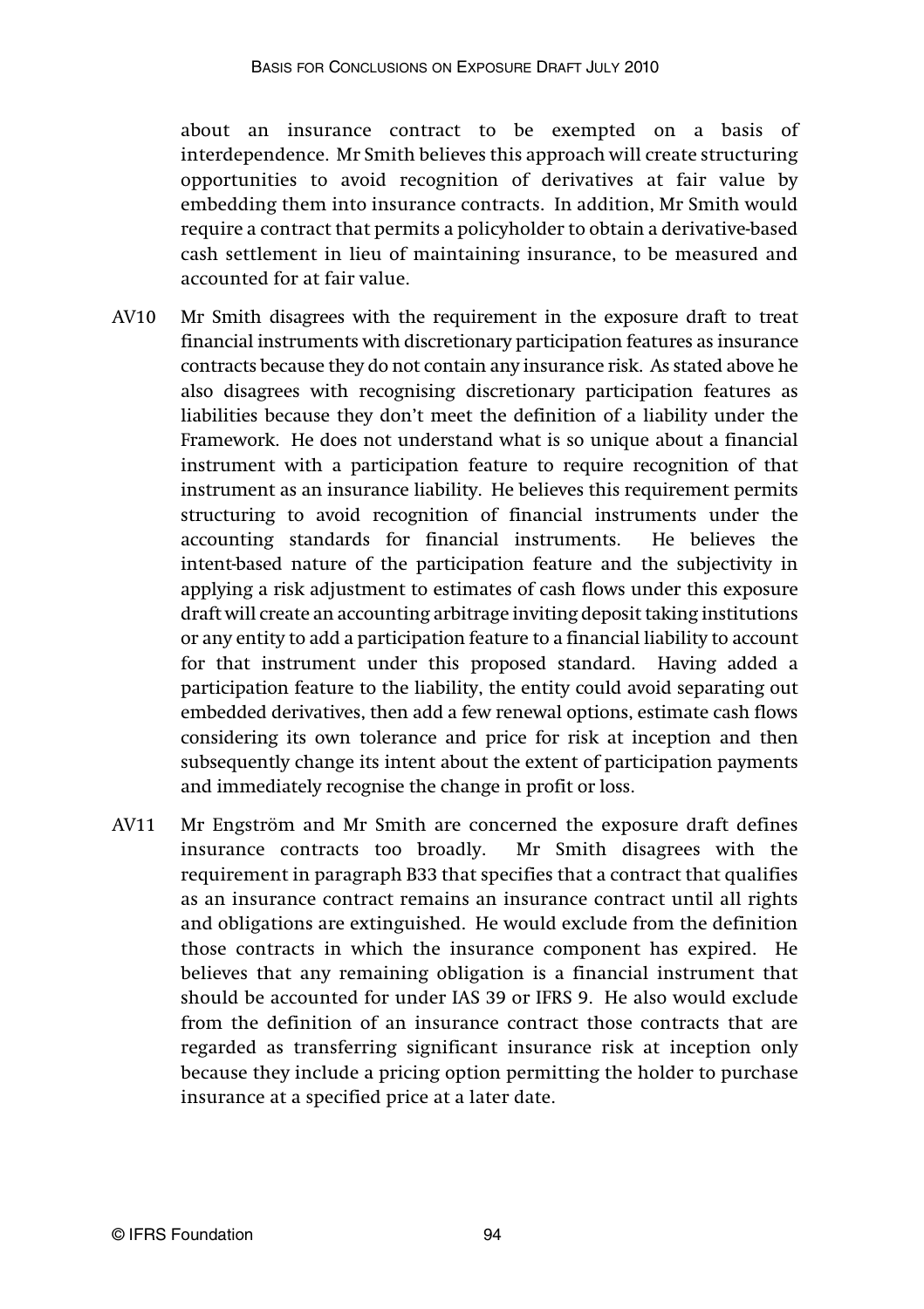about an insurance contract to be exempted on a basis of interdependence. Mr Smith believes this approach will create structuring opportunities to avoid recognition of derivatives at fair value by embedding them into insurance contracts. In addition, Mr Smith would require a contract that permits a policyholder to obtain a derivative-based cash settlement in lieu of maintaining insurance, to be measured and accounted for at fair value.

- AV10 Mr Smith disagrees with the requirement in the exposure draft to treat financial instruments with discretionary participation features as insurance contracts because they do not contain any insurance risk. As stated above he also disagrees with recognising discretionary participation features as liabilities because they don't meet the definition of a liability under the Framework. He does not understand what is so unique about a financial instrument with a participation feature to require recognition of that instrument as an insurance liability. He believes this requirement permits structuring to avoid recognition of financial instruments under the accounting standards for financial instruments. He believes the intent-based nature of the participation feature and the subjectivity in applying a risk adjustment to estimates of cash flows under this exposure draft will create an accounting arbitrage inviting deposit taking institutions or any entity to add a participation feature to a financial liability to account for that instrument under this proposed standard. Having added a participation feature to the liability, the entity could avoid separating out embedded derivatives, then add a few renewal options, estimate cash flows considering its own tolerance and price for risk at inception and then subsequently change its intent about the extent of participation payments and immediately recognise the change in profit or loss.
- AV11 Mr Engström and Mr Smith are concerned the exposure draft defines insurance contracts too broadly. Mr Smith disagrees with the requirement in paragraph B33 that specifies that a contract that qualifies as an insurance contract remains an insurance contract until all rights and obligations are extinguished. He would exclude from the definition those contracts in which the insurance component has expired. He believes that any remaining obligation is a financial instrument that should be accounted for under IAS 39 or IFRS 9. He also would exclude from the definition of an insurance contract those contracts that are regarded as transferring significant insurance risk at inception only because they include a pricing option permitting the holder to purchase insurance at a specified price at a later date.